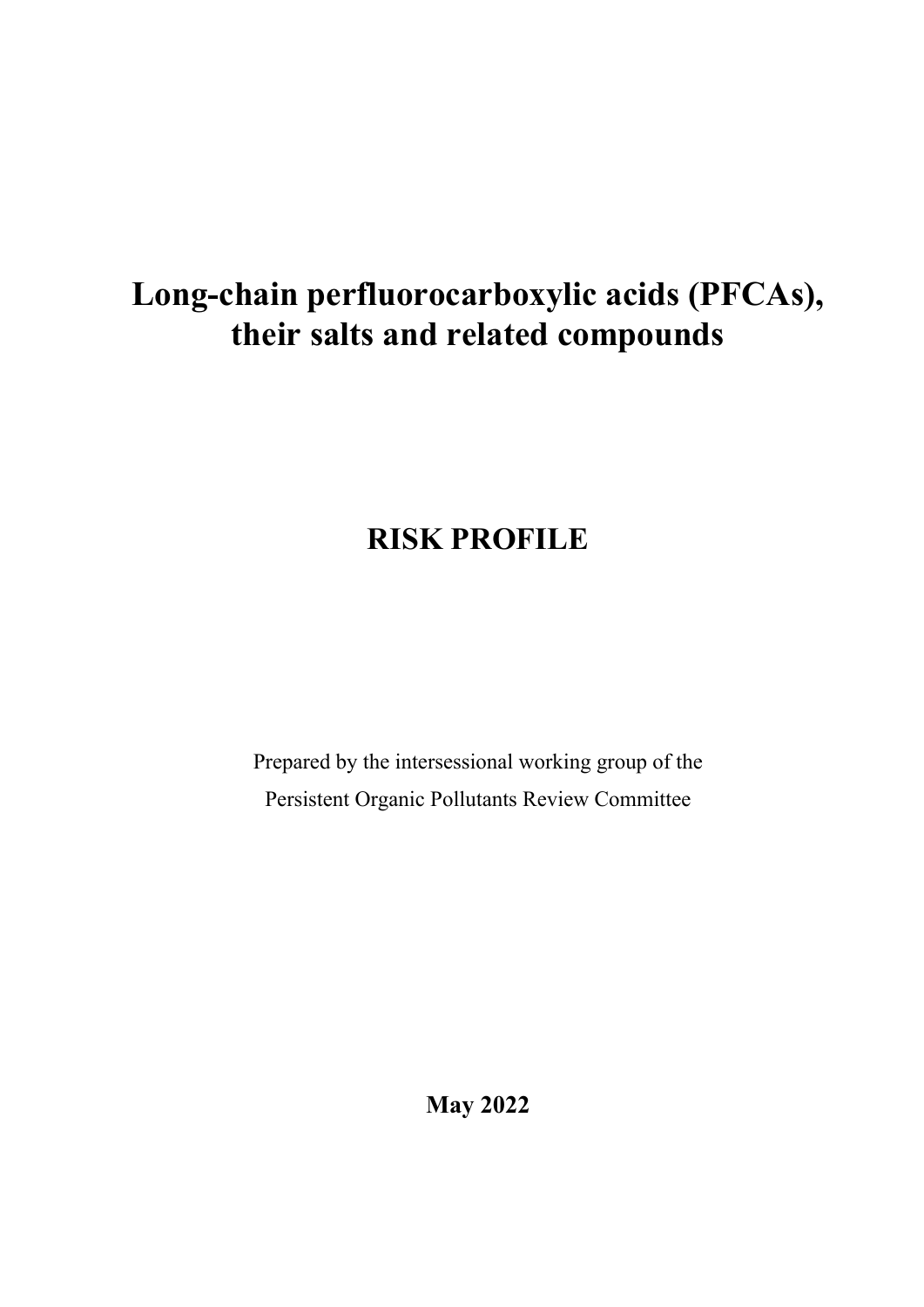# **Long-chain perfluorocarboxylic acids (PFCAs), their salts and related compounds**

# **RISK PROFILE**

Prepared by the intersessional working group of the Persistent Organic Pollutants Review Committee

**May 2022**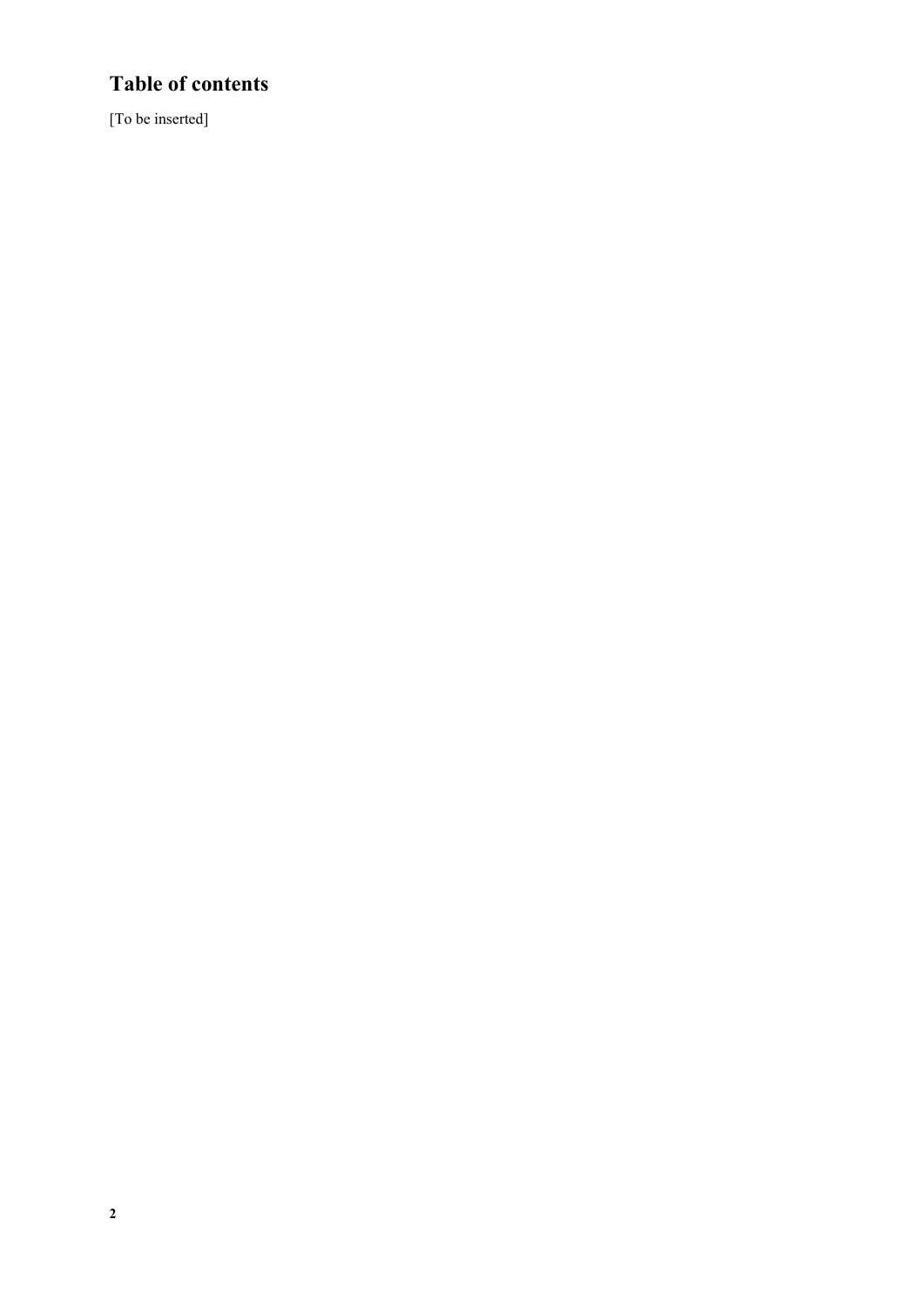## **Table of contents**

[To be inserted]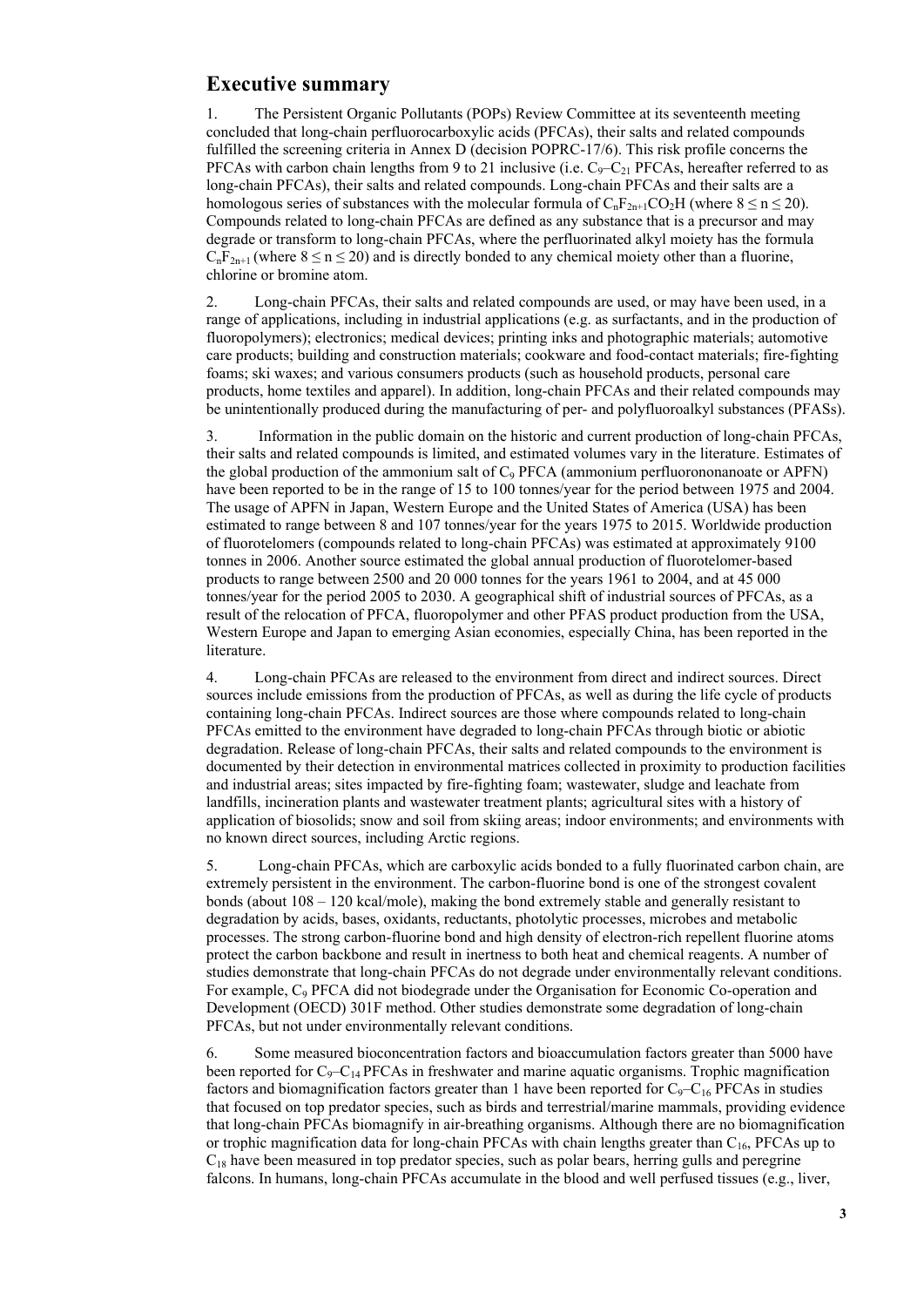## **Executive summary**

1. The Persistent Organic Pollutants (POPs) Review Committee at its seventeenth meeting concluded that long-chain perfluorocarboxylic acids (PFCAs), their salts and related compounds fulfilled the screening criteria in Annex D (decision POPRC-17/6). This risk profile concerns the PFCAs with carbon chain lengths from 9 to 21 inclusive (i.e.  $C_9 - C_{21}$  PFCAs, hereafter referred to as long-chain PFCAs), their salts and related compounds. Long-chain PFCAs and their salts are a homologous series of substances with the molecular formula of  $C_nF_{2n+1}CO_2H$  (where  $8 \le n \le 20$ ). Compounds related to long-chain PFCAs are defined as any substance that is a precursor and may degrade or transform to long-chain PFCAs, where the perfluorinated alkyl moiety has the formula  $C_nF_{2n+1}$  (where  $8 \le n \le 20$ ) and is directly bonded to any chemical moiety other than a fluorine, chlorine or bromine atom.

2. Long-chain PFCAs, their salts and related compounds are used, or may have been used, in a range of applications, including in industrial applications (e.g. as surfactants, and in the production of fluoropolymers); electronics; medical devices; printing inks and photographic materials; automotive care products; building and construction materials; cookware and food-contact materials; fire-fighting foams; ski waxes; and various consumers products (such as household products, personal care products, home textiles and apparel). In addition, long-chain PFCAs and their related compounds may be unintentionally produced during the manufacturing of per- and polyfluoroalkyl substances (PFASs).

3. Information in the public domain on the historic and current production of long-chain PFCAs, their salts and related compounds is limited, and estimated volumes vary in the literature. Estimates of the global production of the ammonium salt of  $C_9$  PFCA (ammonium perfluorononanoate or APFN) have been reported to be in the range of 15 to 100 tonnes/year for the period between 1975 and 2004. The usage of APFN in Japan, Western Europe and the United States of America (USA) has been estimated to range between 8 and 107 tonnes/year for the years 1975 to 2015. Worldwide production of fluorotelomers (compounds related to long-chain PFCAs) was estimated at approximately 9100 tonnes in 2006. Another source estimated the global annual production of fluorotelomer-based products to range between 2500 and 20 000 tonnes for the years 1961 to 2004, and at 45 000 tonnes/year for the period 2005 to 2030. A geographical shift of industrial sources of PFCAs, as a result of the relocation of PFCA, fluoropolymer and other PFAS product production from the USA, Western Europe and Japan to emerging Asian economies, especially China, has been reported in the literature.

4. Long-chain PFCAs are released to the environment from direct and indirect sources. Direct sources include emissions from the production of PFCAs, as well as during the life cycle of products containing long-chain PFCAs. Indirect sources are those where compounds related to long-chain PFCAs emitted to the environment have degraded to long-chain PFCAs through biotic or abiotic degradation. Release of long-chain PFCAs, their salts and related compounds to the environment is documented by their detection in environmental matrices collected in proximity to production facilities and industrial areas; sites impacted by fire-fighting foam; wastewater, sludge and leachate from landfills, incineration plants and wastewater treatment plants; agricultural sites with a history of application of biosolids; snow and soil from skiing areas; indoor environments; and environments with no known direct sources, including Arctic regions.

5. Long-chain PFCAs, which are carboxylic acids bonded to a fully fluorinated carbon chain, are extremely persistent in the environment. The carbon-fluorine bond is one of the strongest covalent bonds (about 108 – 120 kcal/mole), making the bond extremely stable and generally resistant to degradation by acids, bases, oxidants, reductants, photolytic processes, microbes and metabolic processes. The strong carbon-fluorine bond and high density of electron-rich repellent fluorine atoms protect the carbon backbone and result in inertness to both heat and chemical reagents. A number of studies demonstrate that long-chain PFCAs do not degrade under environmentally relevant conditions. For example, C<sub>9</sub> PFCA did not biodegrade under the Organisation for Economic Co-operation and Development (OECD) 301F method. Other studies demonstrate some degradation of long-chain PFCAs, but not under environmentally relevant conditions.

6. Some measured bioconcentration factors and bioaccumulation factors greater than 5000 have been reported for  $C_9 - C_{14}$  PFCAs in freshwater and marine aquatic organisms. Trophic magnification factors and biomagnification factors greater than 1 have been reported for  $C_9 - C_{16}$  PFCAs in studies that focused on top predator species, such as birds and terrestrial/marine mammals, providing evidence that long-chain PFCAs biomagnify in air-breathing organisms. Although there are no biomagnification or trophic magnification data for long-chain PFCAs with chain lengths greater than C16, PFCAs up to  $C_{18}$  have been measured in top predator species, such as polar bears, herring gulls and peregrine falcons. In humans, long-chain PFCAs accumulate in the blood and well perfused tissues (e.g., liver,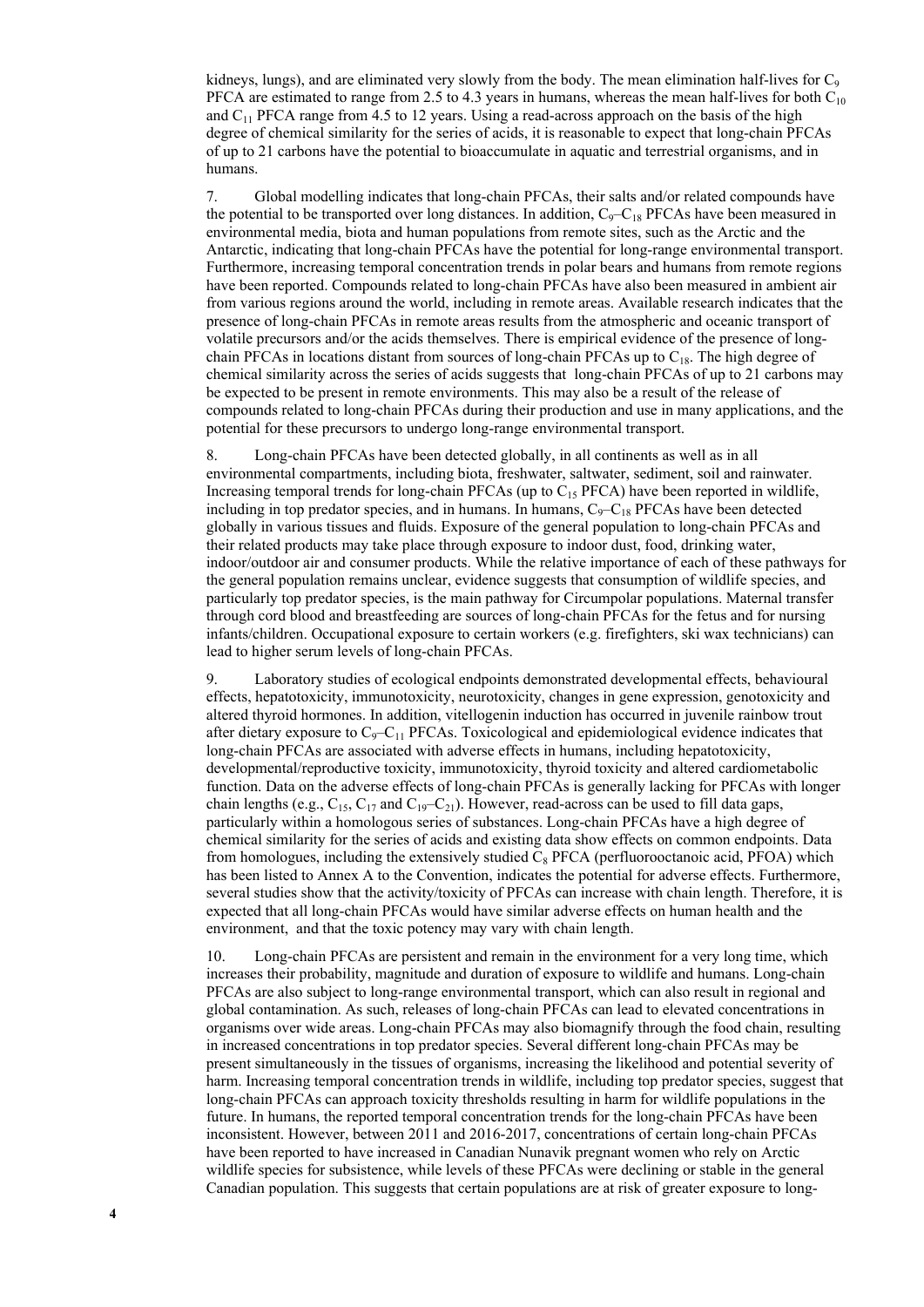kidneys, lungs), and are eliminated very slowly from the body. The mean elimination half-lives for  $C_9$ PFCA are estimated to range from 2.5 to 4.3 years in humans, whereas the mean half-lives for both  $C_{10}$ and  $C_{11}$  PFCA range from 4.5 to 12 years. Using a read-across approach on the basis of the high degree of chemical similarity for the series of acids, it is reasonable to expect that long-chain PFCAs of up to 21 carbons have the potential to bioaccumulate in aquatic and terrestrial organisms, and in humans.

7. Global modelling indicates that long-chain PFCAs, their salts and/or related compounds have the potential to be transported over long distances. In addition,  $C_9 - C_{18}$  PFCAs have been measured in environmental media, biota and human populations from remote sites, such as the Arctic and the Antarctic, indicating that long-chain PFCAs have the potential for long-range environmental transport. Furthermore, increasing temporal concentration trends in polar bears and humans from remote regions have been reported. Compounds related to long-chain PFCAs have also been measured in ambient air from various regions around the world, including in remote areas. Available research indicates that the presence of long-chain PFCAs in remote areas results from the atmospheric and oceanic transport of volatile precursors and/or the acids themselves. There is empirical evidence of the presence of longchain PFCAs in locations distant from sources of long-chain PFCAs up to  $C_{18}$ . The high degree of chemical similarity across the series of acids suggests that long-chain PFCAs of up to 21 carbons may be expected to be present in remote environments. This may also be a result of the release of compounds related to long-chain PFCAs during their production and use in many applications, and the potential for these precursors to undergo long-range environmental transport.

8. Long-chain PFCAs have been detected globally, in all continents as well as in all environmental compartments, including biota, freshwater, saltwater, sediment, soil and rainwater. Increasing temporal trends for long-chain PFCAs (up to  $C_{15}$  PFCA) have been reported in wildlife, including in top predator species, and in humans. In humans,  $C_9-C_{18}$  PFCAs have been detected globally in various tissues and fluids. Exposure of the general population to long-chain PFCAs and their related products may take place through exposure to indoor dust, food, drinking water, indoor/outdoor air and consumer products. While the relative importance of each of these pathways for the general population remains unclear, evidence suggests that consumption of wildlife species, and particularly top predator species, is the main pathway for Circumpolar populations. Maternal transfer through cord blood and breastfeeding are sources of long-chain PFCAs for the fetus and for nursing infants/children. Occupational exposure to certain workers (e.g. firefighters, ski wax technicians) can lead to higher serum levels of long-chain PFCAs.

9. Laboratory studies of ecological endpoints demonstrated developmental effects, behavioural effects, hepatotoxicity, immunotoxicity, neurotoxicity, changes in gene expression, genotoxicity and altered thyroid hormones. In addition, vitellogenin induction has occurred in juvenile rainbow trout after dietary exposure to  $C_9 - C_{11}$  PFCAs. Toxicological and epidemiological evidence indicates that long-chain PFCAs are associated with adverse effects in humans, including hepatotoxicity, developmental/reproductive toxicity, immunotoxicity, thyroid toxicity and altered cardiometabolic function. Data on the adverse effects of long-chain PFCAs is generally lacking for PFCAs with longer chain lengths (e.g.,  $C_{15}$ ,  $C_{17}$  and  $C_{19}-C_{21}$ ). However, read-across can be used to fill data gaps, particularly within a homologous series of substances. Long-chain PFCAs have a high degree of chemical similarity for the series of acids and existing data show effects on common endpoints. Data from homologues, including the extensively studied  $C_8$  PFCA (perfluorooctanoic acid, PFOA) which has been listed to Annex A to the Convention, indicates the potential for adverse effects. Furthermore, several studies show that the activity/toxicity of PFCAs can increase with chain length. Therefore, it is expected that all long-chain PFCAs would have similar adverse effects on human health and the environment, and that the toxic potency may vary with chain length.

10. Long-chain PFCAs are persistent and remain in the environment for a very long time, which increases their probability, magnitude and duration of exposure to wildlife and humans. Long-chain PFCAs are also subject to long-range environmental transport, which can also result in regional and global contamination. As such, releases of long-chain PFCAs can lead to elevated concentrations in organisms over wide areas. Long-chain PFCAs may also biomagnify through the food chain, resulting in increased concentrations in top predator species. Several different long-chain PFCAs may be present simultaneously in the tissues of organisms, increasing the likelihood and potential severity of harm. Increasing temporal concentration trends in wildlife, including top predator species, suggest that long-chain PFCAs can approach toxicity thresholds resulting in harm for wildlife populations in the future. In humans, the reported temporal concentration trends for the long-chain PFCAs have been inconsistent. However, between 2011 and 2016-2017, concentrations of certain long-chain PFCAs have been reported to have increased in Canadian Nunavik pregnant women who rely on Arctic wildlife species for subsistence, while levels of these PFCAs were declining or stable in the general Canadian population. This suggests that certain populations are at risk of greater exposure to long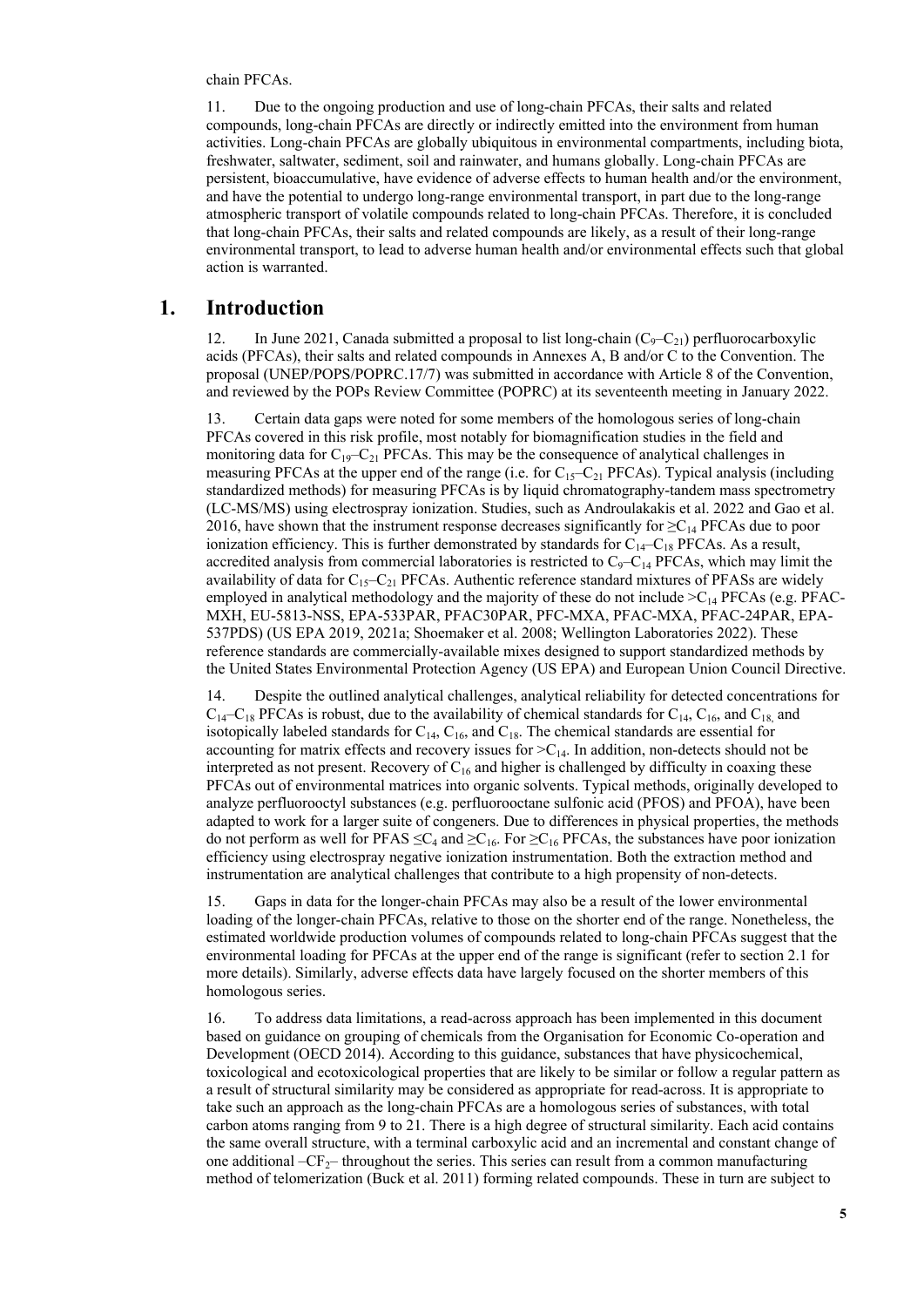chain PFCAs.

11. Due to the ongoing production and use of long-chain PFCAs, their salts and related compounds, long-chain PFCAs are directly or indirectly emitted into the environment from human activities. Long-chain PFCAs are globally ubiquitous in environmental compartments, including biota, freshwater, saltwater, sediment, soil and rainwater, and humans globally. Long-chain PFCAs are persistent, bioaccumulative, have evidence of adverse effects to human health and/or the environment, and have the potential to undergo long-range environmental transport, in part due to the long-range atmospheric transport of volatile compounds related to long-chain PFCAs. Therefore, it is concluded that long-chain PFCAs, their salts and related compounds are likely, as a result of their long-range environmental transport, to lead to adverse human health and/or environmental effects such that global action is warranted.

## **1. Introduction**

12. In June 2021, Canada submitted a proposal to list long-chain  $(C_9 - C_{21})$  perfluorocarboxylic acids (PFCAs), their salts and related compounds in Annexes A, B and/or C to the Convention. The proposal (UNEP/POPS/POPRC.17/7) was submitted in accordance with Article 8 of the Convention, and reviewed by the POPs Review Committee (POPRC) at its seventeenth meeting in January 2022.

13. Certain data gaps were noted for some members of the homologous series of long-chain PFCAs covered in this risk profile, most notably for biomagnification studies in the field and monitoring data for  $C_{19}-C_{21}$  PFCAs. This may be the consequence of analytical challenges in measuring PFCAs at the upper end of the range (i.e. for  $C_{15}-C_{21}$  PFCAs). Typical analysis (including standardized methods) for measuring PFCAs is by liquid chromatography-tandem mass spectrometry (LC-MS/MS) using electrospray ionization. Studies, such as Androulakakis et al. 2022 and Gao et al. 2016, have shown that the instrument response decreases significantly for  $\geq C_{14}$  PFCAs due to poor ionization efficiency. This is further demonstrated by standards for  $C_{14}-C_{18}$  PFCAs. As a result, accredited analysis from commercial laboratories is restricted to  $C_9-C_{14}$  PFCAs, which may limit the availability of data for  $C_{15}-C_{21}$  PFCAs. Authentic reference standard mixtures of PFASs are widely employed in analytical methodology and the majority of these do not include  $\geq C_{14}$  PFCAs (e.g. PFAC-MXH, EU-5813-NSS, EPA-533PAR, PFAC30PAR, PFC-MXA, PFAC-MXA, PFAC-24PAR, EPA-537PDS) (US EPA 2019, 2021a; Shoemaker et al. 2008; Wellington Laboratories 2022). These reference standards are commercially-available mixes designed to support standardized methods by the United States Environmental Protection Agency (US EPA) and European Union Council Directive.

14. Despite the outlined analytical challenges, analytical reliability for detected concentrations for  $C_{14}-C_{18}$  PFCAs is robust, due to the availability of chemical standards for  $C_{14}$ ,  $C_{16}$ , and  $C_{18}$  and isotopically labeled standards for  $C_{14}$ ,  $C_{16}$ , and  $C_{18}$ . The chemical standards are essential for accounting for matrix effects and recovery issues for  $>C_{14}$ . In addition, non-detects should not be interpreted as not present. Recovery of  $C_{16}$  and higher is challenged by difficulty in coaxing these PFCAs out of environmental matrices into organic solvents. Typical methods, originally developed to analyze perfluorooctyl substances (e.g. [perfluorooctane sulfonic acid](http://chm.pops.int/TheConvention/ThePOPs/AllPOPs/tabid/2509/Default.aspx#LiveContent[PFOS-PFOSF]) (PFOS) and PFOA), have been adapted to work for a larger suite of congeners. Due to differences in physical properties, the methods do not perform as well for PFAS  $\leq C_4$  and  $\geq C_{16}$ . For  $\geq C_{16}$  PFCAs, the substances have poor ionization efficiency using electrospray negative ionization instrumentation. Both the extraction method and instrumentation are analytical challenges that contribute to a high propensity of non-detects.

15. Gaps in data for the longer-chain PFCAs may also be a result of the lower environmental loading of the longer-chain PFCAs, relative to those on the shorter end of the range. Nonetheless, the estimated worldwide production volumes of compounds related to long-chain PFCAs suggest that the environmental loading for PFCAs at the upper end of the range is significant (refer to section 2.1 for more details). Similarly, adverse effects data have largely focused on the shorter members of this homologous series.

16. To address data limitations, a read-across approach has been implemented in this document based on guidance on grouping of chemicals from the Organisation for Economic Co-operation and Development (OECD 2014). According to this guidance, substances that have physicochemical, toxicological and ecotoxicological properties that are likely to be similar or follow a regular pattern as a result of structural similarity may be considered as appropriate for read-across. It is appropriate to take such an approach as the long-chain PFCAs are a homologous series of substances, with total carbon atoms ranging from 9 to 21. There is a high degree of structural similarity. Each acid contains the same overall structure, with a terminal carboxylic acid and an incremental and constant change of one additional  $-CF_{2}$ – throughout the series. This series can result from a common manufacturing method of telomerization (Buck et al. 2011) forming related compounds. These in turn are subject to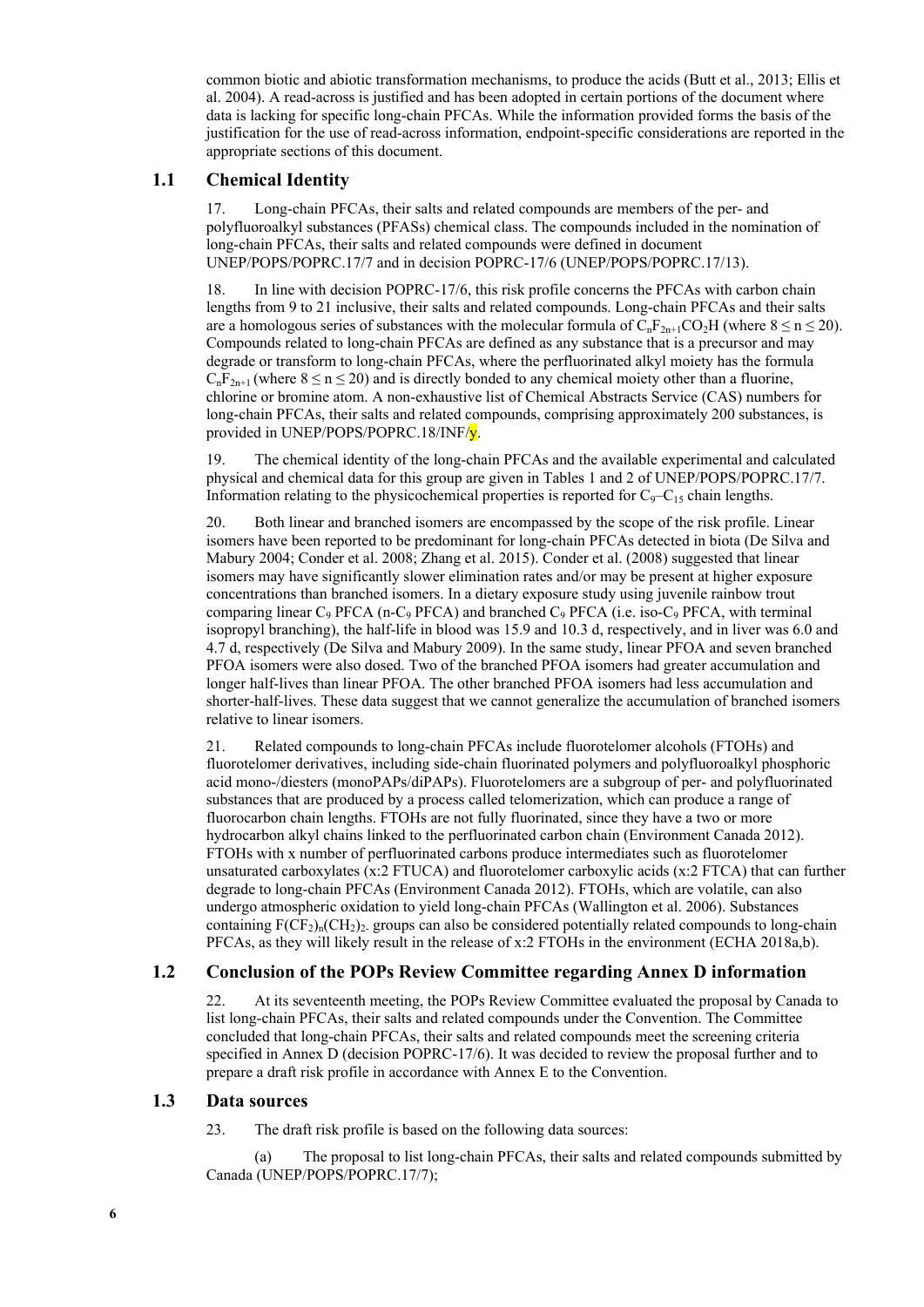common biotic and abiotic transformation mechanisms, to produce the acids (Butt et al., 2013; Ellis et al. 2004). A read-across is justified and has been adopted in certain portions of the document where data is lacking for specific long-chain PFCAs. While the information provided forms the basis of the justification for the use of read-across information, endpoint-specific considerations are reported in the appropriate sections of this document.

### **1.1 Chemical Identity**

17. Long-chain PFCAs, their salts and related compounds are members of the per- and polyfluoroalkyl substances (PFASs) chemical class. The compounds included in the nomination of long-chain PFCAs, their salts and related compounds were defined in document UNEP/POPS/POPRC.17/7 and in decision POPRC-17/6 (UNEP/POPS/POPRC.17/13).

18. In line with decision POPRC-17/6, this risk profile concerns the PFCAs with carbon chain lengths from 9 to 21 inclusive, their salts and related compounds. Long-chain PFCAs and their salts are a homologous series of substances with the molecular formula of  $C_nF_{2n+1}CO_2H$  (where  $8 \le n \le 20$ ). Compounds related to long-chain PFCAs are defined as any substance that is a precursor and may degrade or transform to long-chain PFCAs, where the perfluorinated alkyl moiety has the formula  $C_nF_{2n+1}$  (where  $8 \le n \le 20$ ) and is directly bonded to any chemical moiety other than a fluorine, chlorine or bromine atom. A non-exhaustive list of Chemical Abstracts Service (CAS) numbers for long-chain PFCAs, their salts and related compounds, comprising approximately 200 substances, is provided in UNEP/POPS/POPRC.18/INF/y.

19. The chemical identity of the long-chain PFCAs and the available experimental and calculated physical and chemical data for this group are given in Tables 1 and 2 of UNEP/POPS/POPRC.17/7. Information relating to the physicochemical properties is reported for  $C_9 - C_{15}$  chain lengths.

20. Both linear and branched isomers are encompassed by the scope of the risk profile. Linear isomers have been reported to be predominant for long-chain PFCAs detected in biota (De Silva and Mabury 2004; Conder et al. 2008; Zhang et al. 2015). Conder et al. (2008) suggested that linear isomers may have significantly slower elimination rates and/or may be present at higher exposure concentrations than branched isomers. In a dietary exposure study using juvenile rainbow trout comparing linear  $C_9$  PFCA (n-C<sub>9</sub> PFCA) and branched  $C_9$  PFCA (i.e. iso-C<sub>9</sub> PFCA, with terminal isopropyl branching), the half-life in blood was 15.9 and 10.3 d, respectively, and in liver was 6.0 and 4.7 d, respectively (De Silva and Mabury 2009). In the same study, linear PFOA and seven branched PFOA isomers were also dosed. Two of the branched PFOA isomers had greater accumulation and longer half-lives than linear PFOA. The other branched PFOA isomers had less accumulation and shorter-half-lives. These data suggest that we cannot generalize the accumulation of branched isomers relative to linear isomers.

21. Related compounds to long-chain PFCAs include fluorotelomer alcohols (FTOHs) and fluorotelomer derivatives, including side-chain fluorinated polymers and polyfluoroalkyl phosphoric acid mono-/diesters (monoPAPs/diPAPs). Fluorotelomers are a subgroup of per- and polyfluorinated substances that are produced by a process called telomerization, which can produce a range of fluorocarbon chain lengths. FTOHs are not fully fluorinated, since they have a two or more hydrocarbon alkyl chains linked to the perfluorinated carbon chain (Environment Canada 2012). FTOHs with x number of perfluorinated carbons produce intermediates such as fluorotelomer unsaturated carboxylates (x:2 FTUCA) and fluorotelomer carboxylic acids (x:2 FTCA) that can further degrade to long-chain PFCAs (Environment Canada 2012). FTOHs, which are volatile, can also undergo atmospheric oxidation to yield long-chain PFCAs (Wallington et al. 2006). Substances containing  $F(\overline{CF}_2)_{n}(CH_2)_2$  groups can also be considered potentially related compounds to long-chain PFCAs, as they will likely result in the release of x:2 FTOHs in the environment (ECHA 2018a,b).

## **1.2 Conclusion of the POPs Review Committee regarding Annex D information**

22. At its seventeenth meeting, the POPs Review Committee evaluated the proposal by Canada to list long-chain PFCAs, their salts and related compounds under the Convention. The Committee concluded that long-chain PFCAs, their salts and related compounds meet the screening criteria specified in Annex D (decision POPRC-17/6). It was decided to review the proposal further and to prepare a draft risk profile in accordance with Annex E to the Convention.

#### **1.3 Data sources**

23. The draft risk profile is based on the following data sources:

(a) The proposal to list long-chain PFCAs, their salts and related compounds submitted by Canada (UNEP/POPS/POPRC.17/7);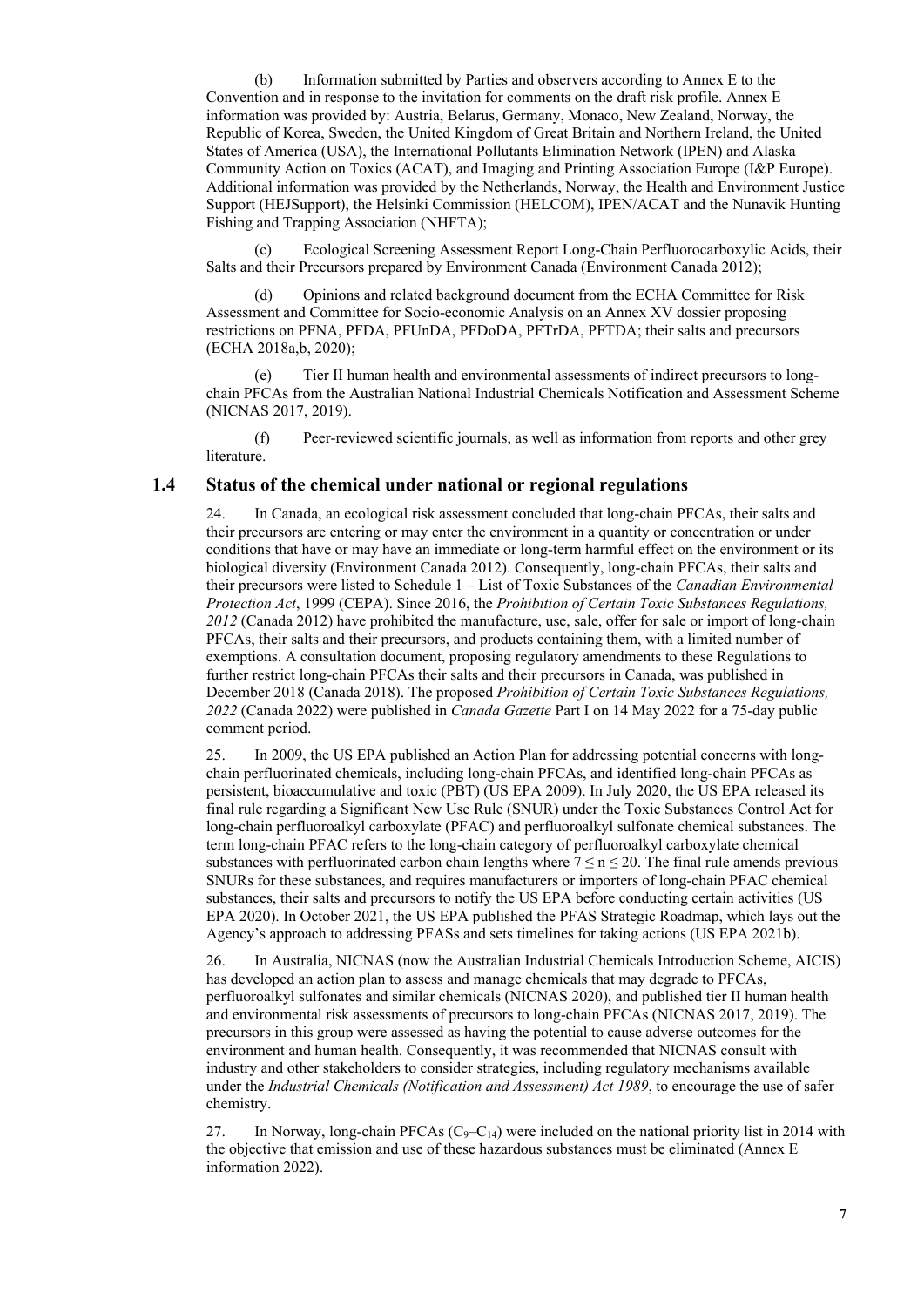(b) Information submitted by Parties and observers according to Annex E to the Convention and in response to the invitation for comments on the draft risk profile. Annex E information was provided by: Austria, Belarus, Germany, Monaco, New Zealand, Norway, the Republic of Korea, Sweden, the United Kingdom of Great Britain and Northern Ireland, the United States of America (USA), the International Pollutants Elimination Network (IPEN) and Alaska Community Action on Toxics (ACAT), and Imaging and Printing Association Europe (I&P Europe). Additional information was provided by the Netherlands, Norway, the Health and Environment Justice Support (HEJSupport), the Helsinki Commission (HELCOM), IPEN/ACAT and the Nunavik Hunting Fishing and Trapping Association (NHFTA);

(c) Ecological Screening Assessment Report Long-Chain Perfluorocarboxylic Acids, their Salts and their Precursors prepared by Environment Canada (Environment Canada 2012);

Opinions and related background document from the ECHA Committee for Risk Assessment and Committee for Socio-economic Analysis on an Annex XV dossier proposing restrictions on PFNA, PFDA, PFUnDA, PFDoDA, PFTrDA, PFTDA; their salts and precursors (ECHA 2018a,b, 2020);

(e) Tier II human health and environmental assessments of indirect precursors to longchain PFCAs from the Australian National Industrial Chemicals Notification and Assessment Scheme (NICNAS 2017, 2019).

(f) Peer-reviewed scientific journals, as well as information from reports and other grey literature.

#### **1.4 Status of the chemical under national or regional regulations**

24. In Canada, an ecological risk assessment concluded that long-chain PFCAs, their salts and their precursors are entering or may enter the environment in a quantity or concentration or under conditions that have or may have an immediate or long-term harmful effect on the environment or its biological diversity (Environment Canada 2012). Consequently, long-chain PFCAs, their salts and their precursors were listed to Schedule 1 – List of Toxic Substances of the *Canadian Environmental Protection Act*, 1999 (CEPA). Since 2016, the *Prohibition of Certain Toxic Substances Regulations, 2012* (Canada 2012) have prohibited the manufacture, use, sale, offer for sale or import of long-chain PFCAs, their salts and their precursors, and products containing them, with a limited number of exemptions. A consultation document, proposing regulatory amendments to these Regulations to further restrict long-chain PFCAs their salts and their precursors in Canada, was published in December 2018 (Canada 2018). The proposed *Prohibition of Certain Toxic Substances Regulations, 2022* (Canada 2022) were published in *Canada Gazette* Part I on 14 May 2022 for a 75-day public comment period.

25. In 2009, the US EPA published an Action Plan for addressing potential concerns with longchain perfluorinated chemicals, including long-chain PFCAs, and identified long-chain PFCAs as persistent, bioaccumulative and toxic (PBT) (US EPA 2009). In July 2020, the US EPA released its final rule regarding a Significant New Use Rule (SNUR) under the Toxic Substances Control Act for long-chain perfluoroalkyl carboxylate (PFAC) and perfluoroalkyl sulfonate chemical substances. The term long-chain PFAC refers to the long-chain category of perfluoroalkyl carboxylate chemical substances with perfluorinated carbon chain lengths where  $7 \le n \le 20$ . The final rule amends previous SNURs for these substances, and requires manufacturers or importers of long-chain PFAC chemical substances, their salts and precursors to notify the US EPA before conducting certain activities (US EPA 2020). In October 2021, the US EPA published the PFAS Strategic Roadmap, which lays out the Agency's approach to addressing PFASs and sets timelines for taking actions (US EPA 2021b).

26. In Australia, NICNAS (now the Australian Industrial Chemicals Introduction Scheme, AICIS) has developed an action plan to assess and manage chemicals that may degrade to PFCAs, perfluoroalkyl sulfonates and similar chemicals (NICNAS 2020), and published tier II human health and environmental risk assessments of precursors to long-chain PFCAs (NICNAS 2017, 2019). The precursors in this group were assessed as having the potential to cause adverse outcomes for the environment and human health. Consequently, it was recommended that NICNAS consult with industry and other stakeholders to consider strategies, including regulatory mechanisms available under the *Industrial Chemicals (Notification and Assessment) Act 1989*, to encourage the use of safer chemistry.

27. In Norway, long-chain PFCAs  $(C_9 - C_{14})$  were included on the national priority list in 2014 with the objective that emission and use of these hazardous substances must be eliminated (Annex E information 2022).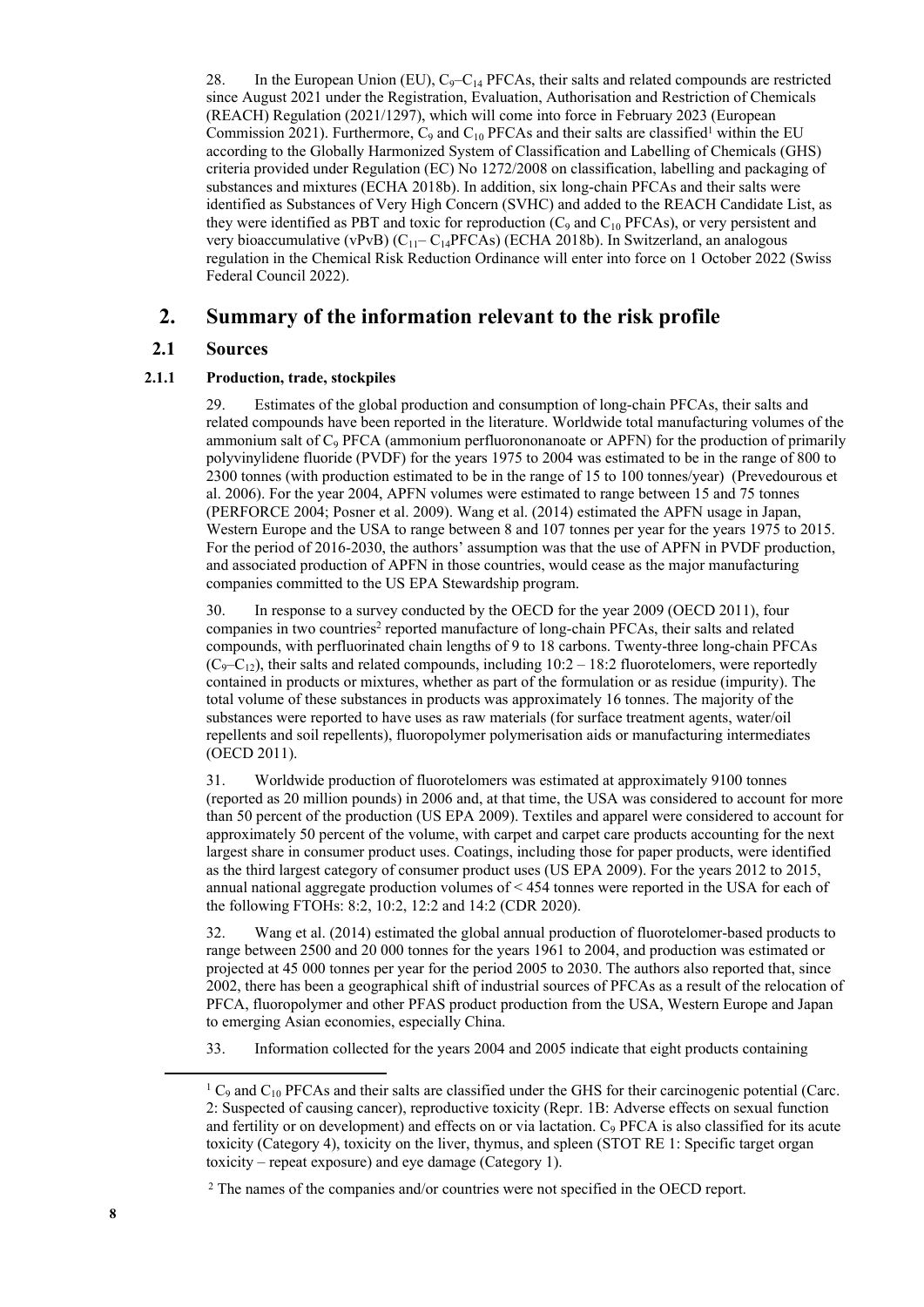28. In the European Union (EU),  $C_9 - C_{14}$  PFCAs, their salts and related compounds are restricted since August 2021 under the Registration, Evaluation, Authorisation and Restriction of Chemicals (REACH) Regulation (2021/1297), which will come into force in February 2023 (European Commission 2021). Furthermore,  $C_9$  and  $C_{10}$  PFCAs and their salts are classified<sup>1</sup> within the EU according to the Globally Harmonized System of Classification and Labelling of Chemicals (GHS) criteria provided under Regulation (EC) No 1272/2008 on classification, labelling and packaging of substances and mixtures (ECHA 2018b). In addition, six long-chain PFCAs and their salts were identified as Substances of Very High Concern (SVHC) and added to the REACH Candidate List, as they were identified as PBT and toxic for reproduction  $(C_9$  and  $C_{10}$  PFCAs), or very persistent and very bioaccumulative (vPvB)  $(C_{11}-C_{14}PFCAs)$  (ECHA 2018b). In Switzerland, an analogous regulation in the Chemical Risk Reduction Ordinance will enter into force on 1 October 2022 (Swiss Federal Council 2022).

## **2. Summary of the information relevant to the risk profile**

## **2.1 Sources**

#### **2.1.1 Production, trade, stockpiles**

29. Estimates of the global production and consumption of long-chain PFCAs, their salts and related compounds have been reported in the literature. Worldwide total manufacturing volumes of the ammonium salt of C<sub>9</sub> PFCA (ammonium perfluorononanoate or APFN) for the production of primarily polyvinylidene fluoride (PVDF) for the years 1975 to 2004 was estimated to be in the range of 800 to 2300 tonnes (with production estimated to be in the range of 15 to 100 tonnes/year) (Prevedourous et al. 2006). For the year 2004, APFN volumes were estimated to range between 15 and 75 tonnes (PERFORCE 2004; Posner et al. 2009). Wang et al. (2014) estimated the APFN usage in Japan, Western Europe and the USA to range between 8 and 107 tonnes per year for the years 1975 to 2015. For the period of 2016-2030, the authors' assumption was that the use of APFN in PVDF production, and associated production of APFN in those countries, would cease as the major manufacturing companies committed to the US EPA Stewardship program.

30. In response to a survey conducted by the OECD for the year 2009 (OECD 2011), four companies in two countries<sup>2</sup> reported manufacture of long-chain PFCAs, their salts and related compounds, with perfluorinated chain lengths of 9 to 18 carbons. Twenty-three long-chain PFCAs  $(C_9-C_{12})$ , their salts and related compounds, including 10:2 – 18:2 fluorotelomers, were reportedly contained in products or mixtures, whether as part of the formulation or as residue (impurity). The total volume of these substances in products was approximately 16 tonnes. The majority of the substances were reported to have uses as raw materials (for surface treatment agents, water/oil repellents and soil repellents), fluoropolymer polymerisation aids or manufacturing intermediates (OECD 2011).

31. Worldwide production of fluorotelomers was estimated at approximately 9100 tonnes (reported as 20 million pounds) in 2006 and, at that time, the USA was considered to account for more than 50 percent of the production (US EPA 2009). Textiles and apparel were considered to account for approximately 50 percent of the volume, with carpet and carpet care products accounting for the next largest share in consumer product uses. Coatings, including those for paper products, were identified as the third largest category of consumer product uses (US EPA 2009). For the years 2012 to 2015, annual national aggregate production volumes of < 454 tonnes were reported in the USA for each of the following FTOHs: 8:2, 10:2, 12:2 and 14:2 (CDR 2020).

32. Wang et al. (2014) estimated the global annual production of fluorotelomer-based products to range between 2500 and 20 000 tonnes for the years 1961 to 2004, and production was estimated or projected at 45 000 tonnes per year for the period 2005 to 2030. The authors also reported that, since 2002, there has been a geographical shift of industrial sources of PFCAs as a result of the relocation of PFCA, fluoropolymer and other PFAS product production from the USA, Western Europe and Japan to emerging Asian economies, especially China.

33. Information collected for the years 2004 and 2005 indicate that eight products containing

 $1 \text{ C}_9$  and  $\text{C}_{10}$  PFCAs and their salts are classified under the GHS for their carcinogenic potential (Carc. 2: Suspected of causing cancer), reproductive toxicity (Repr. 1B: Adverse effects on sexual function and fertility or on development) and effects on or via lactation.  $C_9$  PFCA is also classified for its acute toxicity (Category 4), toxicity on the liver, thymus, and spleen (STOT RE 1: Specific target organ toxicity – repeat exposure) and eye damage (Category 1).

<sup>&</sup>lt;sup>2</sup> The names of the companies and/or countries were not specified in the OECD report.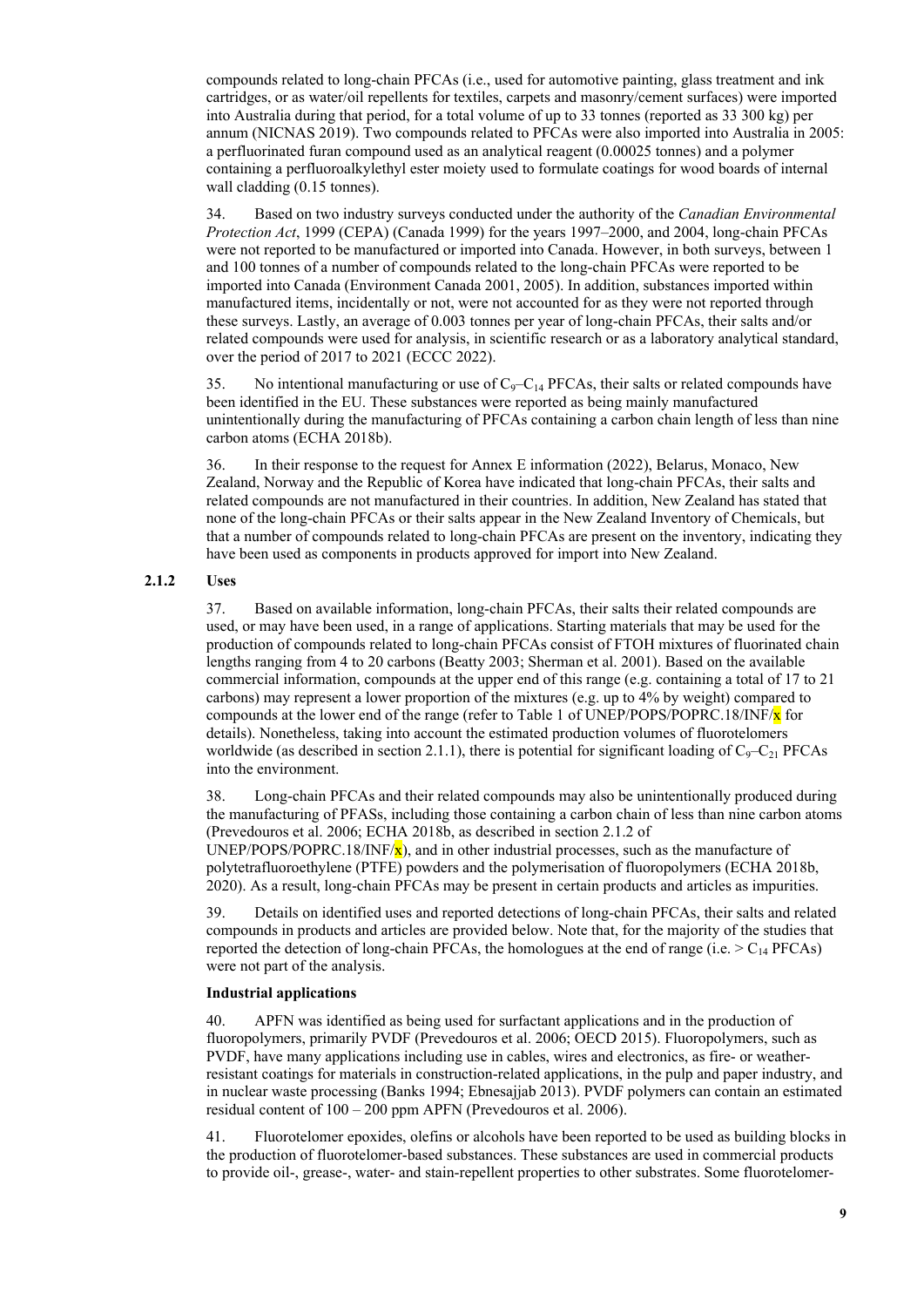compounds related to long-chain PFCAs (i.e., used for automotive painting, glass treatment and ink cartridges, or as water/oil repellents for textiles, carpets and masonry/cement surfaces) were imported into Australia during that period, for a total volume of up to 33 tonnes (reported as 33 300 kg) per annum (NICNAS 2019). Two compounds related to PFCAs were also imported into Australia in 2005: a perfluorinated furan compound used as an analytical reagent (0.00025 tonnes) and a polymer containing a perfluoroalkylethyl ester moiety used to formulate coatings for wood boards of internal wall cladding (0.15 tonnes).

34. Based on two industry surveys conducted under the authority of the *Canadian Environmental Protection Act*, 1999 (CEPA) (Canada 1999) for the years 1997–2000, and 2004, long-chain PFCAs were not reported to be manufactured or imported into Canada. However, in both surveys, between 1 and 100 tonnes of a number of compounds related to the long-chain PFCAs were reported to be imported into Canada (Environment Canada 2001, 2005). In addition, substances imported within manufactured items, incidentally or not, were not accounted for as they were not reported through these surveys. Lastly, an average of 0.003 tonnes per year of long-chain PFCAs, their salts and/or related compounds were used for analysis, in scientific research or as a laboratory analytical standard, over the period of 2017 to 2021 (ECCC 2022).

35. No intentional manufacturing or use of  $C_9 - C_{14}$  PFCAs, their salts or related compounds have been identified in the EU. These substances were reported as being mainly manufactured unintentionally during the manufacturing of PFCAs containing a carbon chain length of less than nine carbon atoms (ECHA 2018b).

36. In their response to the request for Annex E information (2022), Belarus, Monaco, New Zealand, Norway and the Republic of Korea have indicated that long-chain PFCAs, their salts and related compounds are not manufactured in their countries. In addition, New Zealand has stated that none of the long-chain PFCAs or their salts appear in the New Zealand Inventory of Chemicals, but that a number of compounds related to long-chain PFCAs are present on the inventory, indicating they have been used as components in products approved for import into New Zealand.

#### **2.1.2 Uses**

37. Based on available information, long-chain PFCAs, their salts their related compounds are used, or may have been used, in a range of applications. Starting materials that may be used for the production of compounds related to long-chain PFCAs consist of FTOH mixtures of fluorinated chain lengths ranging from 4 to 20 carbons (Beatty 2003; Sherman et al. 2001). Based on the available commercial information, compounds at the upper end of this range (e.g. containing a total of 17 to 21 carbons) may represent a lower proportion of the mixtures (e.g. up to 4% by weight) compared to compounds at the lower end of the range (refer to Table 1 of UNEP/POPS/POPRC.18/INF/ $\bf{x}$  for details). Nonetheless, taking into account the estimated production volumes of fluorotelomers worldwide (as described in section 2.1.1), there is potential for significant loading of  $C_9 - C_{21}$  PFCAs into the environment.

38. Long-chain PFCAs and their related compounds may also be unintentionally produced during the manufacturing of PFASs, including those containing a carbon chain of less than nine carbon atoms (Prevedouros et al. 2006; ECHA 2018b, as described in section 2.1.2 of UNEP/POPS/POPRC.18/INF/ $\mathbf{x}$ ), and in other industrial processes, such as the manufacture of polytetrafluoroethylene (PTFE) powders and the polymerisation of fluoropolymers (ECHA 2018b, 2020). As a result, long-chain PFCAs may be present in certain products and articles as impurities.

39. Details on identified uses and reported detections of long-chain PFCAs, their salts and related compounds in products and articles are provided below. Note that, for the majority of the studies that reported the detection of long-chain PFCAs, the homologues at the end of range (i.e.  $> C_{14}$  PFCAs) were not part of the analysis.

#### **Industrial applications**

40. APFN was identified as being used for surfactant applications and in the production of fluoropolymers, primarily PVDF (Prevedouros et al. 2006; OECD 2015). Fluoropolymers, such as PVDF, have many applications including use in cables, wires and electronics, as fire- or weatherresistant coatings for materials in construction-related applications, in the pulp and paper industry, and in nuclear waste processing (Banks 1994; Ebnesajjab 2013). PVDF polymers can contain an estimated residual content of 100 – 200 ppm APFN (Prevedouros et al. 2006).

41. Fluorotelomer epoxides, olefins or alcohols have been reported to be used as building blocks in the production of fluorotelomer-based substances. These substances are used in commercial products to provide oil-, grease-, water- and stain-repellent properties to other substrates. Some fluorotelomer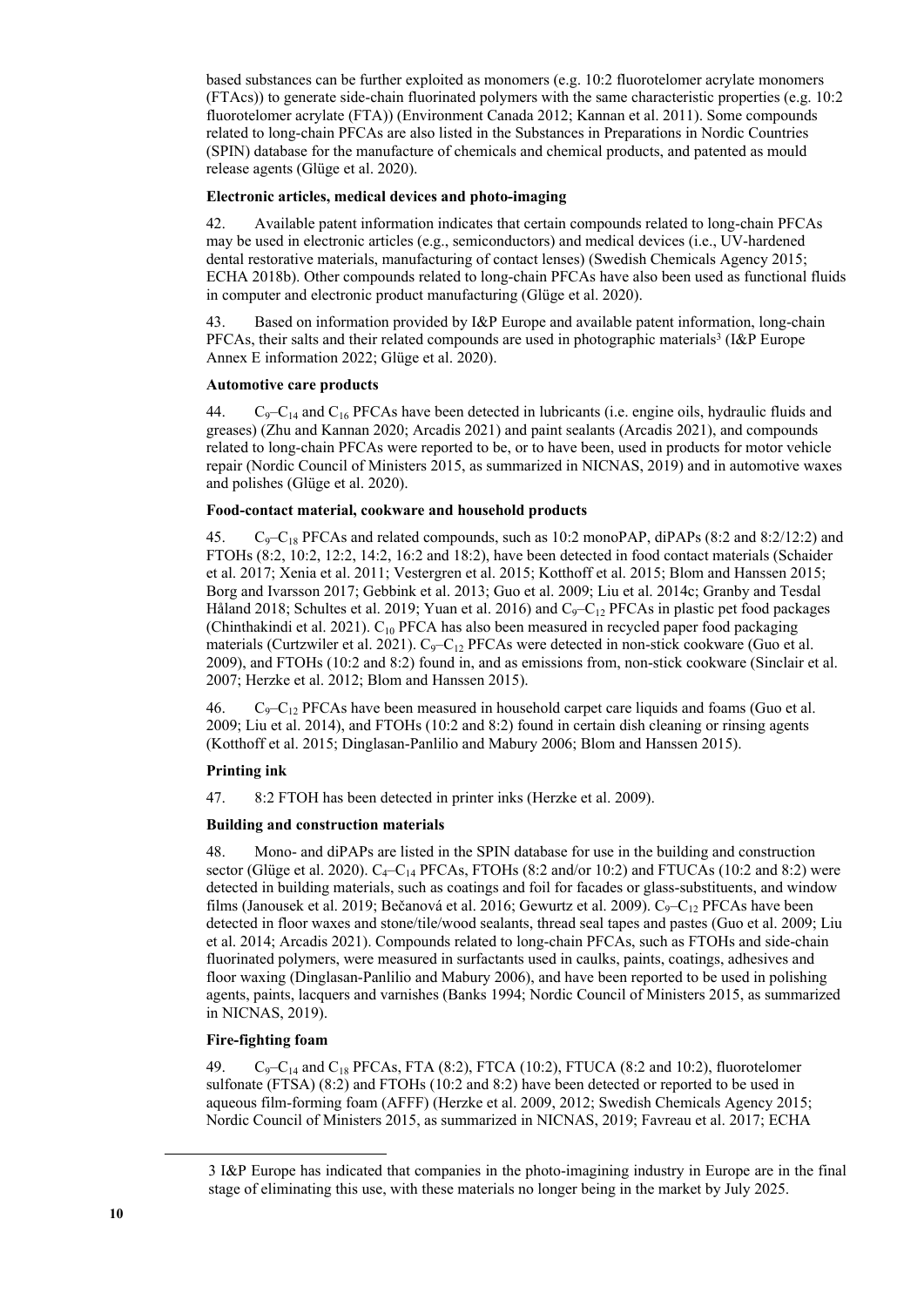based substances can be further exploited as monomers (e.g. 10:2 fluorotelomer acrylate monomers (FTAcs)) to generate side-chain fluorinated polymers with the same characteristic properties (e.g. 10:2 fluorotelomer acrylate (FTA)) (Environment Canada 2012; Kannan et al. 2011). Some compounds related to long-chain PFCAs are also listed in the Substances in Preparations in Nordic Countries (SPIN) database for the manufacture of chemicals and chemical products, and patented as mould release agents (Glüge et al. 2020).

#### **Electronic articles, medical devices and photo-imaging**

42. Available patent information indicates that certain compounds related to long-chain PFCAs may be used in electronic articles (e.g., semiconductors) and medical devices (i.e., UV-hardened dental restorative materials, manufacturing of contact lenses) (Swedish Chemicals Agency 2015; ECHA 2018b). Other compounds related to long-chain PFCAs have also been used as functional fluids in computer and electronic product manufacturing (Glüge et al. 2020).

43. Based on information provided by I&P Europe and available patent information, long-chain PFCAs, their salts and their related compounds are used in photographic materials<sup>3</sup> (I&P Europe Annex E information 2022; Glüge et al. 2020).

#### **Automotive care products**

44.  $C_9 - C_{14}$  and  $C_{16}$  PFCAs have been detected in lubricants (i.e. engine oils, hydraulic fluids and greases) (Zhu and Kannan 2020; Arcadis 2021) and paint sealants (Arcadis 2021), and compounds related to long-chain PFCAs were reported to be, or to have been, used in products for motor vehicle repair (Nordic Council of Ministers 2015, as summarized in NICNAS, 2019) and in automotive waxes and polishes (Glüge et al. 2020).

#### **Food-contact material, cookware and household products**

45.  $C_9 - C_{18}$  PFCAs and related compounds, such as 10:2 monoPAP, diPAPs (8:2 and 8:2/12:2) and FTOHs (8:2, 10:2, 12:2, 14:2, 16:2 and 18:2), have been detected in food contact materials (Schaider et al. 2017; Xenia et al. 2011; Vestergren et al. 2015; Kotthoff et al. 2015; Blom and Hanssen 2015; Borg and Ivarsson 2017; Gebbink et al. 2013; Guo et al. 2009; Liu et al. 2014c; Granby and Tesdal Håland 2018; Schultes et al. 2019; Yuan et al. 2016) and  $C_9 - C_{12}$  PFCAs in plastic pet food packages (Chinthakindi et al. 2021).  $C_{10}$  PFCA has also been measured in recycled paper food packaging materials (Curtzwiler et al. 2021).  $C_9 - C_{12}$  PFCAs were detected in non-stick cookware (Guo et al. 2009), and FTOHs (10:2 and 8:2) found in, and as emissions from, non-stick cookware (Sinclair et al. 2007; Herzke et al. 2012; Blom and Hanssen 2015).

46.  $C_9 - C_{12}$  PFCAs have been measured in household carpet care liquids and foams (Guo et al. 2009; Liu et al. 2014), and FTOHs (10:2 and 8:2) found in certain dish cleaning or rinsing agents (Kotthoff et al. 2015; Dinglasan-Panlilio and Mabury 2006; Blom and Hanssen 2015).

#### **Printing ink**

47. 8:2 FTOH has been detected in printer inks (Herzke et al. 2009).

#### **Building and construction materials**

48. Mono- and diPAPs are listed in the SPIN database for use in the building and construction sector (Glüge et al. 2020).  $C_4 - C_{14}$  PFCAs, FTOHs (8:2 and/or 10:2) and FTUCAs (10:2 and 8:2) were detected in building materials, such as coatings and foil for facades or glass-substituents, and window films (Janousek et al. 2019; Bečanová et al. 2016; Gewurtz et al. 2009).  $C_9 - C_{12}$  PFCAs have been detected in floor waxes and stone/tile/wood sealants, thread seal tapes and pastes (Guo et al. 2009; Liu et al. 2014; Arcadis 2021). Compounds related to long-chain PFCAs, such as FTOHs and side-chain fluorinated polymers, were measured in surfactants used in caulks, paints, coatings, adhesives and floor waxing (Dinglasan-Panlilio and Mabury 2006), and have been reported to be used in polishing agents, paints, lacquers and varnishes (Banks 1994; Nordic Council of Ministers 2015, as summarized in NICNAS, 2019).

#### **Fire-fighting foam**

49.  $C_9 - C_{14}$  and  $C_{18}$  PFCAs, FTA (8:2), FTCA (10:2), FTUCA (8:2 and 10:2), fluorotelomer sulfonate (FTSA) (8:2) and FTOHs (10:2 and 8:2) have been detected or reported to be used in aqueous film-forming foam (AFFF) (Herzke et al. 2009, 2012; Swedish Chemicals Agency 2015; Nordic Council of Ministers 2015, as summarized in NICNAS, 2019; Favreau et al. 2017; ECHA

<sup>3</sup> I&P Europe has indicated that companies in the photo-imagining industry in Europe are in the final stage of eliminating this use, with these materials no longer being in the market by July 2025.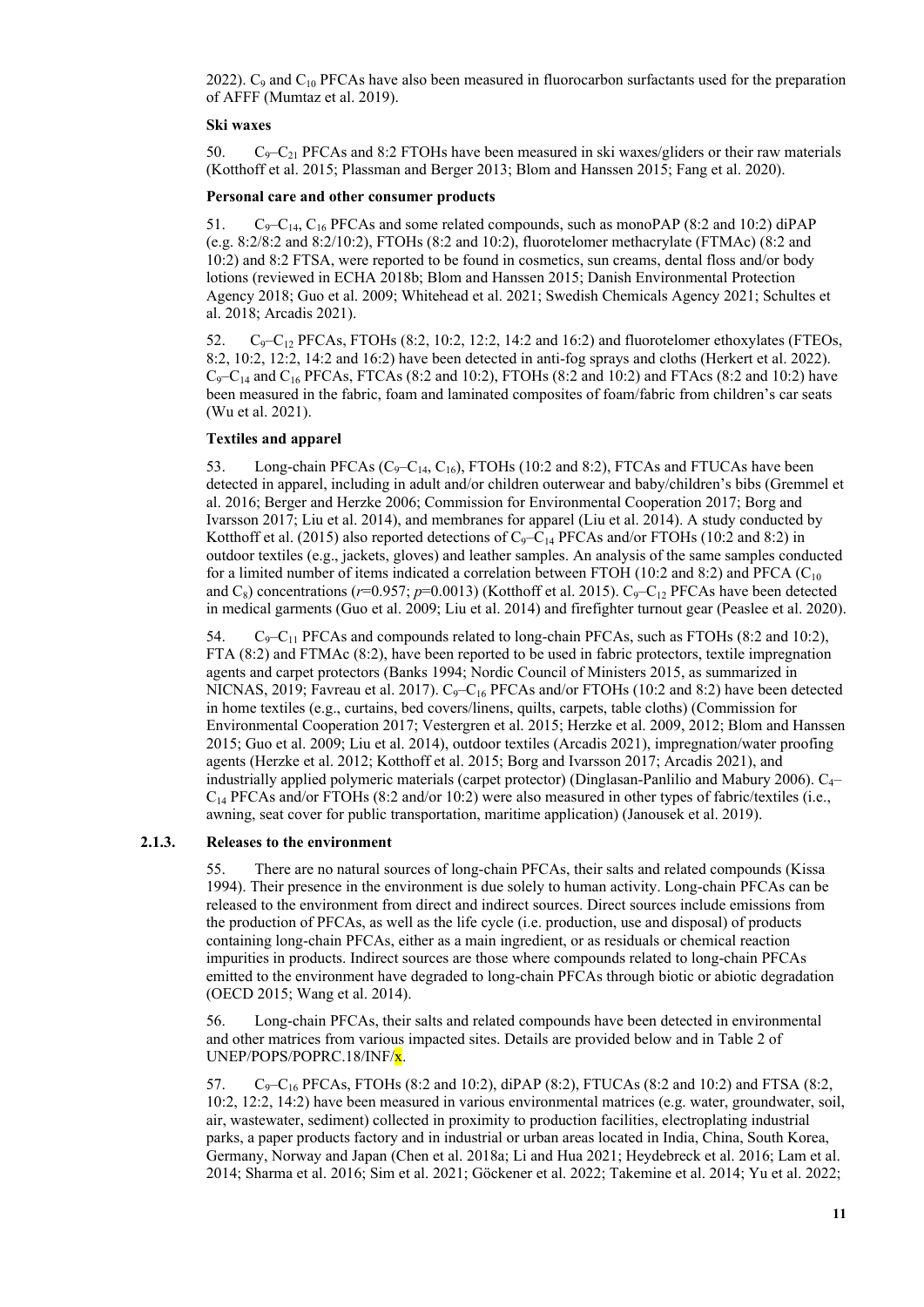2022).  $C_9$  and  $C_{10}$  PFCAs have also been measured in fluorocarbon surfactants used for the preparation of AFFF (Mumtaz et al. 2019).

#### **Ski waxes**

50. C<sub>9</sub>–C<sub>21</sub> PFCAs and 8:2 FTOHs have been measured in ski waxes/gliders or their raw materials (Kotthoff et al. 2015; Plassman and Berger 2013; Blom and Hanssen 2015; Fang et al. 2020).

#### **Personal care and other consumer products**

51.  $C_9 - C_{14}$ ,  $C_{16}$  PFCAs and some related compounds, such as monoPAP (8:2 and 10:2) diPAP (e.g. 8:2/8:2 and 8:2/10:2), FTOHs (8:2 and 10:2), fluorotelomer methacrylate (FTMAc) (8:2 and 10:2) and 8:2 FTSA, were reported to be found in cosmetics, sun creams, dental floss and/or body lotions (reviewed in ECHA 2018b; Blom and Hanssen 2015; Danish Environmental Protection Agency 2018; Guo et al. 2009; Whitehead et al. 2021; Swedish Chemicals Agency 2021; Schultes et al. 2018; Arcadis 2021).

52.  $C_9-C_{12}$  PFCAs, FTOHs (8:2, 10:2, 12:2, 14:2 and 16:2) and fluorotelomer ethoxylates (FTEOs, 8:2, 10:2, 12:2, 14:2 and 16:2) have been detected in anti-fog sprays and cloths (Herkert et al. 2022).  $C_9 - C_{14}$  and  $C_{16}$  PFCAs, FTCAs (8:2 and 10:2), FTOHs (8:2 and 10:2) and FTAcs (8:2 and 10:2) have been measured in the fabric, foam and laminated composites of foam/fabric from children's car seats (Wu et al. 2021).

#### **Textiles and apparel**

53. Long-chain PFCAs  $(C_9-C_{14}, C_{16})$ , FTOHs (10:2 and 8:2), FTCAs and FTUCAs have been detected in apparel, including in adult and/or children outerwear and baby/children's bibs (Gremmel et al. 2016; Berger and Herzke 2006; Commission for Environmental Cooperation 2017; Borg and Ivarsson 2017; Liu et al. 2014), and membranes for apparel (Liu et al. 2014). A study conducted by Kotthoff et al. (2015) also reported detections of  $C_9-C_{14}$  PFCAs and/or FTOHs (10:2 and 8:2) in outdoor textiles (e.g., jackets, gloves) and leather samples. An analysis of the same samples conducted for a limited number of items indicated a correlation between FTOH (10:2 and 8:2) and PFCA ( $C_{10}$ ) and  $C_8$ ) concentrations ( $r=0.957$ ;  $p=0.0013$ ) (Kotthoff et al. 2015). C<sub>9</sub>–C<sub>12</sub> PFCAs have been detected in medical garments (Guo et al. 2009; Liu et al. 2014) and firefighter turnout gear (Peaslee et al. 2020).

54.  $C_9 - C_{11}$  PFCAs and compounds related to long-chain PFCAs, such as FTOHs (8:2 and 10:2), FTA (8:2) and FTMAc (8:2), have been reported to be used in fabric protectors, textile impregnation agents and carpet protectors (Banks 1994; Nordic Council of Ministers 2015, as summarized in NICNAS, 2019; Favreau et al. 2017).  $C_9-C_{16}$  PFCAs and/or FTOHs (10:2 and 8:2) have been detected in home textiles (e.g., curtains, bed covers/linens, quilts, carpets, table cloths) (Commission for Environmental Cooperation 2017; Vestergren et al. 2015; Herzke et al. 2009, 2012; Blom and Hanssen 2015; Guo et al. 2009; Liu et al. 2014), outdoor textiles (Arcadis 2021), impregnation/water proofing agents (Herzke et al. 2012; Kotthoff et al. 2015; Borg and Ivarsson 2017; Arcadis 2021), and industrially applied polymeric materials (carpet protector) (Dinglasan-Panlilio and Mabury 2006).  $C_{4-}$  $C_{14}$  PFCAs and/or FTOHs (8:2 and/or 10:2) were also measured in other types of fabric/textiles (i.e., awning, seat cover for public transportation, maritime application) (Janousek et al. 2019).

#### **2.1.3. Releases to the environment**

55. There are no natural sources of long-chain PFCAs, their salts and related compounds (Kissa 1994). Their presence in the environment is due solely to human activity. Long-chain PFCAs can be released to the environment from direct and indirect sources. Direct sources include emissions from the production of PFCAs, as well as the life cycle (i.e. production, use and disposal) of products containing long-chain PFCAs, either as a main ingredient, or as residuals or chemical reaction impurities in products. Indirect sources are those where compounds related to long-chain PFCAs emitted to the environment have degraded to long-chain PFCAs through biotic or abiotic degradation (OECD 2015; Wang et al. 2014).

56. Long-chain PFCAs, their salts and related compounds have been detected in environmental and other matrices from various impacted sites. Details are provided below and in Table 2 of UNEP/POPS/POPRC.18/INF/x.

57. C9–C16 PFCAs, FTOHs (8:2 and 10:2), diPAP (8:2), FTUCAs (8:2 and 10:2) and FTSA (8:2, 10:2, 12:2, 14:2) have been measured in various environmental matrices (e.g. water, groundwater, soil, air, wastewater, sediment) collected in proximity to production facilities, electroplating industrial parks, a paper products factory and in industrial or urban areas located in India, China, South Korea, Germany, Norway and Japan (Chen et al. 2018a; Li and Hua 2021; Heydebreck et al. 2016; Lam et al. 2014; Sharma et al. 2016; Sim et al. 2021; Göckener et al. 2022; Takemine et al. 2014; Yu et al. 2022;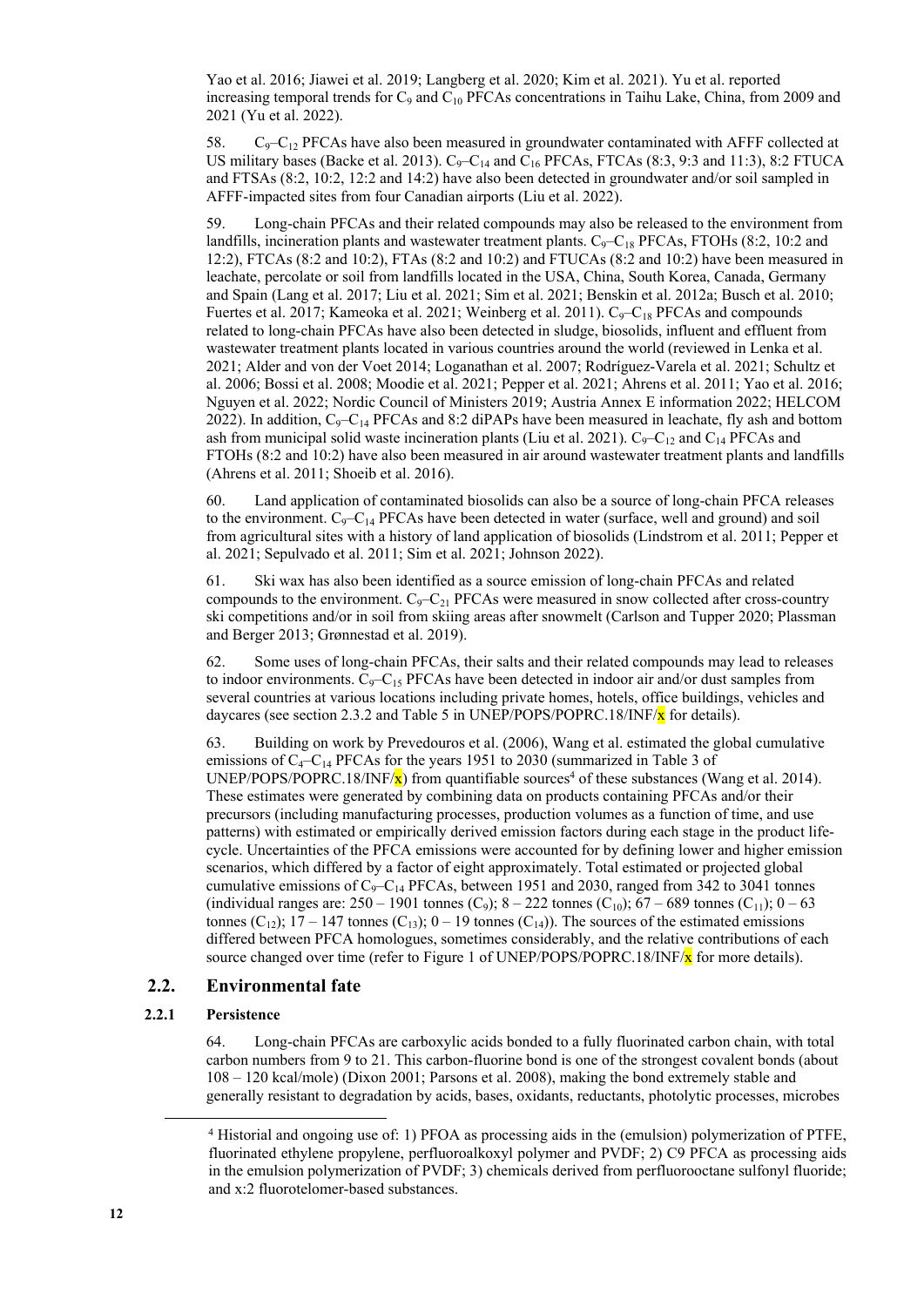Yao et al. 2016; Jiawei et al. 2019; Langberg et al. 2020; Kim et al. 2021). Yu et al. reported increasing temporal trends for  $C_9$  and  $C_{10}$  PFCAs concentrations in Taihu Lake, China, from 2009 and 2021 (Yu et al. 2022).

58.  $C_9 - C_{12}$  PFCAs have also been measured in groundwater contaminated with AFFF collected at US military bases (Backe et al. 2013).  $C_9 - C_{14}$  and  $C_{16}$  PFCAs, FTCAs (8:3, 9:3 and 11:3), 8:2 FTUCA and FTSAs (8:2, 10:2, 12:2 and 14:2) have also been detected in groundwater and/or soil sampled in AFFF-impacted sites from four Canadian airports (Liu et al. 2022).

59. Long-chain PFCAs and their related compounds may also be released to the environment from landfills, incineration plants and wastewater treatment plants.  $C_9 - C_{18}$  PFCAs, FTOHs (8:2, 10:2 and 12:2), FTCAs (8:2 and 10:2), FTAs (8:2 and 10:2) and FTUCAs (8:2 and 10:2) have been measured in leachate, percolate or soil from landfills located in the USA, China, South Korea, Canada, Germany and Spain (Lang et al. 2017; Liu et al. 2021; Sim et al. 2021; Benskin et al. 2012a; Busch et al. 2010; Fuertes et al. 2017; Kameoka et al. 2021; Weinberg et al. 2011).  $C_9-C_{18}$  PFCAs and compounds related to long-chain PFCAs have also been detected in sludge, biosolids, influent and effluent from wastewater treatment plants located in various countries around the world (reviewed in Lenka et al. 2021; Alder and von der Voet 2014; Loganathan et al. 2007; Rodríguez-Varela et al. 2021; Schultz et al. 2006; Bossi et al. 2008; Moodie et al. 2021; Pepper et al. 2021; Ahrens et al. 2011; Yao et al. 2016; Nguyen et al. 2022; Nordic Council of Ministers 2019; Austria Annex E information 2022; HELCOM 2022). In addition,  $C_9 - C_{14}$  PFCAs and 8:2 diPAPs have been measured in leachate, fly ash and bottom ash from municipal solid waste incineration plants (Liu et al. 2021).  $C_9 - C_{12}$  and  $C_{14}$  PFCAs and FTOHs (8:2 and 10:2) have also been measured in air around wastewater treatment plants and landfills (Ahrens et al. 2011; Shoeib et al. 2016).

60. Land application of contaminated biosolids can also be a source of long-chain PFCA releases to the environment.  $C_9 - C_{14}$  PFCAs have been detected in water (surface, well and ground) and soil from agricultural sites with a history of land application of biosolids (Lindstrom et al. 2011; Pepper et al. 2021; Sepulvado et al. 2011; Sim et al. 2021; Johnson 2022).

61. Ski wax has also been identified as a source emission of long-chain PFCAs and related compounds to the environment.  $C_9 - C_{21}$  PFCAs were measured in snow collected after cross-country ski competitions and/or in soil from skiing areas after snowmelt (Carlson and Tupper 2020; Plassman and Berger 2013; Grønnestad et al. 2019).

62. Some uses of long-chain PFCAs, their salts and their related compounds may lead to releases to indoor environments.  $C_9 - C_{15}$  PFCAs have been detected in indoor air and/or dust samples from several countries at various locations including private homes, hotels, office buildings, vehicles and daycares (see section 2.3.2 and Table 5 in UNEP/POPS/POPRC.18/INF/ $\bf{x}$  for details).

63. Building on work by Prevedouros et al. (2006), Wang et al. estimated the global cumulative emissions of  $C_4-C_{14}$  PFCAs for the years 1951 to 2030 (summarized in Table 3 of UNEP/POPS/POPRC.18/INF/ $\mathbf{x}$ ) from quantifiable sources<sup>4</sup> of these substances (Wang et al. 2014). These estimates were generated by combining data on products containing PFCAs and/or their precursors (including manufacturing processes, production volumes as a function of time, and use patterns) with estimated or empirically derived emission factors during each stage in the product lifecycle. Uncertainties of the PFCA emissions were accounted for by defining lower and higher emission scenarios, which differed by a factor of eight approximately. Total estimated or projected global cumulative emissions of  $C_9 - C_{14}$  PFCAs, between 1951 and 2030, ranged from 342 to 3041 tonnes (individual ranges are: 250 – 1901 tonnes (C<sub>9</sub>); 8 – 222 tonnes (C<sub>10</sub>); 67 – 689 tonnes (C<sub>11</sub>); 0 – 63 tonnes (C<sub>12</sub>); 17 – 147 tonnes (C<sub>13</sub>); 0 – 19 tonnes (C<sub>14</sub>)). The sources of the estimated emissions differed between PFCA homologues, sometimes considerably, and the relative contributions of each source changed over time (refer to Figure 1 of UNEP/POPS/POPRC.18/INF/ $x$  for more details).

#### **2.2. Environmental fate**

#### **2.2.1 Persistence**

64. Long-chain PFCAs are carboxylic acids bonded to a fully fluorinated carbon chain, with total carbon numbers from 9 to 21. This carbon-fluorine bond is one of the strongest covalent bonds (about 108 – 120 kcal/mole) (Dixon 2001; Parsons et al. 2008), making the bond extremely stable and generally resistant to degradation by acids, bases, oxidants, reductants, photolytic processes, microbes

<sup>4</sup> Historial and ongoing use of: 1) PFOA as processing aids in the (emulsion) polymerization of PTFE, fluorinated ethylene propylene, perfluoroalkoxyl polymer and PVDF; 2) C9 PFCA as processing aids in the emulsion polymerization of PVDF; 3) chemicals derived from perfluorooctane sulfonyl fluoride; and x:2 fluorotelomer-based substances.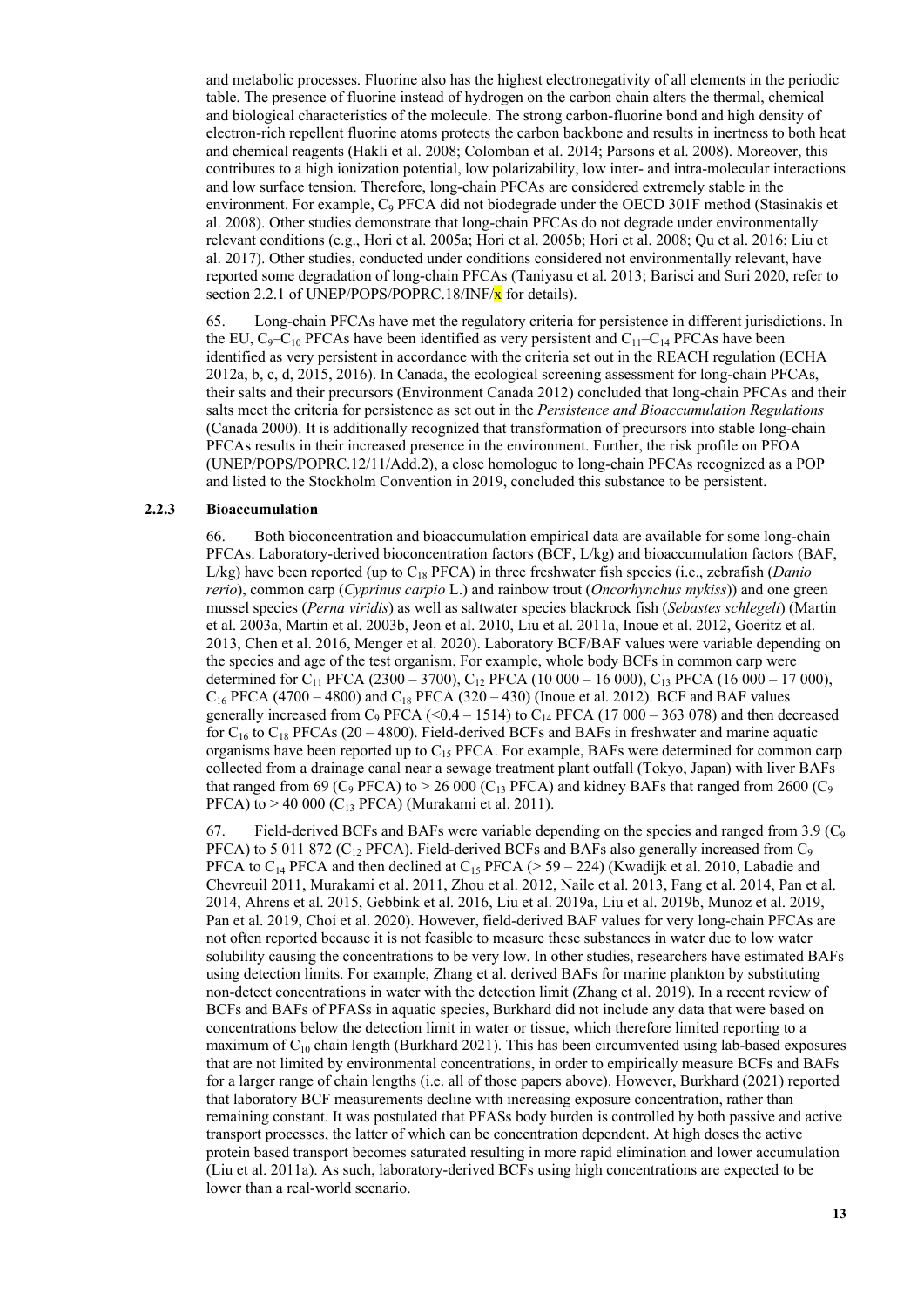and metabolic processes. Fluorine also has the highest electronegativity of all elements in the periodic table. The presence of fluorine instead of hydrogen on the carbon chain alters the thermal, chemical and biological characteristics of the molecule. The strong carbon-fluorine bond and high density of electron-rich repellent fluorine atoms protects the carbon backbone and results in inertness to both heat and chemical reagents (Hakli et al. 2008; Colomban et al. 2014; Parsons et al. 2008). Moreover, this contributes to a high ionization potential, low polarizability, low inter- and intra-molecular interactions and low surface tension. Therefore, long-chain PFCAs are considered extremely stable in the environment. For example, C<sub>9</sub> PFCA did not biodegrade under the OECD 301F method (Stasinakis et al. 2008). Other studies demonstrate that long-chain PFCAs do not degrade under environmentally relevant conditions (e.g., Hori et al. 2005a; Hori et al. 2005b; Hori et al. 2008; Qu et al. 2016; Liu et al. 2017). Other studies, conducted under conditions considered not environmentally relevant, have reported some degradation of long-chain PFCAs (Taniyasu et al. 2013; Barisci and Suri 2020, refer to section 2.2.1 of UNEP/POPS/POPRC.18/INF/ $x$  for details).

65. Long-chain PFCAs have met the regulatory criteria for persistence in different jurisdictions. In the EU,  $C_9 - C_{10}$  PFCAs have been identified as very persistent and  $C_{11} - C_{14}$  PFCAs have been identified as very persistent in accordance with the criteria set out in the REACH regulation (ECHA 2012a, b, c, d, 2015, 2016). In Canada, the ecological screening assessment for long-chain PFCAs, their salts and their precursors (Environment Canada 2012) concluded that long-chain PFCAs and their salts meet the criteria for persistence as set out in the *Persistence and Bioaccumulation Regulations* (Canada 2000). It is additionally recognized that transformation of precursors into stable long-chain PFCAs results in their increased presence in the environment. Further, the risk profile on PFOA (UNEP/POPS/POPRC.12/11/Add.2), a close homologue to long-chain PFCAs recognized as a POP and listed to the Stockholm Convention in 2019, concluded this substance to be persistent.

#### **2.2.3 Bioaccumulation**

66. Both bioconcentration and bioaccumulation empirical data are available for some long-chain PFCAs. Laboratory-derived bioconcentration factors (BCF, L/kg) and bioaccumulation factors (BAF, L/kg) have been reported (up to C18 PFCA) in three freshwater fish species (i.e., zebrafish (*Danio rerio*), common carp (*Cyprinus carpio* L.) and rainbow trout (*Oncorhynchus mykiss*)) and one green mussel species (*Perna viridis*) as well as saltwater species blackrock fish (*Sebastes schlegeli*) (Martin et al. 2003a, Martin et al. 2003b, Jeon et al. 2010, Liu et al. 2011a, Inoue et al. 2012, Goeritz et al. 2013, Chen et al. 2016, Menger et al. 2020). Laboratory BCF/BAF values were variable depending on the species and age of the test organism. For example, whole body BCFs in common carp were determined for C<sub>11</sub> PFCA (2300 – 3700), C<sub>12</sub> PFCA (10 000 – 16 000), C<sub>13</sub> PFCA (16 000 – 17 000),  $C_{16}$  PFCA (4700 – 4800) and  $C_{18}$  PFCA (320 – 430) (Inoue et al. 2012). BCF and BAF values generally increased from C<sub>9</sub> PFCA (<0.4 – 1514) to C<sub>14</sub> PFCA (17 000 – 363 078) and then decreased for  $C_{16}$  to  $C_{18}$  PFCAs (20 – 4800). Field-derived BCFs and BAFs in freshwater and marine aquatic organisms have been reported up to  $C_{15}$  PFCA. For example, BAFs were determined for common carp collected from a drainage canal near a sewage treatment plant outfall (Tokyo, Japan) with liver BAFs that ranged from 69 (C<sub>9</sub> PFCA) to  $> 26000$  (C<sub>13</sub> PFCA) and kidney BAFs that ranged from 2600 (C<sub>9</sub> PFCA) to  $> 40\,000$  (C<sub>13</sub> PFCA) (Murakami et al. 2011).

67. Field-derived BCFs and BAFs were variable depending on the species and ranged from 3.9 ( $C_9$ ) PFCA) to 5 011 872 ( $C_{12}$  PFCA). Field-derived BCFs and BAFs also generally increased from  $C_9$ PFCA to C<sub>14</sub> PFCA and then declined at C<sub>15</sub> PFCA ( $>$  59 – 224) (Kwadijk et al. 2010, Labadie and Chevreuil 2011, Murakami et al. 2011, Zhou et al. 2012, Naile et al. 2013, Fang et al. 2014, Pan et al. 2014, Ahrens et al. 2015, Gebbink et al. 2016, Liu et al. 2019a, Liu et al. 2019b, Munoz et al. 2019, Pan et al. 2019, Choi et al. 2020). However, field-derived BAF values for very long-chain PFCAs are not often reported because it is not feasible to measure these substances in water due to low water solubility causing the concentrations to be very low. In other studies, researchers have estimated BAFs using detection limits. For example, Zhang et al. derived BAFs for marine plankton by substituting non-detect concentrations in water with the detection limit (Zhang et al. 2019). In a recent review of BCFs and BAFs of PFASs in aquatic species, Burkhard did not include any data that were based on concentrations below the detection limit in water or tissue, which therefore limited reporting to a maximum of  $C_{10}$  chain length (Burkhard 2021). This has been circumvented using lab-based exposures that are not limited by environmental concentrations, in order to empirically measure BCFs and BAFs for a larger range of chain lengths (i.e. all of those papers above). However, Burkhard (2021) reported that laboratory BCF measurements decline with increasing exposure concentration, rather than remaining constant. It was postulated that PFASs body burden is controlled by both passive and active transport processes, the latter of which can be concentration dependent. At high doses the active protein based transport becomes saturated resulting in more rapid elimination and lower accumulation (Liu et al. 2011a). As such, laboratory-derived BCFs using high concentrations are expected to be lower than a real-world scenario.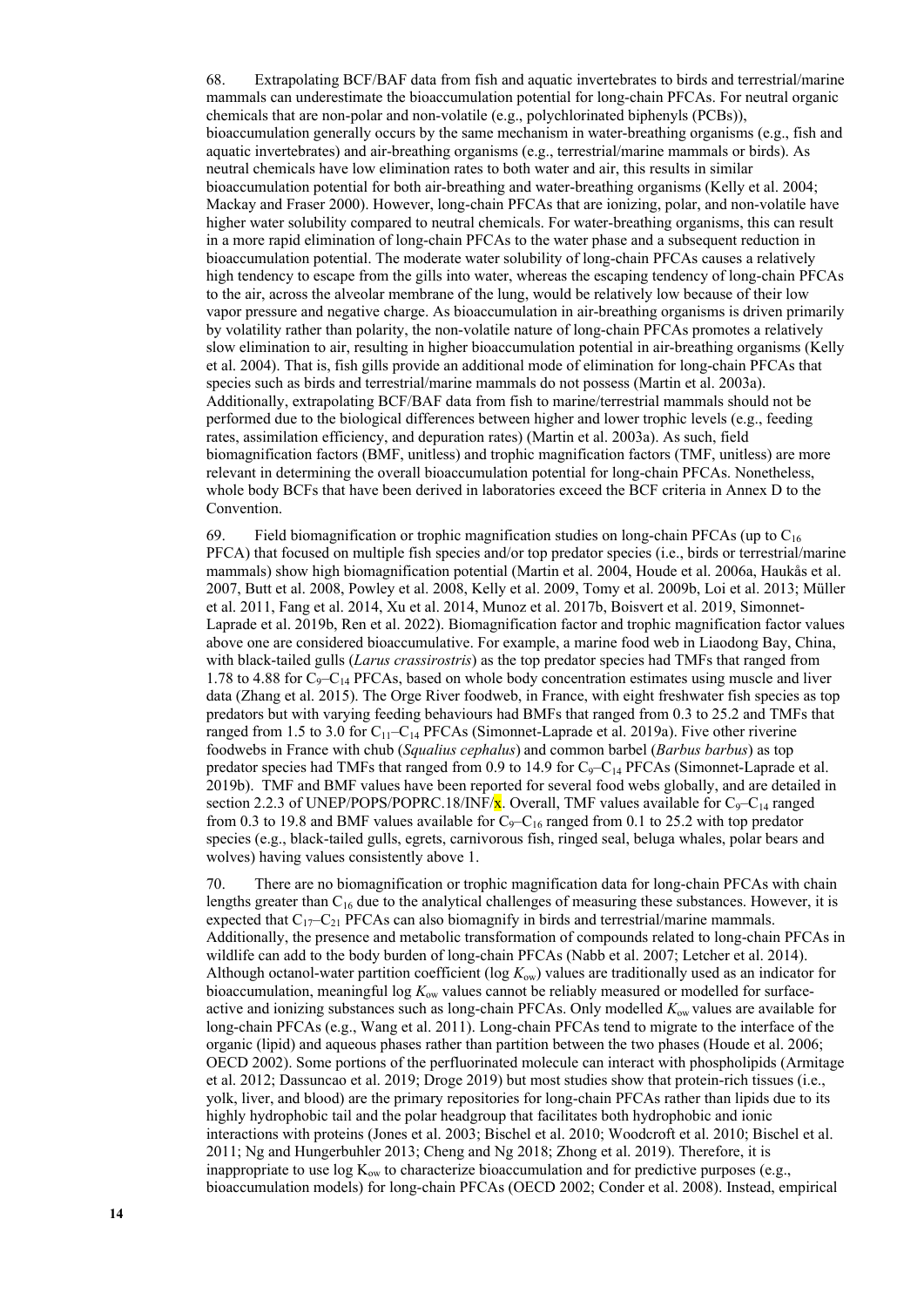68. Extrapolating BCF/BAF data from fish and aquatic invertebrates to birds and terrestrial/marine mammals can underestimate the bioaccumulation potential for long-chain PFCAs. For neutral organic chemicals that are non-polar and non-volatile (e.g., polychlorinated biphenyls (PCBs)), bioaccumulation generally occurs by the same mechanism in water-breathing organisms (e.g., fish and aquatic invertebrates) and air-breathing organisms (e.g., terrestrial/marine mammals or birds). As neutral chemicals have low elimination rates to both water and air, this results in similar bioaccumulation potential for both air-breathing and water-breathing organisms (Kelly et al. 2004; Mackay and Fraser 2000). However, long-chain PFCAs that are ionizing, polar, and non-volatile have higher water solubility compared to neutral chemicals. For water-breathing organisms, this can result in a more rapid elimination of long-chain PFCAs to the water phase and a subsequent reduction in bioaccumulation potential. The moderate water solubility of long-chain PFCAs causes a relatively high tendency to escape from the gills into water, whereas the escaping tendency of long-chain PFCAs to the air, across the alveolar membrane of the lung, would be relatively low because of their low vapor pressure and negative charge. As bioaccumulation in air-breathing organisms is driven primarily by volatility rather than polarity, the non-volatile nature of long-chain PFCAs promotes a relatively slow elimination to air, resulting in higher bioaccumulation potential in air-breathing organisms (Kelly et al. 2004). That is, fish gills provide an additional mode of elimination for long-chain PFCAs that species such as birds and terrestrial/marine mammals do not possess (Martin et al. 2003a). Additionally, extrapolating BCF/BAF data from fish to marine/terrestrial mammals should not be performed due to the biological differences between higher and lower trophic levels (e.g., feeding rates, assimilation efficiency, and depuration rates) (Martin et al. 2003a). As such, field biomagnification factors (BMF, unitless) and trophic magnification factors (TMF, unitless) are more relevant in determining the overall bioaccumulation potential for long-chain PFCAs. Nonetheless, whole body BCFs that have been derived in laboratories exceed the BCF criteria in Annex D to the Convention.

69. Field biomagnification or trophic magnification studies on long-chain PFCAs (up to  $C_{16}$ ) PFCA) that focused on multiple fish species and/or top predator species (i.e., birds or terrestrial/marine mammals) show high biomagnification potential (Martin et al. 2004, Houde et al. 2006a, Haukås et al. 2007, Butt et al. 2008, Powley et al. 2008, Kelly et al. 2009, Tomy et al. 2009b, Loi et al. 2013; Müller et al. 2011, Fang et al. 2014, Xu et al. 2014, Munoz et al. 2017b, Boisvert et al. 2019, Simonnet-Laprade et al. 2019b, Ren et al. 2022). Biomagnification factor and trophic magnification factor values above one are considered bioaccumulative. For example, a marine food web in Liaodong Bay, China, with black-tailed gulls (*Larus crassirostris*) as the top predator species had TMFs that ranged from 1.78 to 4.88 for  $C_9-C_{14}$  PFCAs, based on whole body concentration estimates using muscle and liver data (Zhang et al. 2015). The Orge River foodweb, in France, with eight freshwater fish species as top predators but with varying feeding behaviours had BMFs that ranged from 0.3 to 25.2 and TMFs that ranged from 1.5 to 3.0 for  $C_{11}-C_{14}$  PFCAs (Simonnet-Laprade et al. 2019a). Five other riverine foodwebs in France with chub (*Squalius cephalus*) and common barbel (*Barbus barbus*) as top predator species had TMFs that ranged from  $0.9$  to  $14.9$  for  $C_9 - C_{14}$  PFCAs (Simonnet-Laprade et al. 2019b). TMF and BMF values have been reported for several food webs globally, and are detailed in section 2.2.3 of UNEP/POPS/POPRC.18/INF/ $\bar{x}$ . Overall, TMF values available for C<sub>9</sub>–C<sub>14</sub> ranged from 0.3 to 19.8 and BMF values available for  $C_9 - C_{16}$  ranged from 0.1 to 25.2 with top predator species (e.g., black-tailed gulls, egrets, carnivorous fish, ringed seal, beluga whales, polar bears and wolves) having values consistently above 1.

70. There are no biomagnification or trophic magnification data for long-chain PFCAs with chain lengths greater than C<sub>16</sub> due to the analytical challenges of measuring these substances. However, it is expected that  $C_{17}-C_{21}$  PFCAs can also biomagnify in birds and terrestrial/marine mammals. Additionally, the presence and metabolic transformation of compounds related to long-chain PFCAs in wildlife can add to the body burden of long-chain PFCAs (Nabb et al. 2007; Letcher et al. 2014). Although octanol-water partition coefficient (log *K*ow) values are traditionally used as an indicator for bioaccumulation, meaningful log  $K_{ow}$  values cannot be reliably measured or modelled for surfaceactive and ionizing substances such as long-chain PFCAs. Only modelled *K*ow values are available for long-chain PFCAs (e.g., Wang et al. 2011). Long-chain PFCAs tend to migrate to the interface of the organic (lipid) and aqueous phases rather than partition between the two phases (Houde et al. 2006; OECD 2002). Some portions of the perfluorinated molecule can interact with phospholipids (Armitage et al. 2012; Dassuncao et al. 2019; Droge 2019) but most studies show that protein-rich tissues (i.e., yolk, liver, and blood) are the primary repositories for long-chain PFCAs rather than lipids due to its highly hydrophobic tail and the polar headgroup that facilitates both hydrophobic and ionic interactions with proteins (Jones et al. 2003; Bischel et al. 2010; Woodcroft et al. 2010; Bischel et al. 2011; Ng and Hungerbuhler 2013; Cheng and Ng 2018; Zhong et al. 2019). Therefore, it is inappropriate to use  $\log K_{\text{ow}}$  to characterize bioaccumulation and for predictive purposes (e.g., bioaccumulation models) for long-chain PFCAs (OECD 2002; Conder et al. 2008). Instead, empirical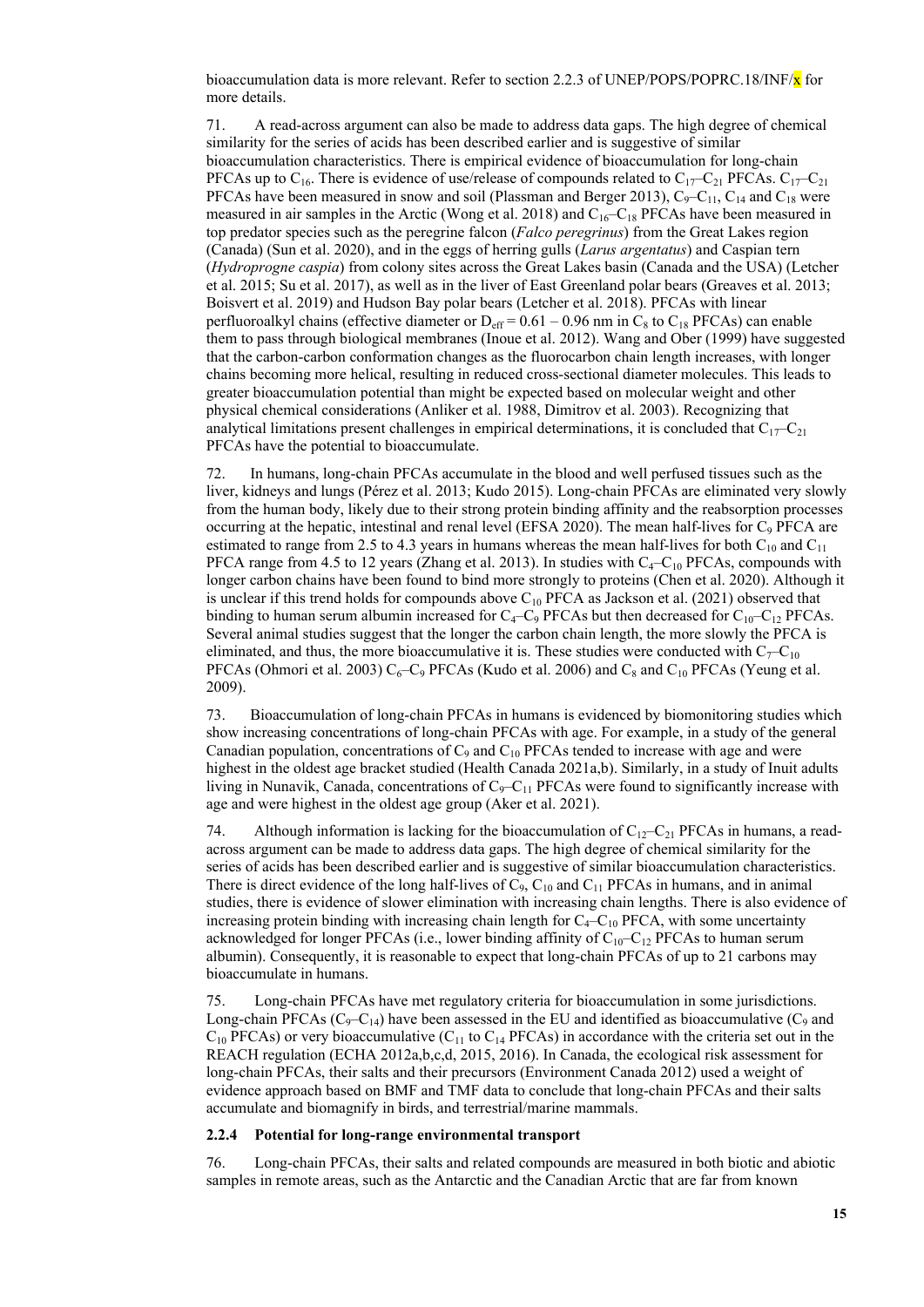bioaccumulation data is more relevant. Refer to section 2.2.3 of UNEP/POPS/POPRC.18/INF/ $\bar{x}$  for more details.

71. A read-across argument can also be made to address data gaps. The high degree of chemical similarity for the series of acids has been described earlier and is suggestive of similar bioaccumulation characteristics. There is empirical evidence of bioaccumulation for long-chain PFCAs up to C<sub>16</sub>. There is evidence of use/release of compounds related to C<sub>17</sub>–C<sub>21</sub> PFCAs. C<sub>17</sub>–C<sub>21</sub> PFCAs have been measured in snow and soil (Plassman and Berger 2013),  $C_9 - C_{11}$ ,  $C_{14}$  and  $C_{18}$  were measured in air samples in the Arctic (Wong et al. 2018) and  $C_{16}-C_{18}$  PFCAs have been measured in top predator species such as the peregrine falcon (*Falco peregrinus*) from the Great Lakes region (Canada) (Sun et al. 2020), and in the eggs of herring gulls (*Larus argentatus*) and Caspian tern (*Hydroprogne caspia*) from colony sites across the Great Lakes basin (Canada and the USA) (Letcher et al. 2015; Su et al. 2017), as well as in the liver of East Greenland polar bears (Greaves et al. 2013; Boisvert et al. 2019) and Hudson Bay polar bears (Letcher et al. 2018). PFCAs with linear perfluoroalkyl chains (effective diameter or  $D_{\text{eff}} = 0.61 - 0.96$  nm in C<sub>8</sub> to C<sub>18</sub> PFCAs) can enable them to pass through biological membranes (Inoue et al. 2012). Wang and Ober (1999) have suggested that the carbon-carbon conformation changes as the fluorocarbon chain length increases, with longer chains becoming more helical, resulting in reduced cross-sectional diameter molecules. This leads to greater bioaccumulation potential than might be expected based on molecular weight and other physical chemical considerations (Anliker et al. 1988, Dimitrov et al. 2003). Recognizing that analytical limitations present challenges in empirical determinations, it is concluded that  $C_{17}-C_{21}$ PFCAs have the potential to bioaccumulate.

72. In humans, long-chain PFCAs accumulate in the blood and well perfused tissues such as the liver, kidneys and lungs (Pérez et al. 2013; Kudo 2015). Long-chain PFCAs are eliminated very slowly from the human body, likely due to their strong protein binding affinity and the reabsorption processes occurring at the hepatic, intestinal and renal level (EFSA 2020). The mean half-lives for  $C_9$  PFCA are estimated to range from 2.5 to 4.3 years in humans whereas the mean half-lives for both  $C_{10}$  and  $C_{11}$ PFCA range from 4.5 to 12 years (Zhang et al. 2013). In studies with  $C_4-C_{10}$  PFCAs, compounds with longer carbon chains have been found to bind more strongly to proteins (Chen et al. 2020). Although it is unclear if this trend holds for compounds above  $C_{10}$  PFCA as Jackson et al. (2021) observed that binding to human serum albumin increased for  $C_4-C_9$  PFCAs but then decreased for  $C_{10}-C_{12}$  PFCAs. Several animal studies suggest that the longer the carbon chain length, the more slowly the PFCA is eliminated, and thus, the more bioaccumulative it is. These studies were conducted with  $C_7-C_{10}$ PFCAs (Ohmori et al. 2003)  $C_6$ – $C_9$  PFCAs (Kudo et al. 2006) and  $C_8$  and  $C_{10}$  PFCAs (Yeung et al. 2009).

73. Bioaccumulation of long-chain PFCAs in humans is evidenced by biomonitoring studies which show increasing concentrations of long-chain PFCAs with age. For example, in a study of the general Canadian population, concentrations of  $C_9$  and  $C_{10}$  PFCAs tended to increase with age and were highest in the oldest age bracket studied (Health Canada 2021a,b). Similarly, in a study of Inuit adults living in Nunavik, Canada, concentrations of  $C_9 - C_{11}$  PFCAs were found to significantly increase with age and were highest in the oldest age group (Aker et al. 2021).

74. Although information is lacking for the bioaccumulation of  $C_{12}-C_{21}$  PFCAs in humans, a readacross argument can be made to address data gaps. The high degree of chemical similarity for the series of acids has been described earlier and is suggestive of similar bioaccumulation characteristics. There is direct evidence of the long half-lives of  $C_9$ ,  $C_{10}$  and  $C_{11}$  PFCAs in humans, and in animal studies, there is evidence of slower elimination with increasing chain lengths. There is also evidence of increasing protein binding with increasing chain length for  $C_4-C_{10}$  PFCA, with some uncertainty acknowledged for longer PFCAs (i.e., lower binding affinity of  $C_{10}-C_{12}$  PFCAs to human serum albumin). Consequently, it is reasonable to expect that long-chain PFCAs of up to 21 carbons may bioaccumulate in humans.

75. Long-chain PFCAs have met regulatory criteria for bioaccumulation in some jurisdictions. Long-chain PFCAs  $(C_9-C_{14})$  have been assessed in the EU and identified as bioaccumulative  $(C_9$  and  $C_{10}$  PFCAs) or very bioaccumulative ( $C_{11}$  to  $C_{14}$  PFCAs) in accordance with the criteria set out in the REACH regulation (ECHA 2012a,b,c,d, 2015, 2016). In Canada, the ecological risk assessment for long-chain PFCAs, their salts and their precursors (Environment Canada 2012) used a weight of evidence approach based on BMF and TMF data to conclude that long-chain PFCAs and their salts accumulate and biomagnify in birds, and terrestrial/marine mammals.

#### **2.2.4 Potential for long-range environmental transport**

76. Long-chain PFCAs, their salts and related compounds are measured in both biotic and abiotic samples in remote areas, such as the Antarctic and the Canadian Arctic that are far from known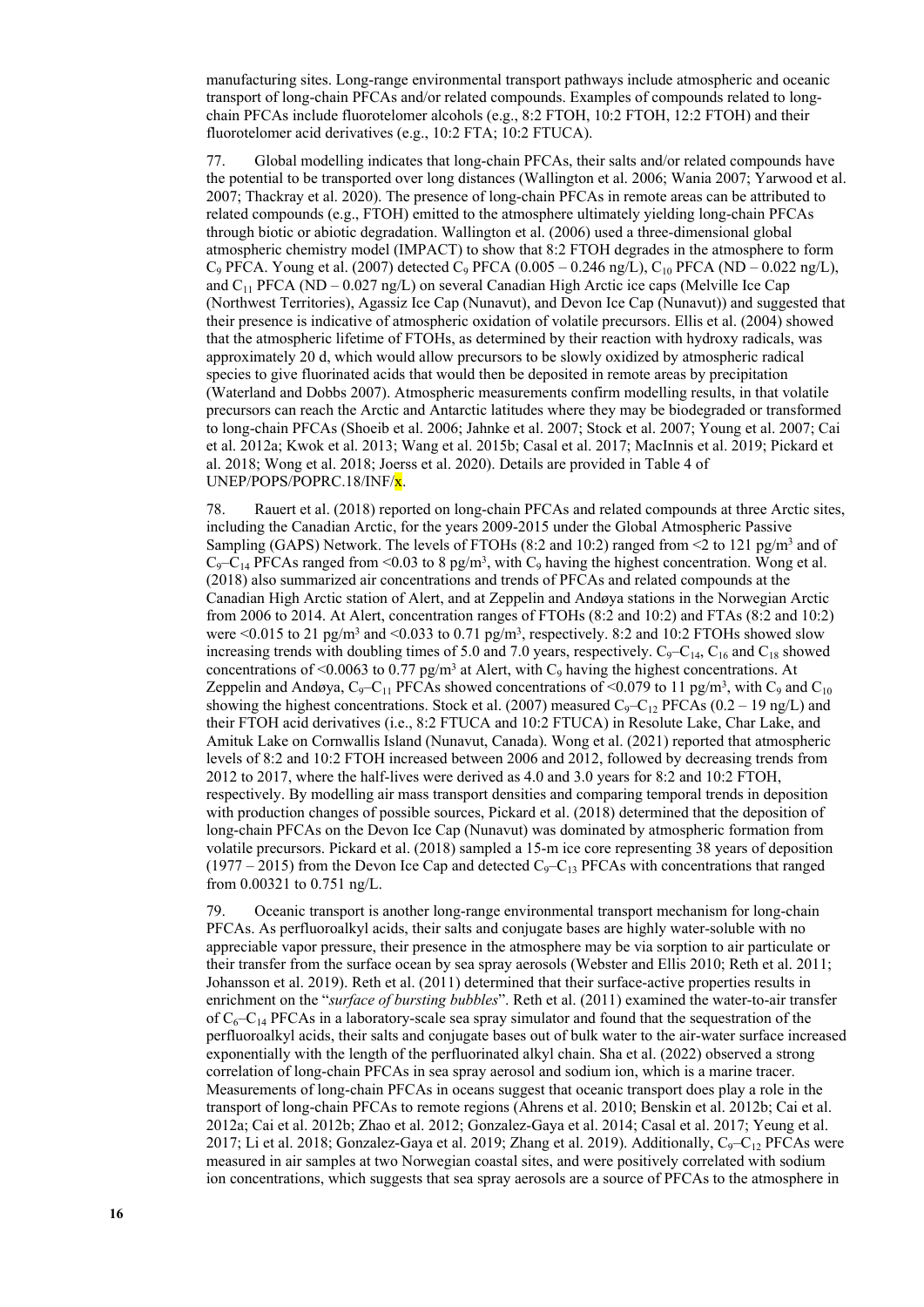manufacturing sites. Long-range environmental transport pathways include atmospheric and oceanic transport of long-chain PFCAs and/or related compounds. Examples of compounds related to longchain PFCAs include fluorotelomer alcohols (e.g., 8:2 FTOH, 10:2 FTOH, 12:2 FTOH) and their fluorotelomer acid derivatives (e.g., 10:2 FTA; 10:2 FTUCA).

77. Global modelling indicates that long-chain PFCAs, their salts and/or related compounds have the potential to be transported over long distances (Wallington et al. 2006; Wania 2007; Yarwood et al. 2007; Thackray et al. 2020). The presence of long-chain PFCAs in remote areas can be attributed to related compounds (e.g., FTOH) emitted to the atmosphere ultimately yielding long-chain PFCAs through biotic or abiotic degradation. Wallington et al. (2006) used a three-dimensional global atmospheric chemistry model (IMPACT) to show that 8:2 FTOH degrades in the atmosphere to form  $C_9$  PFCA. Young et al. (2007) detected  $C_9$  PFCA (0.005 – 0.246 ng/L),  $C_{10}$  PFCA (ND – 0.022 ng/L), and  $C_{11}$  PFCA (ND – 0.027 ng/L) on several Canadian High Arctic ice caps (Melville Ice Cap (Northwest Territories), Agassiz Ice Cap (Nunavut), and Devon Ice Cap (Nunavut)) and suggested that their presence is indicative of atmospheric oxidation of volatile precursors. Ellis et al. (2004) showed that the atmospheric lifetime of FTOHs, as determined by their reaction with hydroxy radicals, was approximately 20 d, which would allow precursors to be slowly oxidized by atmospheric radical species to give fluorinated acids that would then be deposited in remote areas by precipitation (Waterland and Dobbs 2007). Atmospheric measurements confirm modelling results, in that volatile precursors can reach the Arctic and Antarctic latitudes where they may be biodegraded or transformed to long-chain PFCAs (Shoeib et al. 2006; Jahnke et al. 2007; Stock et al. 2007; Young et al. 2007; Cai et al. 2012a; Kwok et al. 2013; Wang et al. 2015b; Casal et al. 2017; MacInnis et al. 2019; Pickard et al. 2018; Wong et al. 2018; Joerss et al. 2020). Details are provided in Table 4 of UNEP/POPS/POPRC.18/INF/x.

78. Rauert et al. (2018) reported on long-chain PFCAs and related compounds at three Arctic sites, including the Canadian Arctic, for the years 2009-2015 under the Global Atmospheric Passive Sampling (GAPS) Network. The levels of FTOHs  $(8:2 \text{ and } 10:2)$  ranged from <2 to 121 pg/m<sup>3</sup> and of  $C_9-C_{14}$  PFCAs ranged from <0.03 to 8 pg/m<sup>3</sup>, with  $C_9$  having the highest concentration. Wong et al. (2018) also summarized air concentrations and trends of PFCAs and related compounds at the Canadian High Arctic station of Alert, and at Zeppelin and Andøya stations in the Norwegian Arctic from 2006 to 2014. At Alert, concentration ranges of FTOHs (8:2 and 10:2) and FTAs (8:2 and 10:2) were  $\leq 0.015$  to 21 pg/m<sup>3</sup> and  $\leq 0.033$  to 0.71 pg/m<sup>3</sup>, respectively. 8:2 and 10:2 FTOHs showed slow increasing trends with doubling times of 5.0 and 7.0 years, respectively.  $C_9 - C_{14}$ ,  $C_{16}$  and  $C_{18}$  showed concentrations of <0.0063 to 0.77 pg/m<sup>3</sup> at Alert, with  $C_9$  having the highest concentrations. At Zeppelin and Andøya, C<sub>9</sub>-C<sub>11</sub> PFCAs showed concentrations of <0.079 to 11 pg/m<sup>3</sup>, with C<sub>9</sub> and C<sub>10</sub> showing the highest concentrations. Stock et al. (2007) measured  $C_9 - C_{12}$  PFCAs (0.2 – 19 ng/L) and their FTOH acid derivatives (i.e., 8:2 FTUCA and 10:2 FTUCA) in Resolute Lake, Char Lake, and Amituk Lake on Cornwallis Island (Nunavut, Canada). Wong et al. (2021) reported that atmospheric levels of 8:2 and 10:2 FTOH increased between 2006 and 2012, followed by decreasing trends from 2012 to 2017, where the half-lives were derived as 4.0 and 3.0 years for 8:2 and 10:2 FTOH, respectively. By modelling air mass transport densities and comparing temporal trends in deposition with production changes of possible sources, Pickard et al. (2018) determined that the deposition of long-chain PFCAs on the Devon Ice Cap (Nunavut) was dominated by atmospheric formation from volatile precursors. Pickard et al. (2018) sampled a 15-m ice core representing 38 years of deposition  $(1977 – 2015)$  from the Devon Ice Cap and detected C<sub>9</sub>-C<sub>13</sub> PFCAs with concentrations that ranged from 0.00321 to 0.751 ng/L.

79. Oceanic transport is another long-range environmental transport mechanism for long-chain PFCAs. As perfluoroalkyl acids, their salts and conjugate bases are highly water-soluble with no appreciable vapor pressure, their presence in the atmosphere may be via sorption to air particulate or their transfer from the surface ocean by sea spray aerosols (Webster and Ellis 2010; Reth et al. 2011; Johansson et al. 2019). Reth et al. (2011) determined that their surface-active properties results in enrichment on the "*surface of bursting bubbles*". Reth et al. (2011) examined the water-to-air transfer of  $C_6-C_{14}$  PFCAs in a laboratory-scale sea spray simulator and found that the sequestration of the perfluoroalkyl acids, their salts and conjugate bases out of bulk water to the air-water surface increased exponentially with the length of the perfluorinated alkyl chain. Sha et al. (2022) observed a strong correlation of long-chain PFCAs in sea spray aerosol and sodium ion, which is a marine tracer. Measurements of long-chain PFCAs in oceans suggest that oceanic transport does play a role in the transport of long-chain PFCAs to remote regions (Ahrens et al. 2010; Benskin et al. 2012b; Cai et al. 2012a; Cai et al. 2012b; Zhao et al. 2012; Gonzalez-Gaya et al. 2014; Casal et al. 2017; Yeung et al. 2017; Li et al. 2018; Gonzalez-Gaya et al. 2019; Zhang et al. 2019). Additionally,  $C_9 - C_{12}$  PFCAs were measured in air samples at two Norwegian coastal sites, and were positively correlated with sodium ion concentrations, which suggests that sea spray aerosols are a source of PFCAs to the atmosphere in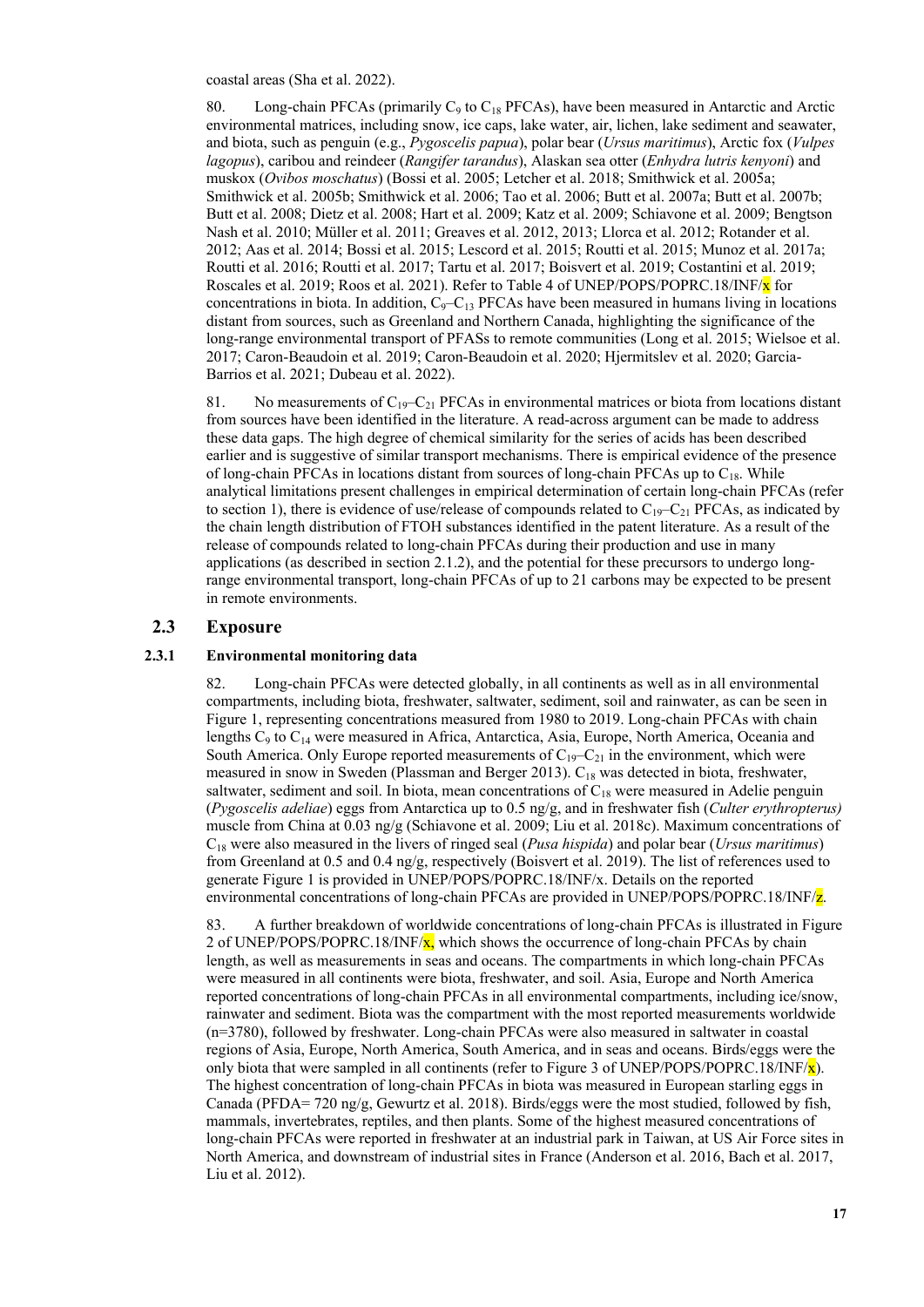coastal areas (Sha et al. 2022).

80. Long-chain PFCAs (primarily  $C_9$  to  $C_{18}$  PFCAs), have been measured in Antarctic and Arctic environmental matrices, including snow, ice caps, lake water, air, lichen, lake sediment and seawater, and biota, such as penguin (e.g., *Pygoscelis papua*), polar bear (*Ursus maritimus*), Arctic fox (*Vulpes lagopus*), caribou and reindeer (*Rangifer tarandus*), Alaskan sea otter (*Enhydra lutris kenyoni*) and muskox (*Ovibos moschatus*) (Bossi et al. 2005; Letcher et al. 2018; Smithwick et al. 2005a; Smithwick et al. 2005b; Smithwick et al. 2006; Tao et al. 2006; Butt et al. 2007a; Butt et al. 2007b; Butt et al. 2008; Dietz et al. 2008; Hart et al. 2009; Katz et al. 2009; Schiavone et al. 2009; Bengtson Nash et al. 2010; Müller et al. 2011; Greaves et al. 2012, 2013; Llorca et al. 2012; Rotander et al. 2012; Aas et al. 2014; Bossi et al. 2015; Lescord et al. 2015; Routti et al. 2015; Munoz et al. 2017a; Routti et al. 2016; Routti et al. 2017; Tartu et al. 2017; Boisvert et al. 2019; Costantini et al. 2019; Roscales et al. 2019; Roos et al. 2021). Refer to Table 4 of UNEP/POPS/POPRC.18/INF/ $\bf{x}$  for concentrations in biota. In addition,  $C_9 - C_{13}$  PFCAs have been measured in humans living in locations distant from sources, such as Greenland and Northern Canada, highlighting the significance of the long-range environmental transport of PFASs to remote communities (Long et al. 2015; Wielsoe et al. 2017; Caron-Beaudoin et al. 2019; Caron-Beaudoin et al. 2020; Hjermitslev et al. 2020; Garcia-Barrios et al. 2021; Dubeau et al. 2022).

81. No measurements of  $C_{19}-C_{21}$  PFCAs in environmental matrices or biota from locations distant from sources have been identified in the literature. A read-across argument can be made to address these data gaps. The high degree of chemical similarity for the series of acids has been described earlier and is suggestive of similar transport mechanisms. There is empirical evidence of the presence of long-chain PFCAs in locations distant from sources of long-chain PFCAs up to  $C_{18}$ . While analytical limitations present challenges in empirical determination of certain long-chain PFCAs (refer to section 1), there is evidence of use/release of compounds related to  $C_{19}-C_{21}$  PFCAs, as indicated by the chain length distribution of FTOH substances identified in the patent literature. As a result of the release of compounds related to long-chain PFCAs during their production and use in many applications (as described in section 2.1.2), and the potential for these precursors to undergo longrange environmental transport, long-chain PFCAs of up to 21 carbons may be expected to be present in remote environments.

#### **2.3 Exposure**

#### **2.3.1 Environmental monitoring data**

82. Long-chain PFCAs were detected globally, in all continents as well as in all environmental compartments, including biota, freshwater, saltwater, sediment, soil and rainwater, as can be seen in Figure 1, representing concentrations measured from 1980 to 2019. Long-chain PFCAs with chain lengths C<sub>9</sub> to C<sub>14</sub> were measured in Africa, Antarctica, Asia, Europe, North America, Oceania and South America. Only Europe reported measurements of  $C_{19}-C_{21}$  in the environment, which were measured in snow in Sweden (Plassman and Berger 2013). C<sub>18</sub> was detected in biota, freshwater, saltwater, sediment and soil. In biota, mean concentrations of  $C_{18}$  were measured in Adelie penguin (*Pygoscelis adeliae*) eggs from Antarctica up to 0.5 ng/g, and in freshwater fish (*Culter erythropterus)* muscle from China at 0.03 ng/g (Schiavone et al. 2009; Liu et al. 2018c). Maximum concentrations of C18 were also measured in the livers of ringed seal (*Pusa hispida*) and polar bear (*Ursus maritimus*) from Greenland at 0.5 and 0.4 ng/g, respectively (Boisvert et al. 2019). The list of references used to generate Figure 1 is provided in UNEP/POPS/POPRC.18/INF/x. Details on the reported environmental concentrations of long-chain PFCAs are provided in UNEP/POPS/POPRC.18/INF/z.

83. A further breakdown of worldwide concentrations of long-chain PFCAs is illustrated in Figure 2 of UNEP/POPS/POPRC.18/INF/ $x$ , which shows the occurrence of long-chain PFCAs by chain length, as well as measurements in seas and oceans. The compartments in which long-chain PFCAs were measured in all continents were biota, freshwater, and soil. Asia, Europe and North America reported concentrations of long-chain PFCAs in all environmental compartments, including ice/snow, rainwater and sediment. Biota was the compartment with the most reported measurements worldwide (n=3780), followed by freshwater. Long-chain PFCAs were also measured in saltwater in coastal regions of Asia, Europe, North America, South America, and in seas and oceans. Birds/eggs were the only biota that were sampled in all continents (refer to Figure 3 of UNEP/POPS/POPRC.18/INF/ $\mathbf{x}$ ). The highest concentration of long-chain PFCAs in biota was measured in European starling eggs in Canada (PFDA= 720 ng/g, Gewurtz et al. 2018). Birds/eggs were the most studied, followed by fish, mammals, invertebrates, reptiles, and then plants. Some of the highest measured concentrations of long-chain PFCAs were reported in freshwater at an industrial park in Taiwan, at US Air Force sites in North America, and downstream of industrial sites in France (Anderson et al. 2016, Bach et al. 2017, Liu et al. 2012).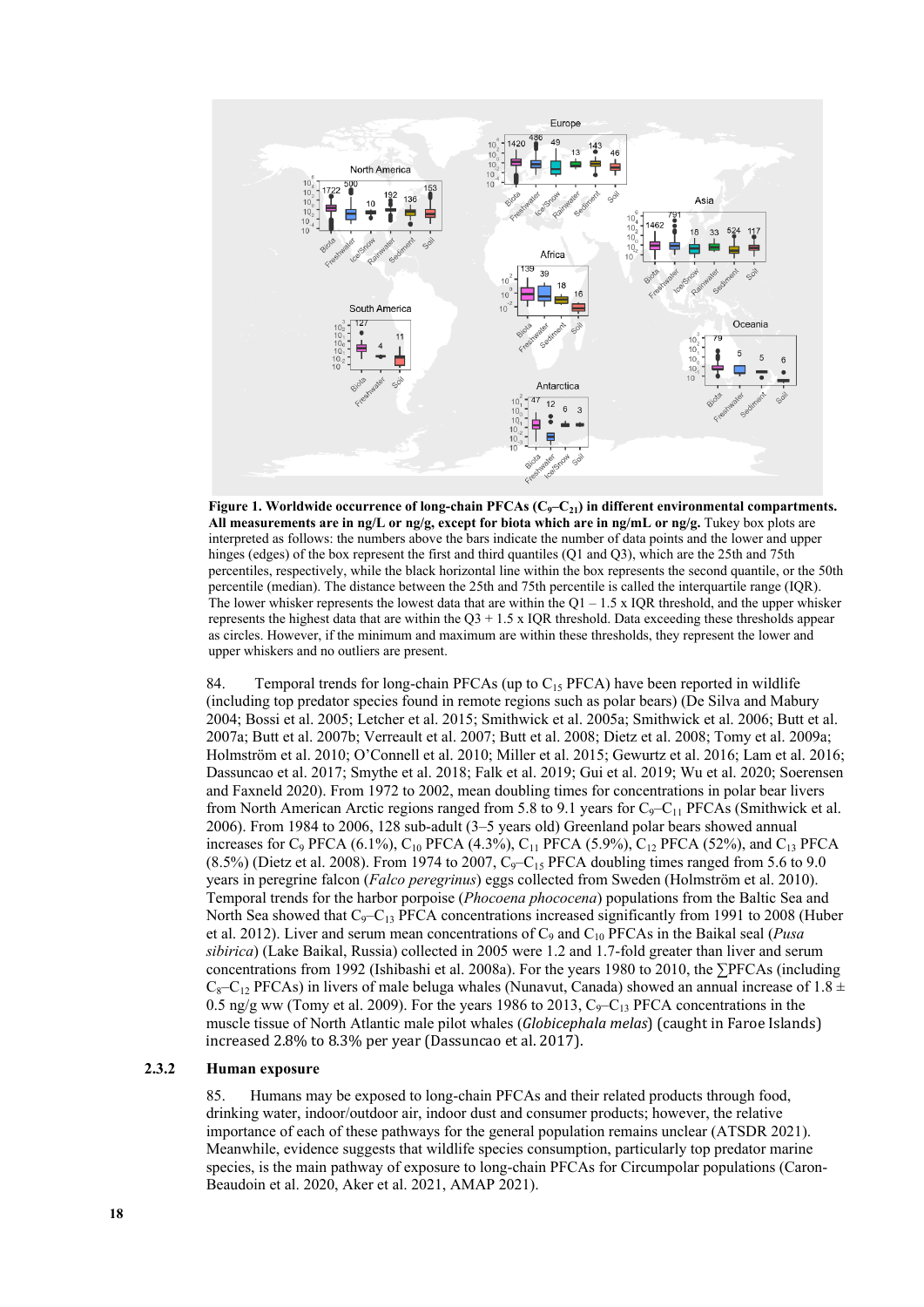

**Figure 1. Worldwide occurrence of long-chain PFCAs (C9–C21) in different environmental compartments. All measurements are in ng/L or ng/g, except for biota which are in ng/mL or ng/g.** Tukey box plots are interpreted as follows: the numbers above the bars indicate the number of data points and the lower and upper hinges (edges) of the box represent the first and third quantiles (Q1 and Q3), which are the 25th and 75th percentiles, respectively, while the black horizontal line within the box represents the second quantile, or the 50th percentile (median). The distance between the 25th and 75th percentile is called the interquartile range (IQR). The lower whisker represents the lowest data that are within the  $Q1 - 1.5$  x IQR threshold, and the upper whisker represents the highest data that are within the  $Q3 + 1.5 \times IQR$  threshold. Data exceeding these thresholds appear as circles. However, if the minimum and maximum are within these thresholds, they represent the lower and upper whiskers and no outliers are present.

84. Temporal trends for long-chain PFCAs (up to  $C_{15}$  PFCA) have been reported in wildlife (including top predator species found in remote regions such as polar bears) (De Silva and Mabury 2004; Bossi et al. 2005; Letcher et al. 2015; Smithwick et al. 2005a; Smithwick et al. 2006; Butt et al. 2007a; Butt et al. 2007b; Verreault et al. 2007; Butt et al. 2008; Dietz et al. 2008; Tomy et al. 2009a; Holmström et al. 2010; O'Connell et al. 2010; Miller et al. 2015; Gewurtz et al. 2016; Lam et al. 2016; Dassuncao et al. 2017; Smythe et al. 2018; Falk et al. 2019; Gui et al. 2019; Wu et al. 2020; Soerensen and Faxneld 2020). From 1972 to 2002, mean doubling times for concentrations in polar bear livers from North American Arctic regions ranged from 5.8 to 9.1 years for  $C_9 - C_{11}$  PFCAs (Smithwick et al. 2006). From 1984 to 2006, 128 sub-adult (3–5 years old) Greenland polar bears showed annual increases for C<sub>9</sub> PFCA (6.1%), C<sub>10</sub> PFCA (4.3%), C<sub>11</sub> PFCA (5.9%), C<sub>12</sub> PFCA (52%), and C<sub>13</sub> PFCA  $(8.5\%)$  (Dietz et al. 2008). From 1974 to 2007, C<sub>9</sub>-C<sub>15</sub> PFCA doubling times ranged from 5.6 to 9.0 years in peregrine falcon (*Falco peregrinus*) eggs collected from Sweden (Holmström et al. 2010). Temporal trends for the harbor porpoise (*Phocoena phococena*) populations from the Baltic Sea and North Sea showed that  $C_9 - C_{13}$  PFCA concentrations increased significantly from 1991 to 2008 (Huber et al. 2012). Liver and serum mean concentrations of C<sub>9</sub> and C<sub>10</sub> PFCAs in the Baikal seal (*Pusa sibirica*) (Lake Baikal, Russia) collected in 2005 were 1.2 and 1.7-fold greater than liver and serum concentrations from 1992 (Ishibashi et al. 2008a). For the years 1980 to 2010, the ∑PFCAs (including  $C_8-C_{12}$  PFCAs) in livers of male beluga whales (Nunavut, Canada) showed an annual increase of 1.8  $\pm$ 0.5 ng/g ww (Tomy et al. 2009). For the years 1986 to 2013,  $C_9 - C_{13}$  PFCA concentrations in the muscle tissue of North Atlantic male pilot whales (*Globicephala melas*) (caught in Faroe Islands) increased 2.8% to 8.3% per year (Dassuncao et al. 2017).

#### **2.3.2 Human exposure**

85. Humans may be exposed to long-chain PFCAs and their related products through food, drinking water, indoor/outdoor air, indoor dust and consumer products; however, the relative importance of each of these pathways for the general population remains unclear (ATSDR 2021). Meanwhile, evidence suggests that wildlife species consumption, particularly top predator marine species, is the main pathway of exposure to long-chain PFCAs for Circumpolar populations (Caron-Beaudoin et al. 2020, Aker et al. 2021, AMAP 2021).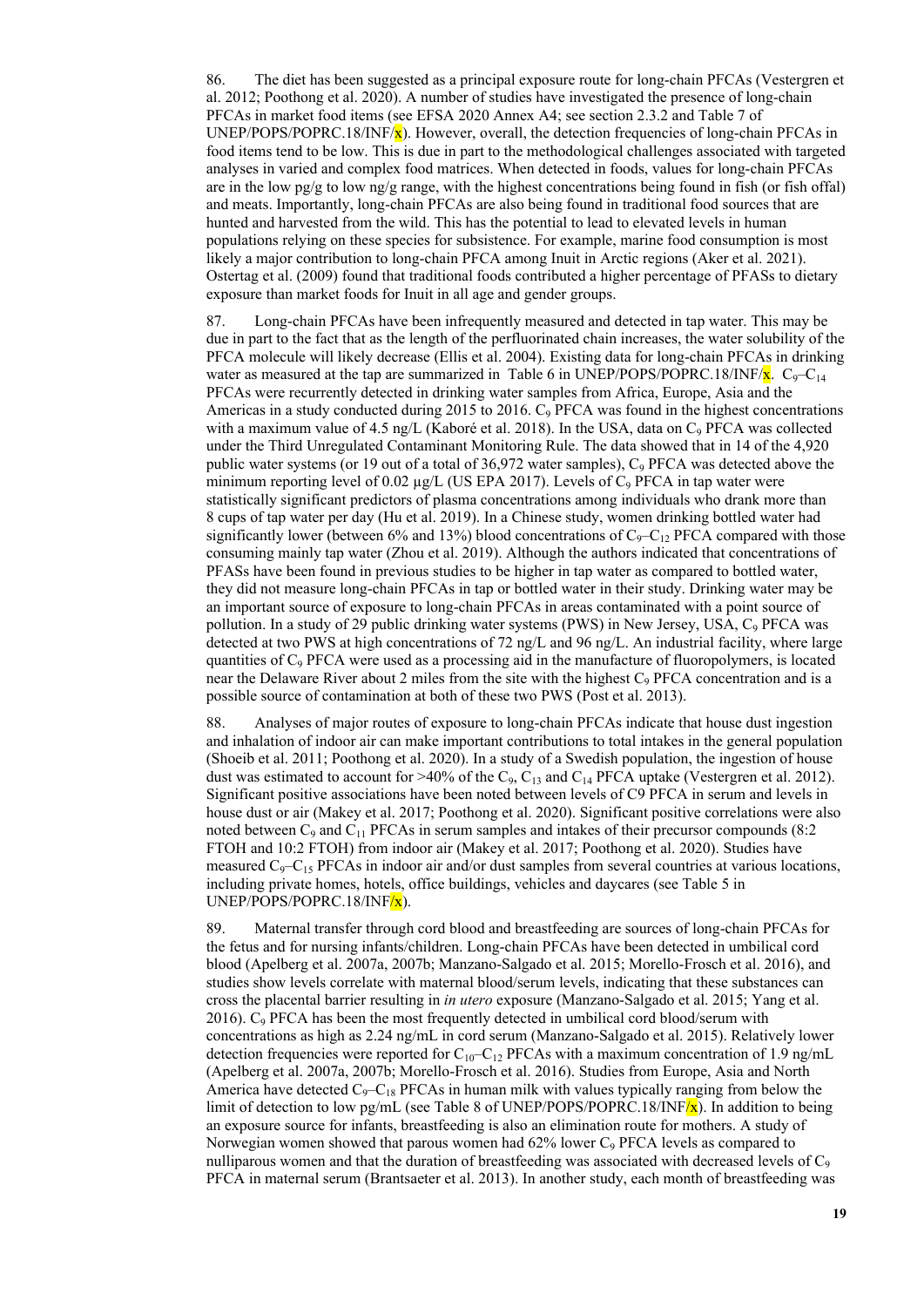86. The diet has been suggested as a principal exposure route for long-chain PFCAs (Vestergren et al. 2012; Poothong et al. 2020). A number of studies have investigated the presence of long-chain PFCAs in market food items (see EFSA 2020 Annex A4; see section 2.3.2 and Table 7 of UNEP/POPS/POPRC.18/INF/ $x$ ). However, overall, the detection frequencies of long-chain PFCAs in food items tend to be low. This is due in part to the methodological challenges associated with targeted analyses in varied and complex food matrices. When detected in foods, values for long-chain PFCAs are in the low pg/g to low ng/g range, with the highest concentrations being found in fish (or fish offal) and meats. Importantly, long-chain PFCAs are also being found in traditional food sources that are hunted and harvested from the wild. This has the potential to lead to elevated levels in human populations relying on these species for subsistence. For example, marine food consumption is most likely a major contribution to long-chain PFCA among Inuit in Arctic regions (Aker et al. 2021). Ostertag et al. (2009) found that traditional foods contributed a higher percentage of PFASs to dietary exposure than market foods for Inuit in all age and gender groups.

87. Long-chain PFCAs have been infrequently measured and detected in tap water. This may be due in part to the fact that as the length of the perfluorinated chain increases, the water solubility of the PFCA molecule will likely decrease (Ellis et al. 2004). Existing data for long-chain PFCAs in drinking water as measured at the tap are summarized in Table 6 in UNEP/POPS/POPRC.18/INF/ $\bf{x}$ . C<sub>9</sub>–C<sub>14</sub> PFCAs were recurrently detected in drinking water samples from Africa, Europe, Asia and the Americas in a study conducted during 2015 to 2016.  $C_9$  PFCA was found in the highest concentrations with a maximum value of 4.5 ng/L (Kaboré et al. 2018). In the USA, data on C<sub>9</sub> PFCA was collected under the Third Unregulated Contaminant Monitoring Rule. The data showed that in 14 of the 4,920 public water systems (or 19 out of a total of 36,972 water samples),  $C_9$  PFCA was detected above the minimum reporting level of 0.02  $\mu$ g/L (US EPA 2017). Levels of C<sub>9</sub> PFCA in tap water were statistically significant predictors of plasma concentrations among individuals who drank more than 8 cups of tap water per day (Hu et al. 2019). In a Chinese study, women drinking bottled water had significantly lower (between 6% and 13%) blood concentrations of  $C_9 - C_{12}$  PFCA compared with those consuming mainly tap water (Zhou et al. 2019). Although the authors indicated that concentrations of PFASs have been found in previous studies to be higher in tap water as compared to bottled water, they did not measure long-chain PFCAs in tap or bottled water in their study. Drinking water may be an important source of exposure to long-chain PFCAs in areas contaminated with a point source of pollution. In a study of 29 public drinking water systems (PWS) in New Jersey, USA, C<sub>9</sub> PFCA was detected at two PWS at high concentrations of 72 ng/L and 96 ng/L. An industrial facility, where large quantities of  $C<sub>9</sub> PFCA$  were used as a processing aid in the manufacture of fluoropolymers, is located near the Delaware River about 2 miles from the site with the highest  $C<sub>9</sub> PFCA$  concentration and is a possible source of contamination at both of these two PWS (Post et al. 2013).

88. Analyses of major routes of exposure to long-chain PFCAs indicate that house dust ingestion and inhalation of indoor air can make important contributions to total intakes in the general population (Shoeib et al. 2011; Poothong et al. 2020). In a study of a Swedish population, the ingestion of house dust was estimated to account for >40% of the  $C_9$ ,  $C_{13}$  and  $C_{14}$  PFCA uptake (Vestergren et al. 2012). Significant positive associations have been noted between levels of C9 PFCA in serum and levels in house dust or air (Makey et al. 2017; Poothong et al. 2020). Significant positive correlations were also noted between  $C_9$  and  $C_{11}$  PFCAs in serum samples and intakes of their precursor compounds (8:2) FTOH and 10:2 FTOH) from indoor air (Makey et al. 2017; Poothong et al. 2020). Studies have measured  $C_9 - C_{15}$  PFCAs in indoor air and/or dust samples from several countries at various locations, including private homes, hotels, office buildings, vehicles and daycares (see Table 5 in UNEP/POPS/POPRC.18/INF/x).

89. Maternal transfer through cord blood and breastfeeding are sources of long-chain PFCAs for the fetus and for nursing infants/children. Long-chain PFCAs have been detected in umbilical cord blood (Apelberg et al. 2007a, 2007b; Manzano-Salgado et al. 2015; Morello-Frosch et al. 2016), and studies show levels correlate with maternal blood/serum levels, indicating that these substances can cross the placental barrier resulting in *in utero* exposure (Manzano-Salgado et al. 2015; Yang et al.  $2016$ ). C<sub>9</sub> PFCA has been the most frequently detected in umbilical cord blood/serum with concentrations as high as 2.24 ng/mL in cord serum (Manzano-Salgado et al. 2015). Relatively lower detection frequencies were reported for  $C_{10}-C_{12}$  PFCAs with a maximum concentration of 1.9 ng/mL (Apelberg et al. 2007a, 2007b; Morello-Frosch et al. 2016). Studies from Europe, Asia and North America have detected  $C_9 - C_{18}$  PFCAs in human milk with values typically ranging from below the limit of detection to low pg/mL (see Table 8 of UNEP/POPS/POPRC.18/INF $\overline{x}$ ). In addition to being an exposure source for infants, breastfeeding is also an elimination route for mothers. A study of Norwegian women showed that parous women had  $62\%$  lower C<sub>9</sub> PFCA levels as compared to nulliparous women and that the duration of breastfeeding was associated with decreased levels of  $C_9$ PFCA in maternal serum (Brantsaeter et al. 2013). In another study, each month of breastfeeding was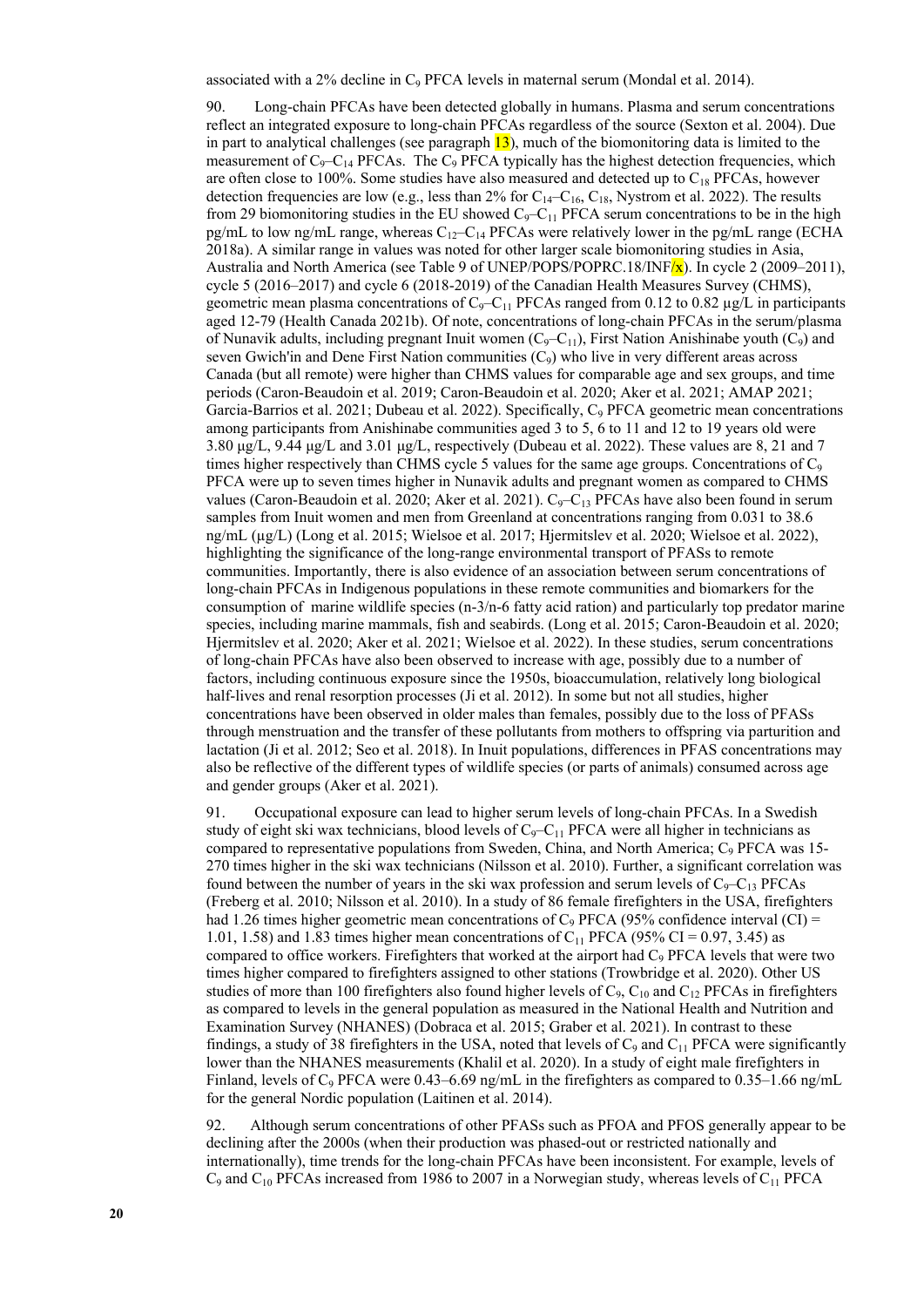90. Long-chain PFCAs have been detected globally in humans. Plasma and serum concentrations reflect an integrated exposure to long-chain PFCAs regardless of the source (Sexton et al. 2004). Due in part to analytical challenges (see paragraph  $\overline{13}$ ), much of the biomonitoring data is limited to the measurement of  $C_9 - C_{14}$  PFCAs. The  $C_9$  PFCA typically has the highest detection frequencies, which are often close to 100%. Some studies have also measured and detected up to  $C_{18}$  PFCAs, however detection frequencies are low (e.g., less than 2% for  $C_{14}-C_{16}$ ,  $C_{18}$ , Nystrom et al. 2022). The results from 29 biomonitoring studies in the EU showed  $C_9 - C_{11}$  PFCA serum concentrations to be in the high pg/mL to low ng/mL range, whereas  $C_{12}-C_{14}$  PFCAs were relatively lower in the pg/mL range (ECHA 2018a). A similar range in values was noted for other larger scale biomonitoring studies in Asia, Australia and North America (see Table 9 of UNEP/POPS/POPRC.18/INF/x). In cycle 2 (2009–2011), cycle 5 (2016–2017) and cycle 6 (2018-2019) of the Canadian Health Measures Survey (CHMS), geometric mean plasma concentrations of  $C_9 - C_{11}$  PFCAs ranged from 0.12 to 0.82  $\mu$ g/L in participants aged 12-79 (Health Canada 2021b). Of note, concentrations of long-chain PFCAs in the serum/plasma of Nunavik adults, including pregnant Inuit women  $(C_9-C_{11})$ , First Nation Anishinabe youth  $(C_9)$  and seven Gwich'in and Dene First Nation communities  $(C_9)$  who live in very different areas across Canada (but all remote) were higher than CHMS values for comparable age and sex groups, and time periods (Caron-Beaudoin et al. 2019; Caron-Beaudoin et al. 2020; Aker et al. 2021; AMAP 2021; Garcia-Barrios et al. 2021; Dubeau et al. 2022). Specifically, C<sub>9</sub> PFCA geometric mean concentrations among participants from Anishinabe communities aged 3 to 5, 6 to 11 and 12 to 19 years old were 3.80 μg/L, 9.44 μg/L and 3.01 μg/L, respectively (Dubeau et al. 2022). These values are 8, 21 and 7 times higher respectively than CHMS cycle 5 values for the same age groups. Concentrations of  $C_9$ PFCA were up to seven times higher in Nunavik adults and pregnant women as compared to CHMS values (Caron-Beaudoin et al. 2020; Aker et al. 2021). C<sub>9</sub>-C<sub>13</sub> PFCAs have also been found in serum samples from Inuit women and men from Greenland at concentrations ranging from 0.031 to 38.6 ng/mL (µg/L) (Long et al. 2015; Wielsoe et al. 2017; Hjermitslev et al. 2020; Wielsoe et al. 2022), highlighting the significance of the long-range environmental transport of PFASs to remote communities. Importantly, there is also evidence of an association between serum concentrations of long-chain PFCAs in Indigenous populations in these remote communities and biomarkers for the consumption of marine wildlife species (n-3/n-6 fatty acid ration) and particularly top predator marine species, including marine mammals, fish and seabirds. (Long et al. 2015; Caron-Beaudoin et al. 2020; Hjermitslev et al. 2020; Aker et al. 2021; Wielsoe et al. 2022). In these studies, serum concentrations of long-chain PFCAs have also been observed to increase with age, possibly due to a number of factors, including continuous exposure since the 1950s, bioaccumulation, relatively long biological half-lives and renal resorption processes (Ji et al. 2012). In some but not all studies, higher concentrations have been observed in older males than females, possibly due to the loss of PFASs through menstruation and the transfer of these pollutants from mothers to offspring via parturition and lactation (Ji et al. 2012; Seo et al. 2018). In Inuit populations, differences in PFAS concentrations may also be reflective of the different types of wildlife species (or parts of animals) consumed across age and gender groups (Aker et al. 2021).

91. Occupational exposure can lead to higher serum levels of long-chain PFCAs. In a Swedish study of eight ski wax technicians, blood levels of  $C_9-C_{11}$  PFCA were all higher in technicians as compared to representative populations from Sweden, China, and North America; C9 PFCA was 15- 270 times higher in the ski wax technicians (Nilsson et al. 2010). Further, a significant correlation was found between the number of years in the ski wax profession and serum levels of  $C_9-C_{13}$  PFCAs (Freberg et al. 2010; Nilsson et al. 2010). In a study of 86 female firefighters in the USA, firefighters had 1.26 times higher geometric mean concentrations of  $C_9$  PFCA (95% confidence interval (CI) = 1.01, 1.58) and 1.83 times higher mean concentrations of C<sub>11</sub> PFCA (95% CI = 0.97, 3.45) as compared to office workers. Firefighters that worked at the airport had C<sub>9</sub> PFCA levels that were two times higher compared to firefighters assigned to other stations (Trowbridge et al. 2020). Other US studies of more than 100 firefighters also found higher levels of  $C_9$ ,  $C_{10}$  and  $C_{12}$  PFCAs in firefighters as compared to levels in the general population as measured in the National Health and Nutrition and Examination Survey (NHANES) (Dobraca et al. 2015; Graber et al. 2021). In contrast to these findings, a study of 38 firefighters in the USA, noted that levels of  $C_9$  and  $C_{11}$  PFCA were significantly lower than the NHANES measurements (Khalil et al. 2020). In a study of eight male firefighters in Finland, levels of  $C_9$  PFCA were 0.43–6.69 ng/mL in the firefighters as compared to 0.35–1.66 ng/mL for the general Nordic population (Laitinen et al. 2014).

92. Although serum concentrations of other PFASs such as PFOA and PFOS generally appear to be declining after the 2000s (when their production was phased-out or restricted nationally and internationally), time trends for the long-chain PFCAs have been inconsistent. For example, levels of  $C_9$  and  $C_{10}$  PFCAs increased from 1986 to 2007 in a Norwegian study, whereas levels of  $C_{11}$  PFCA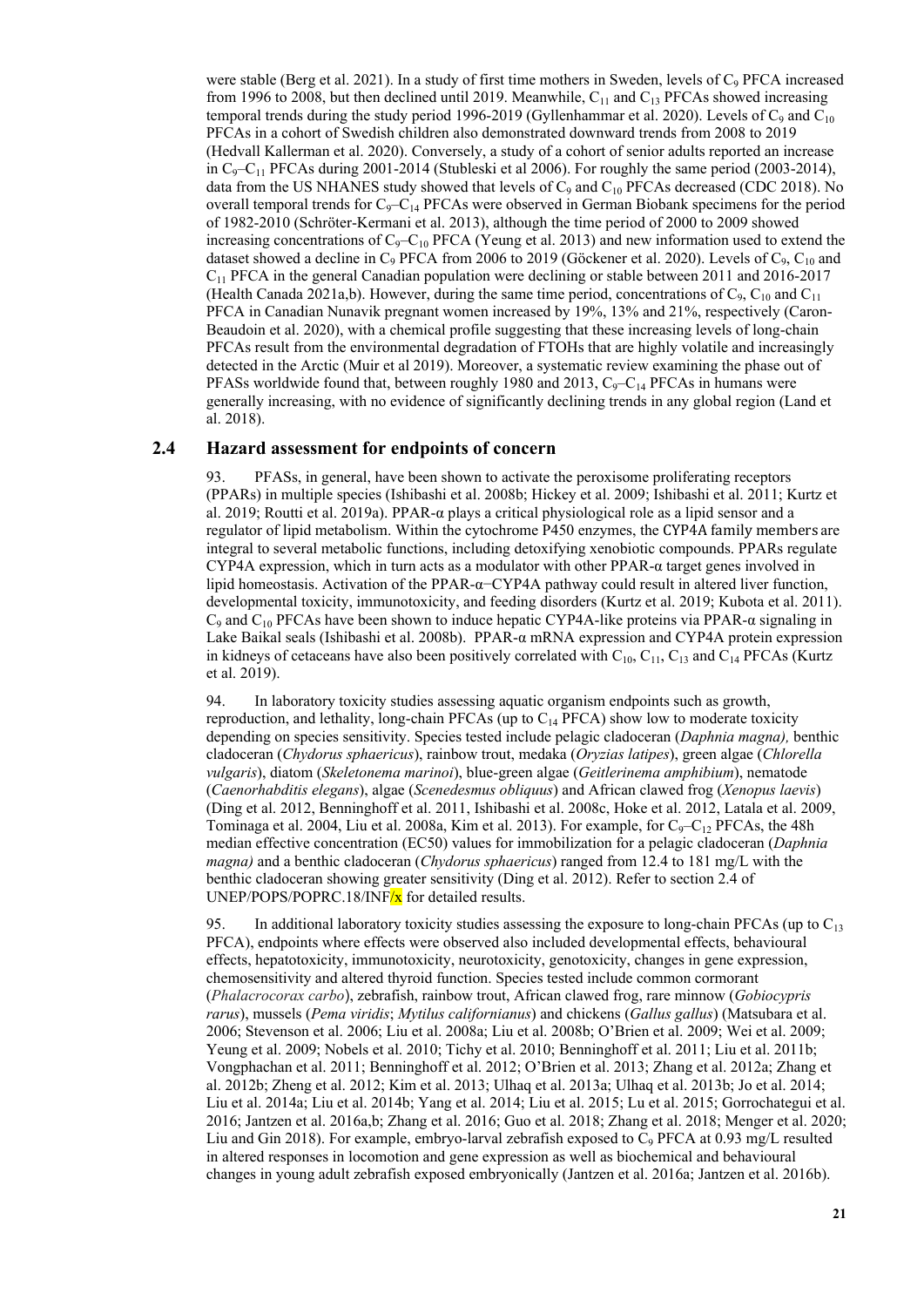were stable (Berg et al. 2021). In a study of first time mothers in Sweden, levels of  $C<sub>9</sub> PFCA$  increased from 1996 to 2008, but then declined until 2019. Meanwhile,  $C_{11}$  and  $C_{13}$  PFCAs showed increasing temporal trends during the study period 1996-2019 (Gyllenhammar et al. 2020). Levels of  $C_9$  and  $C_{10}$ PFCAs in a cohort of Swedish children also demonstrated downward trends from 2008 to 2019 (Hedvall Kallerman et al. 2020). Conversely, a study of a cohort of senior adults reported an increase in  $C_9 - C_{11}$  PFCAs during 2001-2014 (Stubleski et al 2006). For roughly the same period (2003-2014), data from the US NHANES study showed that levels of  $C_9$  and  $C_{10}$  PFCAs decreased (CDC 2018). No overall temporal trends for  $C_9 - C_{14}$  PFCAs were observed in German Biobank specimens for the period of 1982-2010 (Schröter-Kermani et al. 2013), although the time period of 2000 to 2009 showed increasing concentrations of  $C_9 - C_{10}$  PFCA (Yeung et al. 2013) and new information used to extend the dataset showed a decline in  $C_9$  PFCA from 2006 to 2019 (Göckener et al. 2020). Levels of  $C_9$ ,  $C_{10}$  and C11 PFCA in the general Canadian population were declining or stable between 2011 and 2016-2017 (Health Canada 2021a,b). However, during the same time period, concentrations of  $C_9$ ,  $C_{10}$  and  $C_{11}$ PFCA in Canadian Nunavik pregnant women increased by 19%, 13% and 21%, respectively (Caron-Beaudoin et al. 2020), with a chemical profile suggesting that these increasing levels of long-chain PFCAs result from the environmental degradation of FTOHs that are highly volatile and increasingly detected in the Arctic (Muir et al 2019). Moreover, a systematic review examining the phase out of PFASs worldwide found that, between roughly 1980 and 2013,  $C_9-C_{14}$  PFCAs in humans were generally increasing, with no evidence of significantly declining trends in any global region (Land et al. 2018).

### **2.4 Hazard assessment for endpoints of concern**

93. PFASs, in general, have been shown to activate the peroxisome proliferating receptors (PPARs) in multiple species (Ishibashi et al. 2008b; Hickey et al. 2009; Ishibashi et al. 2011; Kurtz et al. 2019; Routti et al. 2019a). PPAR- $\alpha$  plays a critical physiological role as a lipid sensor and a regulator of lipid metabolism. Within the cytochrome P450 enzymes, the CYP4A family members are integral to several metabolic functions, including detoxifying xenobiotic compounds. PPARs regulate CYP4A expression, which in turn acts as a modulator with other PPAR- $\alpha$  target genes involved in lipid homeostasis. Activation of the PPAR-α−CYP4A pathway could result in altered liver function, developmental toxicity, immunotoxicity, and feeding disorders (Kurtz et al. 2019; Kubota et al. 2011).  $C_9$  and  $C_{10}$  PFCAs have been shown to induce hepatic CYP4A-like proteins via PPAR- $\alpha$  signaling in Lake Baikal seals (Ishibashi et al. 2008b). PPAR-α mRNA expression and CYP4A protein expression in kidneys of cetaceans have also been positively correlated with  $C_{10}$ ,  $C_{11}$ ,  $C_{13}$  and  $C_{14}$  PFCAs (Kurtz et al. 2019).

94. In laboratory toxicity studies assessing aquatic organism endpoints such as growth, reproduction, and lethality, long-chain PFCAs (up to  $C_{14}$  PFCA) show low to moderate toxicity depending on species sensitivity. Species tested include pelagic cladoceran (*Daphnia magna),* benthic cladoceran (*Chydorus sphaericus*), rainbow trout, medaka (*Oryzias latipes*), green algae (*Chlorella vulgaris*), diatom (*Skeletonema marinoi*), blue-green algae (*Geitlerinema amphibium*), nematode (*Caenorhabditis elegans*), algae (*Scenedesmus obliquus*) and African clawed frog (*Xenopus laevis*) (Ding et al. 2012, Benninghoff et al. 2011, Ishibashi et al. 2008c, Hoke et al. 2012, Latala et al. 2009, Tominaga et al. 2004, Liu et al. 2008a, Kim et al. 2013). For example, for  $C_9 - C_{12}$  PFCAs, the 48h median effective concentration (EC50) values for immobilization for a pelagic cladoceran (*Daphnia magna)* and a benthic cladoceran (*Chydorus sphaericus*) ranged from 12.4 to 181 mg/L with the benthic cladoceran showing greater sensitivity (Ding et al. 2012). Refer to section 2.4 of UNEP/POPS/POPRC.18/INF $/x$  for detailed results.

95. In additional laboratory toxicity studies assessing the exposure to long-chain PFCAs (up to  $C_{13}$ ) PFCA), endpoints where effects were observed also included developmental effects, behavioural effects, hepatotoxicity, immunotoxicity, neurotoxicity, genotoxicity, changes in gene expression, chemosensitivity and altered thyroid function. Species tested include common cormorant (*Phalacrocorax carbo*), zebrafish, rainbow trout, African clawed frog, rare minnow (*Gobiocypris rarus*), mussels (*Pema viridis*; *Mytilus californianus*) and chickens (*Gallus gallus*) (Matsubara et al. 2006; Stevenson et al. 2006; Liu et al. 2008a; Liu et al. 2008b; O'Brien et al. 2009; Wei et al. 2009; Yeung et al. 2009; Nobels et al. 2010; Tichy et al. 2010; Benninghoff et al. 2011; Liu et al. 2011b; Vongphachan et al. 2011; Benninghoff et al. 2012; O'Brien et al. 2013; Zhang et al. 2012a; Zhang et al. 2012b; Zheng et al. 2012; Kim et al. 2013; Ulhaq et al. 2013a; Ulhaq et al. 2013b; Jo et al. 2014; Liu et al. 2014a; Liu et al. 2014b; Yang et al. 2014; Liu et al. 2015; Lu et al. 2015; Gorrochategui et al. 2016; Jantzen et al. 2016a,b; Zhang et al. 2016; Guo et al. 2018; Zhang et al. 2018; Menger et al. 2020; Liu and Gin 2018). For example, embryo-larval zebrafish exposed to  $C_9$  PFCA at 0.93 mg/L resulted in altered responses in locomotion and gene expression as well as biochemical and behavioural changes in young adult zebrafish exposed embryonically (Jantzen et al. 2016a; Jantzen et al. 2016b).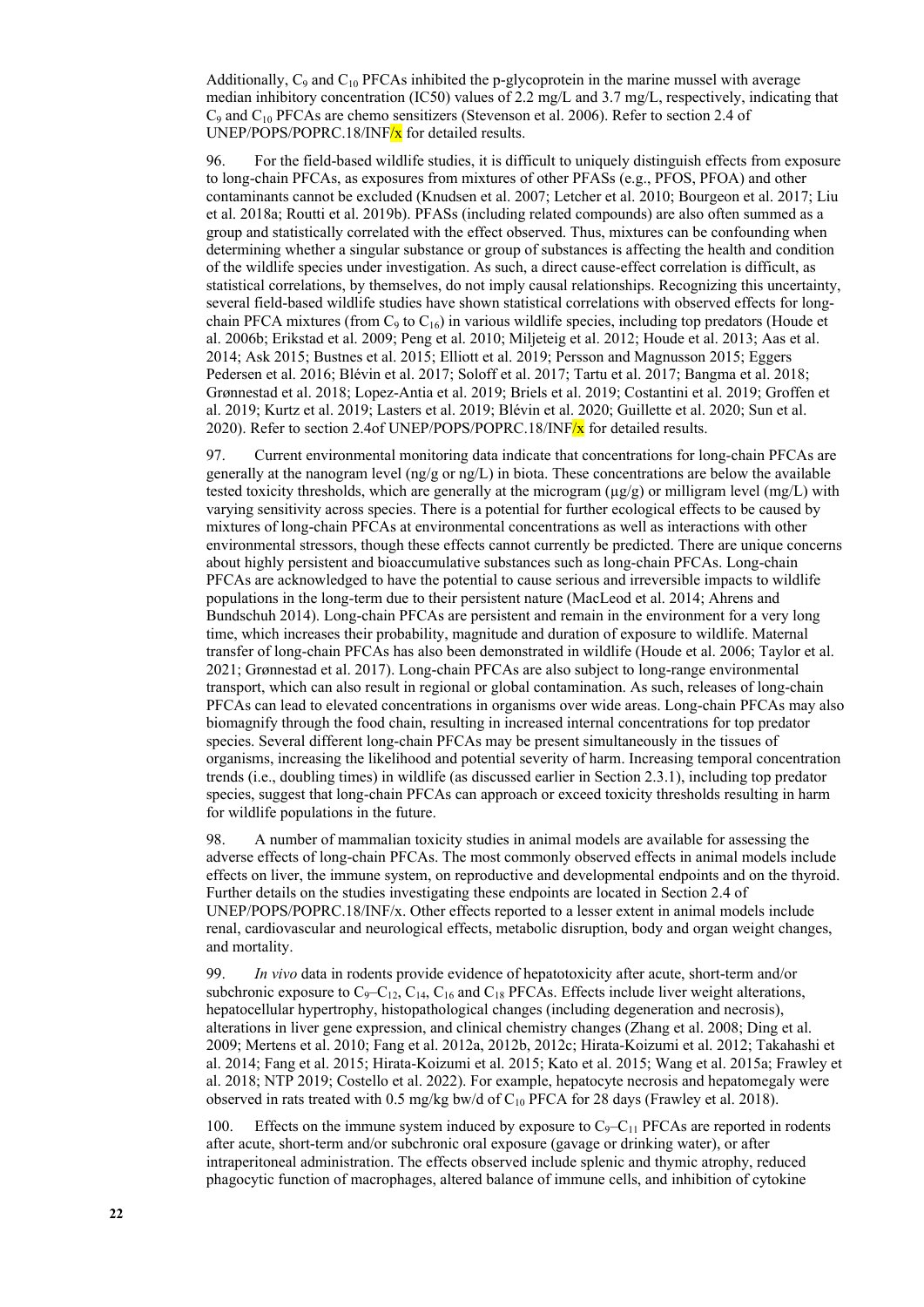Additionally,  $C_9$  and  $C_{10}$  PFCAs inhibited the p-glycoprotein in the marine mussel with average median inhibitory concentration (IC50) values of 2.2 mg/L and 3.7 mg/L, respectively, indicating that  $C_9$  and  $C_{10}$  PFCAs are chemo sensitizers (Stevenson et al. 2006). Refer to section 2.4 of UNEP/POPS/POPRC.18/INF $/x$  for detailed results.

96. For the field-based wildlife studies, it is difficult to uniquely distinguish effects from exposure to long-chain PFCAs, as exposures from mixtures of other PFASs (e.g., PFOS, PFOA) and other contaminants cannot be excluded (Knudsen et al. 2007; Letcher et al. 2010; Bourgeon et al. 2017; Liu et al. 2018a; Routti et al. 2019b). PFASs (including related compounds) are also often summed as a group and statistically correlated with the effect observed. Thus, mixtures can be confounding when determining whether a singular substance or group of substances is affecting the health and condition of the wildlife species under investigation. As such, a direct cause-effect correlation is difficult, as statistical correlations, by themselves, do not imply causal relationships. Recognizing this uncertainty, several field-based wildlife studies have shown statistical correlations with observed effects for longchain PFCA mixtures (from  $C_9$  to  $C_{16}$ ) in various wildlife species, including top predators (Houde et al. 2006b; Erikstad et al. 2009; Peng et al. 2010; Miljeteig et al. 2012; Houde et al. 2013; Aas et al. 2014; Ask 2015; Bustnes et al. 2015; Elliott et al. 2019; Persson and Magnusson 2015; Eggers Pedersen et al. 2016; Blévin et al. 2017; Soloff et al. 2017; Tartu et al. 2017; Bangma et al. 2018; Grønnestad et al. 2018; Lopez-Antia et al. 2019; Briels et al. 2019; Costantini et al. 2019; Groffen et al. 2019; Kurtz et al. 2019; Lasters et al. 2019; Blévin et al. 2020; Guillette et al. 2020; Sun et al. 2020). Refer to section 2.4of UNEP/POPS/POPRC.18/INF $/x$  for detailed results.

97. Current environmental monitoring data indicate that concentrations for long-chain PFCAs are generally at the nanogram level (ng/g or ng/L) in biota. These concentrations are below the available tested toxicity thresholds, which are generally at the microgram  $(\mu g/g)$  or milligram level (mg/L) with varying sensitivity across species. There is a potential for further ecological effects to be caused by mixtures of long-chain PFCAs at environmental concentrations as well as interactions with other environmental stressors, though these effects cannot currently be predicted. There are unique concerns about highly persistent and bioaccumulative substances such as long-chain PFCAs. Long-chain PFCAs are acknowledged to have the potential to cause serious and irreversible impacts to wildlife populations in the long-term due to their persistent nature (MacLeod et al. 2014; Ahrens and Bundschuh 2014). Long-chain PFCAs are persistent and remain in the environment for a very long time, which increases their probability, magnitude and duration of exposure to wildlife. Maternal transfer of long-chain PFCAs has also been demonstrated in wildlife (Houde et al. 2006; Taylor et al. 2021; Grønnestad et al. 2017). Long-chain PFCAs are also subject to long-range environmental transport, which can also result in regional or global contamination. As such, releases of long-chain PFCAs can lead to elevated concentrations in organisms over wide areas. Long-chain PFCAs may also biomagnify through the food chain, resulting in increased internal concentrations for top predator species. Several different long-chain PFCAs may be present simultaneously in the tissues of organisms, increasing the likelihood and potential severity of harm. Increasing temporal concentration trends (i.e., doubling times) in wildlife (as discussed earlier in Section 2.3.1), including top predator species, suggest that long-chain PFCAs can approach or exceed toxicity thresholds resulting in harm for wildlife populations in the future.

98. A number of mammalian toxicity studies in animal models are available for assessing the adverse effects of long-chain PFCAs. The most commonly observed effects in animal models include effects on liver, the immune system, on reproductive and developmental endpoints and on the thyroid. Further details on the studies investigating these endpoints are located in Section 2.4 of UNEP/POPS/POPRC.18/INF/x. Other effects reported to a lesser extent in animal models include renal, cardiovascular and neurological effects, metabolic disruption, body and organ weight changes, and mortality.

99. *In vivo* data in rodents provide evidence of hepatotoxicity after acute, short-term and/or subchronic exposure to  $C_9-C_{12}$ ,  $C_{14}$ ,  $C_{16}$  and  $C_{18}$  PFCAs. Effects include liver weight alterations, hepatocellular hypertrophy, histopathological changes (including degeneration and necrosis), alterations in liver gene expression, and clinical chemistry changes (Zhang et al. 2008; Ding et al. 2009; Mertens et al. 2010; Fang et al. 2012a, 2012b, 2012c; Hirata-Koizumi et al. 2012; Takahashi et al. 2014; Fang et al. 2015; Hirata-Koizumi et al. 2015; Kato et al. 2015; Wang et al. 2015a; Frawley et al. 2018; NTP 2019; Costello et al. 2022). For example, hepatocyte necrosis and hepatomegaly were observed in rats treated with 0.5 mg/kg bw/d of  $C_{10}$  PFCA for 28 days (Frawley et al. 2018).

100. Effects on the immune system induced by exposure to  $C_9 - C_{11}$  PFCAs are reported in rodents after acute, short-term and/or subchronic oral exposure (gavage or drinking water), or after intraperitoneal administration. The effects observed include splenic and thymic atrophy, reduced phagocytic function of macrophages, altered balance of immune cells, and inhibition of cytokine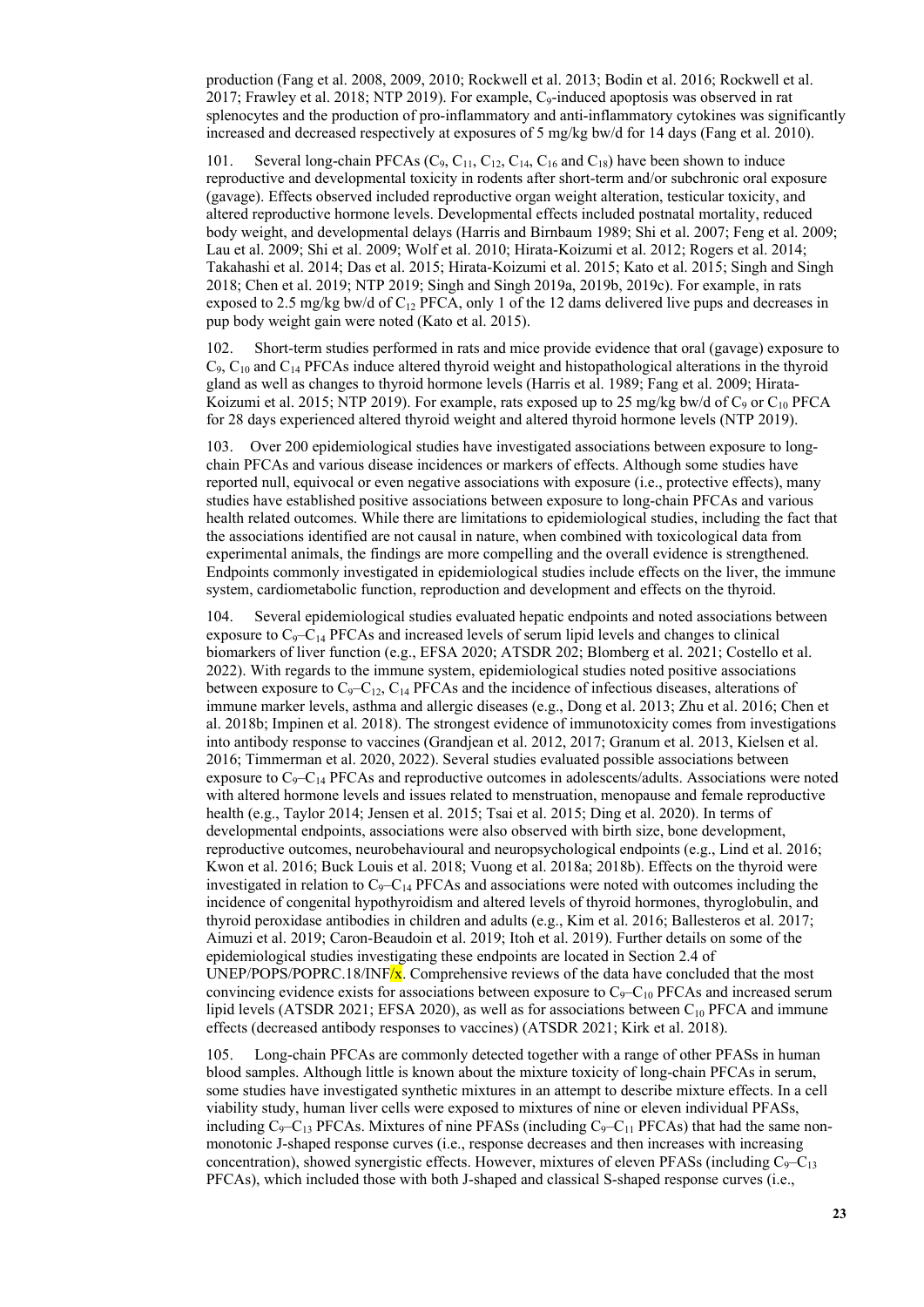production (Fang et al. 2008, 2009, 2010; Rockwell et al. 2013; Bodin et al. 2016; Rockwell et al. 2017; Frawley et al. 2018; NTP 2019). For example,  $C_9$ -induced apoptosis was observed in rat splenocytes and the production of pro-inflammatory and anti-inflammatory cytokines was significantly increased and decreased respectively at exposures of 5 mg/kg bw/d for 14 days (Fang et al. 2010).

101. Several long-chain PFCAs  $(C_9, C_{11}, C_{12}, C_{14}, C_{16}$  and  $C_{18}$ ) have been shown to induce reproductive and developmental toxicity in rodents after short-term and/or subchronic oral exposure (gavage). Effects observed included reproductive organ weight alteration, testicular toxicity, and altered reproductive hormone levels. Developmental effects included postnatal mortality, reduced body weight, and developmental delays (Harris and Birnbaum 1989; Shi et al. 2007; Feng et al. 2009; Lau et al. 2009; Shi et al. 2009; Wolf et al. 2010; Hirata-Koizumi et al. 2012; Rogers et al. 2014; Takahashi et al. 2014; Das et al. 2015; Hirata-Koizumi et al. 2015; Kato et al. 2015; Singh and Singh 2018; Chen et al. 2019; NTP 2019; Singh and Singh 2019a, 2019b, 2019c). For example, in rats exposed to 2.5 mg/kg bw/d of  $C_{12}$  PFCA, only 1 of the 12 dams delivered live pups and decreases in pup body weight gain were noted (Kato et al. 2015).

102. Short-term studies performed in rats and mice provide evidence that oral (gavage) exposure to  $C_9$ ,  $C_{10}$  and  $C_{14}$  PFCAs induce altered thyroid weight and histopathological alterations in the thyroid gland as well as changes to thyroid hormone levels (Harris et al. 1989; Fang et al. 2009; Hirata-Koizumi et al. 2015; NTP 2019). For example, rats exposed up to 25 mg/kg bw/d of  $C_9$  or  $C_{10}$  PFCA for 28 days experienced altered thyroid weight and altered thyroid hormone levels (NTP 2019).

103. Over 200 epidemiological studies have investigated associations between exposure to longchain PFCAs and various disease incidences or markers of effects. Although some studies have reported null, equivocal or even negative associations with exposure (i.e., protective effects), many studies have established positive associations between exposure to long-chain PFCAs and various health related outcomes. While there are limitations to epidemiological studies, including the fact that the associations identified are not causal in nature, when combined with toxicological data from experimental animals, the findings are more compelling and the overall evidence is strengthened. Endpoints commonly investigated in epidemiological studies include effects on the liver, the immune system, cardiometabolic function, reproduction and development and effects on the thyroid.

104. Several epidemiological studies evaluated hepatic endpoints and noted associations between exposure to  $C_9 - C_{14}$  PFCAs and increased levels of serum lipid levels and changes to clinical biomarkers of liver function (e.g., EFSA 2020; ATSDR 202; Blomberg et al. 2021; Costello et al. 2022). With regards to the immune system, epidemiological studies noted positive associations between exposure to  $C_9 - C_{12}$ ,  $C_{14}$  PFCAs and the incidence of infectious diseases, alterations of immune marker levels, asthma and allergic diseases (e.g., Dong et al. 2013; Zhu et al. 2016; Chen et al. 2018b; Impinen et al. 2018). The strongest evidence of immunotoxicity comes from investigations into antibody response to vaccines (Grandjean et al. 2012, 2017; Granum et al. 2013, Kielsen et al. 2016; Timmerman et al. 2020, 2022). Several studies evaluated possible associations between exposure to  $C_9-C_{14}$  PFCAs and reproductive outcomes in adolescents/adults. Associations were noted with altered hormone levels and issues related to menstruation, menopause and female reproductive health (e.g., Taylor 2014; Jensen et al. 2015; Tsai et al. 2015; Ding et al. 2020). In terms of developmental endpoints, associations were also observed with birth size, bone development, reproductive outcomes, neurobehavioural and neuropsychological endpoints (e.g., Lind et al. 2016; Kwon et al. 2016; Buck Louis et al. 2018; Vuong et al. 2018a; 2018b). Effects on the thyroid were investigated in relation to  $C_9 - C_{14}$  PFCAs and associations were noted with outcomes including the incidence of congenital hypothyroidism and altered levels of thyroid hormones, thyroglobulin, and thyroid peroxidase antibodies in children and adults (e.g., Kim et al. 2016; Ballesteros et al. 2017; Aimuzi et al. 2019; Caron-Beaudoin et al. 2019; Itoh et al. 2019). Further details on some of the epidemiological studies investigating these endpoints are located in Section 2.4 of UNEP/POPS/POPRC.18/INF $\frac{x}{x}$ . Comprehensive reviews of the data have concluded that the most convincing evidence exists for associations between exposure to  $C_9-C_{10}$  PFCAs and increased serum lipid levels (ATSDR 2021; EFSA 2020), as well as for associations between  $C_{10}$  PFCA and immune effects (decreased antibody responses to vaccines) (ATSDR 2021; Kirk et al. 2018).

105. Long-chain PFCAs are commonly detected together with a range of other PFASs in human blood samples. Although little is known about the mixture toxicity of long-chain PFCAs in serum, some studies have investigated synthetic mixtures in an attempt to describe mixture effects. In a cell viability study, human liver cells were exposed to mixtures of nine or eleven individual PFASs, including  $C_9 - C_{13}$  PFCAs. Mixtures of nine PFASs (including  $C_9 - C_{11}$  PFCAs) that had the same nonmonotonic J-shaped response curves (i.e., response decreases and then increases with increasing concentration), showed synergistic effects. However, mixtures of eleven PFASs (including  $C_9 - C_{13}$ ) PFCAs), which included those with both J-shaped and classical S-shaped response curves (i.e.,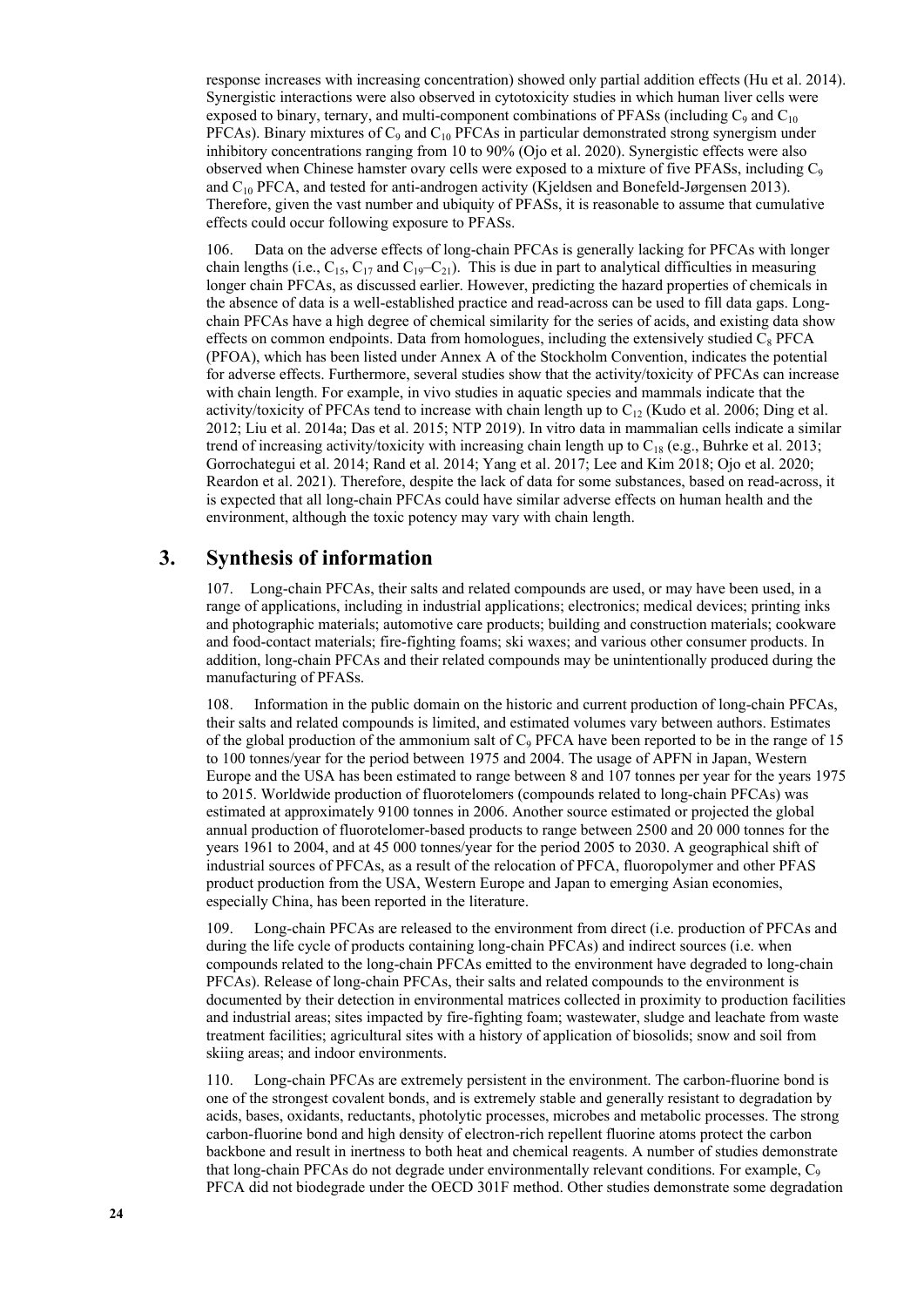response increases with increasing concentration) showed only partial addition effects (Hu et al. 2014). Synergistic interactions were also observed in cytotoxicity studies in which human liver cells were exposed to binary, ternary, and multi-component combinations of PFASs (including  $C_9$  and  $C_{10}$ ) PFCAs). Binary mixtures of  $C_9$  and  $C_{10}$  PFCAs in particular demonstrated strong synergism under inhibitory concentrations ranging from 10 to 90% (Ojo et al. 2020). Synergistic effects were also observed when Chinese hamster ovary cells were exposed to a mixture of five PFASs, including  $C_9$ and  $C_{10}$  PFCA, and tested for anti-androgen activity (Kjeldsen and Bonefeld-Jørgensen 2013). Therefore, given the vast number and ubiquity of PFASs, it is reasonable to assume that cumulative effects could occur following exposure to PFASs.

106. Data on the adverse effects of long-chain PFCAs is generally lacking for PFCAs with longer chain lengths (i.e.,  $C_{15}$ ,  $C_{17}$  and  $C_{19}-C_{21}$ ). This is due in part to analytical difficulties in measuring longer chain PFCAs, as discussed earlier. However, predicting the hazard properties of chemicals in the absence of data is a well-established practice and read-across can be used to fill data gaps. Longchain PFCAs have a high degree of chemical similarity for the series of acids, and existing data show effects on common endpoints. Data from homologues, including the extensively studied  $C_8$  PFCA (PFOA), which has been listed under Annex A of the Stockholm Convention, indicates the potential for adverse effects. Furthermore, several studies show that the activity/toxicity of PFCAs can increase with chain length. For example, in vivo studies in aquatic species and mammals indicate that the activity/toxicity of PFCAs tend to increase with chain length up to  $C_{12}$  (Kudo et al. 2006; Ding et al. 2012; Liu et al. 2014a; Das et al. 2015; NTP 2019). In vitro data in mammalian cells indicate a similar trend of increasing activity/toxicity with increasing chain length up to  $C_{18}$  (e.g., Buhrke et al. 2013; Gorrochategui et al. 2014; Rand et al. 2014; Yang et al. 2017; Lee and Kim 2018; Ojo et al. 2020; Reardon et al. 2021). Therefore, despite the lack of data for some substances, based on read-across, it is expected that all long-chain PFCAs could have similar adverse effects on human health and the environment, although the toxic potency may vary with chain length.

## **3. Synthesis of information**

107. Long-chain PFCAs, their salts and related compounds are used, or may have been used, in a range of applications, including in industrial applications; electronics; medical devices; printing inks and photographic materials; automotive care products; building and construction materials; cookware and food-contact materials; fire-fighting foams; ski waxes; and various other consumer products. In addition, long-chain PFCAs and their related compounds may be unintentionally produced during the manufacturing of PFASs.

108. Information in the public domain on the historic and current production of long-chain PFCAs, their salts and related compounds is limited, and estimated volumes vary between authors. Estimates of the global production of the ammonium salt of  $C<sub>9</sub> PFCA$  have been reported to be in the range of 15 to 100 tonnes/year for the period between 1975 and 2004. The usage of APFN in Japan, Western Europe and the USA has been estimated to range between 8 and 107 tonnes per year for the years 1975 to 2015. Worldwide production of fluorotelomers (compounds related to long-chain PFCAs) was estimated at approximately 9100 tonnes in 2006. Another source estimated or projected the global annual production of fluorotelomer-based products to range between 2500 and 20 000 tonnes for the years 1961 to 2004, and at 45 000 tonnes/year for the period 2005 to 2030. A geographical shift of industrial sources of PFCAs, as a result of the relocation of PFCA, fluoropolymer and other PFAS product production from the USA, Western Europe and Japan to emerging Asian economies, especially China, has been reported in the literature.

109. Long-chain PFCAs are released to the environment from direct (i.e. production of PFCAs and during the life cycle of products containing long-chain PFCAs) and indirect sources (i.e. when compounds related to the long-chain PFCAs emitted to the environment have degraded to long-chain PFCAs). Release of long-chain PFCAs, their salts and related compounds to the environment is documented by their detection in environmental matrices collected in proximity to production facilities and industrial areas; sites impacted by fire-fighting foam; wastewater, sludge and leachate from waste treatment facilities; agricultural sites with a history of application of biosolids; snow and soil from skiing areas; and indoor environments.

110. Long-chain PFCAs are extremely persistent in the environment. The carbon-fluorine bond is one of the strongest covalent bonds, and is extremely stable and generally resistant to degradation by acids, bases, oxidants, reductants, photolytic processes, microbes and metabolic processes. The strong carbon-fluorine bond and high density of electron-rich repellent fluorine atoms protect the carbon backbone and result in inertness to both heat and chemical reagents. A number of studies demonstrate that long-chain PFCAs do not degrade under environmentally relevant conditions. For example,  $C_9$ PFCA did not biodegrade under the OECD 301F method. Other studies demonstrate some degradation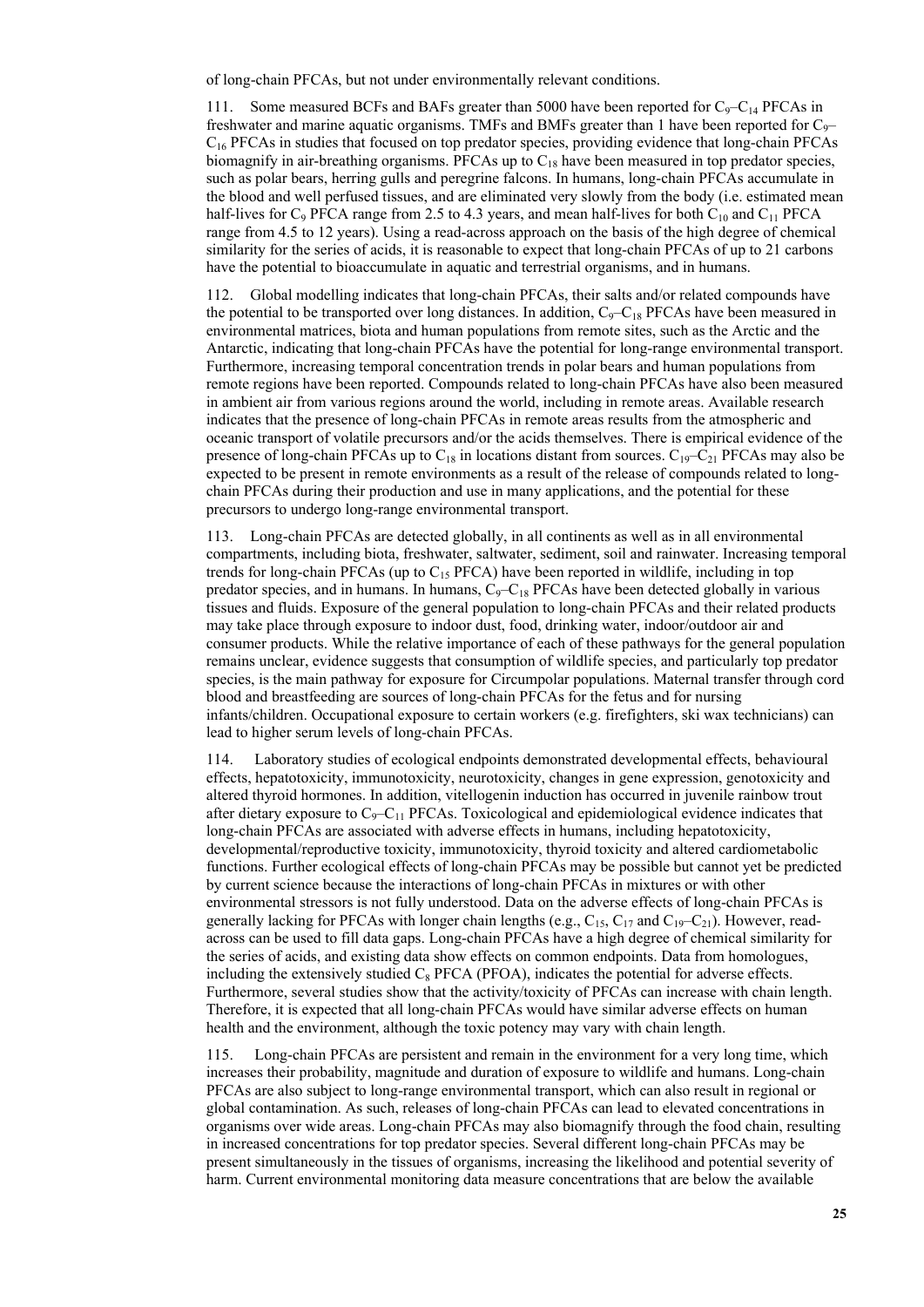of long-chain PFCAs, but not under environmentally relevant conditions.

111. Some measured BCFs and BAFs greater than 5000 have been reported for  $C_9 - C_{14}$  PFCAs in freshwater and marine aquatic organisms. TMFs and BMFs greater than 1 have been reported for  $C<sub>9</sub>$ –  $C_{16}$  PFCAs in studies that focused on top predator species, providing evidence that long-chain PFCAs biomagnify in air-breathing organisms. PFCAs up to  $C_{18}$  have been measured in top predator species, such as polar bears, herring gulls and peregrine falcons. In humans, long-chain PFCAs accumulate in the blood and well perfused tissues, and are eliminated very slowly from the body (i.e. estimated mean half-lives for  $C_9$  PFCA range from 2.5 to 4.3 years, and mean half-lives for both  $C_{10}$  and  $C_{11}$  PFCA range from 4.5 to 12 years). Using a read-across approach on the basis of the high degree of chemical similarity for the series of acids, it is reasonable to expect that long-chain PFCAs of up to 21 carbons have the potential to bioaccumulate in aquatic and terrestrial organisms, and in humans.

Global modelling indicates that long-chain PFCAs, their salts and/or related compounds have the potential to be transported over long distances. In addition,  $C_9-C_{18}$  PFCAs have been measured in environmental matrices, biota and human populations from remote sites, such as the Arctic and the Antarctic, indicating that long-chain PFCAs have the potential for long-range environmental transport. Furthermore, increasing temporal concentration trends in polar bears and human populations from remote regions have been reported. Compounds related to long-chain PFCAs have also been measured in ambient air from various regions around the world, including in remote areas. Available research indicates that the presence of long-chain PFCAs in remote areas results from the atmospheric and oceanic transport of volatile precursors and/or the acids themselves. There is empirical evidence of the presence of long-chain PFCAs up to  $C_{18}$  in locations distant from sources.  $C_{19}-C_{21}$  PFCAs may also be expected to be present in remote environments as a result of the release of compounds related to longchain PFCAs during their production and use in many applications, and the potential for these precursors to undergo long-range environmental transport.

113. Long-chain PFCAs are detected globally, in all continents as well as in all environmental compartments, including biota, freshwater, saltwater, sediment, soil and rainwater. Increasing temporal trends for long-chain PFCAs (up to  $C_{15}$  PFCA) have been reported in wildlife, including in top predator species, and in humans. In humans,  $C_9 - C_{18}$  PFCAs have been detected globally in various tissues and fluids. Exposure of the general population to long-chain PFCAs and their related products may take place through exposure to indoor dust, food, drinking water, indoor/outdoor air and consumer products. While the relative importance of each of these pathways for the general population remains unclear, evidence suggests that consumption of wildlife species, and particularly top predator species, is the main pathway for exposure for Circumpolar populations. Maternal transfer through cord blood and breastfeeding are sources of long-chain PFCAs for the fetus and for nursing infants/children. Occupational exposure to certain workers (e.g. firefighters, ski wax technicians) can lead to higher serum levels of long-chain PFCAs.

114. Laboratory studies of ecological endpoints demonstrated developmental effects, behavioural effects, hepatotoxicity, immunotoxicity, neurotoxicity, changes in gene expression, genotoxicity and altered thyroid hormones. In addition, vitellogenin induction has occurred in juvenile rainbow trout after dietary exposure to  $C_9 - C_{11}$  PFCAs. Toxicological and epidemiological evidence indicates that long-chain PFCAs are associated with adverse effects in humans, including hepatotoxicity, developmental/reproductive toxicity, immunotoxicity, thyroid toxicity and altered cardiometabolic functions. Further ecological effects of long-chain PFCAs may be possible but cannot yet be predicted by current science because the interactions of long-chain PFCAs in mixtures or with other environmental stressors is not fully understood. Data on the adverse effects of long-chain PFCAs is generally lacking for PFCAs with longer chain lengths (e.g.,  $C_{15}$ ,  $C_{17}$  and  $C_{19}-C_{21}$ ). However, readacross can be used to fill data gaps. Long-chain PFCAs have a high degree of chemical similarity for the series of acids, and existing data show effects on common endpoints. Data from homologues, including the extensively studied  $C_8$  PFCA (PFOA), indicates the potential for adverse effects. Furthermore, several studies show that the activity/toxicity of PFCAs can increase with chain length. Therefore, it is expected that all long-chain PFCAs would have similar adverse effects on human health and the environment, although the toxic potency may vary with chain length.

115. Long-chain PFCAs are persistent and remain in the environment for a very long time, which increases their probability, magnitude and duration of exposure to wildlife and humans. Long-chain PFCAs are also subject to long-range environmental transport, which can also result in regional or global contamination. As such, releases of long-chain PFCAs can lead to elevated concentrations in organisms over wide areas. Long-chain PFCAs may also biomagnify through the food chain, resulting in increased concentrations for top predator species. Several different long-chain PFCAs may be present simultaneously in the tissues of organisms, increasing the likelihood and potential severity of harm. Current environmental monitoring data measure concentrations that are below the available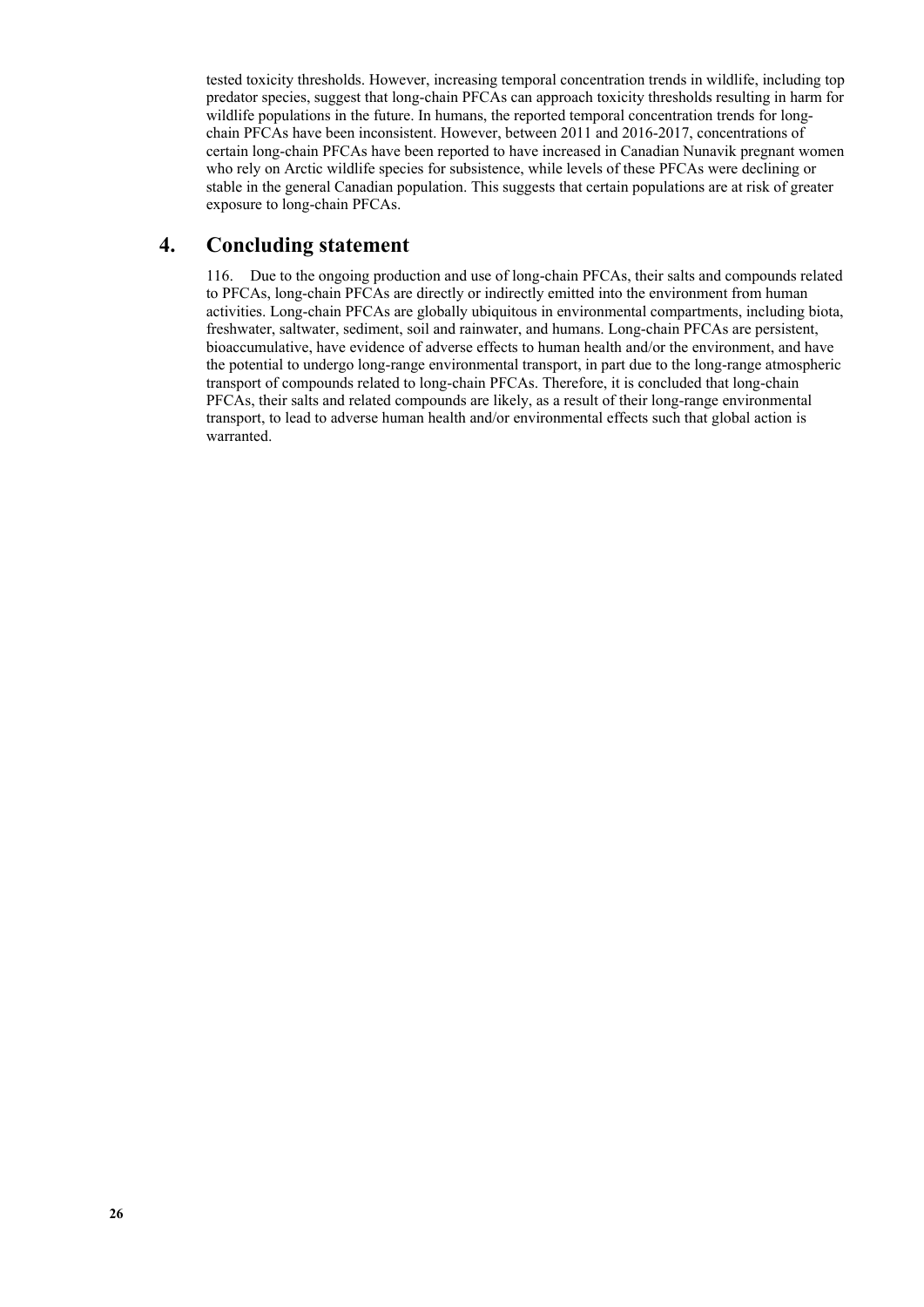tested toxicity thresholds. However, increasing temporal concentration trends in wildlife, including top predator species, suggest that long-chain PFCAs can approach toxicity thresholds resulting in harm for wildlife populations in the future. In humans, the reported temporal concentration trends for longchain PFCAs have been inconsistent. However, between 2011 and 2016-2017, concentrations of certain long-chain PFCAs have been reported to have increased in Canadian Nunavik pregnant women who rely on Arctic wildlife species for subsistence, while levels of these PFCAs were declining or stable in the general Canadian population. This suggests that certain populations are at risk of greater exposure to long-chain PFCAs.

## **4. Concluding statement**

116. Due to the ongoing production and use of long-chain PFCAs, their salts and compounds related to PFCAs, long-chain PFCAs are directly or indirectly emitted into the environment from human activities. Long-chain PFCAs are globally ubiquitous in environmental compartments, including biota, freshwater, saltwater, sediment, soil and rainwater, and humans. Long-chain PFCAs are persistent, bioaccumulative, have evidence of adverse effects to human health and/or the environment, and have the potential to undergo long-range environmental transport, in part due to the long-range atmospheric transport of compounds related to long-chain PFCAs. Therefore, it is concluded that long-chain PFCAs, their salts and related compounds are likely, as a result of their long-range environmental transport, to lead to adverse human health and/or environmental effects such that global action is warranted.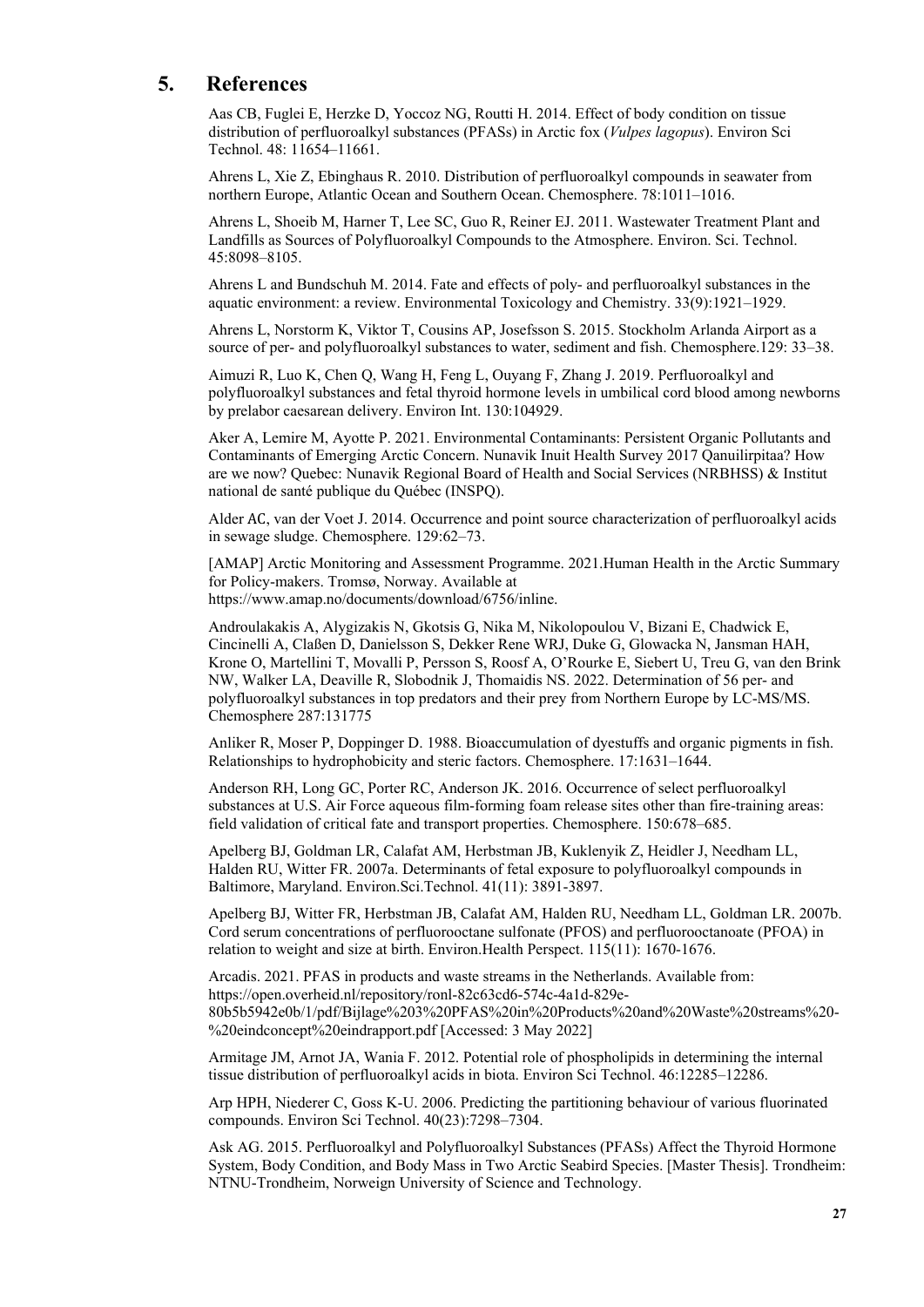## **5. References**

Aas CB, Fuglei E, Herzke D, Yoccoz NG, Routti H. 2014. Effect of body condition on tissue distribution of perfluoroalkyl substances (PFASs) in Arctic fox (*Vulpes lagopus*). Environ Sci Technol. 48: 11654–11661.

Ahrens L, Xie Z, Ebinghaus R. 2010. Distribution of perfluoroalkyl compounds in seawater from northern Europe, Atlantic Ocean and Southern Ocean. Chemosphere. 78:1011–1016.

Ahrens L, Shoeib M, Harner T, Lee SC, Guo R, Reiner EJ. 2011. Wastewater Treatment Plant and Landfills as Sources of Polyfluoroalkyl Compounds to the Atmosphere. Environ. Sci. Technol. 45:8098–8105.

Ahrens L and Bundschuh M. 2014. Fate and effects of poly- and perfluoroalkyl substances in the aquatic environment: a review. Environmental Toxicology and Chemistry. 33(9):1921–1929.

Ahrens L, Norstorm K, Viktor T, Cousins AP, Josefsson S. 2015. Stockholm Arlanda Airport as a source of per- and polyfluoroalkyl substances to water, sediment and fish. Chemosphere.129: 33–38.

Aimuzi R, Luo K, Chen Q, Wang H, Feng L, Ouyang F, Zhang J. 2019. Perfluoroalkyl and polyfluoroalkyl substances and fetal thyroid hormone levels in umbilical cord blood among newborns by prelabor caesarean delivery. Environ Int. 130:104929.

Aker A, Lemire M, Ayotte P. 2021. Environmental Contaminants: Persistent Organic Pollutants and Contaminants of Emerging Arctic Concern. Nunavik Inuit Health Survey 2017 Qanuilirpitaa? How are we now? Quebec: Nunavik Regional Board of Health and Social Services (NRBHSS) & Institut national de santé publique du Québec (INSPQ).

Alder AC, van der Voet J. 2014. Occurrence and point source characterization of perfluoroalkyl acids in sewage sludge. Chemosphere. 129:62–73.

[AMAP] Arctic Monitoring and Assessment Programme. 2021.Human Health in the Arctic Summary for Policy-makers. Tromsø, Norway. Available at <https://www.amap.no/documents/download/6756/inline>.

Androulakakis A, Alygizakis N, Gkotsis G, Nika M, Nikolopoulou V, Bizani E, Chadwick E, Cincinelli A, Claßen D, Danielsson S, Dekker Rene WRJ, Duke G, Glowacka N, Jansman HAH, Krone O, Martellini T, Movalli P, Persson S, Roosf A, O'Rourke E, Siebert U, Treu G, van den Brink NW, Walker LA, Deaville R, Slobodnik J, Thomaidis NS. 2022. Determination of 56 per- and polyfluoroalkyl substances in top predators and their prey from Northern Europe by LC-MS/MS. Chemosphere 287:131775

Anliker R, Moser P, Doppinger D. 1988. Bioaccumulation of dyestuffs and organic pigments in fish. Relationships to hydrophobicity and steric factors. Chemosphere. 17:1631–1644.

Anderson RH, Long GC, Porter RC, Anderson JK. 2016. Occurrence of select perfluoroalkyl substances at U.S. Air Force aqueous film-forming foam release sites other than fire-training areas: field validation of critical fate and transport properties. Chemosphere. 150:678–685.

Apelberg BJ, Goldman LR, Calafat AM, Herbstman JB, Kuklenyik Z, Heidler J, Needham LL, Halden RU, Witter FR. 2007a. Determinants of fetal exposure to polyfluoroalkyl compounds in Baltimore, Maryland. Environ.Sci.Technol. 41(11): 3891-3897.

Apelberg BJ, Witter FR, Herbstman JB, Calafat AM, Halden RU, Needham LL, Goldman LR. 2007b. Cord serum concentrations of perfluorooctane sulfonate (PFOS) and perfluorooctanoate (PFOA) in relation to weight and size at birth. Environ.Health Perspect. 115(11): 1670-1676.

Arcadis. 2021. PFAS in products and waste streams in the Netherlands. Available from: [https://open.overheid.nl/repository/ronl-82c63cd6-574c-4a1d-829e-](https://open.overheid.nl/repository/ronl-82c63cd6-574c-4a1d-829e-80b5b5942e0b/1/pdf/Bijlage%203%20PFAS%20in%20Products%20and%20Waste%20streams%20-%20eindconcept%20eindrapport.pdf)[80b5b5942e0b/1/pdf/Bijlage%203%20PFAS%20in%20Products%20and%20Waste%20streams%20-](https://open.overheid.nl/repository/ronl-82c63cd6-574c-4a1d-829e-80b5b5942e0b/1/pdf/Bijlage%203%20PFAS%20in%20Products%20and%20Waste%20streams%20-%20eindconcept%20eindrapport.pdf) [%20eindconcept%20eindrapport.pdf](https://open.overheid.nl/repository/ronl-82c63cd6-574c-4a1d-829e-80b5b5942e0b/1/pdf/Bijlage%203%20PFAS%20in%20Products%20and%20Waste%20streams%20-%20eindconcept%20eindrapport.pdf) [Accessed: 3 May 2022]

Armitage JM, Arnot JA, Wania F. 2012. Potential role of phospholipids in determining the internal tissue distribution of perfluoroalkyl acids in biota. Environ Sci Technol. 46:12285–12286.

Arp HPH, Niederer C, Goss K-U. 2006. Predicting the partitioning behaviour of various fluorinated compounds. Environ Sci Technol. 40(23):7298–7304.

Ask AG. 2015. Perfluoroalkyl and Polyfluoroalkyl Substances (PFASs) Affect the Thyroid Hormone System, Body Condition, and Body Mass in Two Arctic Seabird Species. [Master Thesis]. Trondheim: NTNU-Trondheim, Norweign University of Science and Technology.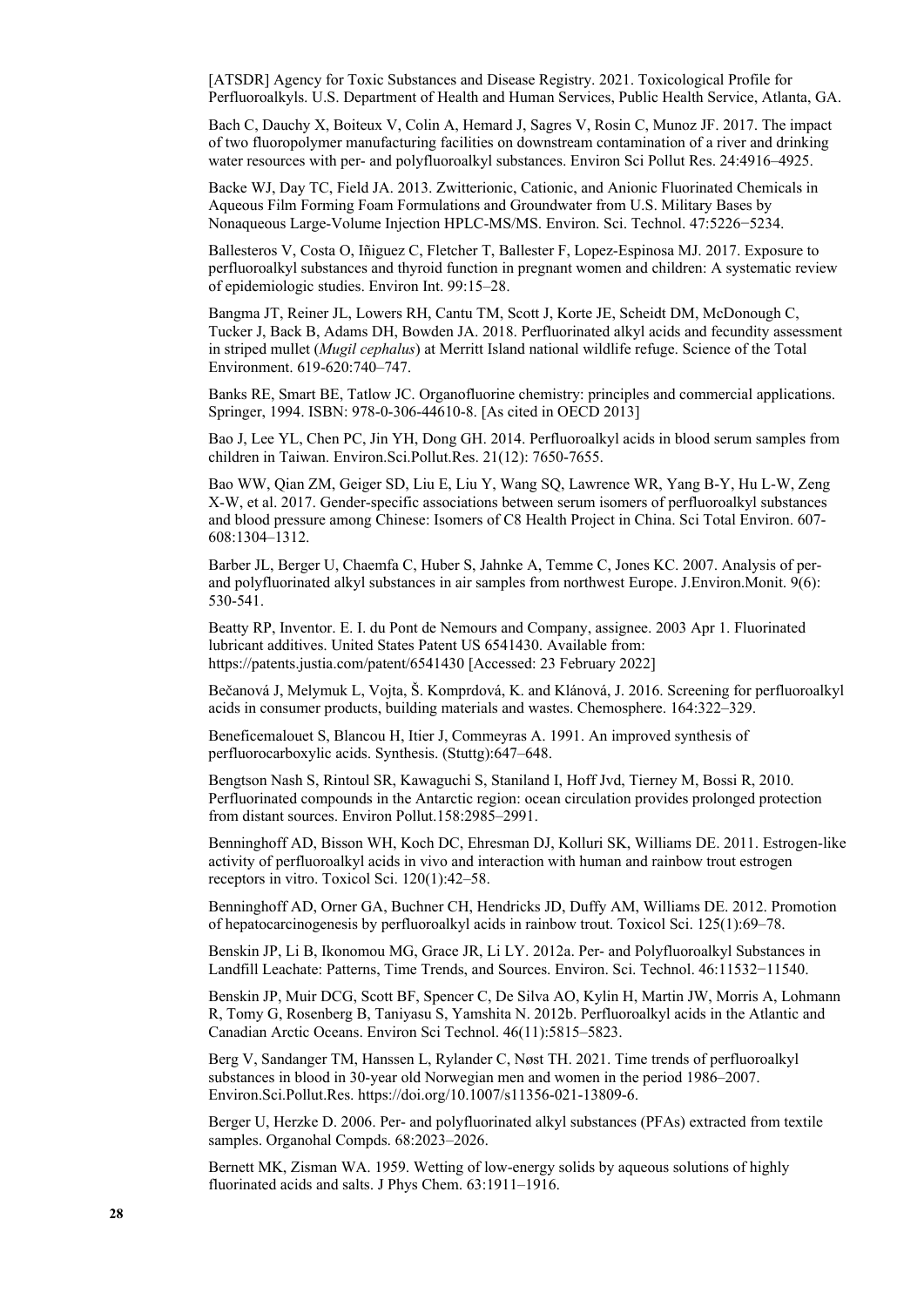[ATSDR] Agency for Toxic Substances and Disease Registry. 2021. Toxicological Profile for Perfluoroalkyls. U.S. Department of Health and Human Services, Public Health Service, Atlanta, GA.

Bach C, Dauchy X, Boiteux V, Colin A, Hemard J, Sagres V, Rosin C, Munoz JF. 2017. The impact of two fluoropolymer manufacturing facilities on downstream contamination of a river and drinking water resources with per- and polyfluoroalkyl substances. Environ Sci Pollut Res. 24:4916–4925.

Backe WJ, Day TC, Field JA. 2013. Zwitterionic, Cationic, and Anionic Fluorinated Chemicals in Aqueous Film Forming Foam Formulations and Groundwater from U.S. Military Bases by Nonaqueous Large-Volume Injection HPLC-MS/MS. Environ. Sci. Technol. 47:5226−5234.

Ballesteros V, Costa O, Iñiguez C, Fletcher T, Ballester F, Lopez-Espinosa MJ. 2017. Exposure to perfluoroalkyl substances and thyroid function in pregnant women and children: A systematic review of epidemiologic studies. Environ Int. 99:15–28.

Bangma JT, Reiner JL, Lowers RH, Cantu TM, Scott J, Korte JE, Scheidt DM, McDonough C, Tucker J, Back B, Adams DH, Bowden JA. 2018. Perfluorinated alkyl acids and fecundity assessment in striped mullet (*Mugil cephalus*) at Merritt Island national wildlife refuge. Science of the Total Environment. 619-620:740–747.

Banks RE, Smart BE, Tatlow JC. Organofluorine chemistry: principles and commercial applications. Springer, 1994. ISBN: 978-0-306-44610-8. [As cited in OECD 2013]

Bao J, Lee YL, Chen PC, Jin YH, Dong GH. 2014. Perfluoroalkyl acids in blood serum samples from children in Taiwan. Environ.Sci.Pollut.Res. 21(12): 7650-7655.

Bao WW, Qian ZM, Geiger SD, Liu E, Liu Y, Wang SQ, Lawrence WR, Yang B-Y, Hu L-W, Zeng X-W, et al. 2017. Gender-specific associations between serum isomers of perfluoroalkyl substances and blood pressure among Chinese: Isomers of C8 Health Project in China. Sci Total Environ. 607- 608:1304–1312.

Barber JL, Berger U, Chaemfa C, Huber S, Jahnke A, Temme C, Jones KC. 2007. Analysis of perand polyfluorinated alkyl substances in air samples from northwest Europe. J.Environ.Monit. 9(6): 530-541.

Beatty RP, Inventor. E. I. du Pont de Nemours and Company, assignee. 2003 Apr 1. Fluorinated lubricant additives. United States Patent US 6541430. Available from: https://patents.justia.com/patent/6541430 [Accessed: 23 February 2022]

Bečanová J, Melymuk L, Vojta, Š. Komprdová, K. and Klánová, J. 2016. Screening for perfluoroalkyl acids in consumer products, building materials and wastes. Chemosphere. 164:322–329.

Beneficemalouet S, Blancou H, Itier J, Commeyras A. 1991. An improved synthesis of perfluorocarboxylic acids. Synthesis. (Stuttg):647–648.

Bengtson Nash S, Rintoul SR, Kawaguchi S, Staniland I, Hoff Jvd, Tierney M, Bossi R, 2010. Perfluorinated compounds in the Antarctic region: ocean circulation provides prolonged protection from distant sources. Environ Pollut.158:2985–2991.

Benninghoff AD, Bisson WH, Koch DC, Ehresman DJ, Kolluri SK, Williams DE. 2011. Estrogen-like activity of perfluoroalkyl acids in vivo and interaction with human and rainbow trout estrogen receptors in vitro. Toxicol Sci. 120(1):42–58.

Benninghoff AD, Orner GA, Buchner CH, Hendricks JD, Duffy AM, Williams DE. 2012. Promotion of hepatocarcinogenesis by perfluoroalkyl acids in rainbow trout. Toxicol Sci. 125(1):69–78.

Benskin JP, Li B, Ikonomou MG, Grace JR, Li LY. 2012a. Per- and Polyfluoroalkyl Substances in Landfill Leachate: Patterns, Time Trends, and Sources. Environ. Sci. Technol. 46:11532−11540.

Benskin JP, Muir DCG, Scott BF, Spencer C, De Silva AO, Kylin H, Martin JW, Morris A, Lohmann R, Tomy G, Rosenberg B, Taniyasu S, Yamshita N. 2012b. Perfluoroalkyl acids in the Atlantic and Canadian Arctic Oceans. Environ Sci Technol. 46(11):5815–5823.

Berg V, Sandanger TM, Hanssen L, Rylander C, Nøst TH. 2021. Time trends of perfluoroalkyl substances in blood in 30-year old Norwegian men and women in the period 1986–2007. Environ.Sci.Pollut.Res. https://doi.org/10.1007/s11356-021-13809-6.

Berger U, Herzke D. 2006. Per- and polyfluorinated alkyl substances (PFAs) extracted from textile samples. Organohal Compds. 68:2023–2026.

Bernett MK, Zisman WA. 1959. Wetting of low-energy solids by aqueous solutions of highly fluorinated acids and salts. J Phys Chem. 63:1911–1916.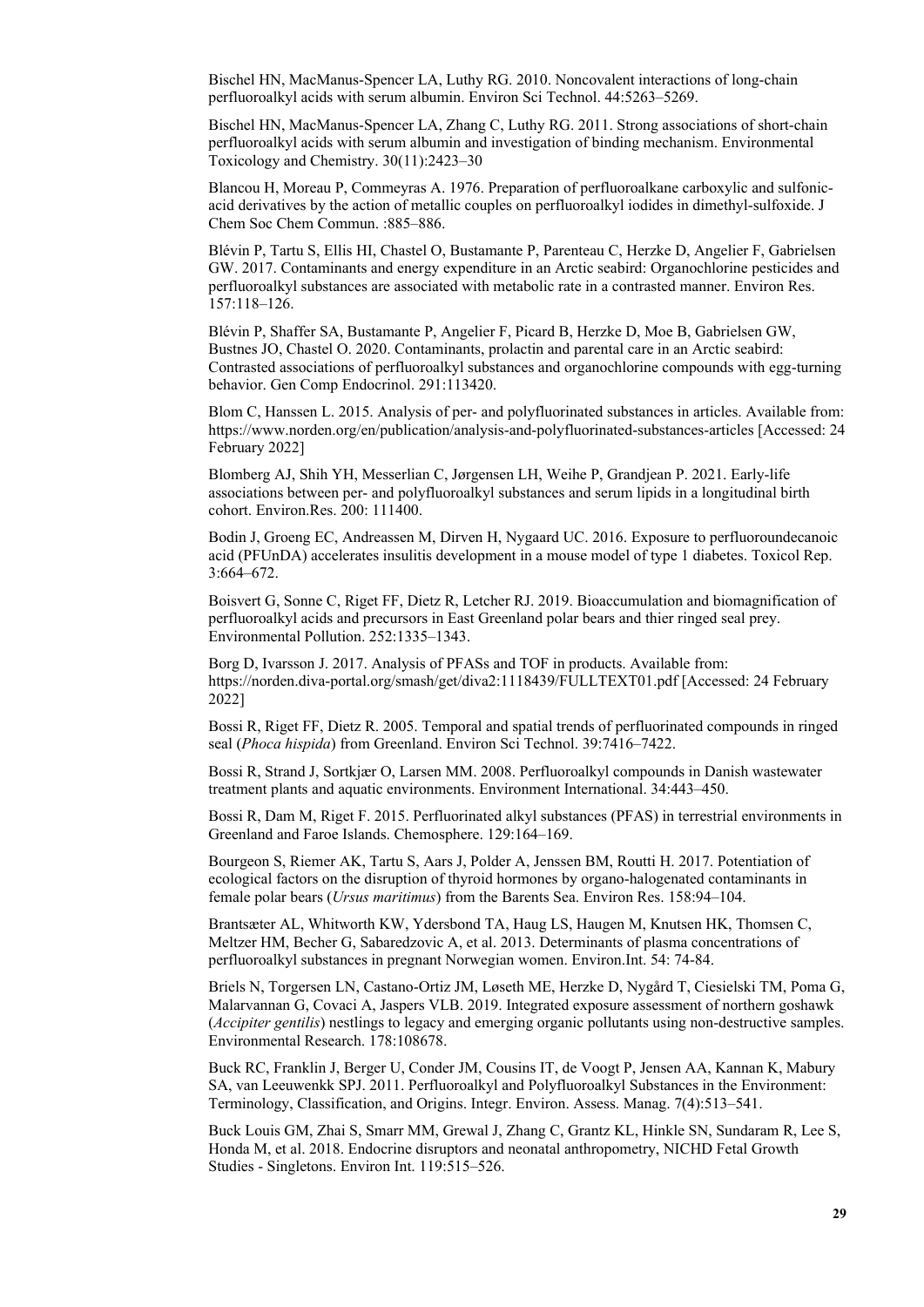Bischel HN, MacManus-Spencer LA, Luthy RG. 2010. Noncovalent interactions of long-chain perfluoroalkyl acids with serum albumin. Environ Sci Technol. 44:5263–5269.

Bischel HN, MacManus-Spencer LA, Zhang C, Luthy RG. 2011. Strong associations of short-chain perfluoroalkyl acids with serum albumin and investigation of binding mechanism. Environmental Toxicology and Chemistry. 30(11):2423–30

Blancou H, Moreau P, Commeyras A. 1976. Preparation of perfluoroalkane carboxylic and sulfonicacid derivatives by the action of metallic couples on perfluoroalkyl iodides in dimethyl-sulfoxide. J Chem Soc Chem Commun. :885–886.

Blévin P, Tartu S, Ellis HI, Chastel O, Bustamante P, Parenteau C, Herzke D, Angelier F, Gabrielsen GW. 2017. Contaminants and energy expenditure in an Arctic seabird: Organochlorine pesticides and perfluoroalkyl substances are associated with metabolic rate in a contrasted manner. Environ Res. 157:118–126.

Blévin P, Shaffer SA, Bustamante P, Angelier F, Picard B, Herzke D, Moe B, Gabrielsen GW, Bustnes JO, Chastel O. 2020. Contaminants, prolactin and parental care in an Arctic seabird: Contrasted associations of perfluoroalkyl substances and organochlorine compounds with egg-turning behavior. Gen Comp Endocrinol. 291:113420.

Blom C, Hanssen L. 2015. Analysis of per- and polyfluorinated substances in articles. Available from: <https://www.norden.org/en/publication/analysis-and-polyfluorinated-substances-articles>[Accessed: 24 February 2022]

Blomberg AJ, Shih YH, Messerlian C, Jørgensen LH, Weihe P, Grandjean P. 2021. Early-life associations between per- and polyfluoroalkyl substances and serum lipids in a longitudinal birth cohort. Environ.Res. 200: 111400.

Bodin J, Groeng EC, Andreassen M, Dirven H, Nygaard UC. 2016. Exposure to perfluoroundecanoic acid (PFUnDA) accelerates insulitis development in a mouse model of type 1 diabetes. Toxicol Rep. 3:664–672.

Boisvert G, Sonne C, Riget FF, Dietz R, Letcher RJ. 2019. Bioaccumulation and biomagnification of perfluoroalkyl acids and precursors in East Greenland polar bears and thier ringed seal prey. Environmental Pollution. 252:1335–1343.

Borg D, Ivarsson J. 2017. Analysis of PFASs and TOF in products. Available from: <https://norden.diva-portal.org/smash/get/diva2:1118439/FULLTEXT01.pdf>[Accessed: 24 February 2022]

Bossi R, Riget FF, Dietz R. 2005. Temporal and spatial trends of perfluorinated compounds in ringed seal (*Phoca hispida*) from Greenland. Environ Sci Technol. 39:7416–7422.

Bossi R, Strand J, Sortkjær O, Larsen MM. 2008. Perfluoroalkyl compounds in Danish wastewater treatment plants and aquatic environments. Environment International. 34:443–450.

Bossi R, Dam M, Riget F. 2015. Perfluorinated alkyl substances (PFAS) in terrestrial environments in Greenland and Faroe Islands. Chemosphere. 129:164–169.

Bourgeon S, Riemer AK, Tartu S, Aars J, Polder A, Jenssen BM, Routti H. 2017. Potentiation of ecological factors on the disruption of thyroid hormones by organo-halogenated contaminants in female polar bears (*Ursus maritimus*) from the Barents Sea. Environ Res. 158:94–104.

Brantsæter AL, Whitworth KW, Ydersbond TA, Haug LS, Haugen M, Knutsen HK, Thomsen C, Meltzer HM, Becher G, Sabaredzovic A, et al. 2013. Determinants of plasma concentrations of perfluoroalkyl substances in pregnant Norwegian women. Environ.Int. 54: 74-84.

Briels N, Torgersen LN, Castano-Ortiz JM, Løseth ME, Herzke D, Nygård T, Ciesielski TM, Poma G, Malarvannan G, Covaci A, Jaspers VLB. 2019. Integrated exposure assessment of northern goshawk (*Accipiter gentilis*) nestlings to legacy and emerging organic pollutants using non-destructive samples. Environmental Research. 178:108678.

Buck RC, Franklin J, Berger U, Conder JM, Cousins IT, de Voogt P, Jensen AA, Kannan K, Mabury SA, van Leeuwenkk SPJ. 2011. Perfluoroalkyl and Polyfluoroalkyl Substances in the Environment: Terminology, Classification, and Origins. Integr. Environ. Assess. Manag. 7(4):513–541.

Buck Louis GM, Zhai S, Smarr MM, Grewal J, Zhang C, Grantz KL, Hinkle SN, Sundaram R, Lee S, Honda M, et al. 2018. Endocrine disruptors and neonatal anthropometry, NICHD Fetal Growth Studies - Singletons. Environ Int. 119:515–526.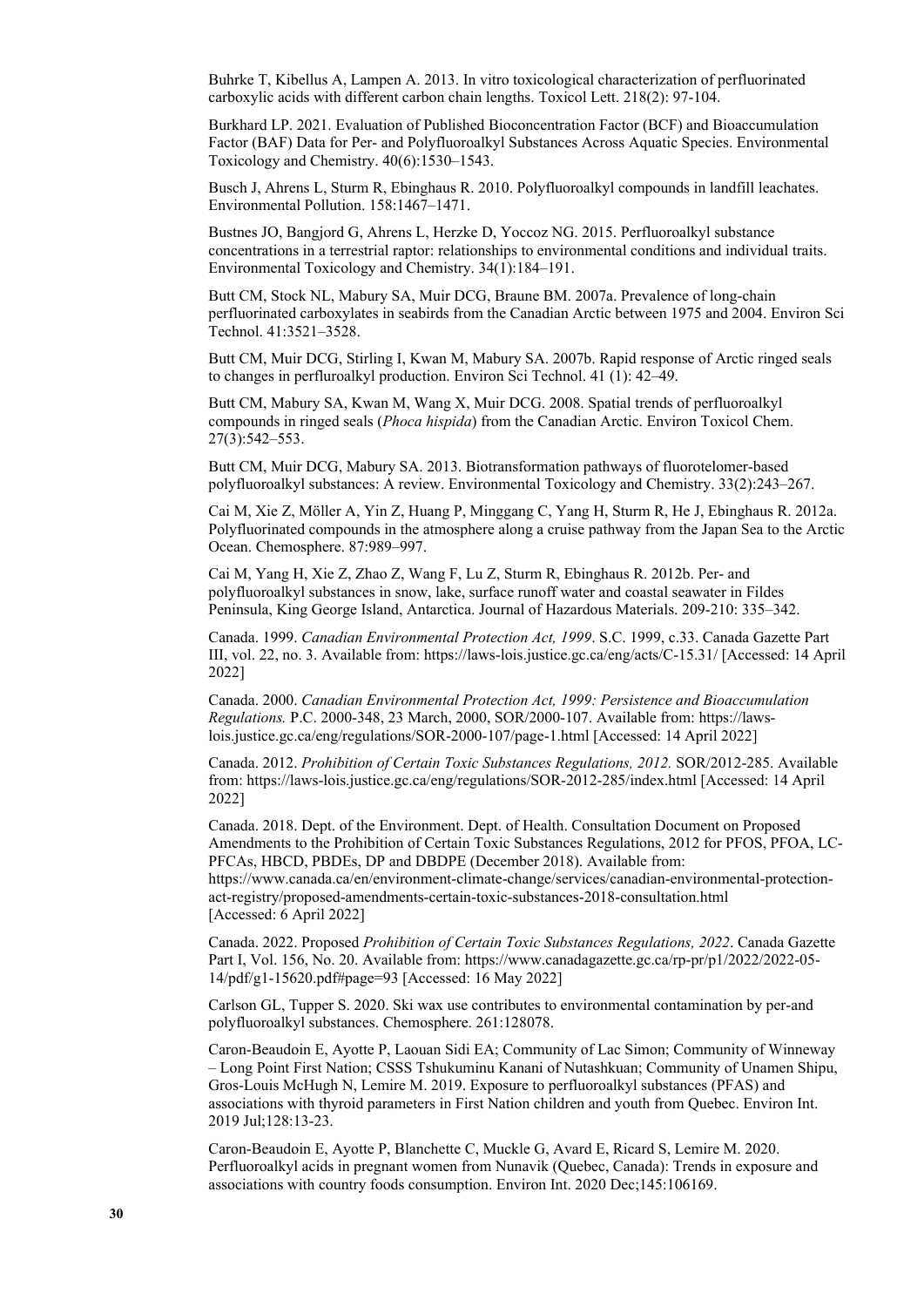Buhrke T, Kibellus A, Lampen A. 2013. In vitro toxicological characterization of perfluorinated carboxylic acids with different carbon chain lengths. Toxicol Lett. 218(2): 97-104.

Burkhard LP. 2021. Evaluation of Published Bioconcentration Factor (BCF) and Bioaccumulation Factor (BAF) Data for Per‐ and Polyfluoroalkyl Substances Across Aquatic Species. Environmental Toxicology and Chemistry. 40(6):1530–1543.

Busch J, Ahrens L, Sturm R, Ebinghaus R. 2010. Polyfluoroalkyl compounds in landfill leachates. Environmental Pollution. 158:1467–1471.

Bustnes JO, Bangjord G, Ahrens L, Herzke D, Yoccoz NG. 2015. Perfluoroalkyl substance concentrations in a terrestrial raptor: relationships to environmental conditions and individual traits. Environmental Toxicology and Chemistry. 34(1):184–191.

Butt CM, Stock NL, Mabury SA, Muir DCG, Braune BM. 2007a. Prevalence of long-chain perfluorinated carboxylates in seabirds from the Canadian Arctic between 1975 and 2004. Environ Sci Technol. 41:3521–3528.

Butt CM, Muir DCG, Stirling I, Kwan M, Mabury SA. 2007b. Rapid response of Arctic ringed seals to changes in perfluroalkyl production. Environ Sci Technol. 41 (1): 42–49.

Butt CM, Mabury SA, Kwan M, Wang X, Muir DCG. 2008. Spatial trends of perfluoroalkyl compounds in ringed seals (*Phoca hispida*) from the Canadian Arctic. Environ Toxicol Chem. 27(3):542–553.

Butt CM, Muir DCG, Mabury SA. 2013. Biotransformation pathways of fluorotelomer-based polyfluoroalkyl substances: A review. Environmental Toxicology and Chemistry. 33(2):243–267.

Cai M, Xie Z, Möller A, Yin Z, Huang P, Minggang C, Yang H, Sturm R, He J, Ebinghaus R. 2012a. Polyfluorinated compounds in the atmosphere along a cruise pathway from the Japan Sea to the Arctic Ocean. Chemosphere. 87:989–997.

Cai M, Yang H, Xie Z, Zhao Z, Wang F, Lu Z, Sturm R, Ebinghaus R. 2012b. Per- and polyfluoroalkyl substances in snow, lake, surface runoff water and coastal seawater in Fildes Peninsula, King George Island, Antarctica. Journal of Hazardous Materials. 209-210: 335–342.

Canada. 1999. *Canadian Environmental Protection Act, 1999*. S.C. 1999, c.33. Canada Gazette Part III, vol. 22, no. 3. Available from:<https://laws-lois.justice.gc.ca/eng/acts/C-15.31/>[Accessed: 14 April 2022]

Canada. 2000. *Canadian Environmental Protection Act, 1999: Persistence and Bioaccumulation Regulations.* P.C. 2000-348, 23 March, 2000, SOR/2000-107. Available from: https://lawslois.justice.gc.ca/eng/regulations/SOR-2000-107/page-1.html [Accessed: 14 April 2022]

Canada. 2012. *Prohibition of Certain Toxic Substances Regulations, 2012.* SOR/2012-285. Available from:<https://laws-lois.justice.gc.ca/eng/regulations/SOR-2012-285/index.html> [Accessed: 14 April 2022]

Canada. 2018. Dept. of the Environment. Dept. of Health. Consultation Document on Proposed Amendments to the Prohibition of Certain Toxic Substances Regulations, 2012 for PFOS, PFOA, LC-PFCAs, HBCD, PBDEs, DP and DBDPE (December 2018). Available from: [https://www.canada.ca/en/environment-climate-change/services/canadian-environmental-protection](https://www.canada.ca/en/environment-climate-change/services/canadian-environmental-protection-act-registry/proposed-amendments-certain-toxic-substances-2018-consultation.html)[act-registry/proposed-amendments-certain-toxic-substances-2018-consultation.html](https://www.canada.ca/en/environment-climate-change/services/canadian-environmental-protection-act-registry/proposed-amendments-certain-toxic-substances-2018-consultation.html)  [Accessed: 6 April 2022]

Canada. 2022. Proposed *Prohibition of Certain Toxic Substances Regulations, 2022*. Canada Gazette Part I, Vol. 156, No. 20. Available from: [https://www.canadagazette.gc.ca/rp-pr/p1/2022/2022-05-](https://www.canadagazette.gc.ca/rp-pr/p1/2022/2022-05-14/pdf/g1-15620.pdf#page=93) [14/pdf/g1-15620.pdf#page=93](https://www.canadagazette.gc.ca/rp-pr/p1/2022/2022-05-14/pdf/g1-15620.pdf#page=93) [Accessed: 16 May 2022]

Carlson GL, Tupper S. 2020. Ski wax use contributes to environmental contamination by per-and polyfluoroalkyl substances. Chemosphere. 261:128078.

Caron-Beaudoin E, Ayotte P, Laouan Sidi EA; Community of Lac Simon; Community of Winneway – Long Point First Nation; CSSS Tshukuminu Kanani of Nutashkuan; Community of Unamen Shipu, Gros-Louis McHugh N, Lemire M. 2019. Exposure to perfluoroalkyl substances (PFAS) and associations with thyroid parameters in First Nation children and youth from Quebec. Environ Int. 2019 Jul;128:13-23.

Caron-Beaudoin E, Ayotte P, Blanchette C, Muckle G, Avard E, Ricard S, Lemire M. 2020. Perfluoroalkyl acids in pregnant women from Nunavik (Quebec, Canada): Trends in exposure and associations with country foods consumption. Environ Int. 2020 Dec;145:106169.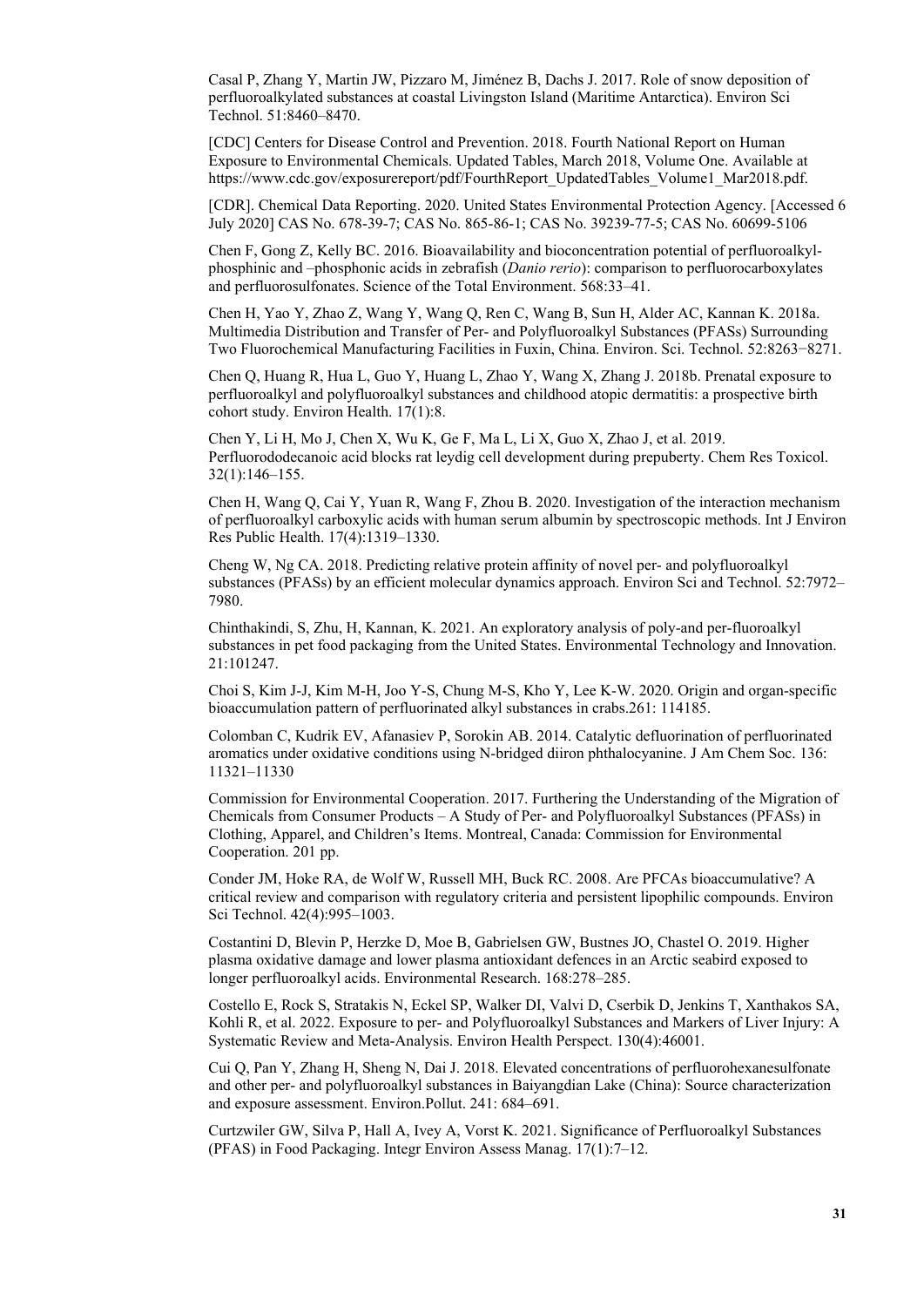Casal P, Zhang Y, Martin JW, Pizzaro M, Jiménez B, Dachs J. 2017. Role of snow deposition of perfluoroalkylated substances at coastal Livingston Island (Maritime Antarctica). Environ Sci Technol. 51:8460–8470.

[CDC] Centers for Disease Control and Prevention. 2018. Fourth National Report on Human Exposure to Environmental Chemicals. Updated Tables, March 2018, Volume One. Available at https://www.cdc.gov/exposurereport/pdf/FourthReport\_UpdatedTables\_Volume1\_Mar2018.pdf.

[CDR]. Chemical Data Reporting. 2020. United States Environmental Protection Agency. [Accessed 6 July 2020] CAS No. 678-39-7; CAS No. 865-86-1; CAS No. 39239-77-5; CAS No. 60699-5106

Chen F, Gong Z, Kelly BC. 2016. Bioavailability and bioconcentration potential of perfluoroalkylphosphinic and –phosphonic acids in zebrafish (*Danio rerio*): comparison to perfluorocarboxylates and perfluorosulfonates. Science of the Total Environment. 568:33–41.

Chen H, Yao Y, Zhao Z, Wang Y, Wang Q, Ren C, Wang B, Sun H, Alder AC, Kannan K. 2018a. Multimedia Distribution and Transfer of Per- and Polyfluoroalkyl Substances (PFASs) Surrounding Two Fluorochemical Manufacturing Facilities in Fuxin, China. Environ. Sci. Technol. 52:8263−8271.

Chen Q, Huang R, Hua L, Guo Y, Huang L, Zhao Y, Wang X, Zhang J. 2018b. Prenatal exposure to perfluoroalkyl and polyfluoroalkyl substances and childhood atopic dermatitis: a prospective birth cohort study. Environ Health. 17(1):8.

Chen Y, Li H, Mo J, Chen X, Wu K, Ge F, Ma L, Li X, Guo X, Zhao J, et al. 2019. Perfluorododecanoic acid blocks rat leydig cell development during prepuberty. Chem Res Toxicol. 32(1):146–155.

Chen H, Wang Q, Cai Y, Yuan R, Wang F, Zhou B. 2020. Investigation of the interaction mechanism of perfluoroalkyl carboxylic acids with human serum albumin by spectroscopic methods. Int J Environ Res Public Health. 17(4):1319–1330.

Cheng W, Ng CA. 2018. Predicting relative protein affinity of novel per- and polyfluoroalkyl substances (PFASs) by an efficient molecular dynamics approach. Environ Sci and Technol. 52:7972– 7980.

Chinthakindi, S, Zhu, H, Kannan, K. 2021. An exploratory analysis of poly-and per-fluoroalkyl substances in pet food packaging from the United States. Environmental Technology and Innovation. 21:101247.

Choi S, Kim J-J, Kim M-H, Joo Y-S, Chung M-S, Kho Y, Lee K-W. 2020. Origin and organ-specific bioaccumulation pattern of perfluorinated alkyl substances in crabs.261: 114185.

Colomban C, Kudrik EV, Afanasiev P, Sorokin AB. 2014. Catalytic defluorination of perfluorinated aromatics under oxidative conditions using N-bridged diiron phthalocyanine. J Am Chem Soc. 136: 11321–11330

Commission for Environmental Cooperation. 2017. Furthering the Understanding of the Migration of Chemicals from Consumer Products – A Study of Per- and Polyfluoroalkyl Substances (PFASs) in Clothing, Apparel, and Children's Items. Montreal, Canada: Commission for Environmental Cooperation. 201 pp.

Conder JM, Hoke RA, de Wolf W, Russell MH, Buck RC. 2008. Are PFCAs bioaccumulative? A critical review and comparison with regulatory criteria and persistent lipophilic compounds. Environ Sci Technol. 42(4):995–1003.

Costantini D, Blevin P, Herzke D, Moe B, Gabrielsen GW, Bustnes JO, Chastel O. 2019. Higher plasma oxidative damage and lower plasma antioxidant defences in an Arctic seabird exposed to longer perfluoroalkyl acids. Environmental Research. 168:278–285.

Costello E, Rock S, Stratakis N, Eckel SP, Walker DI, Valvi D, Cserbik D, Jenkins T, Xanthakos SA, Kohli R, et al. 2022. Exposure to per- and Polyfluoroalkyl Substances and Markers of Liver Injury: A Systematic Review and Meta-Analysis. Environ Health Perspect. 130(4):46001.

Cui Q, Pan Y, Zhang H, Sheng N, Dai J. 2018. Elevated concentrations of perfluorohexanesulfonate and other per- and polyfluoroalkyl substances in Baiyangdian Lake (China): Source characterization and exposure assessment. Environ.Pollut. 241: 684–691.

Curtzwiler GW, Silva P, Hall A, Ivey A, Vorst K. 2021. Significance of Perfluoroalkyl Substances (PFAS) in Food Packaging. Integr Environ Assess Manag. 17(1):7–12.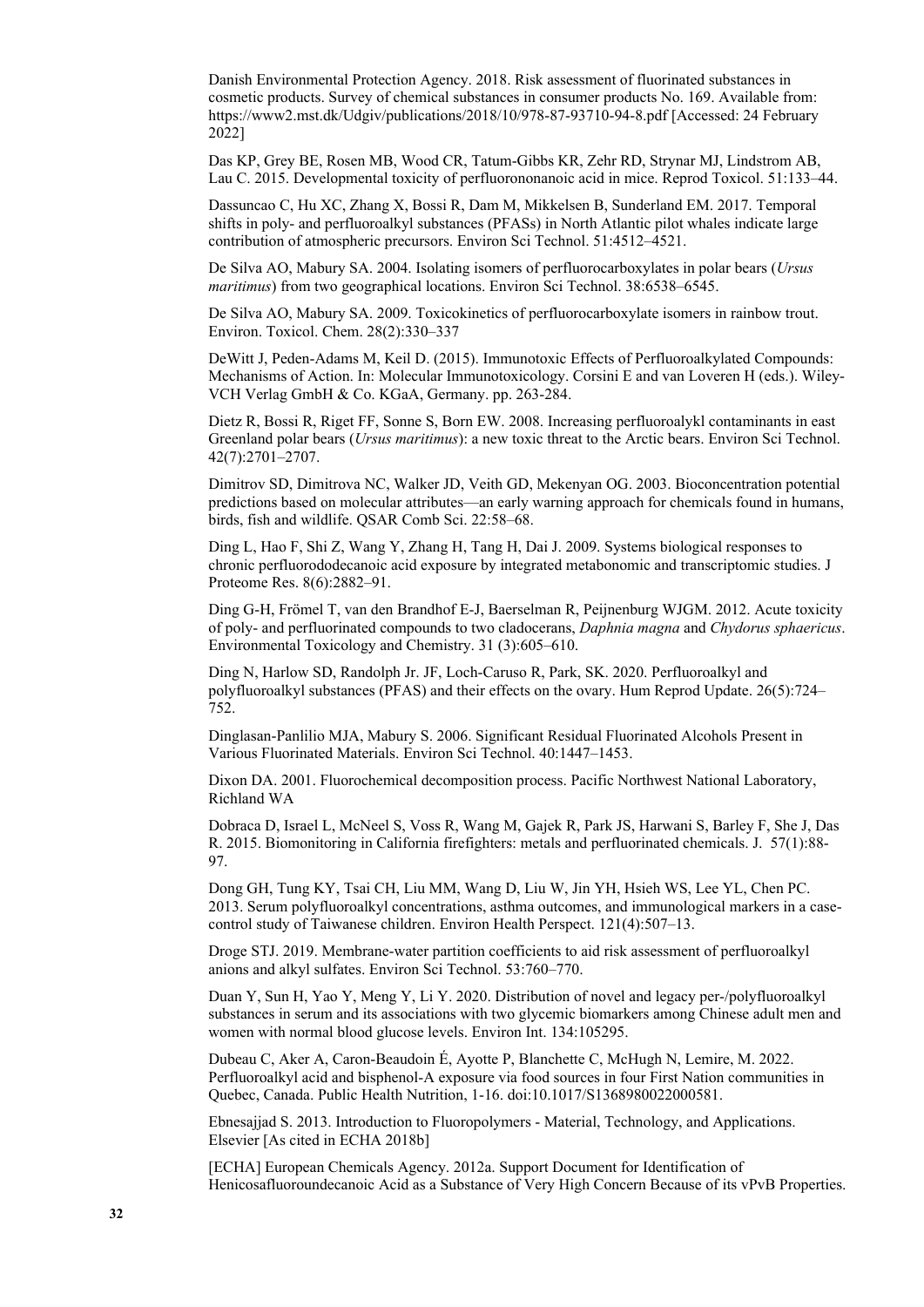Danish Environmental Protection Agency. 2018. Risk assessment of fluorinated substances in cosmetic products. Survey of chemical substances in consumer products No. 169. Available from: https://www2.mst.dk/Udgiv/publications/2018/10/978-87-93710-94-8.pdf [Accessed: 24 February 2022]

Das KP, Grey BE, Rosen MB, Wood CR, Tatum-Gibbs KR, Zehr RD, Strynar MJ, Lindstrom AB, Lau C. 2015. Developmental toxicity of perfluorononanoic acid in mice. Reprod Toxicol. 51:133–44.

Dassuncao C, Hu XC, Zhang X, Bossi R, Dam M, Mikkelsen B, Sunderland EM. 2017. Temporal shifts in poly- and perfluoroalkyl substances (PFASs) in North Atlantic pilot whales indicate large contribution of atmospheric precursors. Environ Sci Technol. 51:4512–4521.

De Silva AO, Mabury SA. 2004. Isolating isomers of perfluorocarboxylates in polar bears (*Ursus maritimus*) from two geographical locations. Environ Sci Technol. 38:6538–6545.

De Silva AO, Mabury SA. 2009. Toxicokinetics of perfluorocarboxylate isomers in rainbow trout. Environ. Toxicol. Chem. 28(2):330–337

DeWitt J, Peden-Adams M, Keil D. (2015). Immunotoxic Effects of Perfluoroalkylated Compounds: Mechanisms of Action. In: Molecular Immunotoxicology. Corsini E and van Loveren H (eds.). Wiley-VCH Verlag GmbH & Co. KGaA, Germany. pp. 263-284.

Dietz R, Bossi R, Riget FF, Sonne S, Born EW. 2008. Increasing perfluoroalykl contaminants in east Greenland polar bears (*Ursus maritimus*): a new toxic threat to the Arctic bears. Environ Sci Technol. 42(7):2701–2707.

Dimitrov SD, Dimitrova NC, Walker JD, Veith GD, Mekenyan OG. 2003. Bioconcentration potential predictions based on molecular attributes—an early warning approach for chemicals found in humans, birds, fish and wildlife. QSAR Comb Sci. 22:58–68.

Ding L, Hao F, Shi Z, Wang Y, Zhang H, Tang H, Dai J. 2009. Systems biological responses to chronic perfluorododecanoic acid exposure by integrated metabonomic and transcriptomic studies. J Proteome Res. 8(6):2882–91.

Ding G-H, Frömel T, van den Brandhof E-J, Baerselman R, Peijnenburg WJGM. 2012. Acute toxicity of poly- and perfluorinated compounds to two cladocerans, *Daphnia magna* and *Chydorus sphaericus*. Environmental Toxicology and Chemistry. 31 (3):605–610.

Ding N, Harlow SD, Randolph Jr. JF, Loch-Caruso R, Park, SK. 2020. Perfluoroalkyl and polyfluoroalkyl substances (PFAS) and their effects on the ovary. Hum Reprod Update. 26(5):724– 752.

Dinglasan-Panlilio MJA, Mabury S. 2006. Significant Residual Fluorinated Alcohols Present in Various Fluorinated Materials. Environ Sci Technol. 40:1447–1453.

Dixon DA. 2001. Fluorochemical decomposition process. Pacific Northwest National Laboratory, Richland WA

Dobraca D, Israel L, McNeel S, Voss R, Wang M, Gajek R, Park JS, Harwani S, Barley F, She J, Das R. 2015. Biomonitoring in California firefighters: metals and perfluorinated chemicals. J. 57(1):88- 97.

Dong GH, Tung KY, Tsai CH, Liu MM, Wang D, Liu W, Jin YH, Hsieh WS, Lee YL, Chen PC. 2013. Serum polyfluoroalkyl concentrations, asthma outcomes, and immunological markers in a casecontrol study of Taiwanese children. Environ Health Perspect. 121(4):507–13.

Droge STJ. 2019. Membrane-water partition coefficients to aid risk assessment of perfluoroalkyl anions and alkyl sulfates. Environ Sci Technol. 53:760–770.

Duan Y, Sun H, Yao Y, Meng Y, Li Y. 2020. Distribution of novel and legacy per-/polyfluoroalkyl substances in serum and its associations with two glycemic biomarkers among Chinese adult men and women with normal blood glucose levels. Environ Int. 134:105295.

Dubeau C, Aker A, Caron-Beaudoin É, Ayotte P, Blanchette C, McHugh N, Lemire, M. 2022. Perfluoroalkyl acid and bisphenol-A exposure via food sources in four First Nation communities in Quebec, Canada. Public Health Nutrition, 1-16. doi:10.1017/S1368980022000581.

Ebnesajjad S. 2013. Introduction to Fluoropolymers - Material, Technology, and Applications. Elsevier [As cited in ECHA 2018b]

[ECHA] European Chemicals Agency. 2012a. Support Document for Identification of Henicosafluoroundecanoic Acid as a Substance of Very High Concern Because of its vPvB Properties.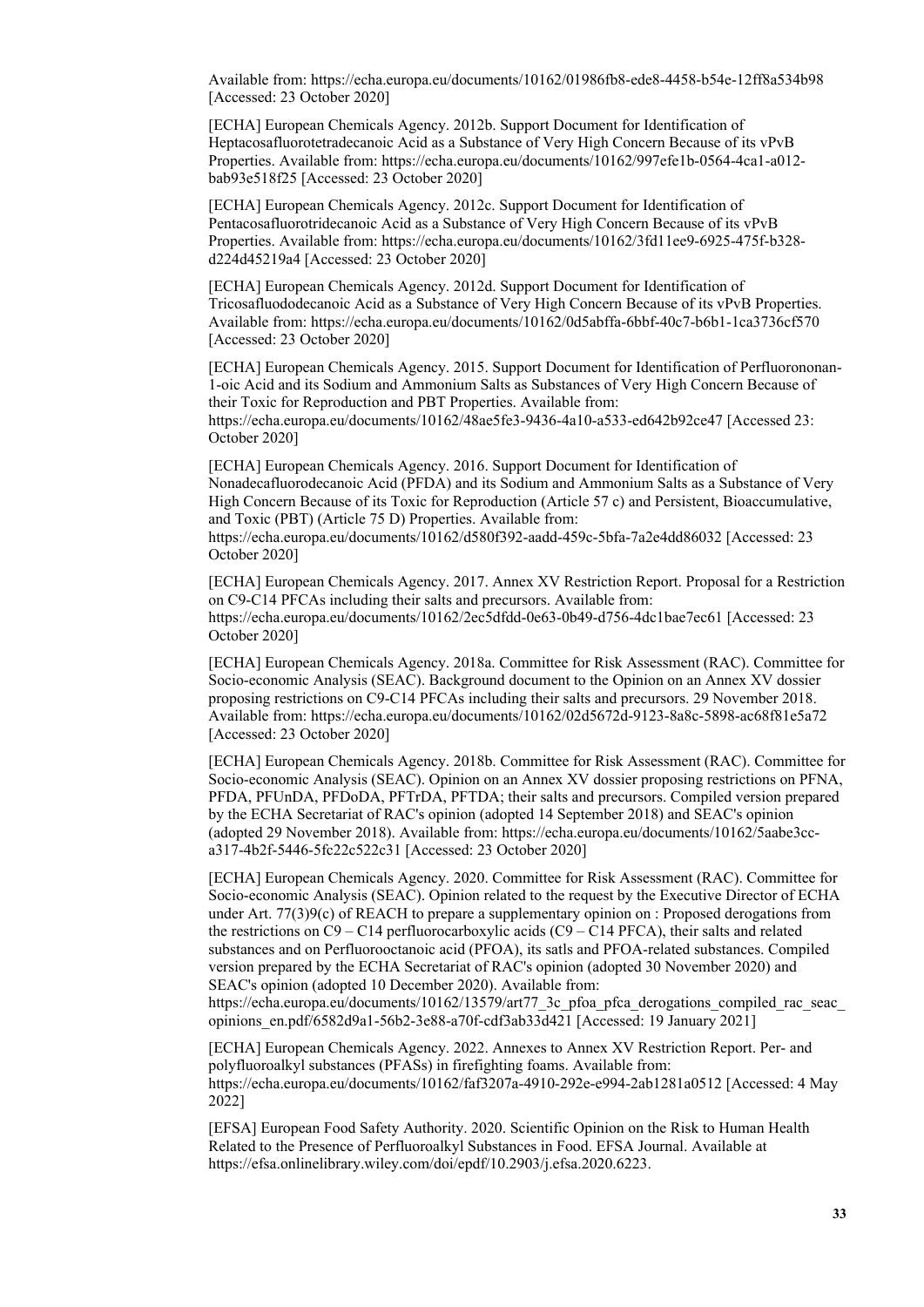Available from:<https://echa.europa.eu/documents/10162/01986fb8-ede8-4458-b54e-12ff8a534b98> [Accessed: 23 October 2020]

[ECHA] European Chemicals Agency. 2012b. Support Document for Identification of Heptacosafluorotetradecanoic Acid as a Substance of Very High Concern Because of its vPvB Properties. Available from: [https://echa.europa.eu/documents/10162/997efe1b-0564-4ca1-a012](https://echa.europa.eu/documents/10162/997efe1b-0564-4ca1-a012-bab93e518f25) [bab93e518f25](https://echa.europa.eu/documents/10162/997efe1b-0564-4ca1-a012-bab93e518f25) [Accessed: 23 October 2020]

[ECHA] European Chemicals Agency. 2012c. Support Document for Identification of Pentacosafluorotridecanoic Acid as a Substance of Very High Concern Because of its vPvB Properties. Available from: [https://echa.europa.eu/documents/10162/3fd11ee9-6925-475f-b328](https://echa.europa.eu/documents/10162/3fd11ee9-6925-475f-b328-d224d45219a4) [d224d45219a4](https://echa.europa.eu/documents/10162/3fd11ee9-6925-475f-b328-d224d45219a4) [Accessed: 23 October 2020]

[ECHA] European Chemicals Agency. 2012d. Support Document for Identification of Tricosafluododecanoic Acid as a Substance of Very High Concern Because of its vPvB Properties. Available from:<https://echa.europa.eu/documents/10162/0d5abffa-6bbf-40c7-b6b1-1ca3736cf570> [Accessed: 23 October 2020]

[ECHA] European Chemicals Agency. 2015. Support Document for Identification of Perfluorononan-1-oic Acid and its Sodium and Ammonium Salts as Substances of Very High Concern Because of their Toxic for Reproduction and PBT Properties. Available from: <https://echa.europa.eu/documents/10162/48ae5fe3-9436-4a10-a533-ed642b92ce47>[Accessed 23: October 2020]

[ECHA] European Chemicals Agency. 2016. Support Document for Identification of Nonadecafluorodecanoic Acid (PFDA) and its Sodium and Ammonium Salts as a Substance of Very High Concern Because of its Toxic for Reproduction (Article 57 c) and Persistent, Bioaccumulative, and Toxic (PBT) (Article 75 D) Properties. Available from:

<https://echa.europa.eu/documents/10162/d580f392-aadd-459c-5bfa-7a2e4dd86032> [Accessed: 23 October 2020]

[ECHA] European Chemicals Agency. 2017. Annex XV Restriction Report. Proposal for a Restriction on C9-C14 PFCAs including their salts and precursors. Available from: <https://echa.europa.eu/documents/10162/2ec5dfdd-0e63-0b49-d756-4dc1bae7ec61>[Accessed: 23 October 2020]

[ECHA] European Chemicals Agency. 2018a. Committee for Risk Assessment (RAC). Committee for Socio-economic Analysis (SEAC). Background document to the Opinion on an Annex XV dossier proposing restrictions on C9-C14 PFCAs including their salts and precursors. 29 November 2018. Available from:<https://echa.europa.eu/documents/10162/02d5672d-9123-8a8c-5898-ac68f81e5a72> [Accessed: 23 October 2020]

[ECHA] European Chemicals Agency. 2018b. Committee for Risk Assessment (RAC). Committee for Socio-economic Analysis (SEAC). Opinion on an Annex XV dossier proposing restrictions on PFNA, PFDA, PFUnDA, PFDoDA, PFTrDA, PFTDA; their salts and precursors. Compiled version prepared by the ECHA Secretariat of RAC's opinion (adopted 14 September 2018) and SEAC's opinion (adopted 29 November 2018). Available from: [https://echa.europa.eu/documents/10162/5aabe3cc](https://echa.europa.eu/documents/10162/5aabe3cc-a317-4b2f-5446-5fc22c522c31)[a317-4b2f-5446-5fc22c522c31](https://echa.europa.eu/documents/10162/5aabe3cc-a317-4b2f-5446-5fc22c522c31) [Accessed: 23 October 2020]

[ECHA] European Chemicals Agency. 2020. Committee for Risk Assessment (RAC). Committee for Socio-economic Analysis (SEAC). Opinion related to the request by the Executive Director of ECHA under Art. 77(3)9(c) of REACH to prepare a supplementary opinion on : Proposed derogations from the restrictions on  $C9 - C14$  perfluorocarboxylic acids  $(C9 - C14$  PFCA), their salts and related substances and on Perfluorooctanoic acid (PFOA), its satls and PFOA-related substances. Compiled version prepared by the ECHA Secretariat of RAC's opinion (adopted 30 November 2020) and SEAC's opinion (adopted 10 December 2020). Available from: https://echa.europa.eu/documents/10162/13579/art77\_3c\_pfoa\_pfca\_derogations\_compiled\_rac\_seac

[opinions\\_en.pdf/6582d9a1-56b2-3e88-a70f-cdf3ab33d421](https://echa.europa.eu/documents/10162/13579/art77_3c_pfoa_pfca_derogations_compiled_rac_seac_opinions_en.pdf/6582d9a1-56b2-3e88-a70f-cdf3ab33d421) [Accessed: 19 January 2021]

[ECHA] European Chemicals Agency. 2022. Annexes to Annex XV Restriction Report. Per- and polyfluoroalkyl substances (PFASs) in firefighting foams. Available from: <https://echa.europa.eu/documents/10162/faf3207a-4910-292e-e994-2ab1281a0512> [Accessed: 4 May 2022]

[EFSA] European Food Safety Authority. 2020. Scientific Opinion on the Risk to Human Health Related to the Presence of Perfluoroalkyl Substances in Food. EFSA Journal. Available at https://efsa.onlinelibrary.wiley.com/doi/epdf/10.2903/j.efsa.2020.6223.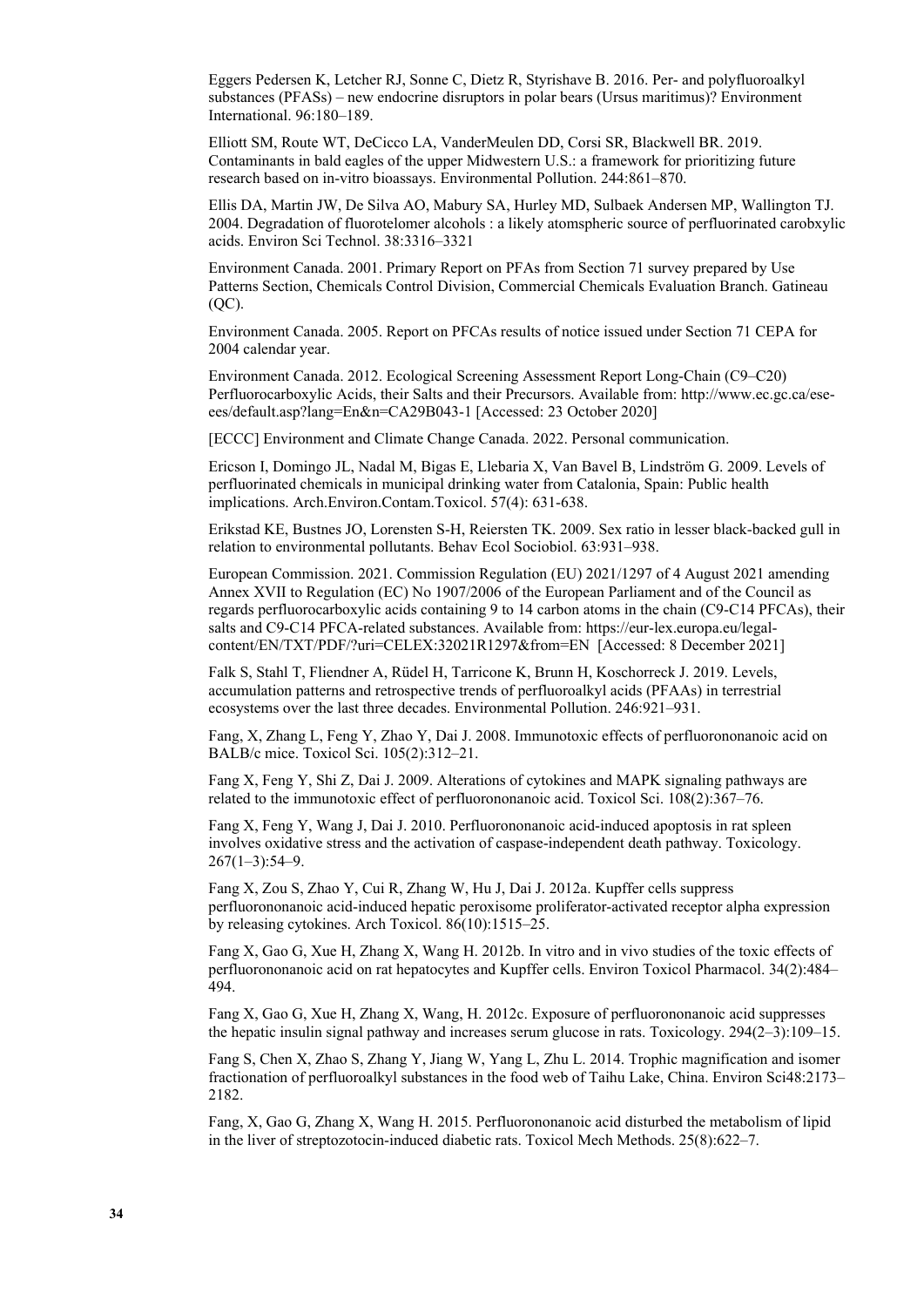Eggers Pedersen K, Letcher RJ, Sonne C, Dietz R, Styrishave B. 2016. Per- and polyfluoroalkyl substances (PFASs) – new endocrine disruptors in polar bears (Ursus maritimus)? Environment International. 96:180–189.

Elliott SM, Route WT, DeCicco LA, VanderMeulen DD, Corsi SR, Blackwell BR. 2019. Contaminants in bald eagles of the upper Midwestern U.S.: a framework for prioritizing future research based on in-vitro bioassays. Environmental Pollution. 244:861–870.

Ellis DA, Martin JW, De Silva AO, Mabury SA, Hurley MD, Sulbaek Andersen MP, Wallington TJ. 2004. Degradation of fluorotelomer alcohols : a likely atomspheric source of perfluorinated carobxylic acids. Environ Sci Technol. 38:3316–3321

Environment Canada. 2001. Primary Report on PFAs from Section 71 survey prepared by Use Patterns Section, Chemicals Control Division, Commercial Chemicals Evaluation Branch. Gatineau (QC).

Environment Canada. 2005. Report on PFCAs results of notice issued under Section 71 CEPA for 2004 calendar year.

Environment Canada. 2012. Ecological Screening Assessment Report Long-Chain (C9–C20) Perfluorocarboxylic Acids, their Salts and their Precursors. Available from: [http://www.ec.gc.ca/ese](http://www.ec.gc.ca/ese-ees/default.asp?lang=En&n=CA29B043-1)[ees/default.asp?lang=En&n=CA29B043-1](http://www.ec.gc.ca/ese-ees/default.asp?lang=En&n=CA29B043-1) [Accessed: 23 October 2020]

[ECCC] Environment and Climate Change Canada. 2022. Personal communication.

Ericson I, Domingo JL, Nadal M, Bigas E, Llebaria X, Van Bavel B, Lindström G. 2009. Levels of perfluorinated chemicals in municipal drinking water from Catalonia, Spain: Public health implications. Arch.Environ.Contam.Toxicol. 57(4): 631-638.

Erikstad KE, Bustnes JO, Lorensten S-H, Reiersten TK. 2009. Sex ratio in lesser black-backed gull in relation to environmental pollutants. Behav Ecol Sociobiol. 63:931–938.

European Commission. 2021. Commission Regulation (EU) 2021/1297 of 4 August 2021 amending Annex XVII to Regulation (EC) No 1907/2006 of the European Parliament and of the Council as regards perfluorocarboxylic acids containing 9 to 14 carbon atoms in the chain (C9-C14 PFCAs), their salts and C9-C14 PFCA-related substances. Available from: [https://eur-lex.europa.eu/legal](https://eur-lex.europa.eu/legal-content/EN/TXT/PDF/?uri=CELEX:32021R1297&from=EN)[content/EN/TXT/PDF/?uri=CELEX:32021R1297&from=EN](https://eur-lex.europa.eu/legal-content/EN/TXT/PDF/?uri=CELEX:32021R1297&from=EN) [Accessed: 8 December 2021]

Falk S, Stahl T, Fliendner A, Rüdel H, Tarricone K, Brunn H, Koschorreck J. 2019. Levels, accumulation patterns and retrospective trends of perfluoroalkyl acids (PFAAs) in terrestrial ecosystems over the last three decades. Environmental Pollution. 246:921–931.

Fang, X, Zhang L, Feng Y, Zhao Y, Dai J. 2008. Immunotoxic effects of perfluorononanoic acid on BALB/c mice. Toxicol Sci. 105(2):312–21.

Fang X, Feng Y, Shi Z, Dai J. 2009. Alterations of cytokines and MAPK signaling pathways are related to the immunotoxic effect of perfluorononanoic acid. Toxicol Sci. 108(2):367–76.

Fang X, Feng Y, Wang J, Dai J. 2010. Perfluorononanoic acid-induced apoptosis in rat spleen involves oxidative stress and the activation of caspase-independent death pathway. Toxicology.  $267(1-3):54-9.$ 

Fang X, Zou S, Zhao Y, Cui R, Zhang W, Hu J, Dai J. 2012a. Kupffer cells suppress perfluorononanoic acid-induced hepatic peroxisome proliferator-activated receptor alpha expression by releasing cytokines. Arch Toxicol. 86(10):1515–25.

Fang X, Gao G, Xue H, Zhang X, Wang H. 2012b. In vitro and in vivo studies of the toxic effects of perfluorononanoic acid on rat hepatocytes and Kupffer cells. Environ Toxicol Pharmacol. 34(2):484– 494.

Fang X, Gao G, Xue H, Zhang X, Wang, H. 2012c. Exposure of perfluorononanoic acid suppresses the hepatic insulin signal pathway and increases serum glucose in rats. Toxicology. 294(2–3):109–15.

Fang S, Chen X, Zhao S, Zhang Y, Jiang W, Yang L, Zhu L. 2014. Trophic magnification and isomer fractionation of perfluoroalkyl substances in the food web of Taihu Lake, China. Environ Sci48:2173– 2182.

Fang, X, Gao G, Zhang X, Wang H. 2015. Perfluorononanoic acid disturbed the metabolism of lipid in the liver of streptozotocin-induced diabetic rats. Toxicol Mech Methods. 25(8):622–7.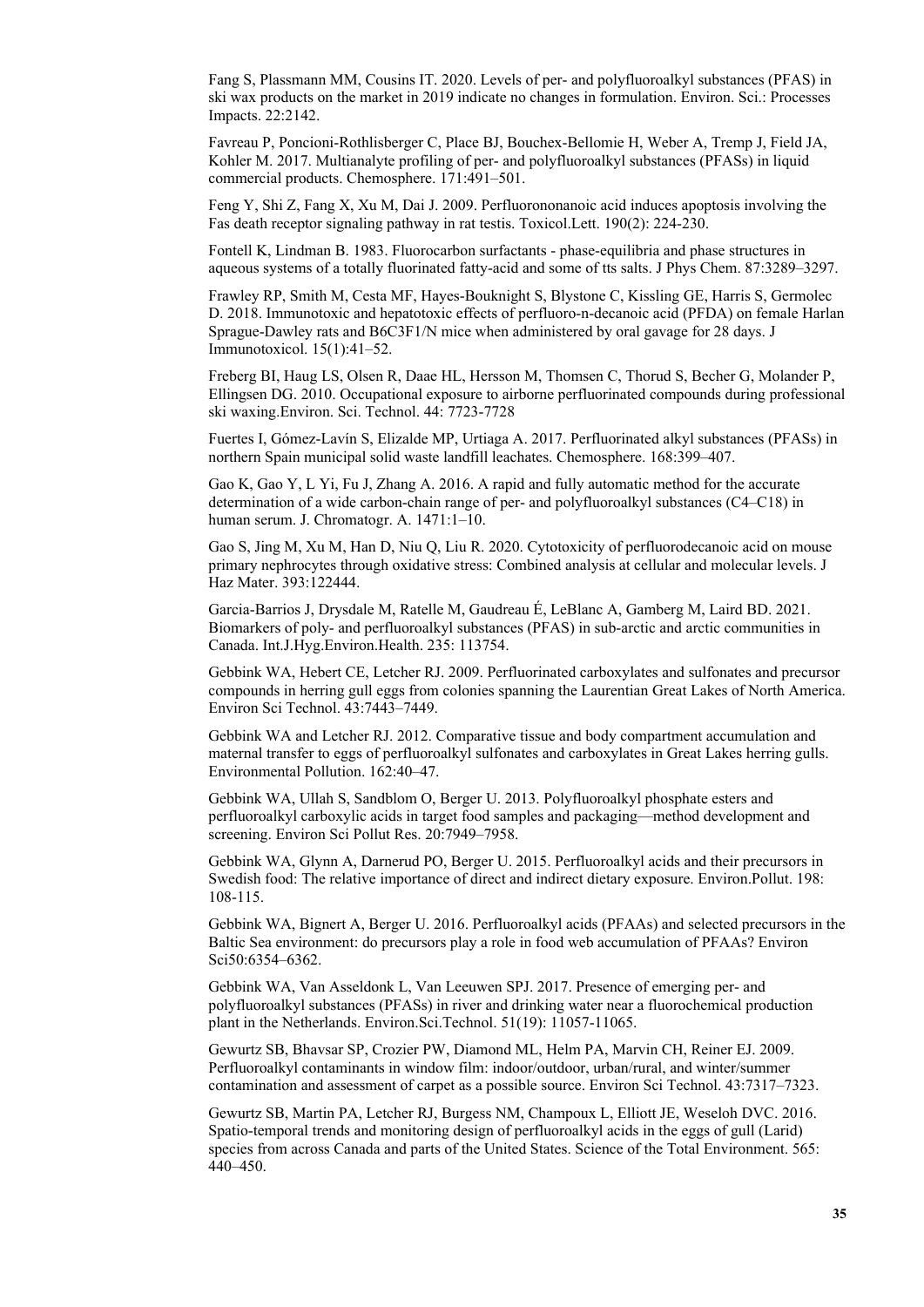Fang S, Plassmann MM, Cousins IT. 2020. Levels of per- and polyfluoroalkyl substances (PFAS) in ski wax products on the market in 2019 indicate no changes in formulation. Environ. Sci.: Processes Impacts. 22:2142.

Favreau P, Poncioni-Rothlisberger C, Place BJ, Bouchex-Bellomie H, Weber A, Tremp J, Field JA, Kohler M. 2017. Multianalyte profiling of per- and polyfluoroalkyl substances (PFASs) in liquid commercial products. Chemosphere. 171:491–501.

Feng Y, Shi Z, Fang X, Xu M, Dai J. 2009. Perfluorononanoic acid induces apoptosis involving the Fas death receptor signaling pathway in rat testis. Toxicol.Lett. 190(2): 224-230.

Fontell K, Lindman B. 1983. Fluorocarbon surfactants - phase-equilibria and phase structures in aqueous systems of a totally fluorinated fatty-acid and some of tts salts. J Phys Chem. 87:3289–3297.

Frawley RP, Smith M, Cesta MF, Hayes-Bouknight S, Blystone C, Kissling GE, Harris S, Germolec D. 2018. Immunotoxic and hepatotoxic effects of perfluoro-n-decanoic acid (PFDA) on female Harlan Sprague-Dawley rats and B6C3F1/N mice when administered by oral gavage for 28 days. J Immunotoxicol. 15(1):41–52.

Freberg BI, Haug LS, Olsen R, Daae HL, Hersson M, Thomsen C, Thorud S, Becher G, Molander P, Ellingsen DG. 2010. Occupational exposure to airborne perfluorinated compounds during professional ski waxing.Environ. Sci. Technol. 44: 7723-7728

Fuertes I, Gómez-Lavín S, Elizalde MP, Urtiaga A. 2017. Perfluorinated alkyl substances (PFASs) in northern Spain municipal solid waste landfill leachates. Chemosphere. 168:399–407.

Gao K, Gao Y, L Yi, Fu J, Zhang A. 2016. A rapid and fully automatic method for the accurate determination of a wide carbon-chain range of per- and polyfluoroalkyl substances (C4–C18) in human serum. J. Chromatogr. A. 1471:1–10.

Gao S, Jing M, Xu M, Han D, Niu Q, Liu R. 2020. Cytotoxicity of perfluorodecanoic acid on mouse primary nephrocytes through oxidative stress: Combined analysis at cellular and molecular levels. J Haz Mater. 393:122444.

Garcia-Barrios J, Drysdale M, Ratelle M, Gaudreau É, LeBlanc A, Gamberg M, Laird BD. 2021. Biomarkers of poly- and perfluoroalkyl substances (PFAS) in sub-arctic and arctic communities in Canada. Int.J.Hyg.Environ.Health. 235: 113754.

Gebbink WA, Hebert CE, Letcher RJ. 2009. Perfluorinated carboxylates and sulfonates and precursor compounds in herring gull eggs from colonies spanning the Laurentian Great Lakes of North America. Environ Sci Technol. 43:7443–7449.

Gebbink WA and Letcher RJ. 2012. Comparative tissue and body compartment accumulation and maternal transfer to eggs of perfluoroalkyl sulfonates and carboxylates in Great Lakes herring gulls. Environmental Pollution. 162:40–47.

Gebbink WA, Ullah S, Sandblom O, Berger U. 2013. Polyfluoroalkyl phosphate esters and perfluoroalkyl carboxylic acids in target food samples and packaging—method development and screening. Environ Sci Pollut Res. 20:7949–7958.

Gebbink WA, Glynn A, Darnerud PO, Berger U. 2015. Perfluoroalkyl acids and their precursors in Swedish food: The relative importance of direct and indirect dietary exposure. Environ.Pollut. 198: 108-115.

Gebbink WA, Bignert A, Berger U. 2016. Perfluoroalkyl acids (PFAAs) and selected precursors in the Baltic Sea environment: do precursors play a role in food web accumulation of PFAAs? Environ Sci50:6354–6362.

Gebbink WA, Van Asseldonk L, Van Leeuwen SPJ. 2017. Presence of emerging per- and polyfluoroalkyl substances (PFASs) in river and drinking water near a fluorochemical production plant in the Netherlands. Environ.Sci.Technol. 51(19): 11057-11065.

Gewurtz SB, Bhavsar SP, Crozier PW, Diamond ML, Helm PA, Marvin CH, Reiner EJ. 2009. Perfluoroalkyl contaminants in window film: indoor/outdoor, urban/rural, and winter/summer contamination and assessment of carpet as a possible source. Environ Sci Technol. 43:7317–7323.

Gewurtz SB, Martin PA, Letcher RJ, Burgess NM, Champoux L, Elliott JE, Weseloh DVC. 2016. Spatio-temporal trends and monitoring design of perfluoroalkyl acids in the eggs of gull (Larid) species from across Canada and parts of the United States. Science of the Total Environment. 565: 440–450.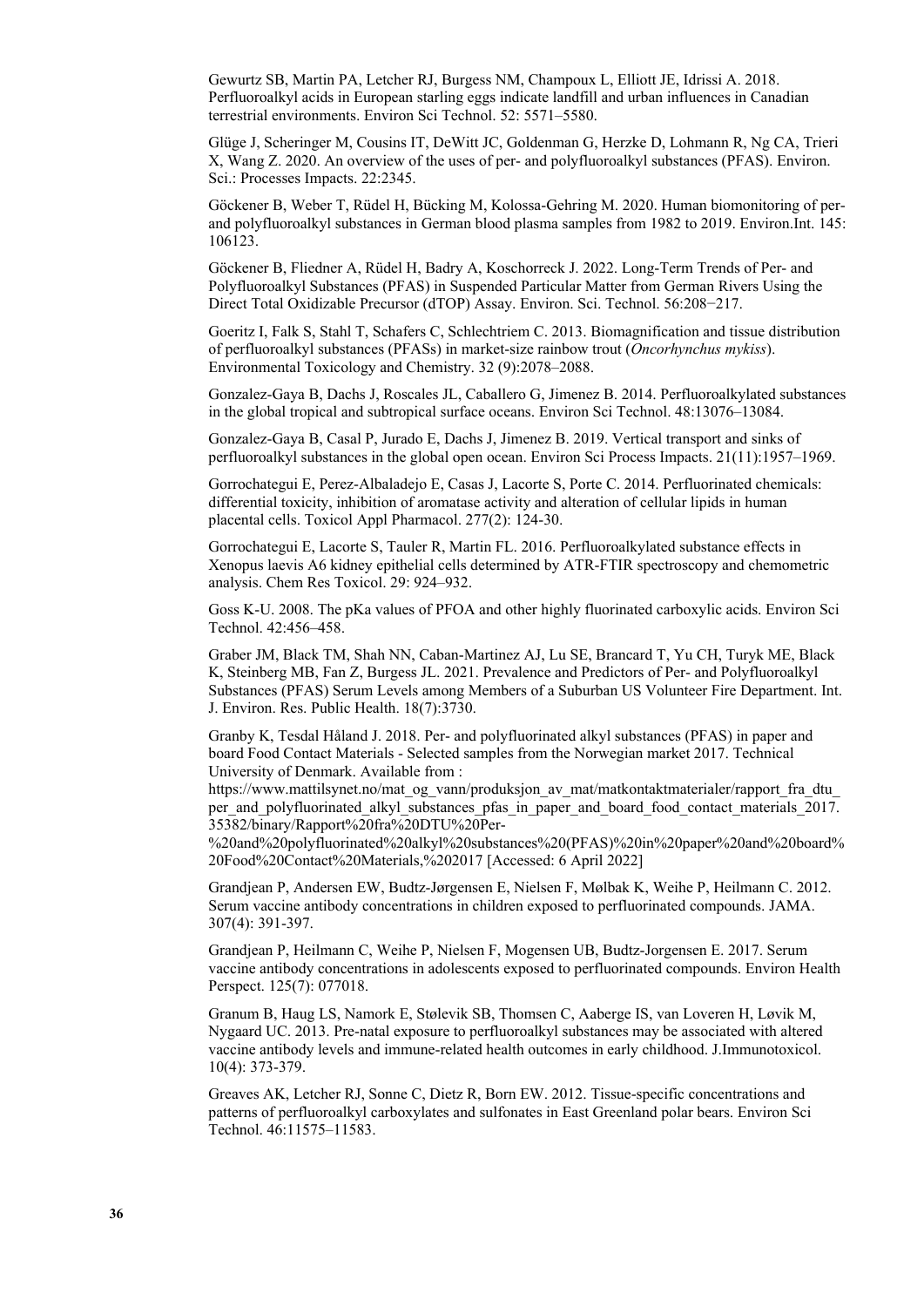Gewurtz SB, Martin PA, Letcher RJ, Burgess NM, Champoux L, Elliott JE, Idrissi A. 2018. Perfluoroalkyl acids in European starling eggs indicate landfill and urban influences in Canadian terrestrial environments. Environ Sci Technol. 52: 5571–5580.

Glüge J, Scheringer M, Cousins IT, DeWitt JC, Goldenman G, Herzke D, Lohmann R, Ng CA, Trieri X, Wang Z. 2020. An overview of the uses of per- and polyfluoroalkyl substances (PFAS). Environ. Sci.: Processes Impacts. 22:2345.

Göckener B, Weber T, Rüdel H, Bücking M, Kolossa-Gehring M. 2020. Human biomonitoring of perand polyfluoroalkyl substances in German blood plasma samples from 1982 to 2019. Environ.Int. 145: 106123.

Göckener B, Fliedner A, Rüdel H, Badry A, Koschorreck J. 2022. Long-Term Trends of Per- and Polyfluoroalkyl Substances (PFAS) in Suspended Particular Matter from German Rivers Using the Direct Total Oxidizable Precursor (dTOP) Assay. Environ. Sci. Technol. 56:208−217.

Goeritz I, Falk S, Stahl T, Schafers C, Schlechtriem C. 2013. Biomagnification and tissue distribution of perfluoroalkyl substances (PFASs) in market-size rainbow trout (*Oncorhynchus mykiss*). Environmental Toxicology and Chemistry. 32 (9):2078–2088.

Gonzalez-Gaya B, Dachs J, Roscales JL, Caballero G, Jimenez B. 2014. Perfluoroalkylated substances in the global tropical and subtropical surface oceans. Environ Sci Technol. 48:13076–13084.

Gonzalez-Gaya B, Casal P, Jurado E, Dachs J, Jimenez B. 2019. Vertical transport and sinks of perfluoroalkyl substances in the global open ocean. Environ Sci Process Impacts. 21(11):1957–1969.

Gorrochategui E, Perez-Albaladejo E, Casas J, Lacorte S, Porte C. 2014. Perfluorinated chemicals: differential toxicity, inhibition of aromatase activity and alteration of cellular lipids in human placental cells. Toxicol Appl Pharmacol. 277(2): 124-30.

Gorrochategui E, Lacorte S, Tauler R, Martin FL. 2016. Perfluoroalkylated substance effects in Xenopus laevis A6 kidney epithelial cells determined by ATR-FTIR spectroscopy and chemometric analysis. Chem Res Toxicol. 29: 924–932.

Goss K-U. 2008. The pKa values of PFOA and other highly fluorinated carboxylic acids. Environ Sci Technol. 42:456–458.

Graber JM, Black TM, Shah NN, Caban-Martinez AJ, Lu SE, Brancard T, Yu CH, Turyk ME, Black K, Steinberg MB, Fan Z, Burgess JL. 2021. Prevalence and Predictors of Per- and Polyfluoroalkyl Substances (PFAS) Serum Levels among Members of a Suburban US Volunteer Fire Department. Int. J. Environ. Res. Public Health. 18(7):3730.

Granby K, Tesdal Håland J. 2018. Per- and polyfluorinated alkyl substances (PFAS) in paper and board Food Contact Materials - Selected samples from the Norwegian market 2017. Technical University of Denmark. Available from :

https://www.mattilsynet.no/mat\_og\_vann/produksjon\_av\_mat/matkontaktmaterialer/rapport\_fra\_dtu per and polyfluorinated alkyl substances pfas in paper and board food contact materials 2017. 35382/binary/Rapport%20fra%20DTU%20Per-

%20and%20polyfluorinated%20alkyl%20substances%20(PFAS)%20in%20paper%20and%20board% 20Food%20Contact%20Materials,%202017 [Accessed: 6 April 2022]

Grandjean P, Andersen EW, Budtz-Jørgensen E, Nielsen F, Mølbak K, Weihe P, Heilmann C. 2012. Serum vaccine antibody concentrations in children exposed to perfluorinated compounds. JAMA. 307(4): 391-397.

Grandjean P, Heilmann C, Weihe P, Nielsen F, Mogensen UB, Budtz-Jorgensen E. 2017. Serum vaccine antibody concentrations in adolescents exposed to perfluorinated compounds. Environ Health Perspect. 125(7): 077018.

Granum B, Haug LS, Namork E, Stølevik SB, Thomsen C, Aaberge IS, van Loveren H, Løvik M, Nygaard UC. 2013. Pre-natal exposure to perfluoroalkyl substances may be associated with altered vaccine antibody levels and immune-related health outcomes in early childhood. J.Immunotoxicol. 10(4): 373-379.

Greaves AK, Letcher RJ, Sonne C, Dietz R, Born EW. 2012. Tissue-specific concentrations and patterns of perfluoroalkyl carboxylates and sulfonates in East Greenland polar bears. Environ Sci Technol. 46:11575–11583.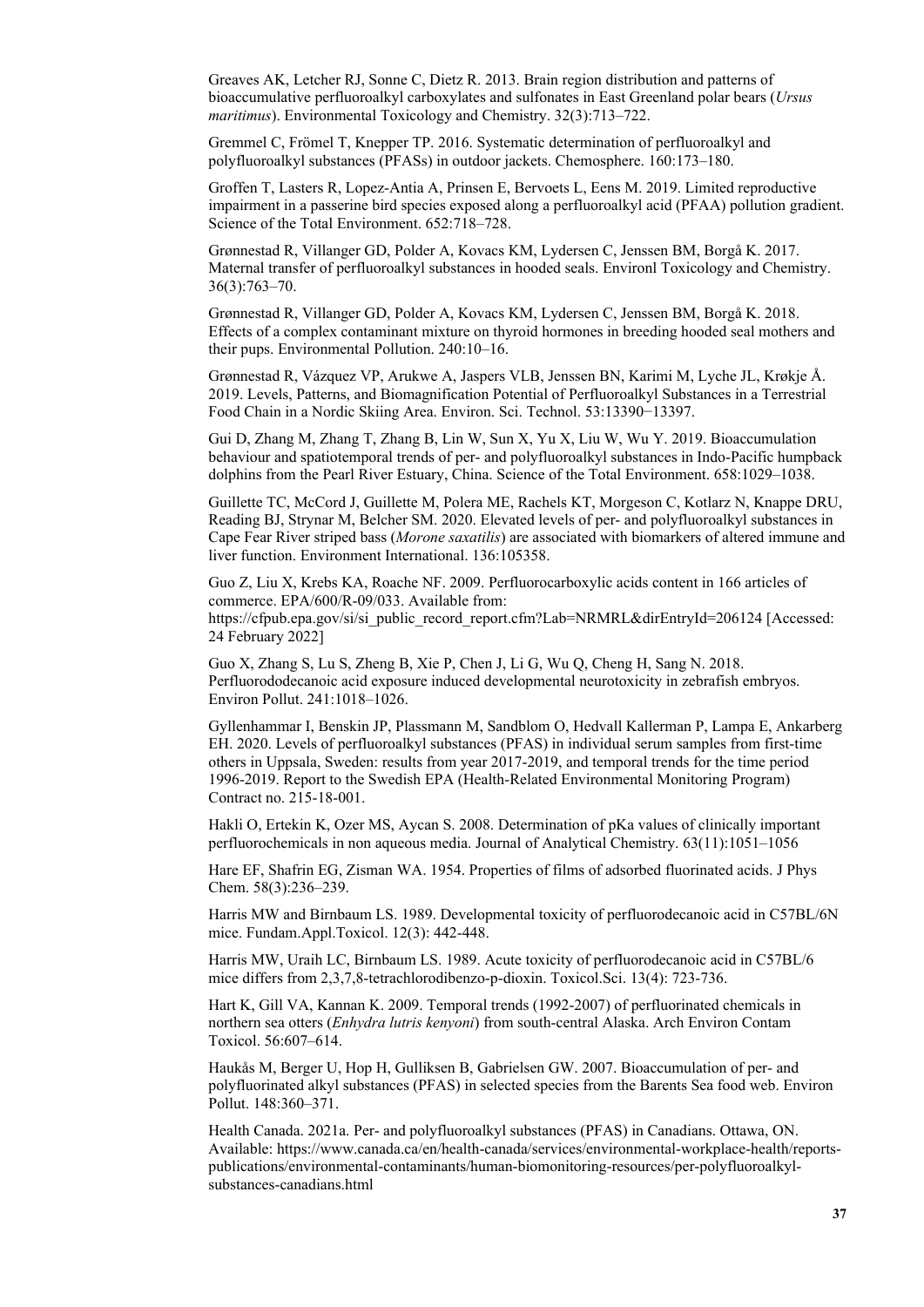Greaves AK, Letcher RJ, Sonne C, Dietz R. 2013. Brain region distribution and patterns of bioaccumulative perfluoroalkyl carboxylates and sulfonates in East Greenland polar bears (*Ursus maritimus*). Environmental Toxicology and Chemistry. 32(3):713–722.

Gremmel C, Frömel T, Knepper TP. 2016. Systematic determination of perfluoroalkyl and polyfluoroalkyl substances (PFASs) in outdoor jackets. Chemosphere. 160:173–180.

Groffen T, Lasters R, Lopez-Antia A, Prinsen E, Bervoets L, Eens M. 2019. Limited reproductive impairment in a passerine bird species exposed along a perfluoroalkyl acid (PFAA) pollution gradient. Science of the Total Environment. 652:718–728.

Grønnestad R, Villanger GD, Polder A, Kovacs KM, Lydersen C, Jenssen BM, Borgå K. 2017. Maternal transfer of perfluoroalkyl substances in hooded seals. Environl Toxicology and Chemistry. 36(3):763–70.

Grønnestad R, Villanger GD, Polder A, Kovacs KM, Lydersen C, Jenssen BM, Borgå K. 2018. Effects of a complex contaminant mixture on thyroid hormones in breeding hooded seal mothers and their pups. Environmental Pollution. 240:10–16.

Grønnestad R, Vázquez VP, Arukwe A, Jaspers VLB, Jenssen BN, Karimi M, Lyche JL, Krøkje Å. 2019. Levels, Patterns, and Biomagnification Potential of Perfluoroalkyl Substances in a Terrestrial Food Chain in a Nordic Skiing Area. Environ. Sci. Technol. 53:13390−13397.

Gui D, Zhang M, Zhang T, Zhang B, Lin W, Sun X, Yu X, Liu W, Wu Y. 2019. Bioaccumulation behaviour and spatiotemporal trends of per- and polyfluoroalkyl substances in Indo-Pacific humpback dolphins from the Pearl River Estuary, China. Science of the Total Environment. 658:1029–1038.

Guillette TC, McCord J, Guillette M, Polera ME, Rachels KT, Morgeson C, Kotlarz N, Knappe DRU, Reading BJ, Strynar M, Belcher SM. 2020. Elevated levels of per- and polyfluoroalkyl substances in Cape Fear River striped bass (*Morone saxatilis*) are associated with biomarkers of altered immune and liver function. Environment International. 136:105358.

Guo Z, Liu X, Krebs KA, Roache NF. 2009. Perfluorocarboxylic acids content in 166 articles of commerce. EPA/600/R-09/033. Available from: [https://cfpub.epa.gov/si/si\\_public\\_record\\_report.cfm?Lab=NRMRL&dirEntryId=206124](https://cfpub.epa.gov/si/si_public_record_report.cfm?Lab=NRMRL&dirEntryId=206124) [Accessed: 24 February 2022]

Guo X, Zhang S, Lu S, Zheng B, Xie P, Chen J, Li G, Wu Q, Cheng H, Sang N. 2018. Perfluorododecanoic acid exposure induced developmental neurotoxicity in zebrafish embryos. Environ Pollut. 241:1018–1026.

Gyllenhammar I, Benskin JP, Plassmann M, Sandblom O, Hedvall Kallerman P, Lampa E, Ankarberg EH. 2020. Levels of perfluoroalkyl substances (PFAS) in individual serum samples from first-time others in Uppsala, Sweden: results from year 2017-2019, and temporal trends for the time period 1996-2019. Report to the Swedish EPA (Health-Related Environmental Monitoring Program) Contract no. 215-18-001.

Hakli O, Ertekin K, Ozer MS, Aycan S. 2008. Determination of pKa values of clinically important perfluorochemicals in non aqueous media. Journal of Analytical Chemistry. 63(11):1051–1056

Hare EF, Shafrin EG, Zisman WA. 1954. Properties of films of adsorbed fluorinated acids. J Phys Chem. 58(3):236–239.

Harris MW and Birnbaum LS. 1989. Developmental toxicity of perfluorodecanoic acid in C57BL/6N mice. Fundam.Appl.Toxicol. 12(3): 442-448.

Harris MW, Uraih LC, Birnbaum LS. 1989. Acute toxicity of perfluorodecanoic acid in C57BL/6 mice differs from 2,3,7,8-tetrachlorodibenzo-p-dioxin. Toxicol.Sci. 13(4): 723-736.

Hart K, Gill VA, Kannan K. 2009. Temporal trends (1992-2007) of perfluorinated chemicals in northern sea otters (*Enhydra lutris kenyoni*) from south-central Alaska. Arch Environ Contam Toxicol. 56:607–614.

Haukås M, Berger U, Hop H, Gulliksen B, Gabrielsen GW. 2007. Bioaccumulation of per- and polyfluorinated alkyl substances (PFAS) in selected species from the Barents Sea food web. Environ Pollut. 148:360–371.

Health Canada. 2021a. Per- and polyfluoroalkyl substances (PFAS) in Canadians. Ottawa, ON. Available: [https://www.canada.ca/en/health-canada/services/environmental-workplace-health/reports](https://www.canada.ca/en/health-canada/services/environmental-workplace-health/reports-publications/environmental-contaminants/human-biomonitoring-resources/per-polyfluoroalkyl-substances-canadians.html)[publications/environmental-contaminants/human-biomonitoring-resources/per-polyfluoroalkyl](https://www.canada.ca/en/health-canada/services/environmental-workplace-health/reports-publications/environmental-contaminants/human-biomonitoring-resources/per-polyfluoroalkyl-substances-canadians.html)[substances-canadians.html](https://www.canada.ca/en/health-canada/services/environmental-workplace-health/reports-publications/environmental-contaminants/human-biomonitoring-resources/per-polyfluoroalkyl-substances-canadians.html)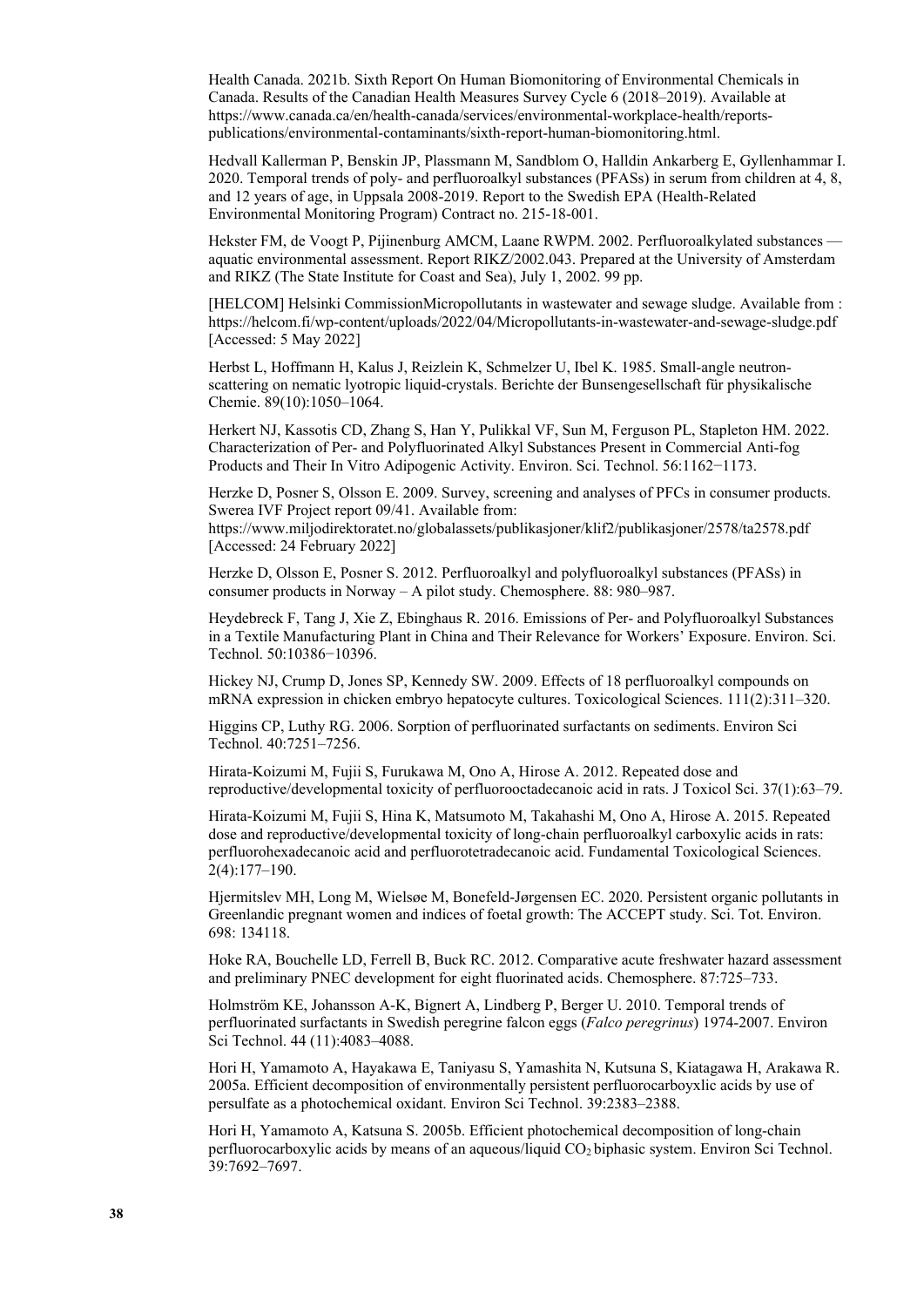Health Canada. 2021b. Sixth Report On Human Biomonitoring of Environmental Chemicals in Canada. Results of the Canadian Health Measures Survey Cycle 6 (2018–2019). Available at https://www.canada.ca/en/health-canada/services/environmental-workplace-health/reportspublications/environmental-contaminants/sixth-report-human-biomonitoring.html.

Hedvall Kallerman P, Benskin JP, Plassmann M, Sandblom O, Halldin Ankarberg E, Gyllenhammar I. 2020. Temporal trends of poly- and perfluoroalkyl substances (PFASs) in serum from children at 4, 8, and 12 years of age, in Uppsala 2008-2019. Report to the Swedish EPA (Health-Related Environmental Monitoring Program) Contract no. 215-18-001.

Hekster FM, de Voogt P, Pijinenburg AMCM, Laane RWPM. 2002. Perfluoroalkylated substances aquatic environmental assessment. Report RIKZ/2002.043. Prepared at the University of Amsterdam and RIKZ (The State Institute for Coast and Sea), July 1, 2002. 99 pp.

[HELCOM] Helsinki CommissionMicropollutants in wastewater and sewage sludge. Available from : <https://helcom.fi/wp-content/uploads/2022/04/Micropollutants-in-wastewater-and-sewage-sludge.pdf> [Accessed: 5 May 2022]

Herbst L, Hoffmann H, Kalus J, Reizlein K, Schmelzer U, Ibel K. 1985. Small-angle neutronscattering on nematic lyotropic liquid-crystals. Berichte der Bunsengesellschaft für physikalische Chemie. 89(10):1050–1064.

Herkert NJ, Kassotis CD, Zhang S, Han Y, Pulikkal VF, Sun M, Ferguson PL, Stapleton HM. 2022. Characterization of Per- and Polyfluorinated Alkyl Substances Present in Commercial Anti-fog Products and Their In Vitro Adipogenic Activity. Environ. Sci. Technol. 56:1162−1173.

Herzke D, Posner S, Olsson E. 2009. Survey, screening and analyses of PFCs in consumer products. Swerea IVF Project report 09/41. Available from: https://www.miljodirektoratet.no/globalassets/publikasjoner/klif2/publikasjoner/2578/ta2578.pdf [Accessed: 24 February 2022]

Herzke D, Olsson E, Posner S. 2012. Perfluoroalkyl and polyfluoroalkyl substances (PFASs) in consumer products in Norway – A pilot study. Chemosphere. 88: 980–987.

Heydebreck F, Tang J, Xie Z, Ebinghaus R. 2016. Emissions of Per- and Polyfluoroalkyl Substances in a Textile Manufacturing Plant in China and Their Relevance for Workers' Exposure. Environ. Sci. Technol. 50:10386−10396.

Hickey NJ, Crump D, Jones SP, Kennedy SW. 2009. Effects of 18 perfluoroalkyl compounds on mRNA expression in chicken embryo hepatocyte cultures. Toxicological Sciences. 111(2):311–320.

Higgins CP, Luthy RG. 2006. Sorption of perfluorinated surfactants on sediments. Environ Sci Technol. 40:7251–7256.

Hirata-Koizumi M, Fujii S, Furukawa M, Ono A, Hirose A. 2012. Repeated dose and reproductive/developmental toxicity of perfluorooctadecanoic acid in rats. J Toxicol Sci. 37(1):63–79.

Hirata-Koizumi M, Fujii S, Hina K, Matsumoto M, Takahashi M, Ono A, Hirose A. 2015. Repeated dose and reproductive/developmental toxicity of long-chain perfluoroalkyl carboxylic acids in rats: perfluorohexadecanoic acid and perfluorotetradecanoic acid. Fundamental Toxicological Sciences. 2(4):177–190.

Hjermitslev MH, Long M, Wielsøe M, Bonefeld-Jørgensen EC. 2020. Persistent organic pollutants in Greenlandic pregnant women and indices of foetal growth: The ACCEPT study. Sci. Tot. Environ. 698: 134118.

Hoke RA, Bouchelle LD, Ferrell B, Buck RC. 2012. Comparative acute freshwater hazard assessment and preliminary PNEC development for eight fluorinated acids. Chemosphere. 87:725–733.

Holmström KE, Johansson A-K, Bignert A, Lindberg P, Berger U. 2010. Temporal trends of perfluorinated surfactants in Swedish peregrine falcon eggs (*Falco peregrinus*) 1974-2007. Environ Sci Technol. 44 (11):4083–4088.

Hori H, Yamamoto A, Hayakawa E, Taniyasu S, Yamashita N, Kutsuna S, Kiatagawa H, Arakawa R. 2005a. Efficient decomposition of environmentally persistent perfluorocarboyxlic acids by use of persulfate as a photochemical oxidant. Environ Sci Technol. 39:2383–2388.

Hori H, Yamamoto A, Katsuna S. 2005b. Efficient photochemical decomposition of long-chain perfluorocarboxylic acids by means of an aqueous/liquid CO<sub>2</sub> biphasic system. Environ Sci Technol. 39:7692–7697.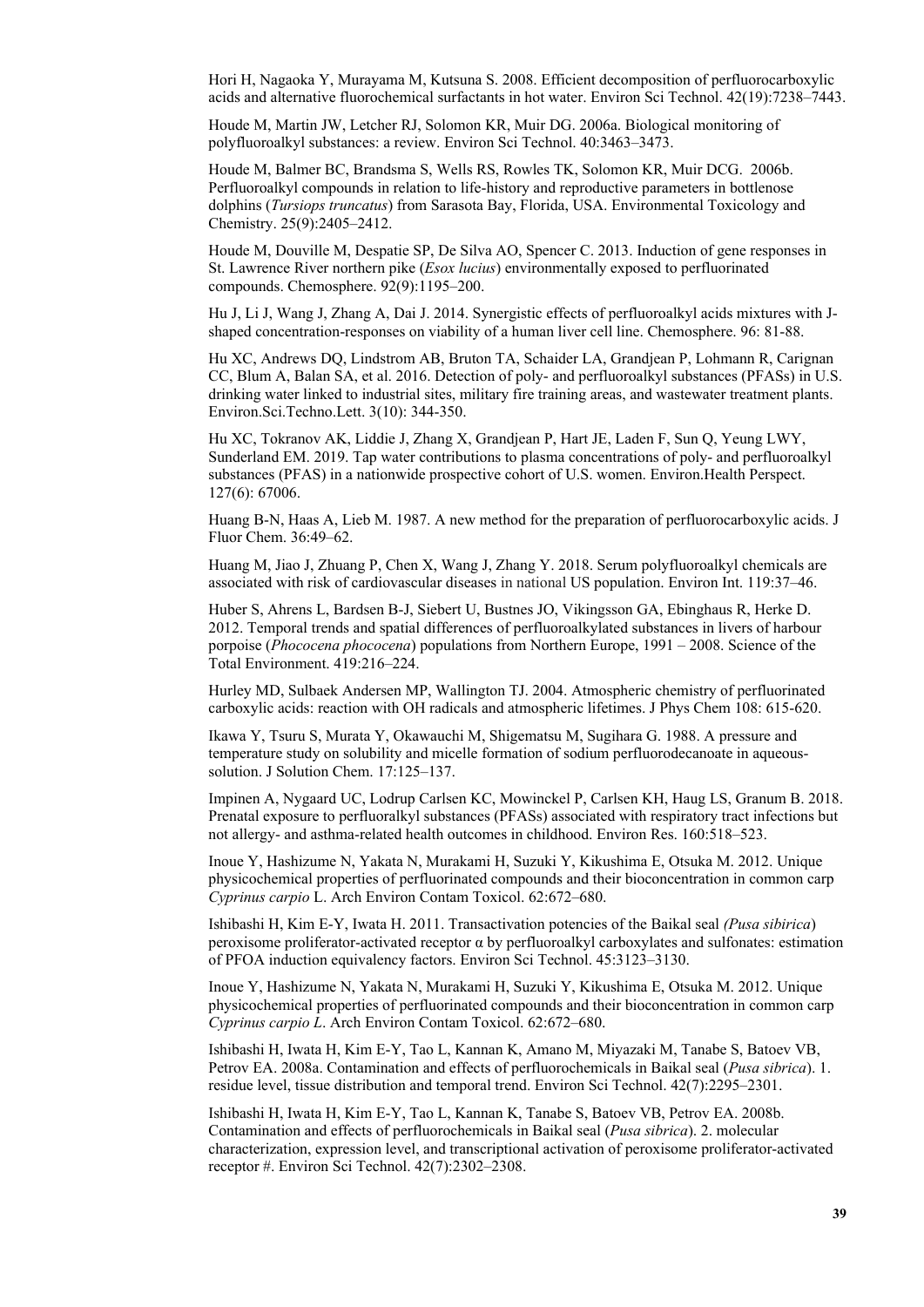Hori H, Nagaoka Y, Murayama M, Kutsuna S. 2008. Efficient decomposition of perfluorocarboxylic acids and alternative fluorochemical surfactants in hot water. Environ Sci Technol. 42(19):7238–7443.

Houde M, Martin JW, Letcher RJ, Solomon KR, Muir DG. 2006a. Biological monitoring of polyfluoroalkyl substances: a review. Environ Sci Technol. 40:3463–3473.

Houde M, Balmer BC, Brandsma S, Wells RS, Rowles TK, Solomon KR, Muir DCG. 2006b. Perfluoroalkyl compounds in relation to life-history and reproductive parameters in bottlenose dolphins (*Tursiops truncatus*) from Sarasota Bay, Florida, USA. Environmental Toxicology and Chemistry. 25(9):2405–2412.

Houde M, Douville M, Despatie SP, De Silva AO, Spencer C. 2013. Induction of gene responses in St. Lawrence River northern pike (*Esox lucius*) environmentally exposed to perfluorinated compounds. Chemosphere. 92(9):1195–200.

Hu J, Li J, Wang J, Zhang A, Dai J. 2014. Synergistic effects of perfluoroalkyl acids mixtures with Jshaped concentration-responses on viability of a human liver cell line. Chemosphere. 96: 81-88.

Hu XC, Andrews DQ, Lindstrom AB, Bruton TA, Schaider LA, Grandjean P, Lohmann R, Carignan CC, Blum A, Balan SA, et al. 2016. Detection of poly- and perfluoroalkyl substances (PFASs) in U.S. drinking water linked to industrial sites, military fire training areas, and wastewater treatment plants. Environ.Sci.Techno.Lett. 3(10): 344-350.

Hu XC, Tokranov AK, Liddie J, Zhang X, Grandjean P, Hart JE, Laden F, Sun Q, Yeung LWY, Sunderland EM. 2019. Tap water contributions to plasma concentrations of poly- and perfluoroalkyl substances (PFAS) in a nationwide prospective cohort of U.S. women. Environ.Health Perspect. 127(6): 67006.

Huang B-N, Haas A, Lieb M. 1987. A new method for the preparation of perfluorocarboxylic acids. J Fluor Chem. 36:49–62.

Huang M, Jiao J, Zhuang P, Chen X, Wang J, Zhang Y. 2018. Serum polyfluoroalkyl chemicals are associated with risk of cardiovascular diseases in national US population. Environ Int. 119:37–46.

Huber S, Ahrens L, Bardsen B-J, Siebert U, Bustnes JO, Vikingsson GA, Ebinghaus R, Herke D. 2012. Temporal trends and spatial differences of perfluoroalkylated substances in livers of harbour porpoise (*Phococena phococena*) populations from Northern Europe, 1991 – 2008. Science of the Total Environment. 419:216–224.

Hurley MD, Sulbaek Andersen MP, Wallington TJ. 2004. Atmospheric chemistry of perfluorinated carboxylic acids: reaction with OH radicals and atmospheric lifetimes. J Phys Chem 108: 615-620.

Ikawa Y, Tsuru S, Murata Y, Okawauchi M, Shigematsu M, Sugihara G. 1988. A pressure and temperature study on solubility and micelle formation of sodium perfluorodecanoate in aqueoussolution. J Solution Chem. 17:125–137.

Impinen A, Nygaard UC, Lodrup Carlsen KC, Mowinckel P, Carlsen KH, Haug LS, Granum B. 2018. Prenatal exposure to perfluoralkyl substances (PFASs) associated with respiratory tract infections but not allergy- and asthma-related health outcomes in childhood. Environ Res. 160:518–523.

Inoue Y, Hashizume N, Yakata N, Murakami H, Suzuki Y, Kikushima E, Otsuka M. 2012. Unique physicochemical properties of perfluorinated compounds and their bioconcentration in common carp *Cyprinus carpio* L. Arch Environ Contam Toxicol. 62:672–680.

Ishibashi H, Kim E-Y, Iwata H. 2011. Transactivation potencies of the Baikal seal *(Pusa sibirica*) peroxisome proliferator-activated receptor α by perfluoroalkyl carboxylates and sulfonates: estimation of PFOA induction equivalency factors. Environ Sci Technol. 45:3123–3130.

Inoue Y, Hashizume N, Yakata N, Murakami H, Suzuki Y, Kikushima E, Otsuka M. 2012. Unique physicochemical properties of perfluorinated compounds and their bioconcentration in common carp *Cyprinus carpio L*. Arch Environ Contam Toxicol. 62:672–680.

Ishibashi H, Iwata H, Kim E-Y, Tao L, Kannan K, Amano M, Miyazaki M, Tanabe S, Batoev VB, Petrov EA. 2008a. Contamination and effects of perfluorochemicals in Baikal seal (*Pusa sibrica*). 1. residue level, tissue distribution and temporal trend. Environ Sci Technol. 42(7):2295–2301.

Ishibashi H, Iwata H, Kim E-Y, Tao L, Kannan K, Tanabe S, Batoev VB, Petrov EA. 2008b. Contamination and effects of perfluorochemicals in Baikal seal (*Pusa sibrica*). 2. molecular characterization, expression level, and transcriptional activation of peroxisome proliferator-activated receptor #. Environ Sci Technol. 42(7):2302–2308.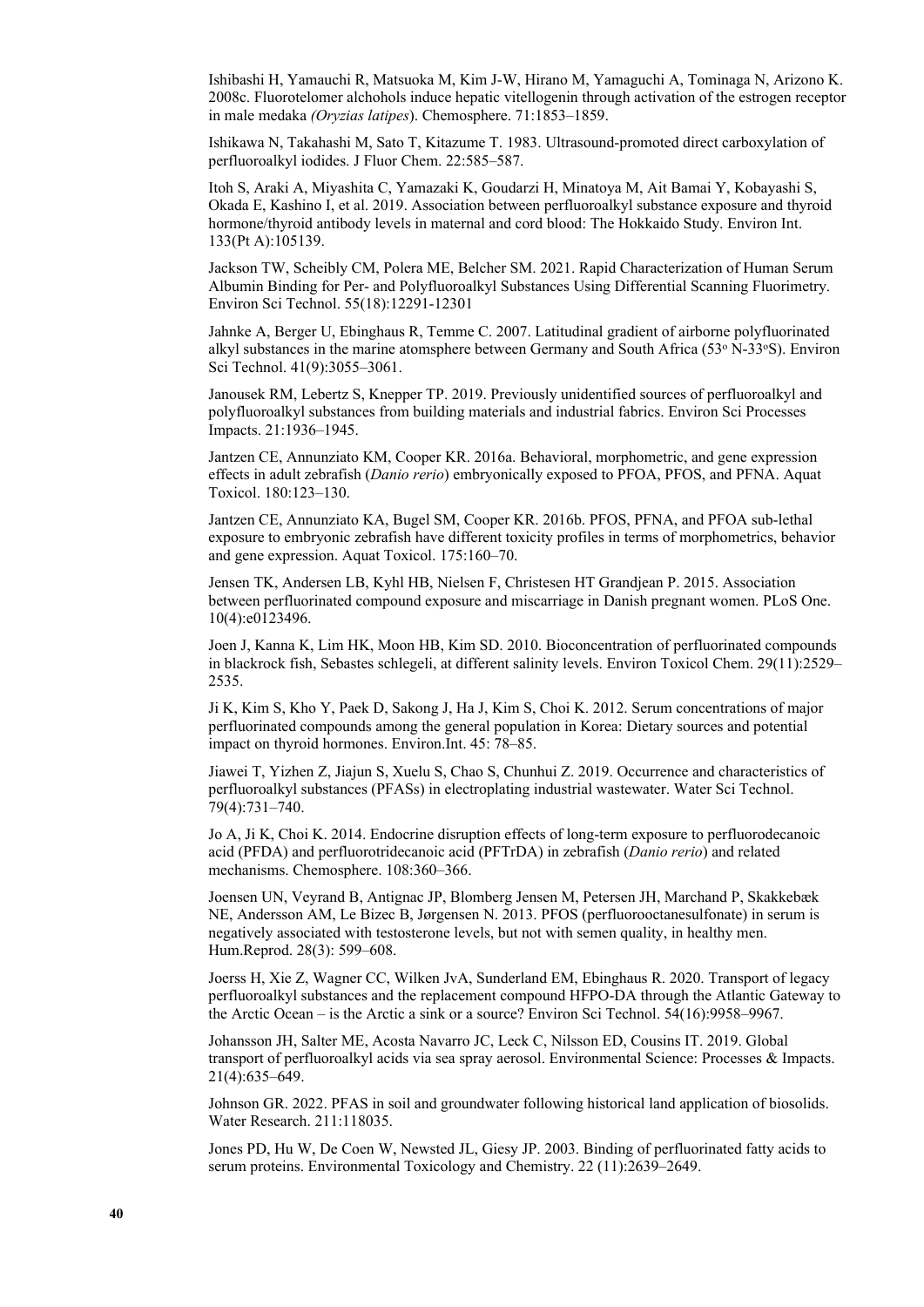Ishibashi H, Yamauchi R, Matsuoka M, Kim J-W, Hirano M, Yamaguchi A, Tominaga N, Arizono K. 2008c. Fluorotelomer alchohols induce hepatic vitellogenin through activation of the estrogen receptor in male medaka *(Oryzias latipes*). Chemosphere. 71:1853–1859.

Ishikawa N, Takahashi M, Sato T, Kitazume T. 1983. Ultrasound-promoted direct carboxylation of perfluoroalkyl iodides. J Fluor Chem. 22:585–587.

Itoh S, Araki A, Miyashita C, Yamazaki K, Goudarzi H, Minatoya M, Ait Bamai Y, Kobayashi S, Okada E, Kashino I, et al. 2019. Association between perfluoroalkyl substance exposure and thyroid hormone/thyroid antibody levels in maternal and cord blood: The Hokkaido Study. Environ Int. 133(Pt A):105139.

Jackson TW, Scheibly CM, Polera ME, Belcher SM. 2021. Rapid Characterization of Human Serum Albumin Binding for Per- and Polyfluoroalkyl Substances Using Differential Scanning Fluorimetry. Environ Sci Technol. 55(18):12291-12301

Jahnke A, Berger U, Ebinghaus R, Temme C. 2007. Latitudinal gradient of airborne polyfluorinated alkyl substances in the marine atomsphere between Germany and South Africa (53° N-33°S). Environ Sci Technol. 41(9):3055–3061.

Janousek RM, Lebertz S, Knepper TP. 2019. Previously unidentified sources of perfluoroalkyl and polyfluoroalkyl substances from building materials and industrial fabrics. Environ Sci Processes Impacts. 21:1936–1945.

Jantzen CE, Annunziato KM, Cooper KR. 2016a. Behavioral, morphometric, and gene expression effects in adult zebrafish (*Danio rerio*) embryonically exposed to PFOA, PFOS, and PFNA. Aquat Toxicol. 180:123–130.

Jantzen CE, Annunziato KA, Bugel SM, Cooper KR. 2016b. PFOS, PFNA, and PFOA sub-lethal exposure to embryonic zebrafish have different toxicity profiles in terms of morphometrics, behavior and gene expression. Aquat Toxicol. 175:160–70.

Jensen TK, Andersen LB, Kyhl HB, Nielsen F, Christesen HT Grandjean P. 2015. Association between perfluorinated compound exposure and miscarriage in Danish pregnant women. PLoS One. 10(4):e0123496.

Joen J, Kanna K, Lim HK, Moon HB, Kim SD. 2010. Bioconcentration of perfluorinated compounds in blackrock fish, Sebastes schlegeli, at different salinity levels. Environ Toxicol Chem. 29(11):2529– 2535.

Ji K, Kim S, Kho Y, Paek D, Sakong J, Ha J, Kim S, Choi K. 2012. Serum concentrations of major perfluorinated compounds among the general population in Korea: Dietary sources and potential impact on thyroid hormones. Environ.Int. 45: 78–85.

Jiawei T, Yizhen Z, Jiajun S, Xuelu S, Chao S, Chunhui Z. 2019. Occurrence and characteristics of perfluoroalkyl substances (PFASs) in electroplating industrial wastewater. Water Sci Technol. 79(4):731–740.

Jo A, Ji K, Choi K. 2014. Endocrine disruption effects of long-term exposure to perfluorodecanoic acid (PFDA) and perfluorotridecanoic acid (PFTrDA) in zebrafish (*Danio rerio*) and related mechanisms. Chemosphere. 108:360–366.

Joensen UN, Veyrand B, Antignac JP, Blomberg Jensen M, Petersen JH, Marchand P, Skakkebæk NE, Andersson AM, Le Bizec B, Jørgensen N. 2013. PFOS (perfluorooctanesulfonate) in serum is negatively associated with testosterone levels, but not with semen quality, in healthy men. Hum.Reprod. 28(3): 599–608.

Joerss H, Xie Z, Wagner CC, Wilken JvA, Sunderland EM, Ebinghaus R. 2020. Transport of legacy perfluoroalkyl substances and the replacement compound HFPO-DA through the Atlantic Gateway to the Arctic Ocean – is the Arctic a sink or a source? Environ Sci Technol. 54(16):9958–9967.

Johansson JH, Salter ME, Acosta Navarro JC, Leck C, Nilsson ED, Cousins IT. 2019. Global transport of perfluoroalkyl acids via sea spray aerosol. Environmental Science: Processes & Impacts. 21(4):635–649.

Johnson GR. 2022. PFAS in soil and groundwater following historical land application of biosolids. Water Research. 211:118035.

Jones PD, Hu W, De Coen W, Newsted JL, Giesy JP. 2003. Binding of perfluorinated fatty acids to serum proteins. Environmental Toxicology and Chemistry. 22 (11):2639–2649.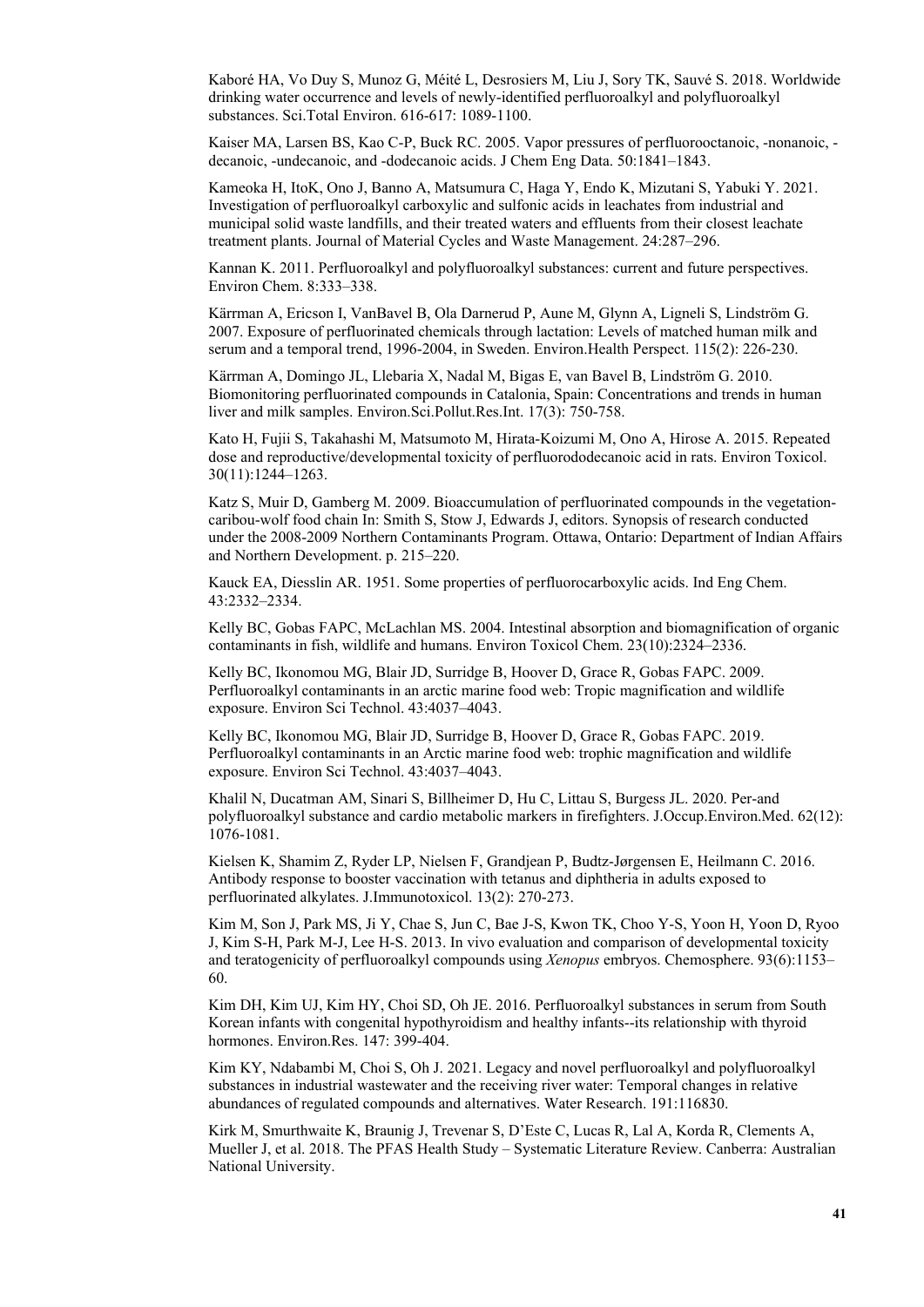Kaboré HA, Vo Duy S, Munoz G, Méité L, Desrosiers M, Liu J, Sory TK, Sauvé S. 2018. Worldwide drinking water occurrence and levels of newly-identified perfluoroalkyl and polyfluoroalkyl substances. Sci.Total Environ. 616-617: 1089-1100.

Kaiser MA, Larsen BS, Kao C-P, Buck RC. 2005. Vapor pressures of perfluorooctanoic, -nonanoic, decanoic, -undecanoic, and -dodecanoic acids. J Chem Eng Data. 50:1841–1843.

Kameoka H, ItoK, Ono J, Banno A, Matsumura C, Haga Y, Endo K, Mizutani S, Yabuki Y. 2021. Investigation of perfluoroalkyl carboxylic and sulfonic acids in leachates from industrial and municipal solid waste landfills, and their treated waters and effluents from their closest leachate treatment plants. Journal of Material Cycles and Waste Management. 24:287–296.

Kannan K. 2011. Perfluoroalkyl and polyfluoroalkyl substances: current and future perspectives. Environ Chem. 8:333–338.

Kärrman A, Ericson I, VanBavel B, Ola Darnerud P, Aune M, Glynn A, Ligneli S, Lindström G. 2007. Exposure of perfluorinated chemicals through lactation: Levels of matched human milk and serum and a temporal trend, 1996-2004, in Sweden. Environ.Health Perspect. 115(2): 226-230.

Kärrman A, Domingo JL, Llebaria X, Nadal M, Bigas E, van Bavel B, Lindström G. 2010. Biomonitoring perfluorinated compounds in Catalonia, Spain: Concentrations and trends in human liver and milk samples. Environ.Sci.Pollut.Res.Int. 17(3): 750-758.

Kato H, Fujii S, Takahashi M, Matsumoto M, Hirata-Koizumi M, Ono A, Hirose A. 2015. Repeated dose and reproductive/developmental toxicity of perfluorododecanoic acid in rats. Environ Toxicol. 30(11):1244–1263.

Katz S, Muir D, Gamberg M. 2009. Bioaccumulation of perfluorinated compounds in the vegetationcaribou-wolf food chain In: Smith S, Stow J, Edwards J, editors. Synopsis of research conducted under the 2008-2009 Northern Contaminants Program. Ottawa, Ontario: Department of Indian Affairs and Northern Development. p. 215–220.

Kauck EA, Diesslin AR. 1951. Some properties of perfluorocarboxylic acids. Ind Eng Chem. 43:2332–2334.

Kelly BC, Gobas FAPC, McLachlan MS. 2004. Intestinal absorption and biomagnification of organic contaminants in fish, wildlife and humans. Environ Toxicol Chem. 23(10):2324–2336.

Kelly BC, Ikonomou MG, Blair JD, Surridge B, Hoover D, Grace R, Gobas FAPC. 2009. Perfluoroalkyl contaminants in an arctic marine food web: Tropic magnification and wildlife exposure. Environ Sci Technol. 43:4037–4043.

Kelly BC, Ikonomou MG, Blair JD, Surridge B, Hoover D, Grace R, Gobas FAPC. 2019. Perfluoroalkyl contaminants in an Arctic marine food web: trophic magnification and wildlife exposure. Environ Sci Technol. 43:4037–4043.

Khalil N, Ducatman AM, Sinari S, Billheimer D, Hu C, Littau S, Burgess JL. 2020. Per-and polyfluoroalkyl substance and cardio metabolic markers in firefighters. J.Occup.Environ.Med. 62(12): 1076-1081.

Kielsen K, Shamim Z, Ryder LP, Nielsen F, Grandjean P, Budtz-Jørgensen E, Heilmann C. 2016. Antibody response to booster vaccination with tetanus and diphtheria in adults exposed to perfluorinated alkylates. J.Immunotoxicol. 13(2): 270-273.

Kim M, Son J, Park MS, Ji Y, Chae S, Jun C, Bae J-S, Kwon TK, Choo Y-S, Yoon H, Yoon D, Ryoo J, Kim S-H, Park M-J, Lee H-S. 2013. In vivo evaluation and comparison of developmental toxicity and teratogenicity of perfluoroalkyl compounds using *Xenopus* embryos. Chemosphere. 93(6):1153– 60.

Kim DH, Kim UJ, Kim HY, Choi SD, Oh JE. 2016. Perfluoroalkyl substances in serum from South Korean infants with congenital hypothyroidism and healthy infants--its relationship with thyroid hormones. Environ.Res. 147: 399-404.

Kim KY, Ndabambi M, Choi S, Oh J. 2021. Legacy and novel perfluoroalkyl and polyfluoroalkyl substances in industrial wastewater and the receiving river water: Temporal changes in relative abundances of regulated compounds and alternatives. Water Research. 191:116830.

Kirk M, Smurthwaite K, Braunig J, Trevenar S, D'Este C, Lucas R, Lal A, Korda R, Clements A, Mueller J, et al. 2018. The PFAS Health Study – Systematic Literature Review. Canberra: Australian National University.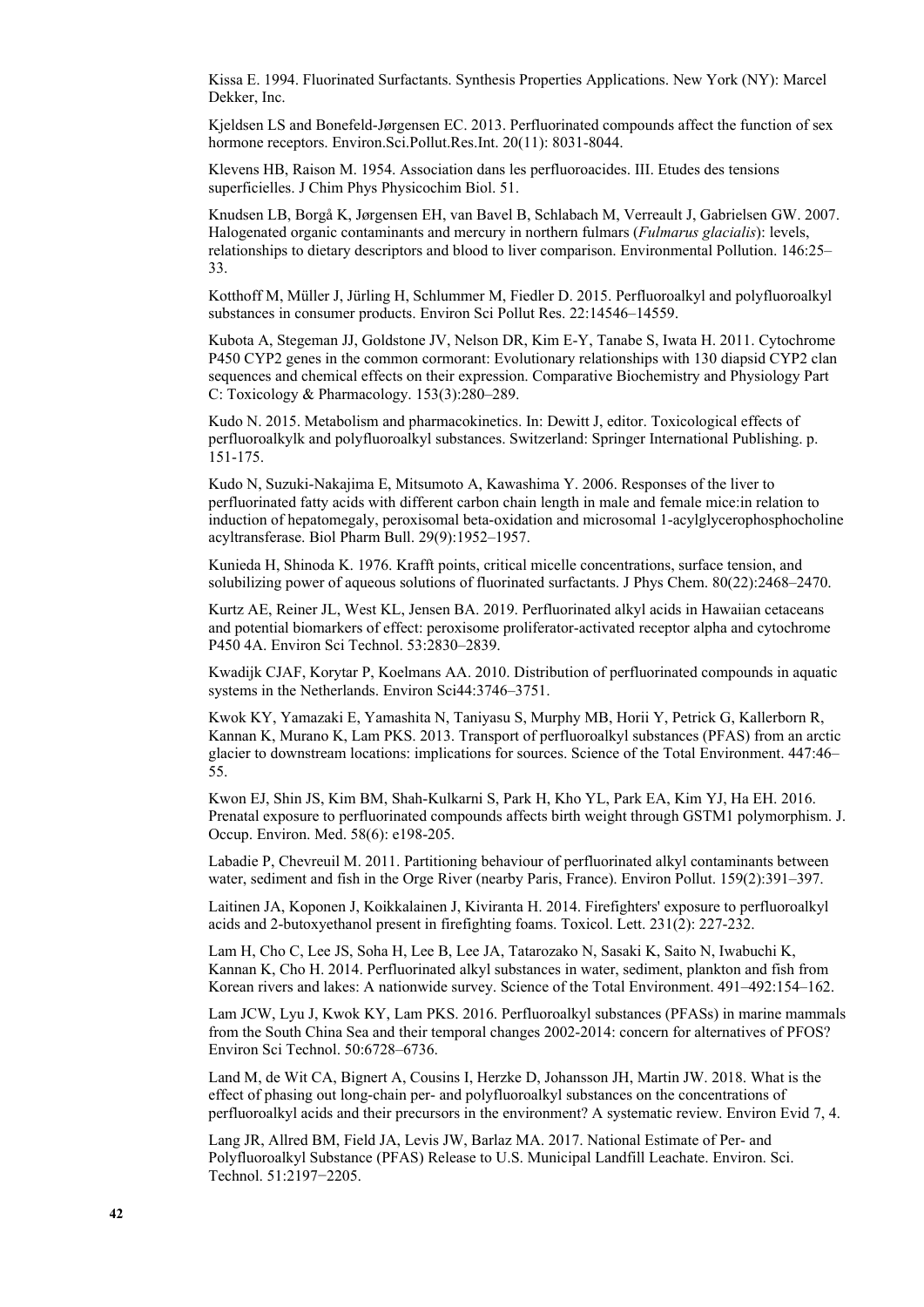Kissa E. 1994. Fluorinated Surfactants. Synthesis Properties Applications. New York (NY): Marcel Dekker, Inc.

Kjeldsen LS and Bonefeld-Jørgensen EC. 2013. Perfluorinated compounds affect the function of sex hormone receptors. Environ.Sci.Pollut.Res.Int. 20(11): 8031-8044.

Klevens HB, Raison M. 1954. Association dans les perfluoroacides. III. Etudes des tensions superficielles. J Chim Phys Physicochim Biol. 51.

Knudsen LB, Borgå K, Jørgensen EH, van Bavel B, Schlabach M, Verreault J, Gabrielsen GW. 2007. Halogenated organic contaminants and mercury in northern fulmars (*Fulmarus glacialis*): levels, relationships to dietary descriptors and blood to liver comparison. Environmental Pollution. 146:25– 33.

Kotthoff M, Müller J, Jürling H, Schlummer M, Fiedler D. 2015. Perfluoroalkyl and polyfluoroalkyl substances in consumer products. Environ Sci Pollut Res. 22:14546–14559.

Kubota A, Stegeman JJ, Goldstone JV, Nelson DR, Kim E-Y, Tanabe S, Iwata H. 2011. Cytochrome P450 CYP2 genes in the common cormorant: Evolutionary relationships with 130 diapsid CYP2 clan sequences and chemical effects on their expression. Comparative Biochemistry and Physiology Part C: Toxicology & Pharmacology. 153(3):280–289.

Kudo N. 2015. Metabolism and pharmacokinetics. In: Dewitt J, editor. Toxicological effects of perfluoroalkylk and polyfluoroalkyl substances. Switzerland: Springer International Publishing. p. 151-175.

Kudo N, Suzuki-Nakajima E, Mitsumoto A, Kawashima Y. 2006. Responses of the liver to perfluorinated fatty acids with different carbon chain length in male and female mice:in relation to induction of hepatomegaly, peroxisomal beta-oxidation and microsomal 1-acylglycerophosphocholine acyltransferase. Biol Pharm Bull. 29(9):1952–1957.

Kunieda H, Shinoda K. 1976. Krafft points, critical micelle concentrations, surface tension, and solubilizing power of aqueous solutions of fluorinated surfactants. J Phys Chem. 80(22):2468–2470.

Kurtz AE, Reiner JL, West KL, Jensen BA. 2019. Perfluorinated alkyl acids in Hawaiian cetaceans and potential biomarkers of effect: peroxisome proliferator-activated receptor alpha and cytochrome P450 4A. Environ Sci Technol. 53:2830–2839.

Kwadijk CJAF, Korytar P, Koelmans AA. 2010. Distribution of perfluorinated compounds in aquatic systems in the Netherlands. Environ Sci44:3746–3751.

Kwok KY, Yamazaki E, Yamashita N, Taniyasu S, Murphy MB, Horii Y, Petrick G, Kallerborn R, Kannan K, Murano K, Lam PKS. 2013. Transport of perfluoroalkyl substances (PFAS) from an arctic glacier to downstream locations: implications for sources. Science of the Total Environment. 447:46– 55.

Kwon EJ, Shin JS, Kim BM, Shah-Kulkarni S, Park H, Kho YL, Park EA, Kim YJ, Ha EH. 2016. Prenatal exposure to perfluorinated compounds affects birth weight through GSTM1 polymorphism. J. Occup. Environ. Med. 58(6): e198-205.

Labadie P, Chevreuil M. 2011. Partitioning behaviour of perfluorinated alkyl contaminants between water, sediment and fish in the Orge River (nearby Paris, France). Environ Pollut. 159(2):391–397.

Laitinen JA, Koponen J, Koikkalainen J, Kiviranta H. 2014. Firefighters' exposure to perfluoroalkyl acids and 2-butoxyethanol present in firefighting foams. Toxicol. Lett. 231(2): 227-232.

Lam H, Cho C, Lee JS, Soha H, Lee B, Lee JA, Tatarozako N, Sasaki K, Saito N, Iwabuchi K, Kannan K, Cho H. 2014. Perfluorinated alkyl substances in water, sediment, plankton and fish from Korean rivers and lakes: A nationwide survey. Science of the Total Environment. 491–492:154–162.

Lam JCW, Lyu J, Kwok KY, Lam PKS. 2016. Perfluoroalkyl substances (PFASs) in marine mammals from the South China Sea and their temporal changes 2002-2014: concern for alternatives of PFOS? Environ Sci Technol. 50:6728–6736.

Land M, de Wit CA, Bignert A, Cousins I, Herzke D, Johansson JH, Martin JW. 2018. What is the effect of phasing out long-chain per- and polyfluoroalkyl substances on the concentrations of perfluoroalkyl acids and their precursors in the environment? A systematic review. Environ Evid 7, 4.

Lang JR, Allred BM, Field JA, Levis JW, Barlaz MA. 2017. National Estimate of Per- and Polyfluoroalkyl Substance (PFAS) Release to U.S. Municipal Landfill Leachate. Environ. Sci. Technol. 51:2197−2205.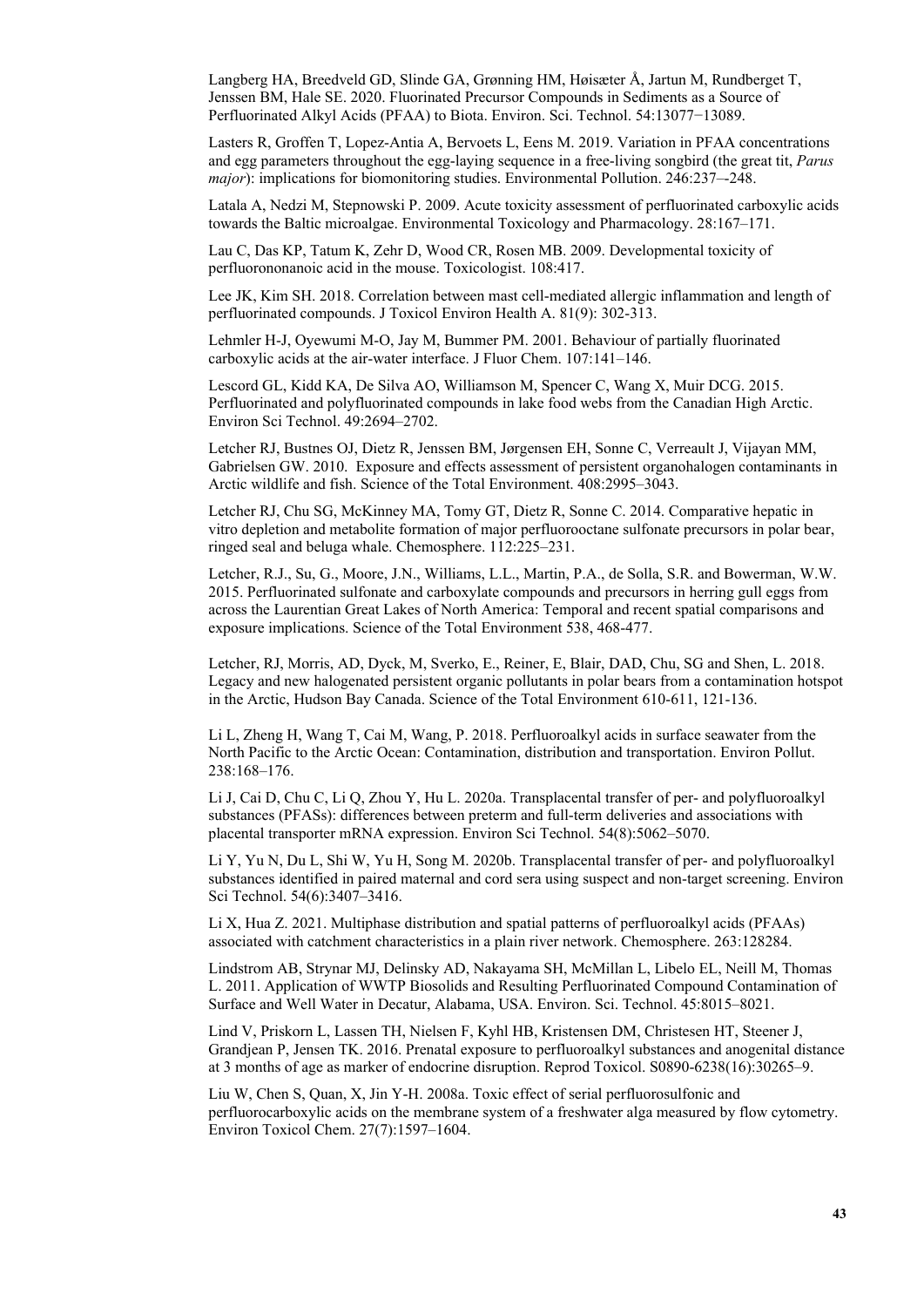Langberg HA, Breedveld GD, Slinde GA, Grønning HM, Høisæter Å, Jartun M, Rundberget T, Jenssen BM, Hale SE. 2020. Fluorinated Precursor Compounds in Sediments as a Source of Perfluorinated Alkyl Acids (PFAA) to Biota. Environ. Sci. Technol. 54:13077−13089.

Lasters R, Groffen T, Lopez-Antia A, Bervoets L, Eens M. 2019. Variation in PFAA concentrations and egg parameters throughout the egg-laying sequence in a free-living songbird (the great tit, *Parus major*): implications for biomonitoring studies. Environmental Pollution. 246:237--248.

Latala A, Nedzi M, Stepnowski P. 2009. Acute toxicity assessment of perfluorinated carboxylic acids towards the Baltic microalgae. Environmental Toxicology and Pharmacology. 28:167–171.

Lau C, Das KP, Tatum K, Zehr D, Wood CR, Rosen MB. 2009. Developmental toxicity of perfluorononanoic acid in the mouse. Toxicologist. 108:417.

Lee JK, Kim SH. 2018. Correlation between mast cell-mediated allergic inflammation and length of perfluorinated compounds. J Toxicol Environ Health A. 81(9): 302-313.

Lehmler H-J, Oyewumi M-O, Jay M, Bummer PM. 2001. Behaviour of partially fluorinated carboxylic acids at the air-water interface. J Fluor Chem. 107:141–146.

Lescord GL, Kidd KA, De Silva AO, Williamson M, Spencer C, Wang X, Muir DCG. 2015. Perfluorinated and polyfluorinated compounds in lake food webs from the Canadian High Arctic. Environ Sci Technol. 49:2694–2702.

Letcher RJ, Bustnes OJ, Dietz R, Jenssen BM, Jørgensen EH, Sonne C, Verreault J, Vijayan MM, Gabrielsen GW. 2010. Exposure and effects assessment of persistent organohalogen contaminants in Arctic wildlife and fish. Science of the Total Environment. 408:2995–3043.

Letcher RJ, Chu SG, McKinney MA, Tomy GT, Dietz R, Sonne C. 2014. Comparative hepatic in vitro depletion and metabolite formation of major perfluorooctane sulfonate precursors in polar bear, ringed seal and beluga whale. Chemosphere. 112:225–231.

Letcher, R.J., Su, G., Moore, J.N., Williams, L.L., Martin, P.A., de Solla, S.R. and Bowerman, W.W. 2015. Perfluorinated sulfonate and carboxylate compounds and precursors in herring gull eggs from across the Laurentian Great Lakes of North America: Temporal and recent spatial comparisons and exposure implications. Science of the Total Environment 538, 468-477.

Letcher, RJ, Morris, AD, Dyck, M, Sverko, E., Reiner, E, Blair, DAD, Chu, SG and Shen, L. 2018. Legacy and new halogenated persistent organic pollutants in polar bears from a contamination hotspot in the Arctic, Hudson Bay Canada. Science of the Total Environment 610-611, 121-136.

Li L, Zheng H, Wang T, Cai M, Wang, P. 2018. Perfluoroalkyl acids in surface seawater from the North Pacific to the Arctic Ocean: Contamination, distribution and transportation. Environ Pollut. 238:168–176.

Li J, Cai D, Chu C, Li Q, Zhou Y, Hu L. 2020a. Transplacental transfer of per- and polyfluoroalkyl substances (PFASs): differences between preterm and full-term deliveries and associations with placental transporter mRNA expression. Environ Sci Technol. 54(8):5062–5070.

Li Y, Yu N, Du L, Shi W, Yu H, Song M. 2020b. Transplacental transfer of per- and polyfluoroalkyl substances identified in paired maternal and cord sera using suspect and non-target screening. Environ Sci Technol. 54(6):3407–3416.

Li X, Hua Z. 2021. Multiphase distribution and spatial patterns of perfluoroalkyl acids (PFAAs) associated with catchment characteristics in a plain river network. Chemosphere. 263:128284.

Lindstrom AB, Strynar MJ, Delinsky AD, Nakayama SH, McMillan L, Libelo EL, Neill M, Thomas L. 2011. Application of WWTP Biosolids and Resulting Perfluorinated Compound Contamination of Surface and Well Water in Decatur, Alabama, USA. Environ. Sci. Technol. 45:8015–8021.

Lind V, Priskorn L, Lassen TH, Nielsen F, Kyhl HB, Kristensen DM, Christesen HT, Steener J, Grandjean P, Jensen TK. 2016. Prenatal exposure to perfluoroalkyl substances and anogenital distance at 3 months of age as marker of endocrine disruption. Reprod Toxicol. S0890-6238(16):30265–9.

Liu W, Chen S, Quan, X, Jin Y-H. 2008a. Toxic effect of serial perfluorosulfonic and perfluorocarboxylic acids on the membrane system of a freshwater alga measured by flow cytometry. Environ Toxicol Chem. 27(7):1597–1604.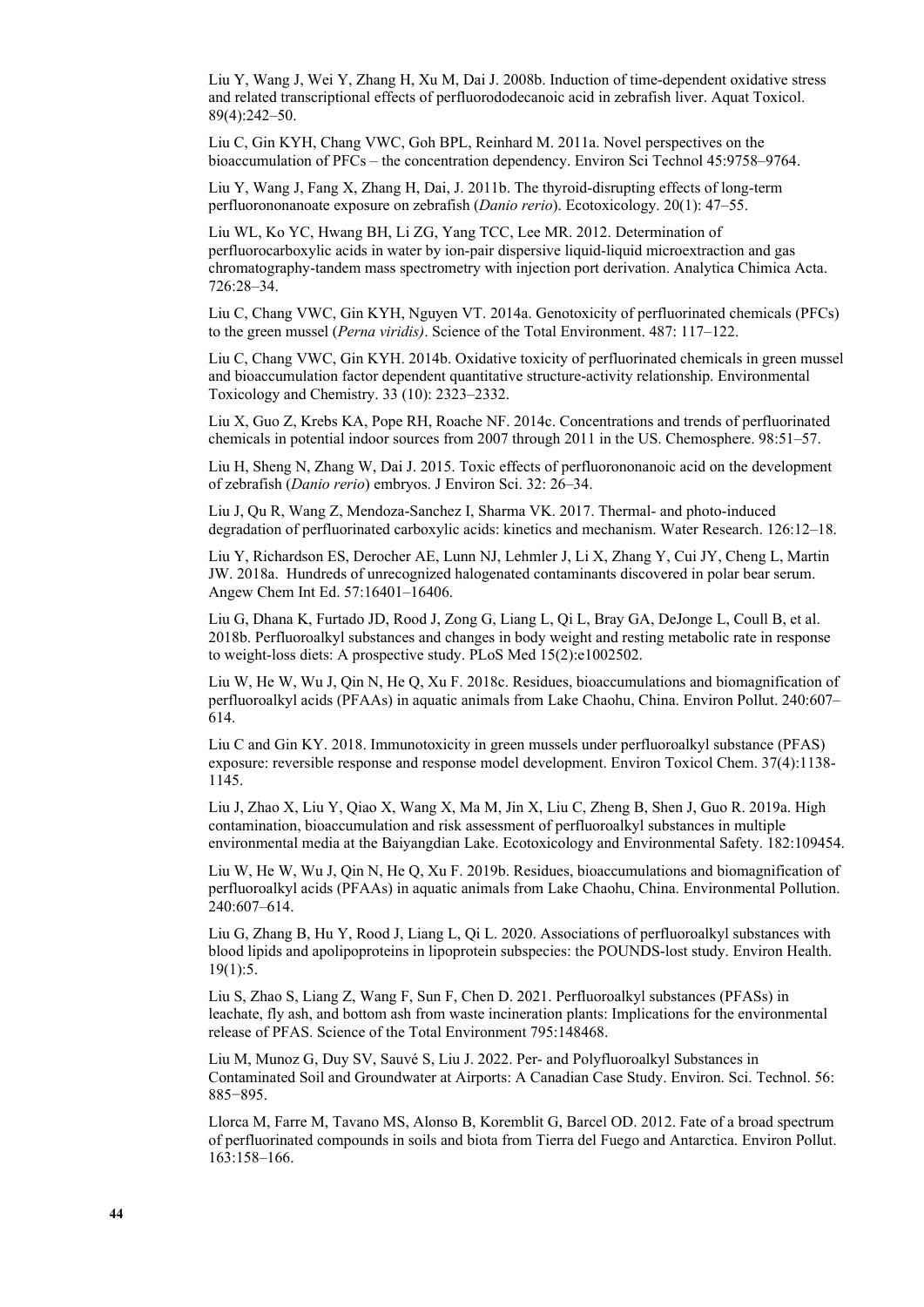Liu Y, Wang J, Wei Y, Zhang H, Xu M, Dai J. 2008b. Induction of time-dependent oxidative stress and related transcriptional effects of perfluorododecanoic acid in zebrafish liver. Aquat Toxicol. 89(4):242–50.

Liu C, Gin KYH, Chang VWC, Goh BPL, Reinhard M. 2011a. Novel perspectives on the bioaccumulation of PFCs – the concentration dependency. Environ Sci Technol 45:9758–9764.

Liu Y, Wang J, Fang X, Zhang H, Dai, J. 2011b. The thyroid-disrupting effects of long-term perfluorononanoate exposure on zebrafish (*Danio rerio*). Ecotoxicology. 20(1): 47–55.

Liu WL, Ko YC, Hwang BH, Li ZG, Yang TCC, Lee MR. 2012. Determination of perfluorocarboxylic acids in water by ion-pair dispersive liquid-liquid microextraction and gas chromatography-tandem mass spectrometry with injection port derivation. Analytica Chimica Acta. 726:28–34.

Liu C, Chang VWC, Gin KYH, Nguyen VT. 2014a. Genotoxicity of perfluorinated chemicals (PFCs) to the green mussel (*Perna viridis)*. Science of the Total Environment. 487: 117–122.

Liu C, Chang VWC, Gin KYH. 2014b. Oxidative toxicity of perfluorinated chemicals in green mussel and bioaccumulation factor dependent quantitative structure-activity relationship. Environmental Toxicology and Chemistry. 33 (10): 2323–2332.

Liu X, Guo Z, Krebs KA, Pope RH, Roache NF. 2014c. Concentrations and trends of perfluorinated chemicals in potential indoor sources from 2007 through 2011 in the US. Chemosphere. 98:51–57.

Liu H, Sheng N, Zhang W, Dai J. 2015. Toxic effects of perfluorononanoic acid on the development of zebrafish (*Danio rerio*) embryos. J Environ Sci. 32: 26–34.

Liu J, Qu R, Wang Z, Mendoza-Sanchez I, Sharma VK. 2017. Thermal- and photo-induced degradation of perfluorinated carboxylic acids: kinetics and mechanism. Water Research. 126:12–18.

Liu Y, Richardson ES, Derocher AE, Lunn NJ, Lehmler J, Li X, Zhang Y, Cui JY, Cheng L, Martin JW. 2018a. Hundreds of unrecognized halogenated contaminants discovered in polar bear serum. Angew Chem Int Ed. 57:16401–16406.

Liu G, Dhana K, Furtado JD, Rood J, Zong G, Liang L, Qi L, Bray GA, DeJonge L, Coull B, et al. 2018b. Perfluoroalkyl substances and changes in body weight and resting metabolic rate in response to weight-loss diets: A prospective study. PLoS Med 15(2):e1002502.

Liu W, He W, Wu J, Qin N, He Q, Xu F. 2018c. Residues, bioaccumulations and biomagnification of perfluoroalkyl acids (PFAAs) in aquatic animals from Lake Chaohu, China. Environ Pollut. 240:607– 614.

Liu C and Gin KY. 2018. Immunotoxicity in green mussels under perfluoroalkyl substance (PFAS) exposure: reversible response and response model development. Environ Toxicol Chem. 37(4):1138- 1145.

Liu J, Zhao X, Liu Y, Qiao X, Wang X, Ma M, Jin X, Liu C, Zheng B, Shen J, Guo R. 2019a. High contamination, bioaccumulation and risk assessment of perfluoroalkyl substances in multiple environmental media at the Baiyangdian Lake. Ecotoxicology and Environmental Safety. 182:109454.

Liu W, He W, Wu J, Qin N, He Q, Xu F. 2019b. Residues, bioaccumulations and biomagnification of perfluoroalkyl acids (PFAAs) in aquatic animals from Lake Chaohu, China. Environmental Pollution. 240:607–614.

Liu G, Zhang B, Hu Y, Rood J, Liang L, Qi L. 2020. Associations of perfluoroalkyl substances with blood lipids and apolipoproteins in lipoprotein subspecies: the POUNDS-lost study. Environ Health. 19(1):5.

Liu S, Zhao S, Liang Z, Wang F, Sun F, Chen D. 2021. Perfluoroalkyl substances (PFASs) in leachate, fly ash, and bottom ash from waste incineration plants: Implications for the environmental release of PFAS. Science of the Total Environment 795:148468.

Liu M, Munoz G, Duy SV, Sauvé S, Liu J. 2022. Per- and Polyfluoroalkyl Substances in Contaminated Soil and Groundwater at Airports: A Canadian Case Study. Environ. Sci. Technol. 56: 885−895.

Llorca M, Farre M, Tavano MS, Alonso B, Koremblit G, Barcel OD. 2012. Fate of a broad spectrum of perfluorinated compounds in soils and biota from Tierra del Fuego and Antarctica. Environ Pollut. 163:158–166.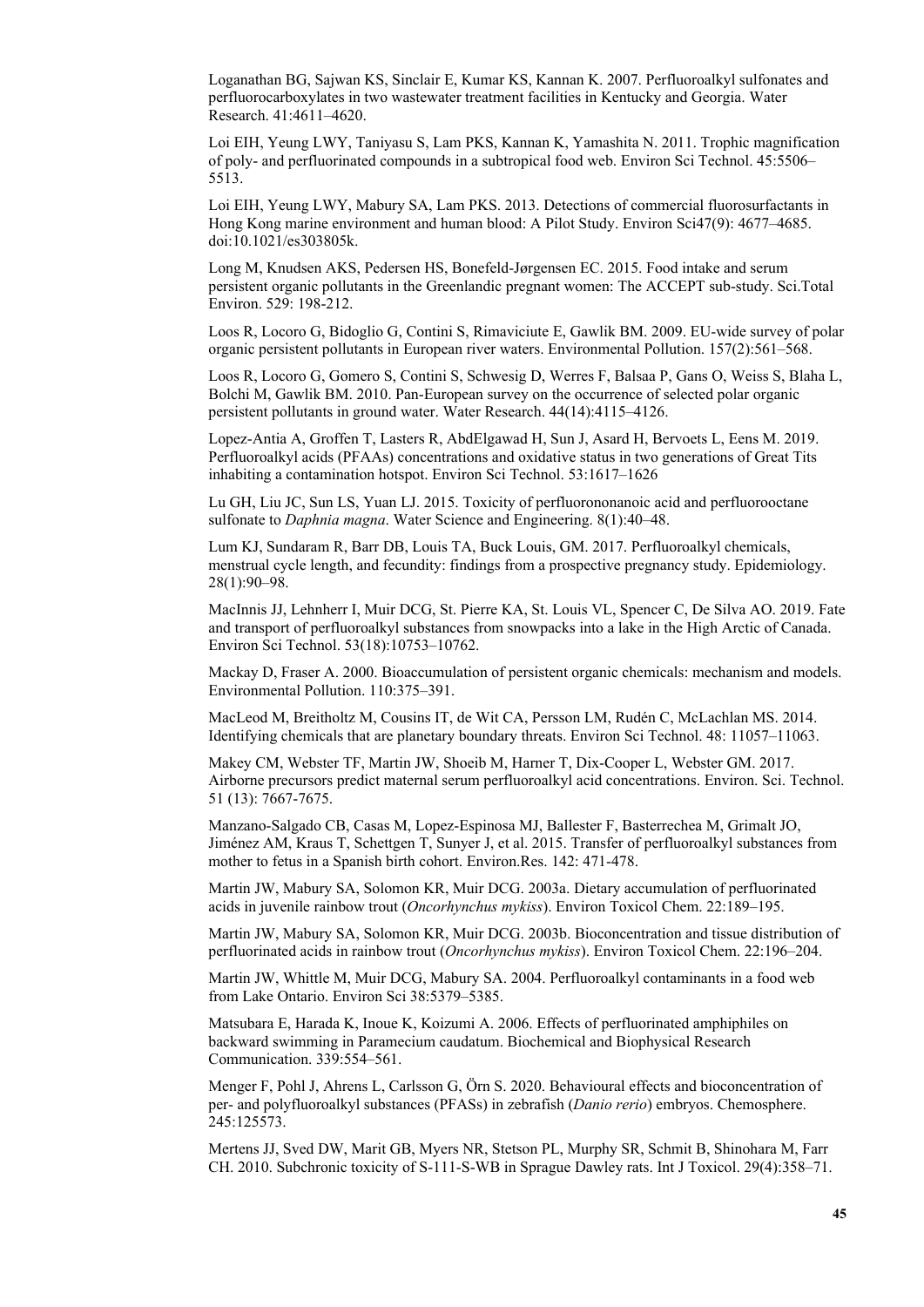Loganathan BG, Sajwan KS, Sinclair E, Kumar KS, Kannan K. 2007. Perfluoroalkyl sulfonates and perfluorocarboxylates in two wastewater treatment facilities in Kentucky and Georgia. Water Research. 41:4611–4620.

Loi EIH, Yeung LWY, Taniyasu S, Lam PKS, Kannan K, Yamashita N. 2011. Trophic magnification of poly- and perfluorinated compounds in a subtropical food web. Environ Sci Technol. 45:5506– 5513.

Loi EIH, Yeung LWY, Mabury SA, Lam PKS. 2013. Detections of commercial fluorosurfactants in Hong Kong marine environment and human blood: A Pilot Study. Environ Sci47(9): 4677–4685. doi:10.1021/es303805k.

Long M, Knudsen AKS, Pedersen HS, Bonefeld-Jørgensen EC. 2015. Food intake and serum persistent organic pollutants in the Greenlandic pregnant women: The ACCEPT sub-study. Sci.Total Environ. 529: 198-212.

Loos R, Locoro G, Bidoglio G, Contini S, Rimaviciute E, Gawlik BM. 2009. EU-wide survey of polar organic persistent pollutants in European river waters. Environmental Pollution. 157(2):561–568.

Loos R, Locoro G, Gomero S, Contini S, Schwesig D, Werres F, Balsaa P, Gans O, Weiss S, Blaha L, Bolchi M, Gawlik BM. 2010. Pan-European survey on the occurrence of selected polar organic persistent pollutants in ground water. Water Research. 44(14):4115–4126.

Lopez-Antia A, Groffen T, Lasters R, AbdElgawad H, Sun J, Asard H, Bervoets L, Eens M. 2019. Perfluoroalkyl acids (PFAAs) concentrations and oxidative status in two generations of Great Tits inhabiting a contamination hotspot. Environ Sci Technol. 53:1617–1626

Lu GH, Liu JC, Sun LS, Yuan LJ. 2015. Toxicity of perfluorononanoic acid and perfluorooctane sulfonate to *Daphnia magna*. Water Science and Engineering. 8(1):40–48.

Lum KJ, Sundaram R, Barr DB, Louis TA, Buck Louis, GM. 2017. Perfluoroalkyl chemicals, menstrual cycle length, and fecundity: findings from a prospective pregnancy study. Epidemiology. 28(1):90–98.

MacInnis JJ, Lehnherr I, Muir DCG, St. Pierre KA, St. Louis VL, Spencer C, De Silva AO. 2019. Fate and transport of perfluoroalkyl substances from snowpacks into a lake in the High Arctic of Canada. Environ Sci Technol. 53(18):10753–10762.

Mackay D, Fraser A. 2000. Bioaccumulation of persistent organic chemicals: mechanism and models. Environmental Pollution. 110:375–391.

MacLeod M, Breitholtz M, Cousins IT, de Wit CA, Persson LM, Rudén C, McLachlan MS. 2014. Identifying chemicals that are planetary boundary threats. Environ Sci Technol. 48: 11057–11063.

Makey CM, Webster TF, Martin JW, Shoeib M, Harner T, Dix-Cooper L, Webster GM. 2017. Airborne precursors predict maternal serum perfluoroalkyl acid concentrations. Environ. Sci. Technol. 51 (13): 7667-7675.

Manzano-Salgado CB, Casas M, Lopez-Espinosa MJ, Ballester F, Basterrechea M, Grimalt JO, Jiménez AM, Kraus T, Schettgen T, Sunyer J, et al. 2015. Transfer of perfluoroalkyl substances from mother to fetus in a Spanish birth cohort. Environ.Res. 142: 471-478.

Martin JW, Mabury SA, Solomon KR, Muir DCG. 2003a. Dietary accumulation of perfluorinated acids in juvenile rainbow trout (*Oncorhynchus mykiss*). Environ Toxicol Chem. 22:189–195.

Martin JW, Mabury SA, Solomon KR, Muir DCG. 2003b. Bioconcentration and tissue distribution of perfluorinated acids in rainbow trout (*Oncorhynchus mykiss*). Environ Toxicol Chem. 22:196–204.

Martin JW, Whittle M, Muir DCG, Mabury SA. 2004. Perfluoroalkyl contaminants in a food web from Lake Ontario. Environ Sci 38:5379–5385.

Matsubara E, Harada K, Inoue K, Koizumi A. 2006. Effects of perfluorinated amphiphiles on backward swimming in Paramecium caudatum. Biochemical and Biophysical Research Communication. 339:554–561.

Menger F, Pohl J, Ahrens L, Carlsson G, Örn S. 2020. Behavioural effects and bioconcentration of per- and polyfluoroalkyl substances (PFASs) in zebrafish (*Danio rerio*) embryos. Chemosphere. 245:125573.

Mertens JJ, Sved DW, Marit GB, Myers NR, Stetson PL, Murphy SR, Schmit B, Shinohara M, Farr CH. 2010. Subchronic toxicity of S-111-S-WB in Sprague Dawley rats. Int J Toxicol. 29(4):358–71.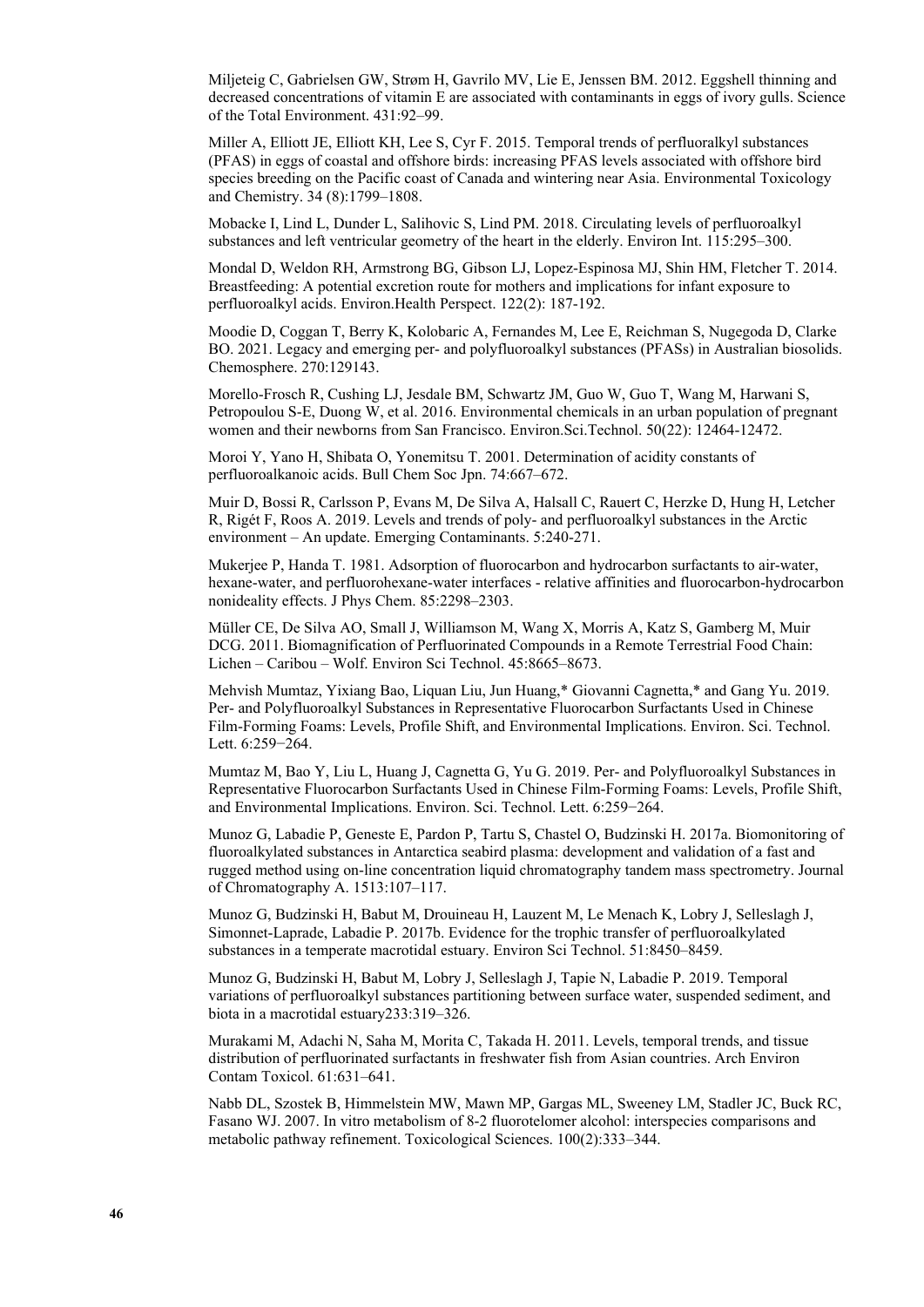Miljeteig C, Gabrielsen GW, Strøm H, Gavrilo MV, Lie E, Jenssen BM. 2012. Eggshell thinning and decreased concentrations of vitamin E are associated with contaminants in eggs of ivory gulls. Science of the Total Environment. 431:92–99.

Miller A, Elliott JE, Elliott KH, Lee S, Cyr F. 2015. Temporal trends of perfluoralkyl substances (PFAS) in eggs of coastal and offshore birds: increasing PFAS levels associated with offshore bird species breeding on the Pacific coast of Canada and wintering near Asia. Environmental Toxicology and Chemistry. 34 (8):1799–1808.

Mobacke I, Lind L, Dunder L, Salihovic S, Lind PM. 2018. Circulating levels of perfluoroalkyl substances and left ventricular geometry of the heart in the elderly. Environ Int. 115:295–300.

Mondal D, Weldon RH, Armstrong BG, Gibson LJ, Lopez-Espinosa MJ, Shin HM, Fletcher T. 2014. Breastfeeding: A potential excretion route for mothers and implications for infant exposure to perfluoroalkyl acids. Environ.Health Perspect. 122(2): 187-192.

Moodie D, Coggan T, Berry K, Kolobaric A, Fernandes M, Lee E, Reichman S, Nugegoda D, Clarke BO. 2021. Legacy and emerging per- and polyfluoroalkyl substances (PFASs) in Australian biosolids. Chemosphere. 270:129143.

Morello-Frosch R, Cushing LJ, Jesdale BM, Schwartz JM, Guo W, Guo T, Wang M, Harwani S, Petropoulou S-E, Duong W, et al. 2016. Environmental chemicals in an urban population of pregnant women and their newborns from San Francisco. Environ.Sci.Technol. 50(22): 12464-12472.

Moroi Y, Yano H, Shibata O, Yonemitsu T. 2001. Determination of acidity constants of perfluoroalkanoic acids. Bull Chem Soc Jpn. 74:667–672.

Muir D, Bossi R, Carlsson P, Evans M, De Silva A, Halsall C, Rauert C, Herzke D, Hung H, Letcher R, Rigét F, Roos A. 2019. Levels and trends of poly- and perfluoroalkyl substances in the Arctic environment – An update. Emerging Contaminants. 5:240-271.

Mukerjee P, Handa T. 1981. Adsorption of fluorocarbon and hydrocarbon surfactants to air-water, hexane-water, and perfluorohexane-water interfaces - relative affinities and fluorocarbon-hydrocarbon nonideality effects. J Phys Chem. 85:2298–2303.

Müller CE, De Silva AO, Small J, Williamson M, Wang X, Morris A, Katz S, Gamberg M, Muir DCG. 2011. Biomagnification of Perfluorinated Compounds in a Remote Terrestrial Food Chain: Lichen – Caribou – Wolf. Environ Sci Technol. 45:8665–8673.

Mehvish Mumtaz, Yixiang Bao, Liquan Liu, Jun Huang,\* Giovanni Cagnetta,\* and Gang Yu. 2019. Per- and Polyfluoroalkyl Substances in Representative Fluorocarbon Surfactants Used in Chinese Film-Forming Foams: Levels, Profile Shift, and Environmental Implications. Environ. Sci. Technol. Lett. 6:259−264.

Mumtaz M, Bao Y, Liu L, Huang J, Cagnetta G, Yu G. 2019. Per- and Polyfluoroalkyl Substances in Representative Fluorocarbon Surfactants Used in Chinese Film-Forming Foams: Levels, Profile Shift, and Environmental Implications. Environ. Sci. Technol. Lett. 6:259−264.

Munoz G, Labadie P, Geneste E, Pardon P, Tartu S, Chastel O, Budzinski H. 2017a. Biomonitoring of fluoroalkylated substances in Antarctica seabird plasma: development and validation of a fast and rugged method using on-line concentration liquid chromatography tandem mass spectrometry. Journal of Chromatography A. 1513:107–117.

Munoz G, Budzinski H, Babut M, Drouineau H, Lauzent M, Le Menach K, Lobry J, Selleslagh J, Simonnet-Laprade, Labadie P. 2017b. Evidence for the trophic transfer of perfluoroalkylated substances in a temperate macrotidal estuary. Environ Sci Technol. 51:8450–8459.

Munoz G, Budzinski H, Babut M, Lobry J, Selleslagh J, Tapie N, Labadie P. 2019. Temporal variations of perfluoroalkyl substances partitioning between surface water, suspended sediment, and biota in a macrotidal estuary233:319–326.

Murakami M, Adachi N, Saha M, Morita C, Takada H. 2011. Levels, temporal trends, and tissue distribution of perfluorinated surfactants in freshwater fish from Asian countries. Arch Environ Contam Toxicol. 61:631–641.

Nabb DL, Szostek B, Himmelstein MW, Mawn MP, Gargas ML, Sweeney LM, Stadler JC, Buck RC, Fasano WJ. 2007. In vitro metabolism of 8-2 fluorotelomer alcohol: interspecies comparisons and metabolic pathway refinement. Toxicological Sciences. 100(2):333–344.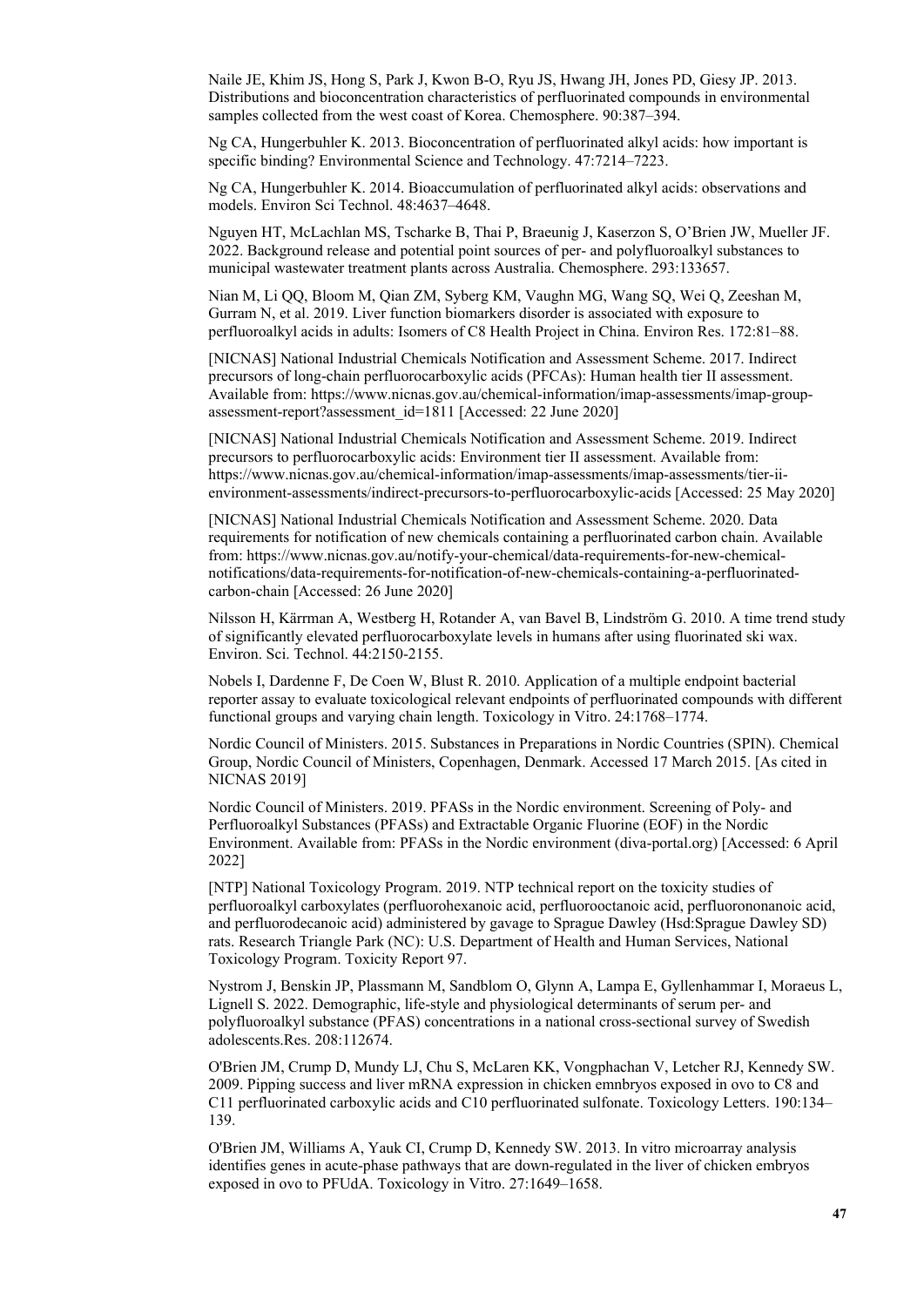Naile JE, Khim JS, Hong S, Park J, Kwon B-O, Ryu JS, Hwang JH, Jones PD, Giesy JP. 2013. Distributions and bioconcentration characteristics of perfluorinated compounds in environmental samples collected from the west coast of Korea. Chemosphere. 90:387–394.

Ng CA, Hungerbuhler K. 2013. Bioconcentration of perfluorinated alkyl acids: how important is specific binding? Environmental Science and Technology. 47:7214–7223.

Ng CA, Hungerbuhler K. 2014. Bioaccumulation of perfluorinated alkyl acids: observations and models. Environ Sci Technol. 48:4637–4648.

Nguyen HT, McLachlan MS, Tscharke B, Thai P, Braeunig J, Kaserzon S, O'Brien JW, Mueller JF. 2022. Background release and potential point sources of per- and polyfluoroalkyl substances to municipal wastewater treatment plants across Australia. Chemosphere. 293:133657.

Nian M, Li QQ, Bloom M, Qian ZM, Syberg KM, Vaughn MG, Wang SQ, Wei Q, Zeeshan M, Gurram N, et al. 2019. Liver function biomarkers disorder is associated with exposure to perfluoroalkyl acids in adults: Isomers of C8 Health Project in China. Environ Res. 172:81–88.

[NICNAS] National Industrial Chemicals Notification and Assessment Scheme. 2017. Indirect precursors of long-chain perfluorocarboxylic acids (PFCAs): Human health tier II assessment. Available from: [https://www.nicnas.gov.au/chemical-information/imap-assessments/imap-group](https://www.nicnas.gov.au/chemical-information/imap-assessments/imap-group-assessment-report?assessment_id=1811)[assessment-report?assessment\\_id=1811](https://www.nicnas.gov.au/chemical-information/imap-assessments/imap-group-assessment-report?assessment_id=1811) [Accessed: 22 June 2020]

[NICNAS] National Industrial Chemicals Notification and Assessment Scheme. 2019. Indirect precursors to perfluorocarboxylic acids: Environment tier II assessment. Available from: [https://www.nicnas.gov.au/chemical-information/imap-assessments/imap-assessments/tier-ii](https://www.nicnas.gov.au/chemical-information/imap-assessments/imap-assessments/tier-ii-environment-assessments/indirect-precursors-to-perfluorocarboxylic-acids)[environment-assessments/indirect-precursors-to-perfluorocarboxylic-acids](https://www.nicnas.gov.au/chemical-information/imap-assessments/imap-assessments/tier-ii-environment-assessments/indirect-precursors-to-perfluorocarboxylic-acids) [Accessed: 25 May 2020]

[NICNAS] National Industrial Chemicals Notification and Assessment Scheme. 2020. Data requirements for notification of new chemicals containing a perfluorinated carbon chain. Available from: [https://www.nicnas.gov.au/notify-your-chemical/data-requirements-for-new-chemical](https://www.nicnas.gov.au/notify-your-chemical/data-requirements-for-new-chemical-notifications/data-requirements-for-notification-of-new-chemicals-containing-a-perfluorinated-carbon-chain)[notifications/data-requirements-for-notification-of-new-chemicals-containing-a-perfluorinated](https://www.nicnas.gov.au/notify-your-chemical/data-requirements-for-new-chemical-notifications/data-requirements-for-notification-of-new-chemicals-containing-a-perfluorinated-carbon-chain)[carbon-chain](https://www.nicnas.gov.au/notify-your-chemical/data-requirements-for-new-chemical-notifications/data-requirements-for-notification-of-new-chemicals-containing-a-perfluorinated-carbon-chain) [Accessed: 26 June 2020]

Nilsson H, Kärrman A, Westberg H, Rotander A, van Bavel B, Lindström G. 2010. A time trend study of significantly elevated perfluorocarboxylate levels in humans after using fluorinated ski wax. Environ. Sci. Technol. 44:2150-2155.

Nobels I, Dardenne F, De Coen W, Blust R. 2010. Application of a multiple endpoint bacterial reporter assay to evaluate toxicological relevant endpoints of perfluorinated compounds with different functional groups and varying chain length. Toxicology in Vitro. 24:1768–1774.

Nordic Council of Ministers. 2015. Substances in Preparations in Nordic Countries (SPIN). Chemical Group, Nordic Council of Ministers, Copenhagen, Denmark. Accessed 17 March 2015. [As cited in NICNAS 2019]

Nordic Council of Ministers. 2019. PFASs in the Nordic environment. Screening of Poly- and Perfluoroalkyl Substances (PFASs) and Extractable Organic Fluorine (EOF) in the Nordic Environment. Available from: [PFASs in the Nordic environment \(diva-portal.org\)](http://norden.diva-portal.org/smash/get/diva2:1296387/FULLTEXT01.pdf) [Accessed: 6 April 2022]

[NTP] National Toxicology Program. 2019. NTP technical report on the toxicity studies of perfluoroalkyl carboxylates (perfluorohexanoic acid, perfluorooctanoic acid, perfluorononanoic acid, and perfluorodecanoic acid) administered by gavage to Sprague Dawley (Hsd:Sprague Dawley SD) rats. Research Triangle Park (NC): U.S. Department of Health and Human Services, National Toxicology Program. Toxicity Report 97.

Nystrom J, Benskin JP, Plassmann M, Sandblom O, Glynn A, Lampa E, Gyllenhammar I, Moraeus L, Lignell S. 2022. Demographic, life-style and physiological determinants of serum per- and polyfluoroalkyl substance (PFAS) concentrations in a national cross-sectional survey of Swedish adolescents.Res. 208:112674.

O'Brien JM, Crump D, Mundy LJ, Chu S, McLaren KK, Vongphachan V, Letcher RJ, Kennedy SW. 2009. Pipping success and liver mRNA expression in chicken emnbryos exposed in ovo to C8 and C11 perfluorinated carboxylic acids and C10 perfluorinated sulfonate. Toxicology Letters. 190:134– 139.

O'Brien JM, Williams A, Yauk CI, Crump D, Kennedy SW. 2013. In vitro microarray analysis identifies genes in acute-phase pathways that are down-regulated in the liver of chicken embryos exposed in ovo to PFUdA. Toxicology in Vitro. 27:1649–1658.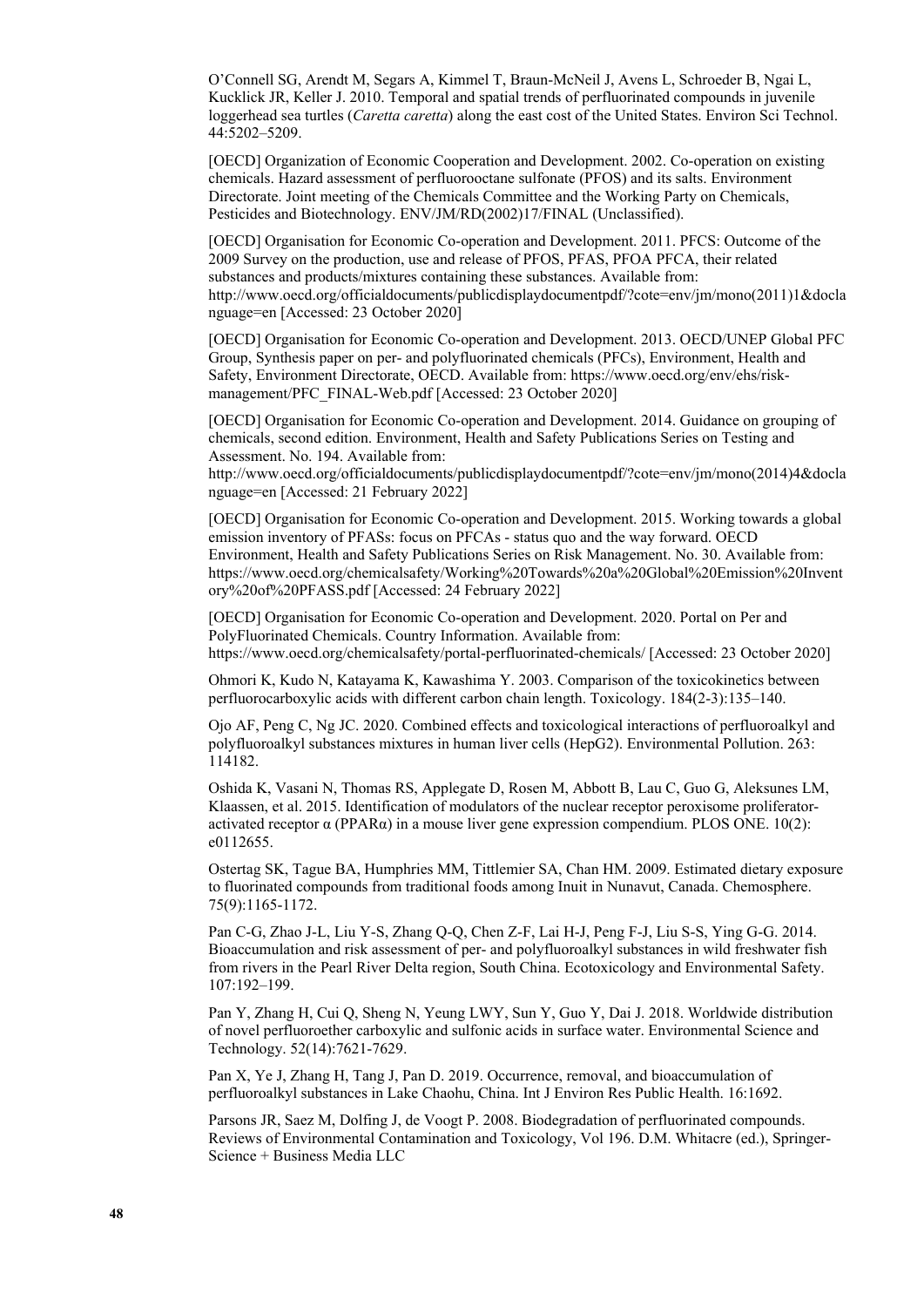O'Connell SG, Arendt M, Segars A, Kimmel T, Braun-McNeil J, Avens L, Schroeder B, Ngai L, Kucklick JR, Keller J. 2010. Temporal and spatial trends of perfluorinated compounds in juvenile loggerhead sea turtles (*Caretta caretta*) along the east cost of the United States. Environ Sci Technol. 44:5202–5209.

[OECD] Organization of Economic Cooperation and Development. 2002. Co-operation on existing chemicals. Hazard assessment of perfluorooctane sulfonate (PFOS) and its salts. Environment Directorate. Joint meeting of the Chemicals Committee and the Working Party on Chemicals, Pesticides and Biotechnology. ENV/JM/RD(2002)17/FINAL (Unclassified).

[OECD] Organisation for Economic Co-operation and Development. 2011. PFCS: Outcome of the 2009 Survey on the production, use and release of PFOS, PFAS, PFOA PFCA, their related substances and products/mixtures containing these substances. Available from: [http://www.oecd.org/officialdocuments/publicdisplaydocumentpdf/?cote=env/jm/mono\(2011\)1&docla](http://www.oecd.org/officialdocuments/publicdisplaydocumentpdf/?cote=env/jm/mono(2011)1&doclanguage=en) [nguage=en](http://www.oecd.org/officialdocuments/publicdisplaydocumentpdf/?cote=env/jm/mono(2011)1&doclanguage=en) [Accessed: 23 October 2020]

[OECD] Organisation for Economic Co-operation and Development. 2013. OECD/UNEP Global PFC Group, Synthesis paper on per- and polyfluorinated chemicals (PFCs), Environment, Health and Safety, Environment Directorate, OECD. Available from: [https://www.oecd.org/env/ehs/risk](https://www.oecd.org/env/ehs/risk-management/PFC_FINAL-Web.pdf)[management/PFC\\_FINAL-Web.pdf](https://www.oecd.org/env/ehs/risk-management/PFC_FINAL-Web.pdf) [Accessed: 23 October 2020]

[OECD] Organisation for Economic Co-operation and Development. 2014. Guidance on grouping of chemicals, second edition. Environment, Health and Safety Publications Series on Testing and Assessment. No. 194. Available from:

http://www.oecd.org/officialdocuments/publicdisplaydocumentpdf/?cote=env/jm/mono(2014)4&docla nguage=en [Accessed: 21 February 2022]

[OECD] Organisation for Economic Co-operation and Development. 2015. Working towards a global emission inventory of PFASs: focus on PFCAs - status quo and the way forward. OECD Environment, Health and Safety Publications Series on Risk Management. No. 30. Available from: [https://www.oecd.org/chemicalsafety/Working%20Towards%20a%20Global%20Emission%20Invent](https://www.oecd.org/chemicalsafety/Working%20Towards%20a%20Global%20Emission%20Inventory%20of%20PFASS.pdf) [ory%20of%20PFASS.pdf](https://www.oecd.org/chemicalsafety/Working%20Towards%20a%20Global%20Emission%20Inventory%20of%20PFASS.pdf) [Accessed: 24 February 2022]

[OECD] Organisation for Economic Co-operation and Development. 2020. Portal on Per and PolyFluorinated Chemicals. Country Information. Available from: <https://www.oecd.org/chemicalsafety/portal-perfluorinated-chemicals/>[Accessed: 23 October 2020]

Ohmori K, Kudo N, Katayama K, Kawashima Y. 2003. Comparison of the toxicokinetics between perfluorocarboxylic acids with different carbon chain length. Toxicology. 184(2-3):135–140.

Ojo AF, Peng C, Ng JC. 2020. Combined effects and toxicological interactions of perfluoroalkyl and polyfluoroalkyl substances mixtures in human liver cells (HepG2). Environmental Pollution. 263: 114182.

Oshida K, Vasani N, Thomas RS, Applegate D, Rosen M, Abbott B, Lau C, Guo G, Aleksunes LM, Klaassen, et al. 2015. Identification of modulators of the nuclear receptor peroxisome proliferatoractivated receptor  $\alpha$  (PPAR $\alpha$ ) in a mouse liver gene expression compendium. PLOS ONE. 10(2): e0112655.

Ostertag SK, Tague BA, Humphries MM, Tittlemier SA, Chan HM. 2009. Estimated dietary exposure to fluorinated compounds from traditional foods among Inuit in Nunavut, Canada. Chemosphere. 75(9):1165-1172.

Pan C-G, Zhao J-L, Liu Y-S, Zhang Q-Q, Chen Z-F, Lai H-J, Peng F-J, Liu S-S, Ying G-G. 2014. Bioaccumulation and risk assessment of per- and polyfluoroalkyl substances in wild freshwater fish from rivers in the Pearl River Delta region, South China. Ecotoxicology and Environmental Safety. 107:192–199.

Pan Y, Zhang H, Cui Q, Sheng N, Yeung LWY, Sun Y, Guo Y, Dai J. 2018. Worldwide distribution of novel perfluoroether carboxylic and sulfonic acids in surface water. Environmental Science and Technology. 52(14):7621-7629.

Pan X, Ye J, Zhang H, Tang J, Pan D. 2019. Occurrence, removal, and bioaccumulation of perfluoroalkyl substances in Lake Chaohu, China. Int J Environ Res Public Health. 16:1692.

Parsons JR, Saez M, Dolfing J, de Voogt P. 2008. Biodegradation of perfluorinated compounds. Reviews of Environmental Contamination and Toxicology, Vol 196. D.M. Whitacre (ed.), Springer-Science + Business Media LLC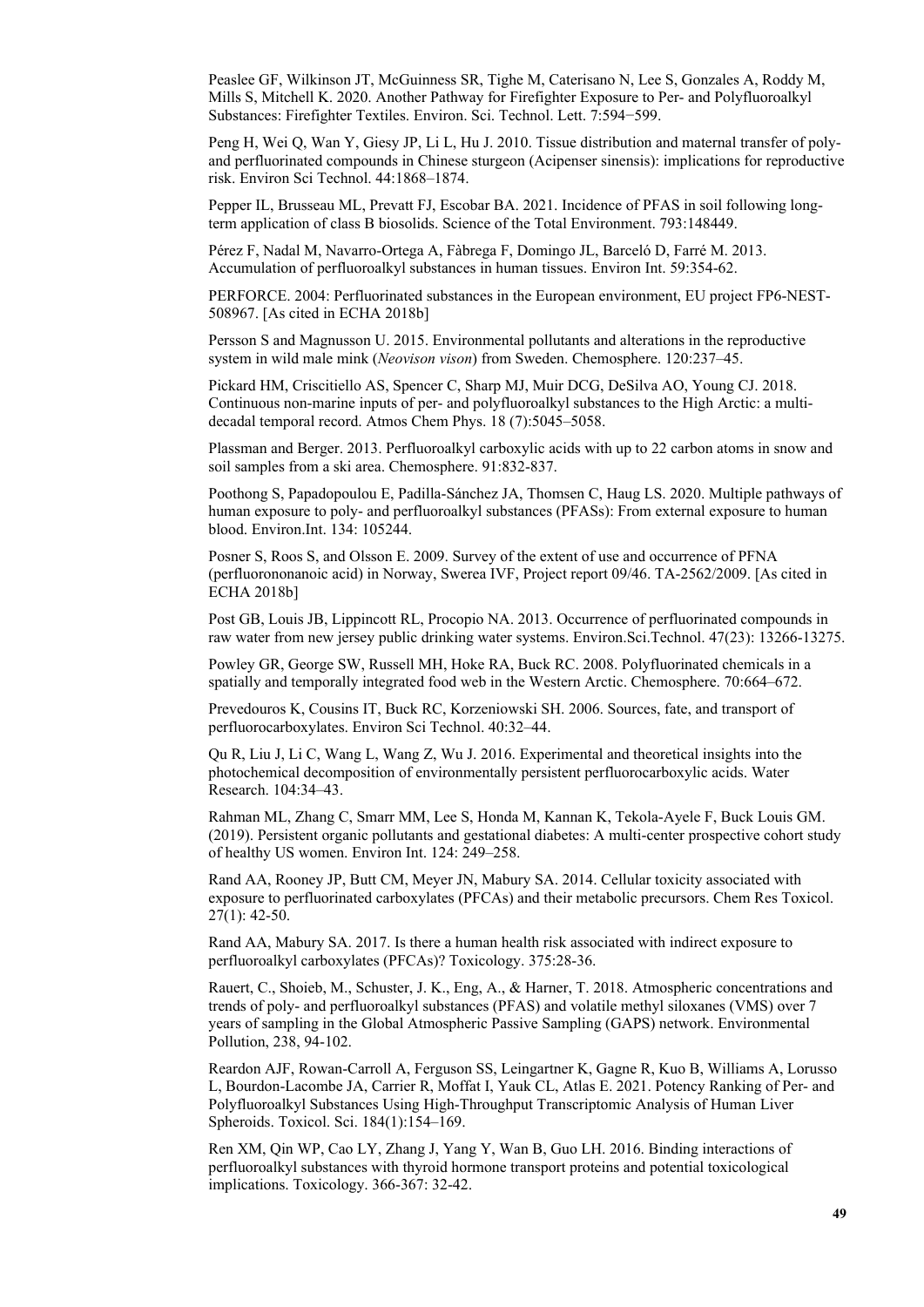Peaslee GF, Wilkinson JT, McGuinness SR, Tighe M, Caterisano N, Lee S, Gonzales A, Roddy M, Mills S, Mitchell K. 2020. Another Pathway for Firefighter Exposure to Per- and Polyfluoroalkyl Substances: Firefighter Textiles. Environ. Sci. Technol. Lett. 7:594−599.

Peng H, Wei Q, Wan Y, Giesy JP, Li L, Hu J. 2010. Tissue distribution and maternal transfer of polyand perfluorinated compounds in Chinese sturgeon (Acipenser sinensis): implications for reproductive risk. Environ Sci Technol. 44:1868–1874.

Pepper IL, Brusseau ML, Prevatt FJ, Escobar BA. 2021. Incidence of PFAS in soil following longterm application of class B biosolids. Science of the Total Environment. 793:148449.

Pérez F, Nadal M, Navarro-Ortega A, Fàbrega F, Domingo JL, Barceló D, Farré M. 2013. Accumulation of perfluoroalkyl substances in human tissues. Environ Int. 59:354-62.

PERFORCE. 2004: Perfluorinated substances in the European environment, EU project FP6-NEST-508967. [As cited in ECHA 2018b]

Persson S and Magnusson U. 2015. Environmental pollutants and alterations in the reproductive system in wild male mink (*Neovison vison*) from Sweden. Chemosphere. 120:237–45.

Pickard HM, Criscitiello AS, Spencer C, Sharp MJ, Muir DCG, DeSilva AO, Young CJ. 2018. Continuous non-marine inputs of per- and polyfluoroalkyl substances to the High Arctic: a multidecadal temporal record. Atmos Chem Phys. 18 (7):5045–5058.

Plassman and Berger. 2013. Perfluoroalkyl carboxylic acids with up to 22 carbon atoms in snow and soil samples from a ski area. Chemosphere. 91:832-837.

Poothong S, Papadopoulou E, Padilla-Sánchez JA, Thomsen C, Haug LS. 2020. Multiple pathways of human exposure to poly- and perfluoroalkyl substances (PFASs): From external exposure to human blood. Environ.Int. 134: 105244.

Posner S, Roos S, and Olsson E. 2009. Survey of the extent of use and occurrence of PFNA (perfluorononanoic acid) in Norway, Swerea IVF, Project report 09/46. TA-2562/2009. [As cited in ECHA 2018b]

Post GB, Louis JB, Lippincott RL, Procopio NA. 2013. Occurrence of perfluorinated compounds in raw water from new jersey public drinking water systems. Environ.Sci.Technol. 47(23): 13266-13275.

Powley GR, George SW, Russell MH, Hoke RA, Buck RC. 2008. Polyfluorinated chemicals in a spatially and temporally integrated food web in the Western Arctic. Chemosphere. 70:664–672.

Prevedouros K, Cousins IT, Buck RC, Korzeniowski SH. 2006. Sources, fate, and transport of perfluorocarboxylates. Environ Sci Technol. 40:32–44.

Qu R, Liu J, Li C, Wang L, Wang Z, Wu J. 2016. Experimental and theoretical insights into the photochemical decomposition of environmentally persistent perfluorocarboxylic acids. Water Research. 104:34–43.

Rahman ML, Zhang C, Smarr MM, Lee S, Honda M, Kannan K, Tekola-Ayele F, Buck Louis GM. (2019). Persistent organic pollutants and gestational diabetes: A multi-center prospective cohort study of healthy US women. Environ Int. 124: 249–258.

Rand AA, Rooney JP, Butt CM, Meyer JN, Mabury SA. 2014. Cellular toxicity associated with exposure to perfluorinated carboxylates (PFCAs) and their metabolic precursors. Chem Res Toxicol. 27(1): 42-50.

Rand AA, Mabury SA. 2017. Is there a human health risk associated with indirect exposure to perfluoroalkyl carboxylates (PFCAs)? Toxicology. 375:28-36.

Rauert, C., Shoieb, M., Schuster, J. K., Eng, A., & Harner, T. 2018. Atmospheric concentrations and trends of poly- and perfluoroalkyl substances (PFAS) and volatile methyl siloxanes (VMS) over 7 years of sampling in the Global Atmospheric Passive Sampling (GAPS) network. Environmental Pollution, 238, 94-102.

Reardon AJF, Rowan-Carroll A, Ferguson SS, Leingartner K, Gagne R, Kuo B, Williams A, Lorusso L, Bourdon-Lacombe JA, Carrier R, Moffat I, Yauk CL, Atlas E. 2021. Potency Ranking of Per- and Polyfluoroalkyl Substances Using High-Throughput Transcriptomic Analysis of Human Liver Spheroids. Toxicol. Sci. 184(1):154–169.

Ren XM, Qin WP, Cao LY, Zhang J, Yang Y, Wan B, Guo LH. 2016. Binding interactions of perfluoroalkyl substances with thyroid hormone transport proteins and potential toxicological implications. Toxicology. 366-367: 32-42.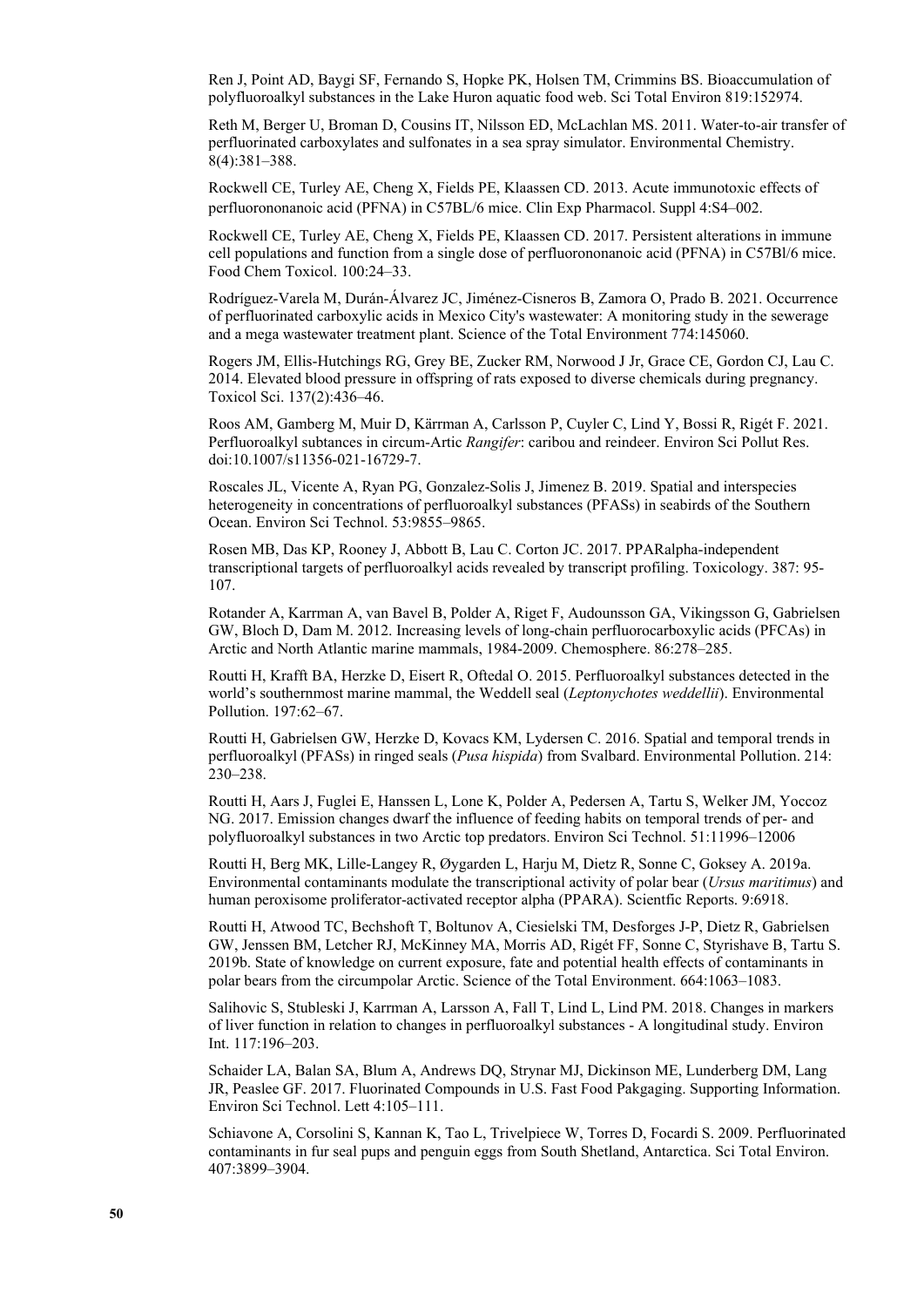Ren J, Point AD, Baygi SF, Fernando S, Hopke PK, Holsen TM, Crimmins BS. Bioaccumulation of polyfluoroalkyl substances in the Lake Huron aquatic food web. Sci Total Environ 819:152974.

Reth M, Berger U, Broman D, Cousins IT, Nilsson ED, McLachlan MS. 2011. Water-to-air transfer of perfluorinated carboxylates and sulfonates in a sea spray simulator. Environmental Chemistry. 8(4):381–388.

Rockwell CE, Turley AE, Cheng X, Fields PE, Klaassen CD. 2013. Acute immunotoxic effects of perfluorononanoic acid (PFNA) in C57BL/6 mice. Clin Exp Pharmacol. Suppl 4:S4–002.

Rockwell CE, Turley AE, Cheng X, Fields PE, Klaassen CD. 2017. Persistent alterations in immune cell populations and function from a single dose of perfluorononanoic acid (PFNA) in C57Bl/6 mice. Food Chem Toxicol. 100:24–33.

Rodríguez-Varela M, Durán-Álvarez JC, Jiménez-Cisneros B, Zamora O, Prado B. 2021. Occurrence of perfluorinated carboxylic acids in Mexico City's wastewater: A monitoring study in the sewerage and a mega wastewater treatment plant. Science of the Total Environment 774:145060.

Rogers JM, Ellis-Hutchings RG, Grey BE, Zucker RM, Norwood J Jr, Grace CE, Gordon CJ, Lau C. 2014. Elevated blood pressure in offspring of rats exposed to diverse chemicals during pregnancy. Toxicol Sci. 137(2):436–46.

Roos AM, Gamberg M, Muir D, Kärrman A, Carlsson P, Cuyler C, Lind Y, Bossi R, Rigét F. 2021. Perfluoroalkyl subtances in circum-Artic *Rangifer*: caribou and reindeer. Environ Sci Pollut Res. doi:10.1007/s11356-021-16729-7.

Roscales JL, Vicente A, Ryan PG, Gonzalez-Solis J, Jimenez B. 2019. Spatial and interspecies heterogeneity in concentrations of perfluoroalkyl substances (PFASs) in seabirds of the Southern Ocean. Environ Sci Technol. 53:9855–9865.

Rosen MB, Das KP, Rooney J, Abbott B, Lau C. Corton JC. 2017. PPARalpha-independent transcriptional targets of perfluoroalkyl acids revealed by transcript profiling. Toxicology. 387: 95- 107.

Rotander A, Karrman A, van Bavel B, Polder A, Riget F, Audounsson GA, Vikingsson G, Gabrielsen GW, Bloch D, Dam M. 2012. Increasing levels of long-chain perfluorocarboxylic acids (PFCAs) in Arctic and North Atlantic marine mammals, 1984-2009. Chemosphere. 86:278–285.

Routti H, Krafft BA, Herzke D, Eisert R, Oftedal O. 2015. Perfluoroalkyl substances detected in the world's southernmost marine mammal, the Weddell seal (*Leptonychotes weddellii*). Environmental Pollution. 197:62–67.

Routti H, Gabrielsen GW, Herzke D, Kovacs KM, Lydersen C. 2016. Spatial and temporal trends in perfluoroalkyl (PFASs) in ringed seals (*Pusa hispida*) from Svalbard. Environmental Pollution. 214: 230–238.

Routti H, Aars J, Fuglei E, Hanssen L, Lone K, Polder A, Pedersen A, Tartu S, Welker JM, Yoccoz NG. 2017. Emission changes dwarf the influence of feeding habits on temporal trends of per- and polyfluoroalkyl substances in two Arctic top predators. Environ Sci Technol. 51:11996–12006

Routti H, Berg MK, Lille-Langey R, Øygarden L, Harju M, Dietz R, Sonne C, Goksey A. 2019a. Environmental contaminants modulate the transcriptional activity of polar bear (*Ursus maritimus*) and human peroxisome proliferator-activated receptor alpha (PPARA). Scientfic Reports. 9:6918.

Routti H, Atwood TC, Bechshoft T, Boltunov A, Ciesielski TM, Desforges J-P, Dietz R, Gabrielsen GW, Jenssen BM, Letcher RJ, McKinney MA, Morris AD, Rigét FF, Sonne C, Styrishave B, Tartu S. 2019b. State of knowledge on current exposure, fate and potential health effects of contaminants in polar bears from the circumpolar Arctic. Science of the Total Environment. 664:1063–1083.

Salihovic S, Stubleski J, Karrman A, Larsson A, Fall T, Lind L, Lind PM. 2018. Changes in markers of liver function in relation to changes in perfluoroalkyl substances - A longitudinal study. Environ Int. 117:196–203.

Schaider LA, Balan SA, Blum A, Andrews DQ, Strynar MJ, Dickinson ME, Lunderberg DM, Lang JR, Peaslee GF. 2017. Fluorinated Compounds in U.S. Fast Food Pakgaging. Supporting Information. Environ Sci Technol. Lett 4:105–111.

Schiavone A, Corsolini S, Kannan K, Tao L, Trivelpiece W, Torres D, Focardi S. 2009. Perfluorinated contaminants in fur seal pups and penguin eggs from South Shetland, Antarctica. Sci Total Environ. 407:3899–3904.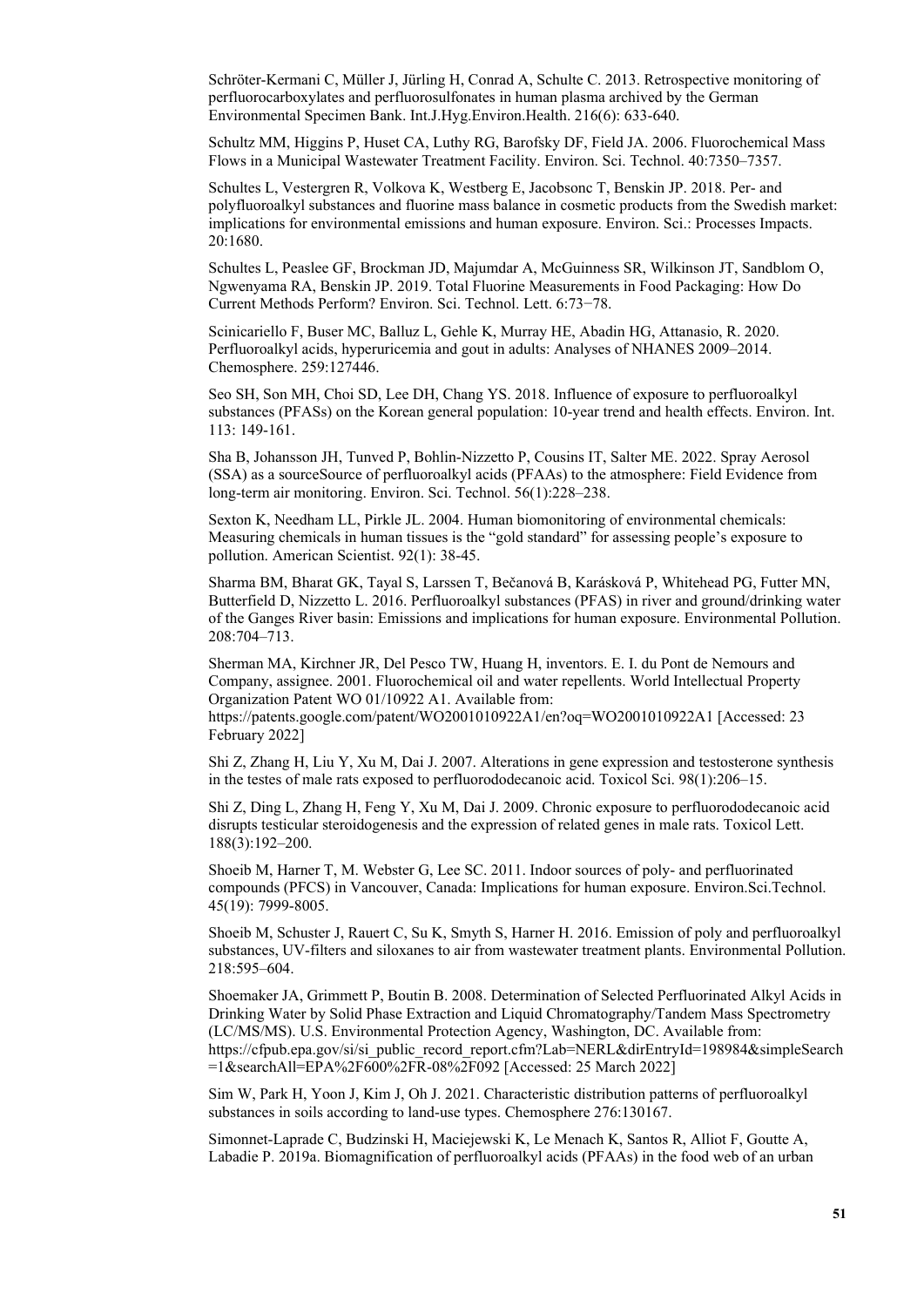Schröter-Kermani C, Müller J, Jürling H, Conrad A, Schulte C. 2013. Retrospective monitoring of perfluorocarboxylates and perfluorosulfonates in human plasma archived by the German Environmental Specimen Bank. Int.J.Hyg.Environ.Health. 216(6): 633-640.

Schultz MM, Higgins P, Huset CA, Luthy RG, Barofsky DF, Field JA. 2006. Fluorochemical Mass Flows in a Municipal Wastewater Treatment Facility. Environ. Sci. Technol. 40:7350–7357.

Schultes L, Vestergren R, Volkova K, Westberg E, Jacobsonc T, Benskin JP. 2018. Per- and polyfluoroalkyl substances and fluorine mass balance in cosmetic products from the Swedish market: implications for environmental emissions and human exposure. Environ. Sci.: Processes Impacts. 20:1680.

Schultes L, Peaslee GF, Brockman JD, Majumdar A, McGuinness SR, Wilkinson JT, Sandblom O, Ngwenyama RA, Benskin JP. 2019. Total Fluorine Measurements in Food Packaging: How Do Current Methods Perform? Environ. Sci. Technol. Lett. 6:73−78.

Scinicariello F, Buser MC, Balluz L, Gehle K, Murray HE, Abadin HG, Attanasio, R. 2020. Perfluoroalkyl acids, hyperuricemia and gout in adults: Analyses of NHANES 2009–2014. Chemosphere. 259:127446.

Seo SH, Son MH, Choi SD, Lee DH, Chang YS. 2018. Influence of exposure to perfluoroalkyl substances (PFASs) on the Korean general population: 10-year trend and health effects. Environ. Int. 113: 149-161.

Sha B, Johansson JH, Tunved P, Bohlin-Nizzetto P, Cousins IT, Salter ME. 2022. Spray Aerosol (SSA) as a sourceSource of perfluoroalkyl acids (PFAAs) to the atmosphere: Field Evidence from long-term air monitoring. Environ. Sci. Technol. 56(1):228–238.

Sexton K, Needham LL, Pirkle JL. 2004. Human biomonitoring of environmental chemicals: Measuring chemicals in human tissues is the "gold standard" for assessing people's exposure to pollution. American Scientist. 92(1): 38-45.

Sharma BM, Bharat GK, Tayal S, Larssen T, Bečanová B, Karásková P, Whitehead PG, Futter MN, Butterfield D, Nizzetto L. 2016. Perfluoroalkyl substances (PFAS) in river and ground/drinking water of the Ganges River basin: Emissions and implications for human exposure. Environmental Pollution. 208:704–713.

Sherman MA, Kirchner JR, Del Pesco TW, Huang H, inventors. E. I. du Pont de Nemours and Company, assignee. 2001. Fluorochemical oil and water repellents. World Intellectual Property Organization Patent WO 01/10922 A1. Available from: https://patents.google.com/patent/WO2001010922A1/en?oq=WO2001010922A1 [Accessed: 23 February 2022]

Shi Z, Zhang H, Liu Y, Xu M, Dai J. 2007. Alterations in gene expression and testosterone synthesis in the testes of male rats exposed to perfluorododecanoic acid. Toxicol Sci. 98(1):206–15.

Shi Z, Ding L, Zhang H, Feng Y, Xu M, Dai J. 2009. Chronic exposure to perfluorododecanoic acid disrupts testicular steroidogenesis and the expression of related genes in male rats. Toxicol Lett. 188(3):192–200.

Shoeib M, Harner T, M. Webster G, Lee SC. 2011. Indoor sources of poly- and perfluorinated compounds (PFCS) in Vancouver, Canada: Implications for human exposure. Environ.Sci.Technol. 45(19): 7999-8005.

Shoeib M, Schuster J, Rauert C, Su K, Smyth S, Harner H. 2016. Emission of poly and perfluoroalkyl substances, UV-filters and siloxanes to air from wastewater treatment plants. Environmental Pollution. 218:595–604.

Shoemaker JA, Grimmett P, Boutin B. 2008. Determination of Selected Perfluorinated Alkyl Acids in Drinking Water by Solid Phase Extraction and Liquid Chromatography/Tandem Mass Spectrometry (LC/MS/MS). U.S. Environmental Protection Agency, Washington, DC. Available from: [https://cfpub.epa.gov/si/si\\_public\\_record\\_report.cfm?Lab=NERL&dirEntryId=198984&simpleSearch](https://cfpub.epa.gov/si/si_public_record_report.cfm?Lab=NERL&dirEntryId=198984&simpleSearch=1&searchAll=EPA%2F600%2FR-08%2F092) [=1&searchAll=EPA%2F600%2FR-08%2F092](https://cfpub.epa.gov/si/si_public_record_report.cfm?Lab=NERL&dirEntryId=198984&simpleSearch=1&searchAll=EPA%2F600%2FR-08%2F092) [Accessed: 25 March 2022]

Sim W, Park H, Yoon J, Kim J, Oh J. 2021. Characteristic distribution patterns of perfluoroalkyl substances in soils according to land-use types. Chemosphere 276:130167.

Simonnet-Laprade C, Budzinski H, Maciejewski K, Le Menach K, Santos R, Alliot F, Goutte A, Labadie P. 2019a. Biomagnification of perfluoroalkyl acids (PFAAs) in the food web of an urban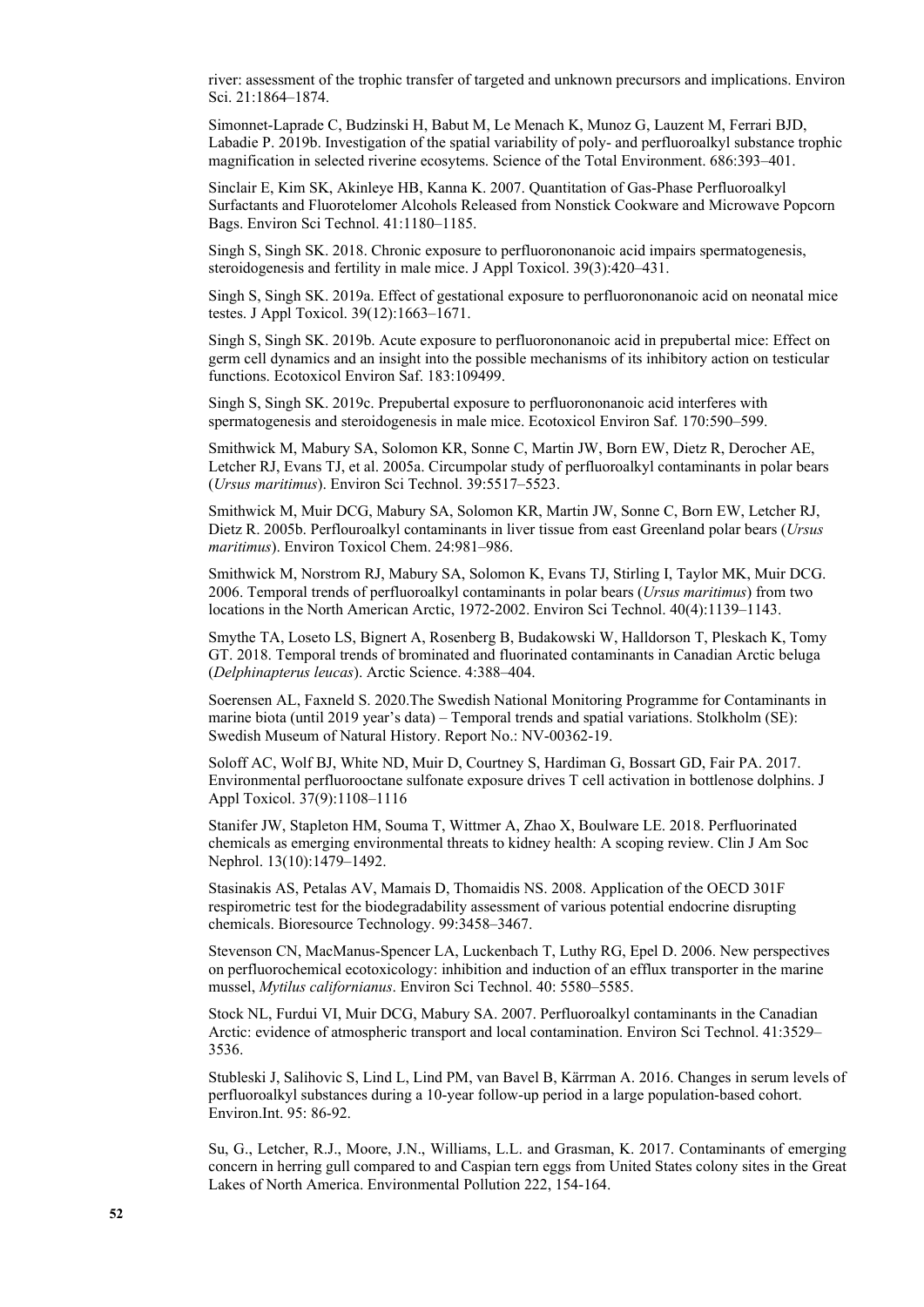river: assessment of the trophic transfer of targeted and unknown precursors and implications. Environ Sci. 21:1864–1874.

Simonnet-Laprade C, Budzinski H, Babut M, Le Menach K, Munoz G, Lauzent M, Ferrari BJD, Labadie P. 2019b. Investigation of the spatial variability of poly- and perfluoroalkyl substance trophic magnification in selected riverine ecosytems. Science of the Total Environment. 686:393–401.

Sinclair E, Kim SK, Akinleye HB, Kanna K. 2007. Quantitation of Gas-Phase Perfluoroalkyl Surfactants and Fluorotelomer Alcohols Released from Nonstick Cookware and Microwave Popcorn Bags. Environ Sci Technol. 41:1180–1185.

Singh S, Singh SK. 2018. Chronic exposure to perfluorononanoic acid impairs spermatogenesis, steroidogenesis and fertility in male mice. J Appl Toxicol. 39(3):420–431.

Singh S, Singh SK. 2019a. Effect of gestational exposure to perfluorononanoic acid on neonatal mice testes. J Appl Toxicol. 39(12):1663–1671.

Singh S, Singh SK. 2019b. Acute exposure to perfluorononanoic acid in prepubertal mice: Effect on germ cell dynamics and an insight into the possible mechanisms of its inhibitory action on testicular functions. Ecotoxicol Environ Saf. 183:109499.

Singh S, Singh SK. 2019c. Prepubertal exposure to perfluorononanoic acid interferes with spermatogenesis and steroidogenesis in male mice. Ecotoxicol Environ Saf. 170:590–599.

Smithwick M, Mabury SA, Solomon KR, Sonne C, Martin JW, Born EW, Dietz R, Derocher AE, Letcher RJ, Evans TJ, et al. 2005a. Circumpolar study of perfluoroalkyl contaminants in polar bears (*Ursus maritimus*). Environ Sci Technol. 39:5517–5523.

Smithwick M, Muir DCG, Mabury SA, Solomon KR, Martin JW, Sonne C, Born EW, Letcher RJ, Dietz R. 2005b. Perflouroalkyl contaminants in liver tissue from east Greenland polar bears (*Ursus maritimus*). Environ Toxicol Chem. 24:981–986.

Smithwick M, Norstrom RJ, Mabury SA, Solomon K, Evans TJ, Stirling I, Taylor MK, Muir DCG. 2006. Temporal trends of perfluoroalkyl contaminants in polar bears (*Ursus maritimus*) from two locations in the North American Arctic, 1972-2002. Environ Sci Technol. 40(4):1139–1143.

Smythe TA, Loseto LS, Bignert A, Rosenberg B, Budakowski W, Halldorson T, Pleskach K, Tomy GT. 2018. Temporal trends of brominated and fluorinated contaminants in Canadian Arctic beluga (*Delphinapterus leucas*). Arctic Science. 4:388–404.

Soerensen AL, Faxneld S. 2020.The Swedish National Monitoring Programme for Contaminants in marine biota (until 2019 year's data) – Temporal trends and spatial variations. Stolkholm (SE): Swedish Museum of Natural History. Report No.: NV-00362-19.

Soloff AC, Wolf BJ, White ND, Muir D, Courtney S, Hardiman G, Bossart GD, Fair PA. 2017. Environmental perfluorooctane sulfonate exposure drives T cell activation in bottlenose dolphins. J Appl Toxicol. 37(9):1108–1116

Stanifer JW, Stapleton HM, Souma T, Wittmer A, Zhao X, Boulware LE. 2018. Perfluorinated chemicals as emerging environmental threats to kidney health: A scoping review. Clin J Am Soc Nephrol. 13(10):1479–1492.

Stasinakis AS, Petalas AV, Mamais D, Thomaidis NS. 2008. Application of the OECD 301F respirometric test for the biodegradability assessment of various potential endocrine disrupting chemicals. Bioresource Technology. 99:3458–3467.

Stevenson CN, MacManus-Spencer LA, Luckenbach T, Luthy RG, Epel D. 2006. New perspectives on perfluorochemical ecotoxicology: inhibition and induction of an efflux transporter in the marine mussel, *Mytilus californianus*. Environ Sci Technol. 40: 5580–5585.

Stock NL, Furdui VI, Muir DCG, Mabury SA. 2007. Perfluoroalkyl contaminants in the Canadian Arctic: evidence of atmospheric transport and local contamination. Environ Sci Technol. 41:3529– 3536.

Stubleski J, Salihovic S, Lind L, Lind PM, van Bavel B, Kärrman A. 2016. Changes in serum levels of perfluoroalkyl substances during a 10-year follow-up period in a large population-based cohort. Environ.Int. 95: 86-92.

Su, G., Letcher, R.J., Moore, J.N., Williams, L.L. and Grasman, K. 2017. Contaminants of emerging concern in herring gull compared to and Caspian tern eggs from United States colony sites in the Great Lakes of North America. Environmental Pollution 222, 154-164.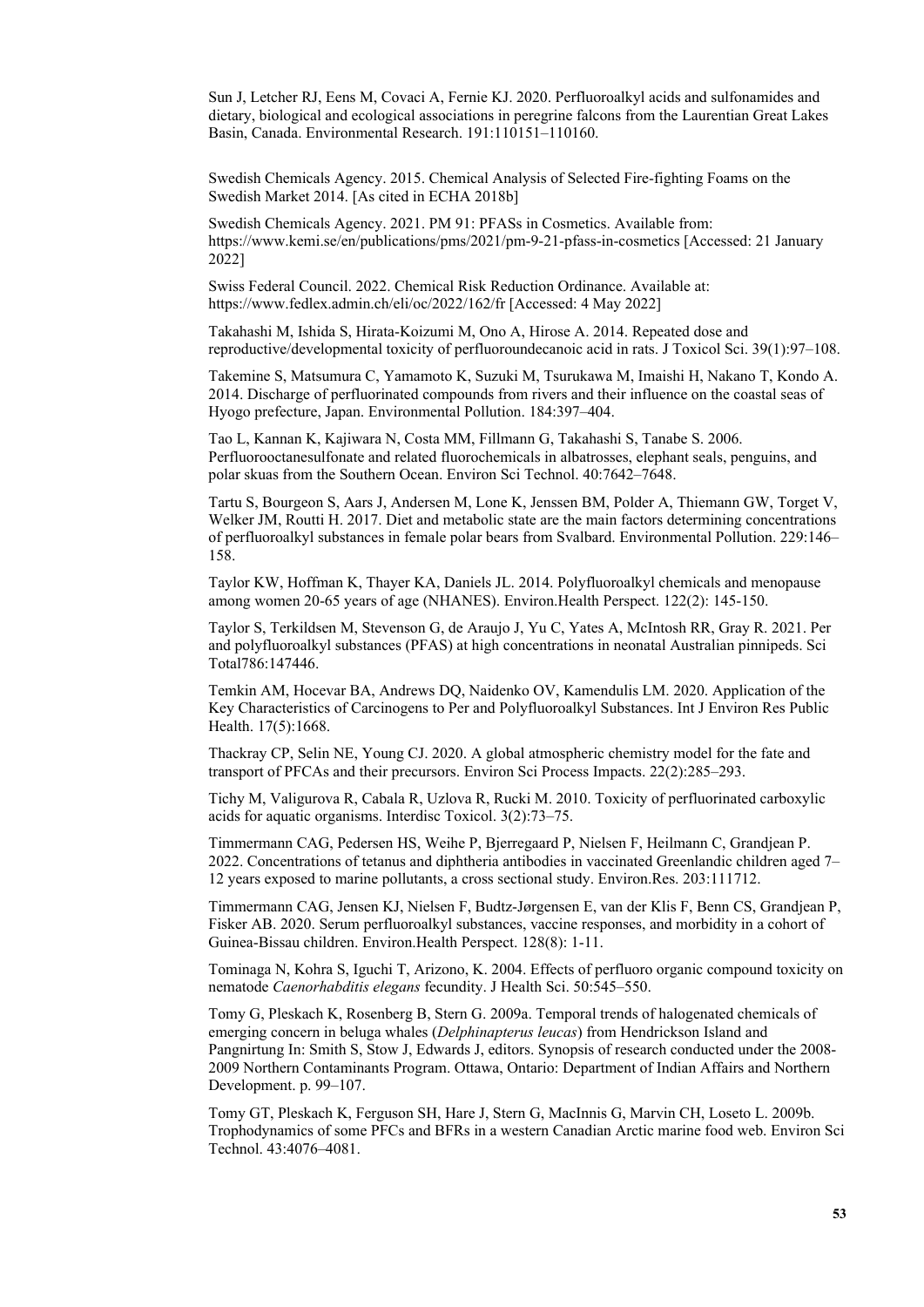Sun J, Letcher RJ, Eens M, Covaci A, Fernie KJ. 2020. Perfluoroalkyl acids and sulfonamides and dietary, biological and ecological associations in peregrine falcons from the Laurentian Great Lakes Basin, Canada. Environmental Research. 191:110151–110160.

Swedish Chemicals Agency. 2015. Chemical Analysis of Selected Fire-fighting Foams on the Swedish Market 2014. [As cited in ECHA 2018b]

Swedish Chemicals Agency. 2021. PM 91: PFASs in Cosmetics. Available from: https://www.kemi.se/en/publications/pms/2021/pm-9-21-pfass-in-cosmetics [Accessed: 21 January 2022]

Swiss Federal Council. 2022. Chemical Risk Reduction Ordinance. Available at: <https://www.fedlex.admin.ch/eli/oc/2022/162/fr>[Accessed: 4 May 2022]

Takahashi M, Ishida S, Hirata-Koizumi M, Ono A, Hirose A. 2014. Repeated dose and reproductive/developmental toxicity of perfluoroundecanoic acid in rats. J Toxicol Sci. 39(1):97–108.

Takemine S, Matsumura C, Yamamoto K, Suzuki M, Tsurukawa M, Imaishi H, Nakano T, Kondo A. 2014. Discharge of perfluorinated compounds from rivers and their influence on the coastal seas of Hyogo prefecture, Japan. Environmental Pollution. 184:397–404.

Tao L, Kannan K, Kajiwara N, Costa MM, Fillmann G, Takahashi S, Tanabe S. 2006. Perfluorooctanesulfonate and related fluorochemicals in albatrosses, elephant seals, penguins, and polar skuas from the Southern Ocean. Environ Sci Technol. 40:7642–7648.

Tartu S, Bourgeon S, Aars J, Andersen M, Lone K, Jenssen BM, Polder A, Thiemann GW, Torget V, Welker JM, Routti H. 2017. Diet and metabolic state are the main factors determining concentrations of perfluoroalkyl substances in female polar bears from Svalbard. Environmental Pollution. 229:146– 158.

Taylor KW, Hoffman K, Thayer KA, Daniels JL. 2014. Polyfluoroalkyl chemicals and menopause among women 20-65 years of age (NHANES). Environ.Health Perspect. 122(2): 145-150.

Taylor S, Terkildsen M, Stevenson G, de Araujo J, Yu C, Yates A, McIntosh RR, Gray R. 2021. Per and polyfluoroalkyl substances (PFAS) at high concentrations in neonatal Australian pinnipeds. Sci Total786:147446.

Temkin AM, Hocevar BA, Andrews DQ, Naidenko OV, Kamendulis LM. 2020. Application of the Key Characteristics of Carcinogens to Per and Polyfluoroalkyl Substances. Int J Environ Res Public Health. 17(5):1668.

Thackray CP, Selin NE, Young CJ. 2020. A global atmospheric chemistry model for the fate and transport of PFCAs and their precursors. Environ Sci Process Impacts. 22(2):285–293.

Tichy M, Valigurova R, Cabala R, Uzlova R, Rucki M. 2010. Toxicity of perfluorinated carboxylic acids for aquatic organisms. Interdisc Toxicol. 3(2):73–75.

Timmermann CAG, Pedersen HS, Weihe P, Bjerregaard P, Nielsen F, Heilmann C, Grandjean P. 2022. Concentrations of tetanus and diphtheria antibodies in vaccinated Greenlandic children aged 7– 12 years exposed to marine pollutants, a cross sectional study. Environ.Res. 203:111712.

Timmermann CAG, Jensen KJ, Nielsen F, Budtz-Jørgensen E, van der Klis F, Benn CS, Grandjean P, Fisker AB. 2020. Serum perfluoroalkyl substances, vaccine responses, and morbidity in a cohort of Guinea-Bissau children. Environ.Health Perspect. 128(8): 1-11.

Tominaga N, Kohra S, Iguchi T, Arizono, K. 2004. Effects of perfluoro organic compound toxicity on nematode *Caenorhabditis elegans* fecundity. J Health Sci. 50:545–550.

Tomy G, Pleskach K, Rosenberg B, Stern G. 2009a. Temporal trends of halogenated chemicals of emerging concern in beluga whales (*Delphinapterus leucas*) from Hendrickson Island and Pangnirtung In: Smith S, Stow J, Edwards J, editors. Synopsis of research conducted under the 2008- 2009 Northern Contaminants Program. Ottawa, Ontario: Department of Indian Affairs and Northern Development. p. 99–107.

Tomy GT, Pleskach K, Ferguson SH, Hare J, Stern G, MacInnis G, Marvin CH, Loseto L. 2009b. Trophodynamics of some PFCs and BFRs in a western Canadian Arctic marine food web. Environ Sci Technol. 43:4076–4081.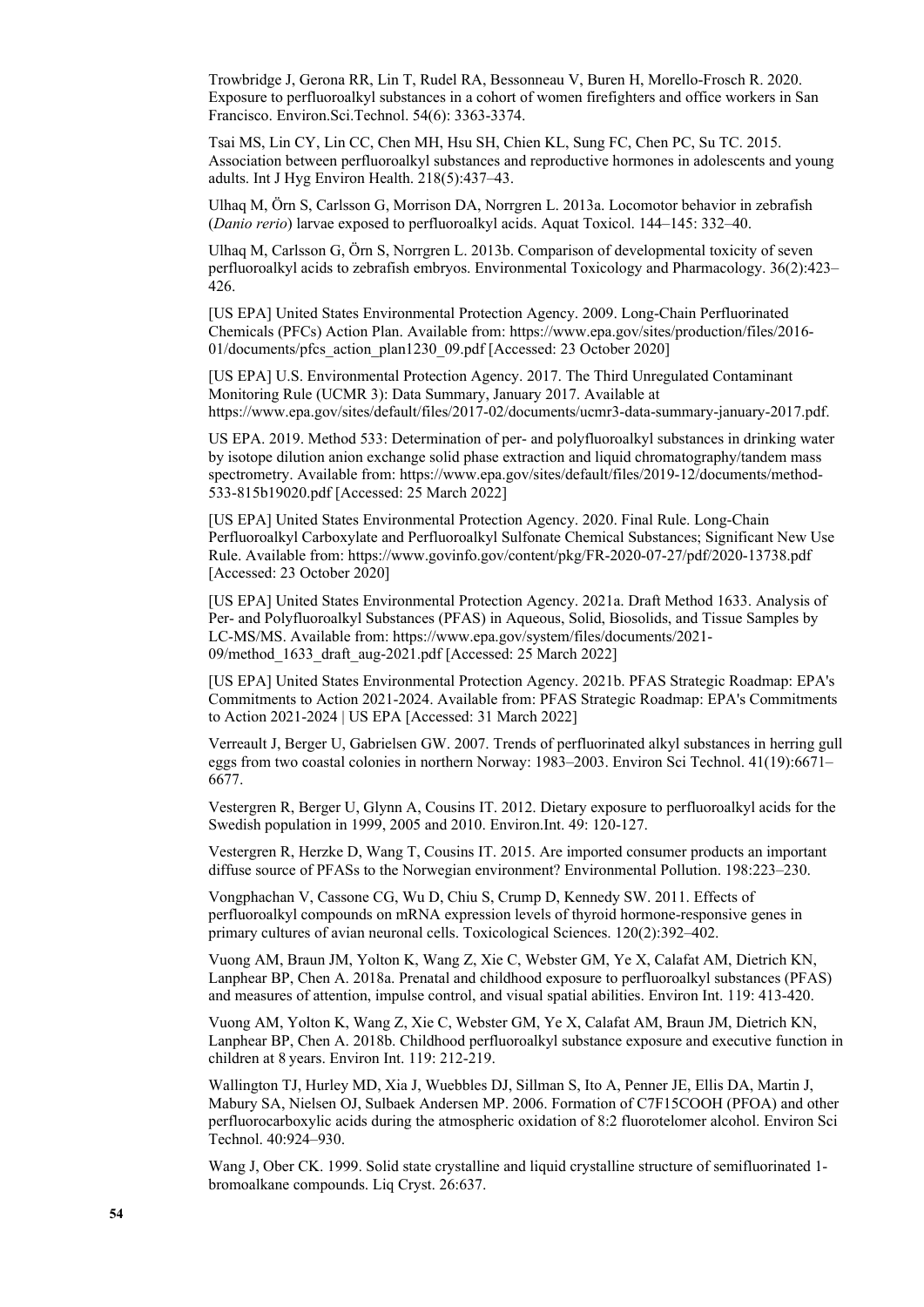Trowbridge J, Gerona RR, Lin T, Rudel RA, Bessonneau V, Buren H, Morello-Frosch R. 2020. Exposure to perfluoroalkyl substances in a cohort of women firefighters and office workers in San Francisco. Environ.Sci.Technol. 54(6): 3363-3374.

Tsai MS, Lin CY, Lin CC, Chen MH, Hsu SH, Chien KL, Sung FC, Chen PC, Su TC. 2015. Association between perfluoroalkyl substances and reproductive hormones in adolescents and young adults. Int J Hyg Environ Health. 218(5):437–43.

Ulhaq M, Örn S, Carlsson G, Morrison DA, Norrgren L. 2013a. Locomotor behavior in zebrafish (*Danio rerio*) larvae exposed to perfluoroalkyl acids. Aquat Toxicol. 144–145: 332–40.

Ulhaq M, Carlsson G, Örn S, Norrgren L. 2013b. Comparison of developmental toxicity of seven perfluoroalkyl acids to zebrafish embryos. Environmental Toxicology and Pharmacology. 36(2):423– 426.

[US EPA] United States Environmental Protection Agency. 2009. Long-Chain Perfluorinated Chemicals (PFCs) Action Plan. Available from: [https://www.epa.gov/sites/production/files/2016-](https://www.epa.gov/sites/production/files/2016-01/documents/pfcs_action_plan1230_09.pdf) [01/documents/pfcs\\_action\\_plan1230\\_09.pdf](https://www.epa.gov/sites/production/files/2016-01/documents/pfcs_action_plan1230_09.pdf) [Accessed: 23 October 2020]

[US EPA] U.S. Environmental Protection Agency. 2017. The Third Unregulated Contaminant Monitoring Rule (UCMR 3): Data Summary, January 2017. Available at https://www.epa.gov/sites/default/files/2017-02/documents/ucmr3-data-summary-january-2017.pdf.

US EPA. 2019. Method 533: Determination of per- and polyfluoroalkyl substances in drinking water by isotope dilution anion exchange solid phase extraction and liquid chromatography/tandem mass spectrometry. Available from: [https://www.epa.gov/sites/default/files/2019-12/documents/method-](https://www.epa.gov/sites/default/files/2019-12/documents/method-533-815b19020.pdf)[533-815b19020.pdf](https://www.epa.gov/sites/default/files/2019-12/documents/method-533-815b19020.pdf) [Accessed: 25 March 2022]

[US EPA] United States Environmental Protection Agency. 2020. Final Rule. Long-Chain Perfluoroalkyl Carboxylate and Perfluoroalkyl Sulfonate Chemical Substances; Significant New Use Rule. Available from:<https://www.govinfo.gov/content/pkg/FR-2020-07-27/pdf/2020-13738.pdf> [Accessed: 23 October 2020]

[US EPA] United States Environmental Protection Agency. 2021a. Draft Method 1633. Analysis of Per- and Polyfluoroalkyl Substances (PFAS) in Aqueous, Solid, Biosolids, and Tissue Samples by LC-MS/MS. Available from: [https://www.epa.gov/system/files/documents/2021-](https://www.epa.gov/system/files/documents/2021-09/method_1633_draft_aug-2021.pdf) [09/method\\_1633\\_draft\\_aug-2021.pdf](https://www.epa.gov/system/files/documents/2021-09/method_1633_draft_aug-2021.pdf) [Accessed: 25 March 2022]

[US EPA] United States Environmental Protection Agency. 2021b. PFAS Strategic Roadmap: EPA's Commitments to Action 2021-2024. Available from: [PFAS Strategic Roadmap: EPA's Commitments](https://www.epa.gov/pfas/pfas-strategic-roadmap-epas-commitments-action-2021-2024)  [to Action 2021-2024 | US EPA](https://www.epa.gov/pfas/pfas-strategic-roadmap-epas-commitments-action-2021-2024) [Accessed: 31 March 2022]

Verreault J, Berger U, Gabrielsen GW. 2007. Trends of perfluorinated alkyl substances in herring gull eggs from two coastal colonies in northern Norway: 1983–2003. Environ Sci Technol. 41(19):6671– 6677.

Vestergren R, Berger U, Glynn A, Cousins IT. 2012. Dietary exposure to perfluoroalkyl acids for the Swedish population in 1999, 2005 and 2010. Environ.Int. 49: 120-127.

Vestergren R, Herzke D, Wang T, Cousins IT. 2015. Are imported consumer products an important diffuse source of PFASs to the Norwegian environment? Environmental Pollution. 198:223–230.

Vongphachan V, Cassone CG, Wu D, Chiu S, Crump D, Kennedy SW. 2011. Effects of perfluoroalkyl compounds on mRNA expression levels of thyroid hormone-responsive genes in primary cultures of avian neuronal cells. Toxicological Sciences. 120(2):392–402.

Vuong AM, Braun JM, Yolton K, Wang Z, Xie C, Webster GM, Ye X, Calafat AM, Dietrich KN, Lanphear BP, Chen A. 2018a. Prenatal and childhood exposure to perfluoroalkyl substances (PFAS) and measures of attention, impulse control, and visual spatial abilities. Environ Int. 119: 413-420.

Vuong AM, Yolton K, Wang Z, Xie C, Webster GM, Ye X, Calafat AM, Braun JM, Dietrich KN, Lanphear BP, Chen A. 2018b. Childhood perfluoroalkyl substance exposure and executive function in children at 8 years. Environ Int. 119: 212-219.

Wallington TJ, Hurley MD, Xia J, Wuebbles DJ, Sillman S, Ito A, Penner JE, Ellis DA, Martin J, Mabury SA, Nielsen OJ, Sulbaek Andersen MP. 2006. Formation of C7F15COOH (PFOA) and other perfluorocarboxylic acids during the atmospheric oxidation of 8:2 fluorotelomer alcohol. Environ Sci Technol. 40:924–930.

Wang J, Ober CK. 1999. Solid state crystalline and liquid crystalline structure of semifluorinated 1 bromoalkane compounds. Liq Cryst. 26:637.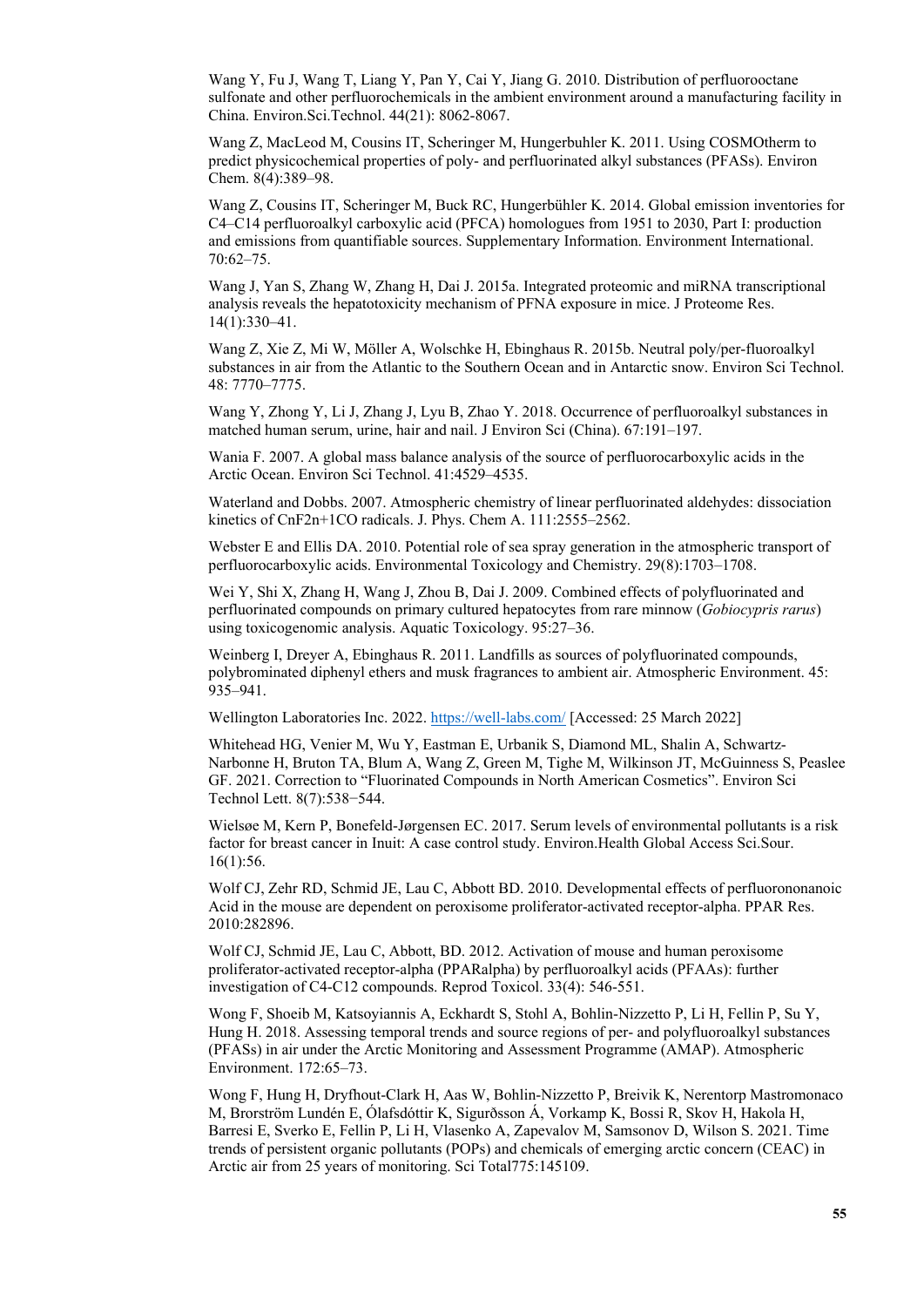Wang Y, Fu J, Wang T, Liang Y, Pan Y, Cai Y, Jiang G. 2010. Distribution of perfluorooctane sulfonate and other perfluorochemicals in the ambient environment around a manufacturing facility in China. Environ.Sci.Technol. 44(21): 8062-8067.

Wang Z, MacLeod M, Cousins IT, Scheringer M, Hungerbuhler K. 2011. Using COSMOtherm to predict physicochemical properties of poly- and perfluorinated alkyl substances (PFASs). Environ Chem. 8(4):389–98.

Wang Z, Cousins IT, Scheringer M, Buck RC, Hungerbühler K. 2014. Global emission inventories for C4–C14 perfluoroalkyl carboxylic acid (PFCA) homologues from 1951 to 2030, Part I: production and emissions from quantifiable sources. Supplementary Information. Environment International. 70:62–75.

Wang J, Yan S, Zhang W, Zhang H, Dai J. 2015a. Integrated proteomic and miRNA transcriptional analysis reveals the hepatotoxicity mechanism of PFNA exposure in mice. J Proteome Res. 14(1):330–41.

Wang Z, Xie Z, Mi W, Möller A, Wolschke H, Ebinghaus R. 2015b. Neutral poly/per-fluoroalkyl substances in air from the Atlantic to the Southern Ocean and in Antarctic snow. Environ Sci Technol. 48: 7770–7775.

Wang Y, Zhong Y, Li J, Zhang J, Lyu B, Zhao Y. 2018. Occurrence of perfluoroalkyl substances in matched human serum, urine, hair and nail. J Environ Sci (China). 67:191–197.

Wania F. 2007. A global mass balance analysis of the source of perfluorocarboxylic acids in the Arctic Ocean. Environ Sci Technol. 41:4529–4535.

Waterland and Dobbs. 2007. Atmospheric chemistry of linear perfluorinated aldehydes: dissociation kinetics of CnF2n+1CO radicals. J. Phys. Chem A. 111:2555–2562.

Webster E and Ellis DA. 2010. Potential role of sea spray generation in the atmospheric transport of perfluorocarboxylic acids. Environmental Toxicology and Chemistry. 29(8):1703–1708.

Wei Y, Shi X, Zhang H, Wang J, Zhou B, Dai J. 2009. Combined effects of polyfluorinated and perfluorinated compounds on primary cultured hepatocytes from rare minnow (*Gobiocypris rarus*) using toxicogenomic analysis. Aquatic Toxicology. 95:27–36.

Weinberg I, Dreyer A, Ebinghaus R. 2011. Landfills as sources of polyfluorinated compounds, polybrominated diphenyl ethers and musk fragrances to ambient air. Atmospheric Environment. 45: 935–941.

Wellington Laboratories Inc. 2022. <https://well-labs.com/>[Accessed: 25 March 2022]

Whitehead HG, Venier M, Wu Y, Eastman E, Urbanik S, Diamond ML, Shalin A, Schwartz-Narbonne H, Bruton TA, Blum A, Wang Z, Green M, Tighe M, Wilkinson JT, McGuinness S, Peaslee GF. 2021. Correction to "Fluorinated Compounds in North American Cosmetics". Environ Sci Technol Lett. 8(7):538−544.

Wielsøe M, Kern P, Bonefeld-Jørgensen EC. 2017. Serum levels of environmental pollutants is a risk factor for breast cancer in Inuit: A case control study. Environ.Health Global Access Sci.Sour. 16(1):56.

Wolf CJ, Zehr RD, Schmid JE, Lau C, Abbott BD. 2010. Developmental effects of perfluorononanoic Acid in the mouse are dependent on peroxisome proliferator-activated receptor-alpha. PPAR Res. 2010:282896.

Wolf CJ, Schmid JE, Lau C, Abbott, BD. 2012. Activation of mouse and human peroxisome proliferator-activated receptor-alpha (PPARalpha) by perfluoroalkyl acids (PFAAs): further investigation of C4-C12 compounds. Reprod Toxicol. 33(4): 546-551.

Wong F, Shoeib M, Katsoyiannis A, Eckhardt S, Stohl A, Bohlin-Nizzetto P, Li H, Fellin P, Su Y, Hung H. 2018. Assessing temporal trends and source regions of per- and polyfluoroalkyl substances (PFASs) in air under the Arctic Monitoring and Assessment Programme (AMAP). Atmospheric Environment. 172:65–73.

Wong F, Hung H, Dryfhout-Clark H, Aas W, Bohlin-Nizzetto P, Breivik K, Nerentorp Mastromonaco M, Brorström Lundén E, Ólafsdóttir K, Sigurðsson Á, Vorkamp K, Bossi R, Skov H, Hakola H, Barresi E, Sverko E, Fellin P, Li H, Vlasenko A, Zapevalov M, Samsonov D, Wilson S. 2021. Time trends of persistent organic pollutants (POPs) and chemicals of emerging arctic concern (CEAC) in Arctic air from 25 years of monitoring. Sci Total775:145109.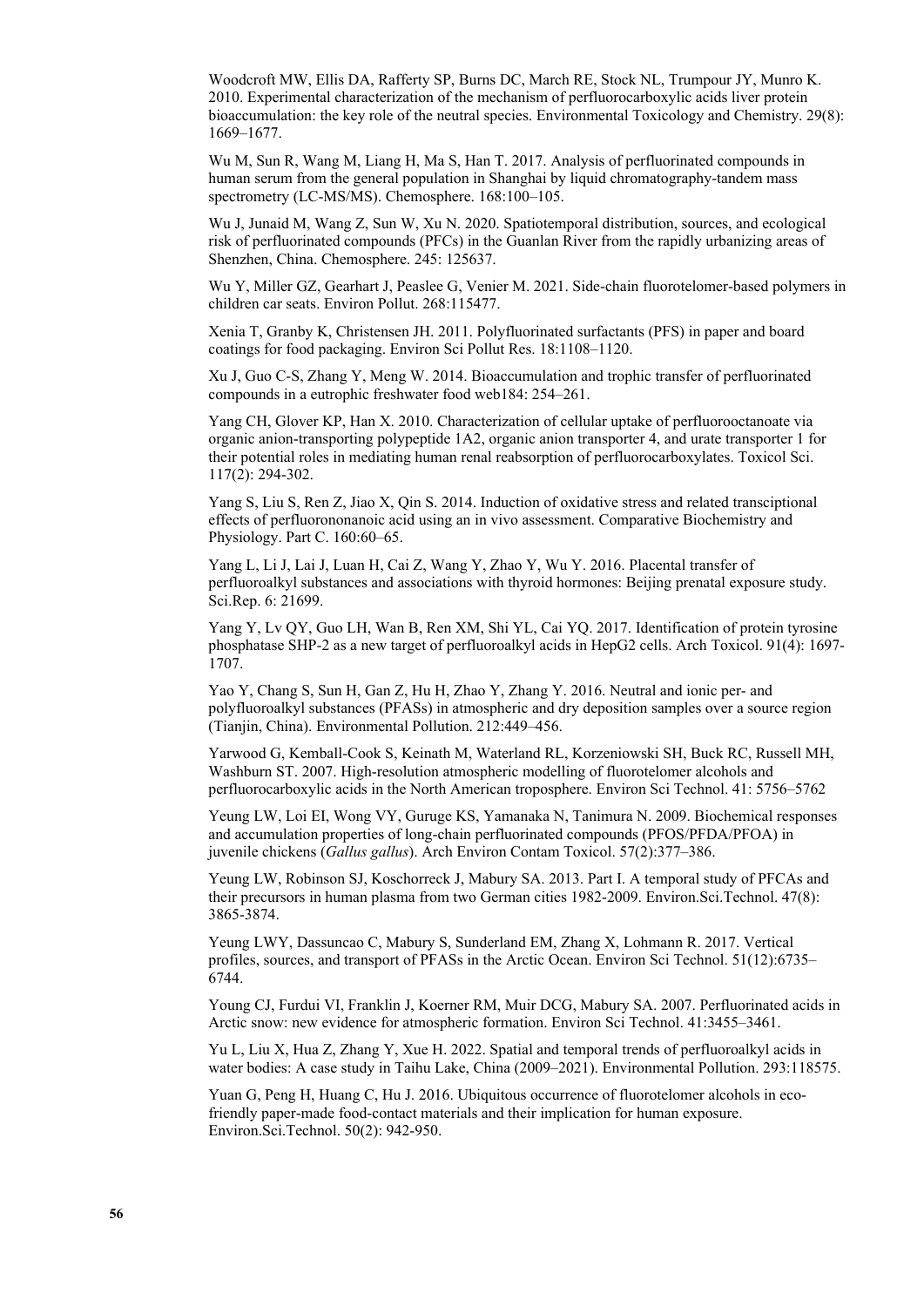Woodcroft MW, Ellis DA, Rafferty SP, Burns DC, March RE, Stock NL, Trumpour JY, Munro K. 2010. Experimental characterization of the mechanism of perfluorocarboxylic acids liver protein bioaccumulation: the key role of the neutral species. Environmental Toxicology and Chemistry. 29(8): 1669–1677.

Wu M, Sun R, Wang M, Liang H, Ma S, Han T. 2017. Analysis of perfluorinated compounds in human serum from the general population in Shanghai by liquid chromatography-tandem mass spectrometry (LC-MS/MS). Chemosphere. 168:100–105.

Wu J, Junaid M, Wang Z, Sun W, Xu N. 2020. Spatiotemporal distribution, sources, and ecological risk of perfluorinated compounds (PFCs) in the Guanlan River from the rapidly urbanizing areas of Shenzhen, China. Chemosphere. 245: 125637.

Wu Y, Miller GZ, Gearhart J, Peaslee G, Venier M. 2021. Side-chain fluorotelomer-based polymers in children car seats. Environ Pollut. 268:115477.

Xenia T, Granby K, Christensen JH. 2011. Polyfluorinated surfactants (PFS) in paper and board coatings for food packaging. Environ Sci Pollut Res. 18:1108–1120.

Xu J, Guo C-S, Zhang Y, Meng W. 2014. Bioaccumulation and trophic transfer of perfluorinated compounds in a eutrophic freshwater food web184: 254–261.

Yang CH, Glover KP, Han X. 2010. Characterization of cellular uptake of perfluorooctanoate via organic anion-transporting polypeptide 1A2, organic anion transporter 4, and urate transporter 1 for their potential roles in mediating human renal reabsorption of perfluorocarboxylates. Toxicol Sci. 117(2): 294-302.

Yang S, Liu S, Ren Z, Jiao X, Qin S. 2014. Induction of oxidative stress and related transciptional effects of perfluorononanoic acid using an in vivo assessment. Comparative Biochemistry and Physiology. Part C. 160:60-65.

Yang L, Li J, Lai J, Luan H, Cai Z, Wang Y, Zhao Y, Wu Y. 2016. Placental transfer of perfluoroalkyl substances and associations with thyroid hormones: Beijing prenatal exposure study. Sci.Rep. 6: 21699.

Yang Y, Lv QY, Guo LH, Wan B, Ren XM, Shi YL, Cai YQ. 2017. Identification of protein tyrosine phosphatase SHP-2 as a new target of perfluoroalkyl acids in HepG2 cells. Arch Toxicol. 91(4): 1697- 1707.

Yao Y, Chang S, Sun H, Gan Z, Hu H, Zhao Y, Zhang Y. 2016. Neutral and ionic per- and polyfluoroalkyl substances (PFASs) in atmospheric and dry deposition samples over a source region (Tianjin, China). Environmental Pollution. 212:449–456.

Yarwood G, Kemball-Cook S, Keinath M, Waterland RL, Korzeniowski SH, Buck RC, Russell MH, Washburn ST. 2007. High-resolution atmospheric modelling of fluorotelomer alcohols and perfluorocarboxylic acids in the North American troposphere. Environ Sci Technol. 41: 5756–5762

Yeung LW, Loi EI, Wong VY, Guruge KS, Yamanaka N, Tanimura N. 2009. Biochemical responses and accumulation properties of long-chain perfluorinated compounds (PFOS/PFDA/PFOA) in juvenile chickens (*Gallus gallus*). Arch Environ Contam Toxicol. 57(2):377–386.

Yeung LW, Robinson SJ, Koschorreck J, Mabury SA. 2013. Part I. A temporal study of PFCAs and their precursors in human plasma from two German cities 1982-2009. Environ.Sci.Technol. 47(8): 3865-3874.

Yeung LWY, Dassuncao C, Mabury S, Sunderland EM, Zhang X, Lohmann R. 2017. Vertical profiles, sources, and transport of PFASs in the Arctic Ocean. Environ Sci Technol. 51(12):6735– 6744.

Young CJ, Furdui VI, Franklin J, Koerner RM, Muir DCG, Mabury SA. 2007. Perfluorinated acids in Arctic snow: new evidence for atmospheric formation. Environ Sci Technol. 41:3455–3461.

Yu L, Liu X, Hua Z, Zhang Y, Xue H. 2022. Spatial and temporal trends of perfluoroalkyl acids in water bodies: A case study in Taihu Lake, China (2009–2021). Environmental Pollution. 293:118575.

Yuan G, Peng H, Huang C, Hu J. 2016. Ubiquitous occurrence of fluorotelomer alcohols in ecofriendly paper-made food-contact materials and their implication for human exposure. Environ.Sci.Technol. 50(2): 942-950.